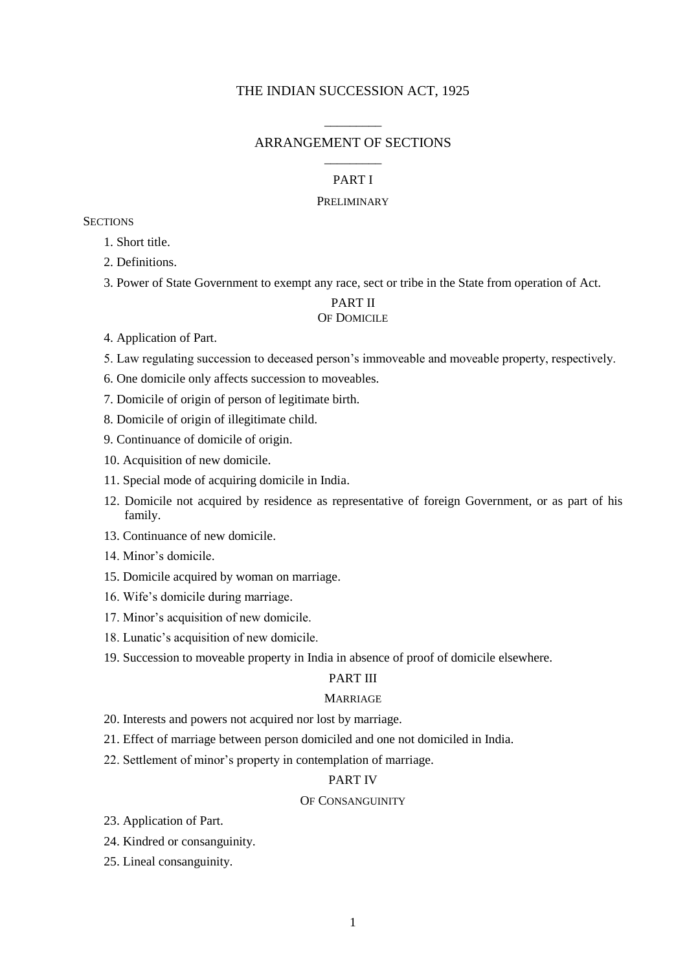# THE INDIAN SUCCESSION ACT, 1925

# \_\_\_\_\_\_\_\_\_ ARRANGEMENT OF SECTIONS \_\_\_\_\_\_\_\_\_

# PART I

# **PRELIMINARY**

**SECTIONS** 

1. Short title.

2. Definitions.

3. Power of State Government to exempt any race, sect or tribe in the State from operation of Act.

# PART II

# OF DOMICILE

- 4. Application of Part.
- 5. Law regulating succession to deceased person's immoveable and moveable property, respectively.
- 6. One domicile only affects succession to moveables.
- 7. Domicile of origin of person of legitimate birth.
- 8. Domicile of origin of illegitimate child.
- 9. Continuance of domicile of origin.
- 10. Acquisition of new domicile.
- 11. Special mode of acquiring domicile in India.
- 12. Domicile not acquired by residence as representative of foreign Government, or as part of his family.
- 13. Continuance of new domicile.
- 14. Minor's domicile.
- 15. Domicile acquired by woman on marriage.
- 16. Wife's domicile during marriage.
- 17. Minor's acquisition of new domicile.
- 18. Lunatic's acquisition of new domicile.
- 19. Succession to moveable property in India in absence of proof of domicile elsewhere.

# PART III

#### MARRIAGE

- 20. Interests and powers not acquired nor lost by marriage.
- 21. Effect of marriage between person domiciled and one not domiciled in India.
- 22. Settlement of minor's property in contemplation of marriage.

# PART IV

# OF CONSANGUINITY

- 23. Application of Part.
- 24. Kindred or consanguinity.
- 25. Lineal consanguinity.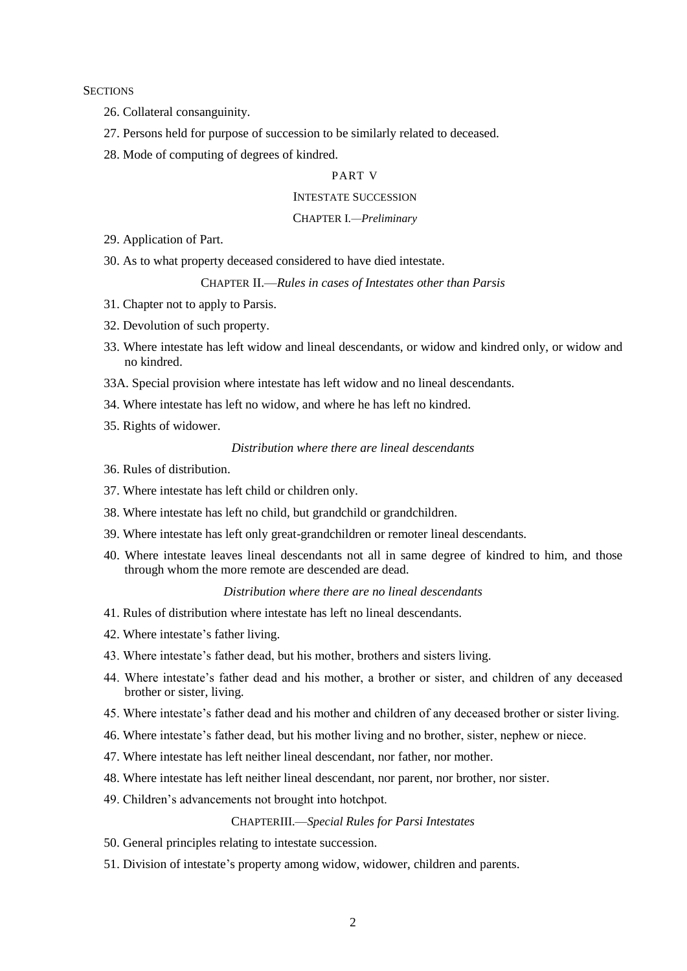- 26. Collateral consanguinity.
- 27. Persons held for purpose of succession to be similarly related to deceased.
- 28. Mode of computing of degrees of kindred.

# PART V

# INTESTATE SUCCESSION

#### CHAPTER I*.—Preliminary*

29. Application of Part.

30. As to what property deceased considered to have died intestate.

# CHAPTER II.—*Rules in cases of Intestates other than Parsis*

- 31. Chapter not to apply to Parsis.
- 32. Devolution of such property.
- 33. Where intestate has left widow and lineal descendants, or widow and kindred only, or widow and no kindred.
- 33A. Special provision where intestate has left widow and no lineal descendants.
- 34. Where intestate has left no widow, and where he has left no kindred.
- 35. Rights of widower.

# *Distribution where there are lineal descendants*

- 36. Rules of distribution.
- 37. Where intestate has left child or children only.
- 38. Where intestate has left no child, but grandchild or grandchildren.
- 39. Where intestate has left only great-grandchildren or remoter lineal descendants.
- 40. Where intestate leaves lineal descendants not all in same degree of kindred to him, and those through whom the more remote are descended are dead.

# *Distribution where there are no lineal descendants*

- 41. Rules of distribution where intestate has left no lineal descendants.
- 42. Where intestate's father living.
- 43. Where intestate's father dead, but his mother, brothers and sisters living.
- 44. Where intestate's father dead and his mother, a brother or sister, and children of any deceased brother or sister, living.
- 45. Where intestate's father dead and his mother and children of any deceased brother or sister living.
- 46. Where intestate's father dead, but his mother living and no brother, sister, nephew or niece.
- 47. Where intestate has left neither lineal descendant, nor father, nor mother.
- 48. Where intestate has left neither lineal descendant, nor parent, nor brother, nor sister.
- 49. Children's advancements not brought into hotchpot.

# CHAPTERIII.—*Special Rules for Parsi Intestates*

- 50. General principles relating to intestate succession.
- 51. Division of intestate's property among widow, widower, children and parents.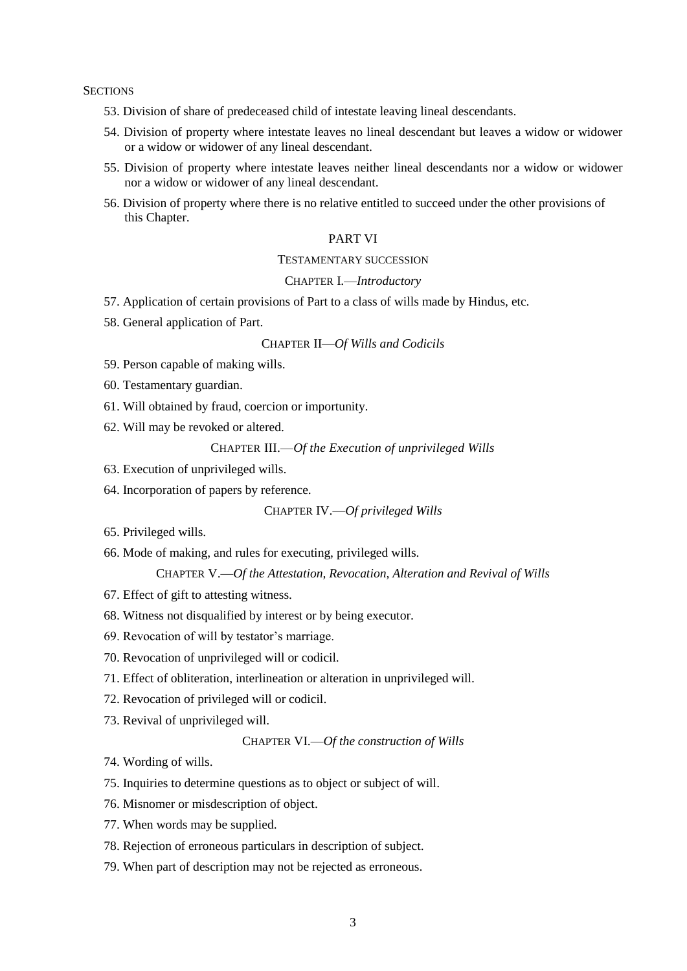- 53. Division of share of predeceased child of intestate leaving lineal descendants.
- 54. Division of property where intestate leaves no lineal descendant but leaves a widow or widower or a widow or widower of any lineal descendant.
- 55. Division of property where intestate leaves neither lineal descendants nor a widow or widower nor a widow or widower of any lineal descendant.
- 56. Division of property where there is no relative entitled to succeed under the other provisions of this Chapter.

# PART VI

# TESTAMENTARY SUCCESSION

# CHAPTER I.—*Introductory*

- 57. Application of certain provisions of Part to a class of wills made by Hindus, etc.
- 58. General application of Part.

### CHAPTER II—*Of Wills and Codicils*

- 59. Person capable of making wills.
- 60. Testamentary guardian.
- 61. Will obtained by fraud, coercion or importunity.
- 62. Will may be revoked or altered.

CHAPTER III.—*Of the Execution of unprivileged Wills*

- 63. Execution of unprivileged wills.
- 64. Incorporation of papers by reference.

CHAPTER IV.—*Of privileged Wills*

- 65. Privileged wills.
- 66. Mode of making, and rules for executing, privileged wills.

# CHAPTER V.—*Of the Attestation, Revocation, Alteration and Revival of Wills*

- 67. Effect of gift to attesting witness.
- 68. Witness not disqualified by interest or by being executor.
- 69. Revocation of will by testator's marriage.
- 70. Revocation of unprivileged will or codicil.
- 71. Effect of obliteration, interlineation or alteration in unprivileged will.
- 72. Revocation of privileged will or codicil.
- 73. Revival of unprivileged will.

CHAPTER VI.—*Of the construction of Wills*

- 74. Wording of wills.
- 75. Inquiries to determine questions as to object or subject of will.
- 76. Misnomer or misdescription of object.
- 77. When words may be supplied.
- 78. Rejection of erroneous particulars in description of subject.
- 79. When part of description may not be rejected as erroneous.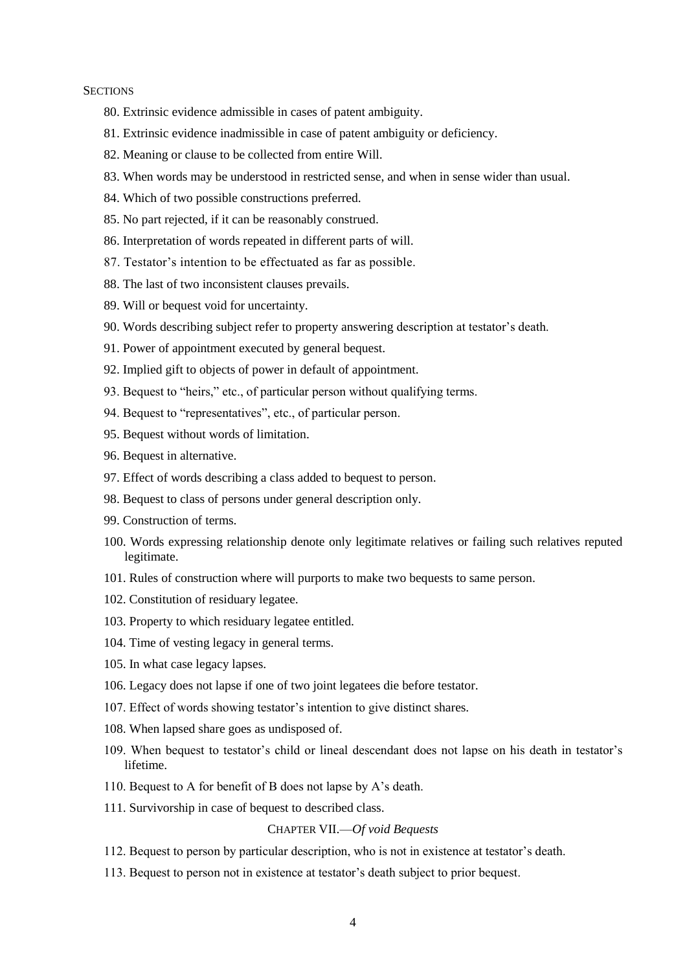- 80. Extrinsic evidence admissible in cases of patent ambiguity.
- 81. Extrinsic evidence inadmissible in case of patent ambiguity or deficiency.
- 82. Meaning or clause to be collected from entire Will.
- 83. When words may be understood in restricted sense, and when in sense wider than usual.
- 84. Which of two possible constructions preferred.
- 85. No part rejected, if it can be reasonably construed.
- 86. Interpretation of words repeated in different parts of will.
- 87. Testator's intention to be effectuated as far as possible.
- 88. The last of two inconsistent clauses prevails.
- 89. Will or bequest void for uncertainty.
- 90. Words describing subject refer to property answering description at testator's death.
- 91. Power of appointment executed by general bequest.
- 92. Implied gift to objects of power in default of appointment.
- 93. Bequest to "heirs," etc., of particular person without qualifying terms.
- 94. Bequest to "representatives", etc., of particular person.
- 95. Bequest without words of limitation.
- 96. Bequest in alternative.
- 97. Effect of words describing a class added to bequest to person.
- 98. Bequest to class of persons under general description only.
- 99. Construction of terms.
- 100. Words expressing relationship denote only legitimate relatives or failing such relatives reputed legitimate.
- 101. Rules of construction where will purports to make two bequests to same person.
- 102. Constitution of residuary legatee.
- 103. Property to which residuary legatee entitled.
- 104. Time of vesting legacy in general terms.
- 105. In what case legacy lapses.
- 106. Legacy does not lapse if one of two joint legatees die before testator.
- 107. Effect of words showing testator's intention to give distinct shares.
- 108. When lapsed share goes as undisposed of.
- 109. When bequest to testator's child or lineal descendant does not lapse on his death in testator's lifetime.
- 110. Bequest to A for benefit of B does not lapse by A's death.
- 111. Survivorship in case of bequest to described class.

# CHAPTER VII.—*Of void Bequests*

- 112. Bequest to person by particular description, who is not in existence at testator's death.
- 113. Bequest to person not in existence at testator's death subject to prior bequest.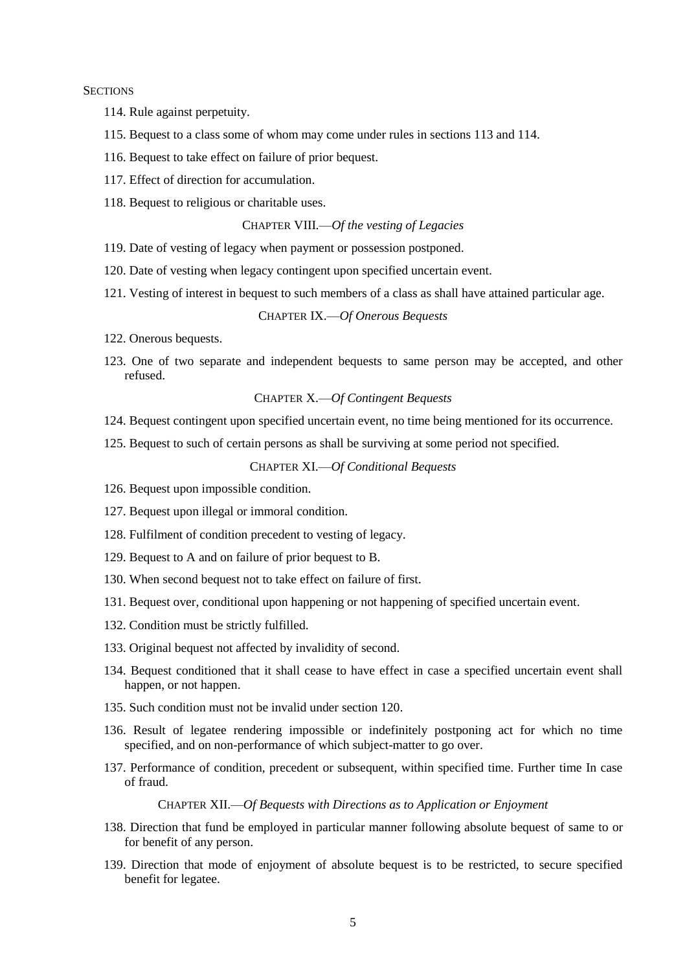- 114. Rule against perpetuity.
- 115. Bequest to a class some of whom may come under rules in sections 113 and 114.
- 116. Bequest to take effect on failure of prior bequest.
- 117. Effect of direction for accumulation.
- 118. Bequest to religious or charitable uses.

# CHAPTER VIII.—*Of the vesting of Legacies*

- 119. Date of vesting of legacy when payment or possession postponed.
- 120. Date of vesting when legacy contingent upon specified uncertain event.
- 121. Vesting of interest in bequest to such members of a class as shall have attained particular age.

## CHAPTER IX.—*Of Onerous Bequests*

- 122. Onerous bequests.
- 123. One of two separate and independent bequests to same person may be accepted, and other refused.

# CHAPTER X.—*Of Contingent Bequests*

- 124. Bequest contingent upon specified uncertain event, no time being mentioned for its occurrence.
- 125. Bequest to such of certain persons as shall be surviving at some period not specified.

# CHAPTER XI.—*Of Conditional Bequests*

- 126. Bequest upon impossible condition.
- 127. Bequest upon illegal or immoral condition.
- 128. Fulfilment of condition precedent to vesting of legacy.
- 129. Bequest to A and on failure of prior bequest to B.
- 130. When second bequest not to take effect on failure of first.
- 131. Bequest over, conditional upon happening or not happening of specified uncertain event.
- 132. Condition must be strictly fulfilled.
- 133. Original bequest not affected by invalidity of second.
- 134. Bequest conditioned that it shall cease to have effect in case a specified uncertain event shall happen, or not happen.
- 135. Such condition must not be invalid under section 120.
- 136. Result of legatee rendering impossible or indefinitely postponing act for which no time specified, and on non-performance of which subject-matter to go over.
- 137. Performance of condition, precedent or subsequent, within specified time. Further time In case of fraud.

#### CHAPTER XII.—*Of Bequests with Directions as to Application or Enjoyment*

- 138. Direction that fund be employed in particular manner following absolute bequest of same to or for benefit of any person.
- 139. Direction that mode of enjoyment of absolute bequest is to be restricted, to secure specified benefit for legatee.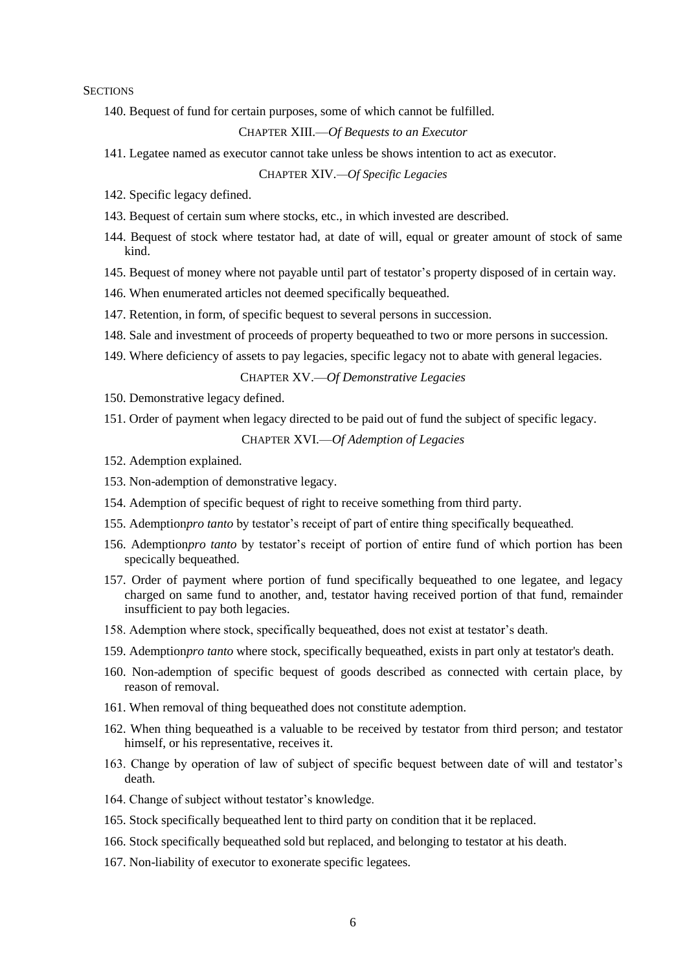140. Bequest of fund for certain purposes, some of which cannot be fulfilled.

# CHAPTER XIII.—*Of Bequests to an Executor*

141. Legatee named as executor cannot take unless be shows intention to act as executor.

# CHAPTER XIV*.—Of Specific Legacies*

- 142. Specific legacy defined.
- 143. Bequest of certain sum where stocks, etc., in which invested are described.
- 144. Bequest of stock where testator had, at date of will, equal or greater amount of stock of same kind.
- 145. Bequest of money where not payable until part of testator's property disposed of in certain way.
- 146. When enumerated articles not deemed specifically bequeathed.
- 147. Retention, in form, of specific bequest to several persons in succession.
- 148. Sale and investment of proceeds of property bequeathed to two or more persons in succession.
- 149. Where deficiency of assets to pay legacies, specific legacy not to abate with general legacies.

# CHAPTER XV.—*Of Demonstrative Legacies*

- 150. Demonstrative legacy defined.
- 151. Order of payment when legacy directed to be paid out of fund the subject of specific legacy.

# CHAPTER XVI.—*Of Ademption of Legacies*

- 152. Ademption explained.
- 153. Non-ademption of demonstrative legacy.
- 154. Ademption of specific bequest of right to receive something from third party.
- 155. Ademption*pro tanto* by testator's receipt of part of entire thing specifically bequeathed.
- 156. Ademption*pro tanto* by testator's receipt of portion of entire fund of which portion has been specically bequeathed.
- 157. Order of payment where portion of fund specifically bequeathed to one legatee, and legacy charged on same fund to another, and, testator having received portion of that fund, remainder insufficient to pay both legacies.
- 158. Ademption where stock, specifically bequeathed, does not exist at testator's death.
- 159. Ademption*pro tanto* where stock, specifically bequeathed, exists in part only at testator's death.
- 160. Non-ademption of specific bequest of goods described as connected with certain place, by reason of removal.
- 161. When removal of thing bequeathed does not constitute ademption.
- 162. When thing bequeathed is a valuable to be received by testator from third person; and testator himself, or his representative, receives it.
- 163. Change by operation of law of subject of specific bequest between date of will and testator's death.
- 164. Change of subject without testator's knowledge.
- 165. Stock specifically bequeathed lent to third party on condition that it be replaced.
- 166. Stock specifically bequeathed sold but replaced, and belonging to testator at his death.
- 167. Non-liability of executor to exonerate specific legatees.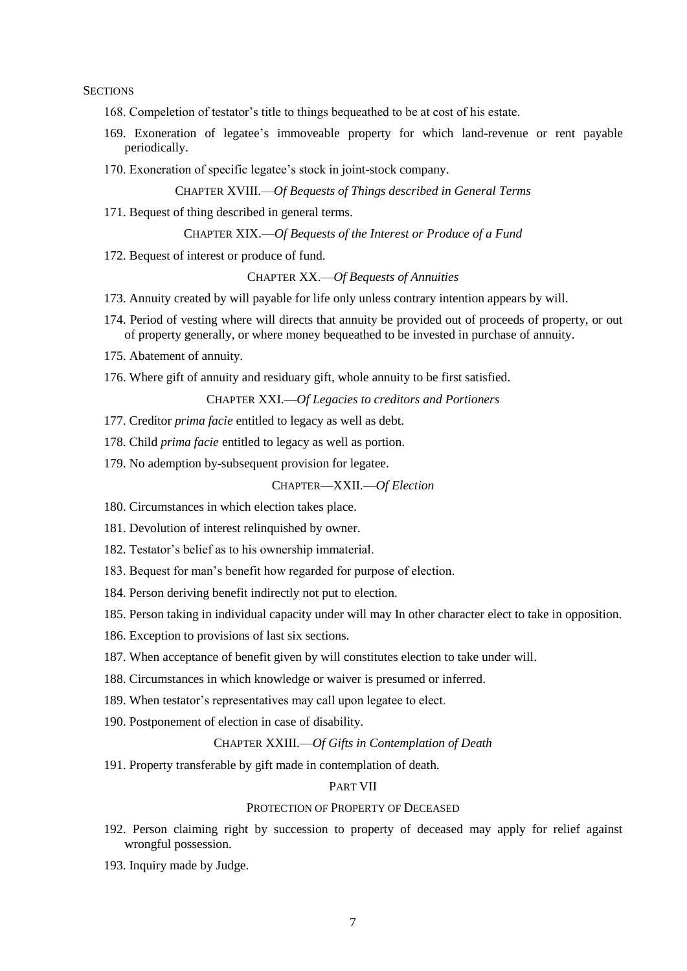- 168. Compeletion of testator's title to things bequeathed to be at cost of his estate.
- 169. Exoneration of legatee's immoveable property for which land-revenue or rent payable periodically.
- 170. Exoneration of specific legatee's stock in joint-stock company.

CHAPTER XVIII.—*Of Bequests of Things described in General Terms*

171. Bequest of thing described in general terms.

CHAPTER XIX.—*Of Bequests of the Interest or Produce of a Fund*

172. Bequest of interest or produce of fund.

### CHAPTER XX.—*Of Bequests of Annuities*

- 173. Annuity created by will payable for life only unless contrary intention appears by will.
- 174. Period of vesting where will directs that annuity be provided out of proceeds of property, or out of property generally, or where money bequeathed to be invested in purchase of annuity.
- 175. Abatement of annuity.
- 176. Where gift of annuity and residuary gift, whole annuity to be first satisfied.

CHAPTER XXI.—*Of Legacies to creditors and Portioners*

177. Creditor *prima facie* entitled to legacy as well as debt.

- 178. Child *prima facie* entitled to legacy as well as portion.
- 179. No ademption by-subsequent provision for legatee.

# CHAPTER—XXII.—*Of Election*

- 180. Circumstances in which election takes place.
- 181. Devolution of interest relinquished by owner.
- 182. Testator's belief as to his ownership immaterial.
- 183. Bequest for man's benefit how regarded for purpose of election.
- 184. Person deriving benefit indirectly not put to election.
- 185. Person taking in individual capacity under will may In other character elect to take in opposition.
- 186. Exception to provisions of last six sections.
- 187. When acceptance of benefit given by will constitutes election to take under will.
- 188. Circumstances in which knowledge or waiver is presumed or inferred.
- 189. When testator's representatives may call upon legatee to elect.
- 190. Postponement of election in case of disability.

# CHAPTER XXIII.—*Of Gifts in Contemplation of Death*

191. Property transferable by gift made in contemplation of death.

### PART VII

# PROTECTION OF PROPERTY OF DECEASED

- 192. Person claiming right by succession to property of deceased may apply for relief against wrongful possession.
- 193. Inquiry made by Judge.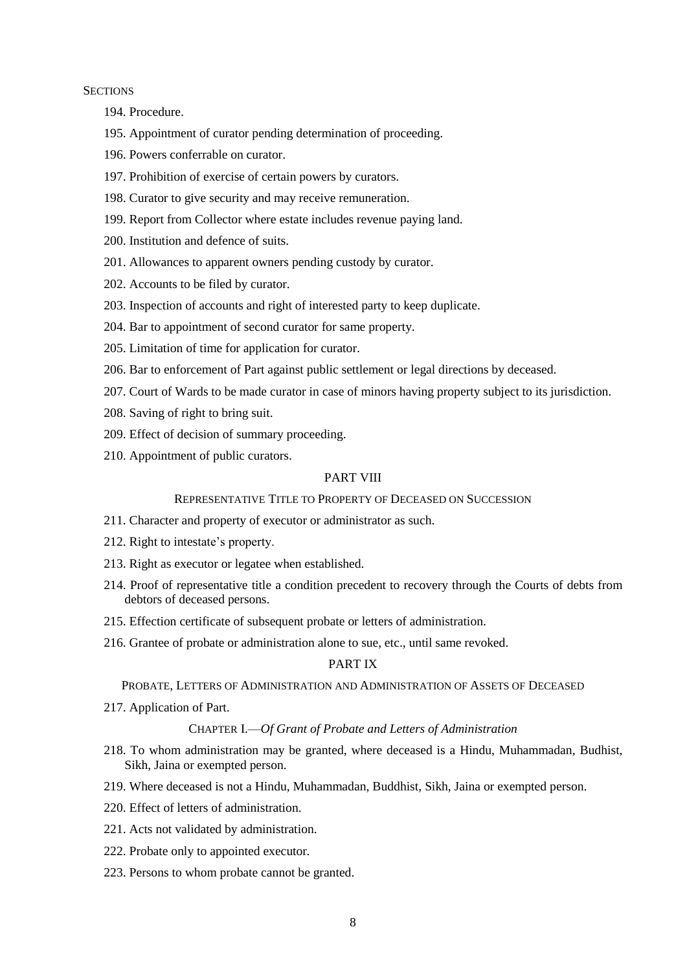- 194. Procedure.
- 195. Appointment of curator pending determination of proceeding.
- 196. Powers conferrable on curator.
- 197. Prohibition of exercise of certain powers by curators.
- 198. Curator to give security and may receive remuneration.
- 199. Report from Collector where estate includes revenue paying land.
- 200. Institution and defence of suits.
- 201. Allowances to apparent owners pending custody by curator.
- 202. Accounts to be filed by curator.
- 203. Inspection of accounts and right of interested party to keep duplicate.
- 204. Bar to appointment of second curator for same property.
- 205. Limitation of time for application for curator.
- 206. Bar to enforcement of Part against public settlement or legal directions by deceased.
- 207. Court of Wards to be made curator in case of minors having property subject to its jurisdiction.
- 208. Saving of right to bring suit.
- 209. Effect of decision of summary proceeding.
- 210. Appointment of public curators.

# PART VIII

# REPRESENTATIVE TITLE TO PROPERTY OF DECEASED ON SUCCESSION

- 211. Character and property of executor or administrator as such.
- 212. Right to intestate's property.
- 213. Right as executor or legatee when established.
- 214. Proof of representative title a condition precedent to recovery through the Courts of debts from debtors of deceased persons.
- 215. Effection certificate of subsequent probate or letters of administration.
- 216. Grantee of probate or administration alone to sue, etc., until same revoked.

# PART IX

### PROBATE, LETTERS OF ADMINISTRATION AND ADMINISTRATION OF ASSETS OF DECEASED

217. Application of Part.

# CHAPTER I.—*Of Grant of Probate and Letters of Administration*

- 218. To whom administration may be granted, where deceased is a Hindu, Muhammadan, Budhist, Sikh, Jaina or exempted person.
- 219. Where deceased is not a Hindu, Muhammadan, Buddhist, Sikh, Jaina or exempted person.
- 220. Effect of letters of administration.
- 221. Acts not validated by administration.
- 222. Probate only to appointed executor*.*
- 223. Persons to whom probate cannot be granted.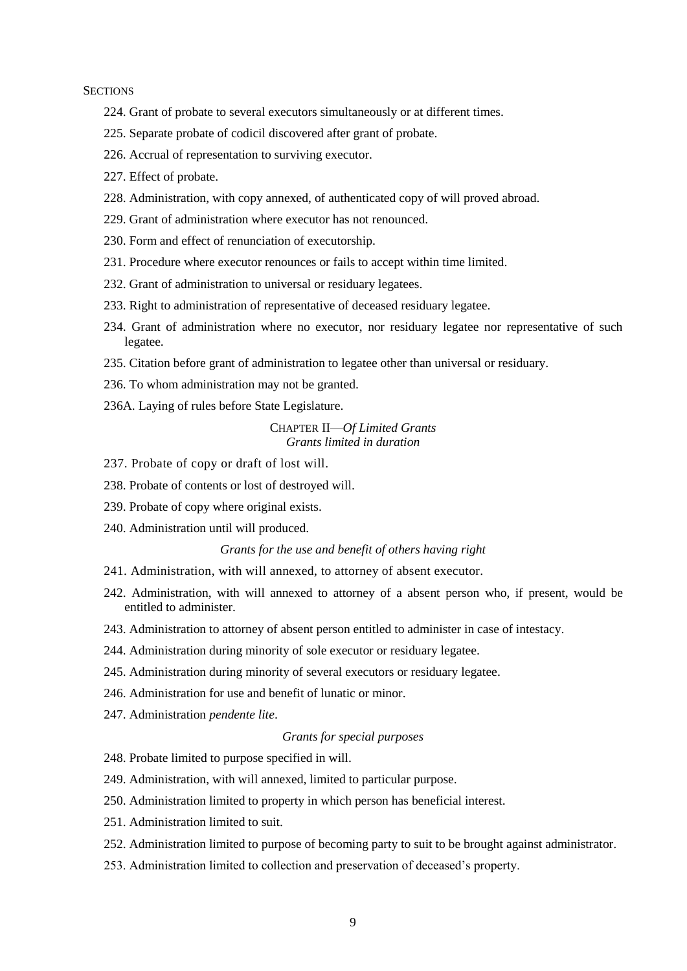- 224. Grant of probate to several executors simultaneously or at different times.
- 225. Separate probate of codicil discovered after grant of probate.
- 226. Accrual of representation to surviving executor.
- 227. Effect of probate.
- 228. Administration, with copy annexed, of authenticated copy of will proved abroad.
- 229. Grant of administration where executor has not renounced.
- 230. Form and effect of renunciation of executorship.
- 231. Procedure where executor renounces or fails to accept within time limited.
- 232. Grant of administration to universal or residuary legatees.
- 233. Right to administration of representative of deceased residuary legatee.
- 234. Grant of administration where no executor, nor residuary legatee nor representative of such legatee.
- 235. Citation before grant of administration to legatee other than universal or residuary.
- 236. To whom administration may not be granted.
- 236A. Laying of rules before State Legislature.

# CHAPTER II—*Of Limited Grants Grants limited in duration*

- 237. Probate of copy or draft of lost will.
- 238. Probate of contents or lost of destroyed will.
- 239. Probate of copy where original exists.
- 240. Administration until will produced.

# *Grants for the use and benefit of others having right*

- 241. Administration, with will annexed, to attorney of absent executor.
- 242. Administration, with will annexed to attorney of a absent person who, if present, would be entitled to administer.
- 243. Administration to attorney of absent person entitled to administer in case of intestacy.
- 244. Administration during minority of sole executor or residuary legatee.
- 245. Administration during minority of several executors or residuary legatee.
- 246. Administration for use and benefit of lunatic or minor.
- 247. Administration *pendente lite*.

### *Grants for special purposes*

- 248. Probate limited to purpose specified in will.
- 249. Administration, with will annexed, limited to particular purpose.
- 250. Administration limited to property in which person has beneficial interest.
- 251. Administration limited to suit.
- 252. Administration limited to purpose of becoming party to suit to be brought against administrator.
- 253. Administration limited to collection and preservation of deceased's property.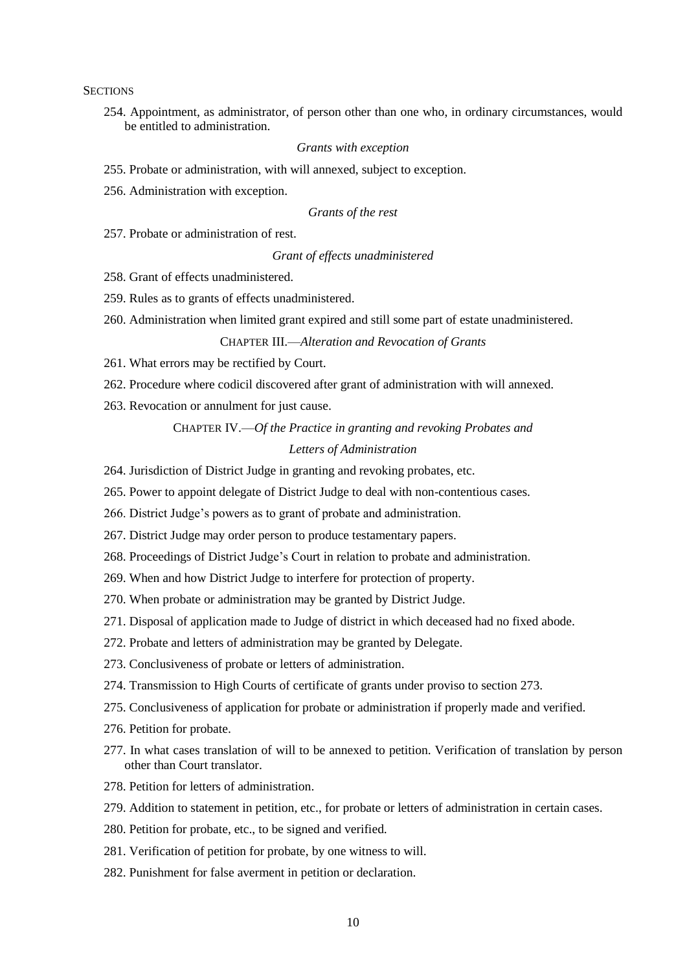254. Appointment, as administrator, of person other than one who, in ordinary circumstances, would be entitled to administration.

# *Grants with exception*

- 255. Probate or administration, with will annexed, subject to exception.
- 256. Administration with exception.

# *Grants of the rest*

257. Probate or administration of rest.

#### *Grant of effects unadministered*

258. Grant of effects unadministered.

- 259. Rules as to grants of effects unadministered.
- 260. Administration when limited grant expired and still some part of estate unadministered.

# CHAPTER III.—*Alteration and Revocation of Grants*

- 261. What errors may be rectified by Court.
- 262. Procedure where codicil discovered after grant of administration with will annexed.
- 263. Revocation or annulment for just cause.

# CHAPTER IV.—*Of the Practice in granting and revoking Probates and Letters of Administration*

- 264. Jurisdiction of District Judge in granting and revoking probates, etc.
- 265. Power to appoint delegate of District Judge to deal with non-contentious cases.
- 266. District Judge's powers as to grant of probate and administration.
- 267. District Judge may order person to produce testamentary papers.
- 268. Proceedings of District Judge's Court in relation to probate and administration.
- 269. When and how District Judge to interfere for protection of property.
- 270. When probate or administration may be granted by District Judge.
- 271. Disposal of application made to Judge of district in which deceased had no fixed abode.
- 272. Probate and letters of administration may be granted by Delegate.
- 273. Conclusiveness of probate or letters of administration.
- 274. Transmission to High Courts of certificate of grants under proviso to section 273.
- 275. Conclusiveness of application for probate or administration if properly made and verified.
- 276. Petition for probate.
- 277. In what cases translation of will to be annexed to petition. Verification of translation by person other than Court translator.
- 278. Petition for letters of administration.
- 279. Addition to statement in petition, etc., for probate or letters of administration in certain cases.
- 280. Petition for probate, etc., to be signed and verified.
- 281. Verification of petition for probate, by one witness to will.
- 282. Punishment for false averment in petition or declaration.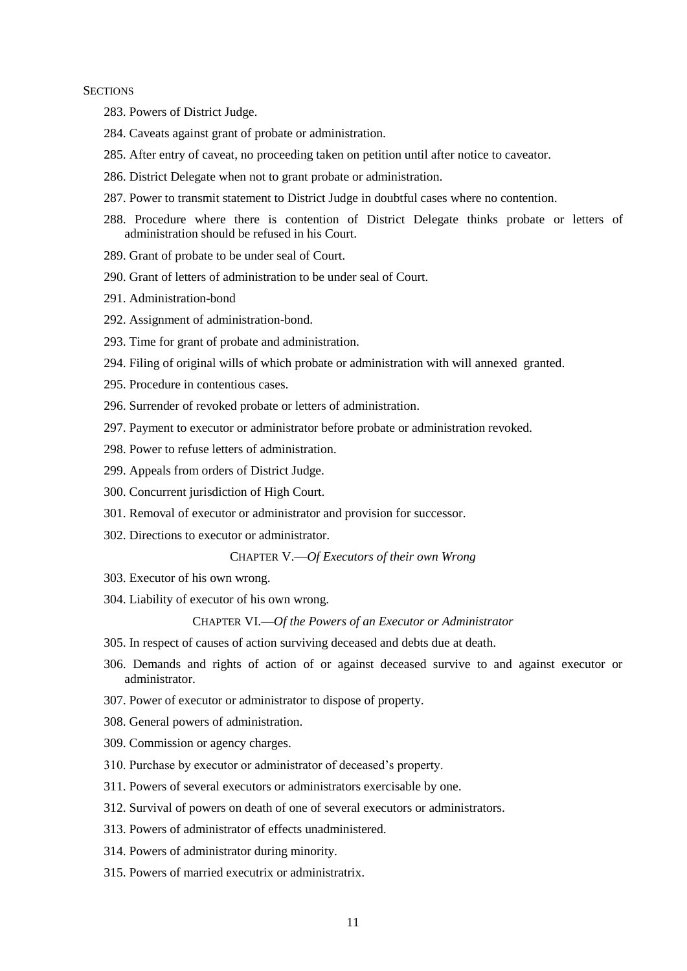- 283. Powers of District Judge.
- 284. Caveats against grant of probate or administration.
- 285. After entry of caveat, no proceeding taken on petition until after notice to caveator.
- 286. District Delegate when not to grant probate or administration.
- 287. Power to transmit statement to District Judge in doubtful cases where no contention.
- 288. Procedure where there is contention of District Delegate thinks probate or letters of administration should be refused in his Court.
- 289. Grant of probate to be under seal of Court.
- 290. Grant of letters of administration to be under seal of Court.
- 291. Administration-bond
- 292. Assignment of administration-bond.
- 293. Time for grant of probate and administration.
- 294. Filing of original wills of which probate or administration with will annexed granted.
- 295. Procedure in contentious cases.
- 296. Surrender of revoked probate or letters of administration.
- 297. Payment to executor or administrator before probate or administration revoked.
- 298. Power to refuse letters of administration.
- 299. Appeals from orders of District Judge.
- 300. Concurrent jurisdiction of High Court.
- 301. Removal of executor or administrator and provision for successor.
- 302. Directions to executor or administrator.

CHAPTER V.—*Of Executors of their own Wrong*

- 303. Executor of his own wrong.
- 304. Liability of executor of his own wrong.

# CHAPTER VI.—*Of the Powers of an Executor or Administrator*

- 305. In respect of causes of action surviving deceased and debts due at death.
- 306. Demands and rights of action of or against deceased survive to and against executor or administrator.
- 307. Power of executor or administrator to dispose of property.
- 308. General powers of administration.
- 309. Commission or agency charges.
- 310. Purchase by executor or administrator of deceased's property.
- 311. Powers of several executors or administrators exercisable by one.
- 312. Survival of powers on death of one of several executors or administrators.
- 313. Powers of administrator of effects unadministered.
- 314. Powers of administrator during minority.
- 315. Powers of married executrix or administratrix.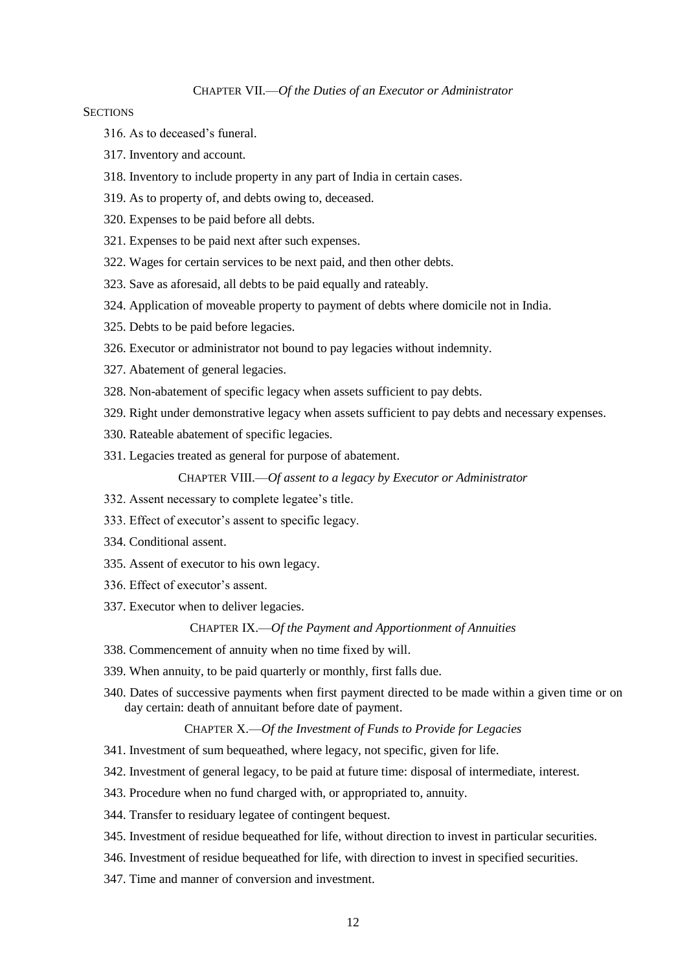- 316. As to deceased's funeral.
- 317. Inventory and account.
- 318. Inventory to include property in any part of India in certain cases.
- 319. As to property of, and debts owing to, deceased.
- 320. Expenses to be paid before all debts.
- 321. Expenses to be paid next after such expenses.
- 322. Wages for certain services to be next paid, and then other debts.
- 323. Save as aforesaid, all debts to be paid equally and rateably.
- 324. Application of moveable property to payment of debts where domicile not in India.
- 325. Debts to be paid before legacies.
- 326. Executor or administrator not bound to pay legacies without indemnity.
- 327. Abatement of general legacies.
- 328. Non-abatement of specific legacy when assets sufficient to pay debts.
- 329. Right under demonstrative legacy when assets sufficient to pay debts and necessary expenses.
- 330. Rateable abatement of specific legacies.
- 331. Legacies treated as general for purpose of abatement.

# CHAPTER VIII.—*Of assent to a legacy by Executor or Administrator*

- 332. Assent necessary to complete legatee's title.
- 333. Effect of executor's assent to specific legacy.
- 334. Conditional assent.
- 335. Assent of executor to his own legacy.
- 336. Effect of executor's assent.
- 337. Executor when to deliver legacies.

# CHAPTER IX.—*Of the Payment and Apportionment of Annuities*

- 338. Commencement of annuity when no time fixed by will.
- 339. When annuity, to be paid quarterly or monthly, first falls due.
- 340. Dates of successive payments when first payment directed to be made within a given time or on day certain: death of annuitant before date of payment.

# CHAPTER X.—*Of the Investment of Funds to Provide for Legacies*

- 341. Investment of sum bequeathed, where legacy, not specific, given for life.
- 342. Investment of general legacy, to be paid at future time: disposal of intermediate, interest.
- 343. Procedure when no fund charged with, or appropriated to, annuity.
- 344. Transfer to residuary legatee of contingent bequest.
- 345. Investment of residue bequeathed for life, without direction to invest in particular securities.
- 346. Investment of residue bequeathed for life, with direction to invest in specified securities.
- 347. Time and manner of conversion and investment.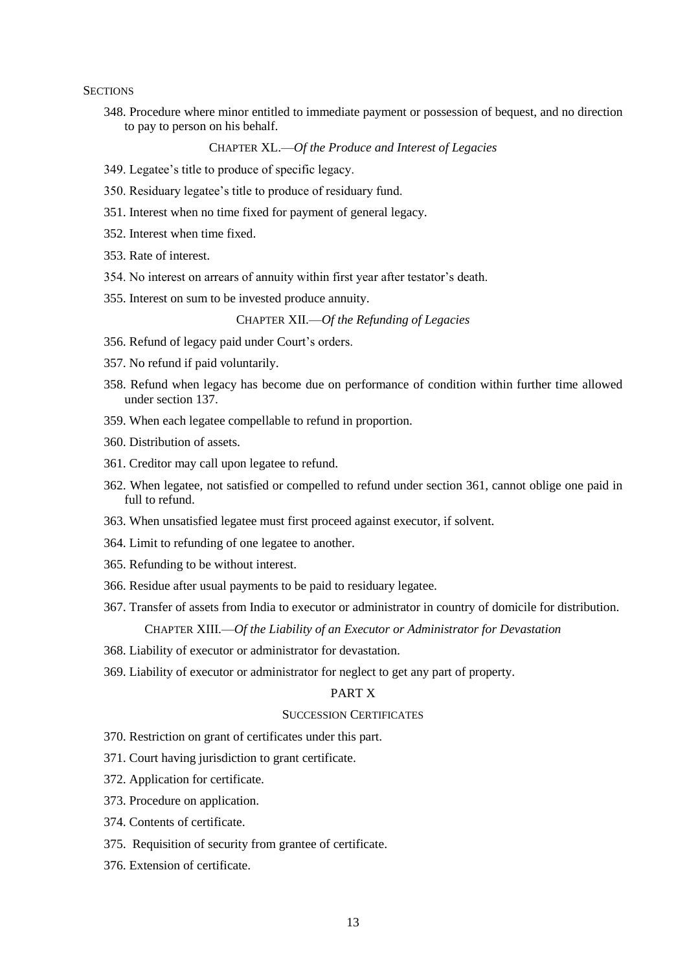348. Procedure where minor entitled to immediate payment or possession of bequest, and no direction to pay to person on his behalf.

# CHAPTER XL.—*Of the Produce and Interest of Legacies*

- 349. Legatee's title to produce of specific legacy.
- 350. Residuary legatee's title to produce of residuary fund.
- 351. Interest when no time fixed for payment of general legacy.
- 352. Interest when time fixed.
- 353. Rate of interest.
- 354. No interest on arrears of annuity within first year after testator's death.
- 355. Interest on sum to be invested produce annuity.

# CHAPTER XII.—*Of the Refunding of Legacies*

- 356. Refund of legacy paid under Court's orders.
- 357. No refund if paid voluntarily.
- 358. Refund when legacy has become due on performance of condition within further time allowed under section 137.
- 359. When each legatee compellable to refund in proportion.
- 360. Distribution of assets.
- 361. Creditor may call upon legatee to refund.
- 362. When legatee, not satisfied or compelled to refund under section 361, cannot oblige one paid in full to refund.
- 363. When unsatisfied legatee must first proceed against executor, if solvent.
- 364. Limit to refunding of one legatee to another.
- 365. Refunding to be without interest.
- 366. Residue after usual payments to be paid to residuary legatee.
- 367. Transfer of assets from India to executor or administrator in country of domicile for distribution.

CHAPTER XIII.—*Of the Liability of an Executor or Administrator for Devastation*

- 368. Liability of executor or administrator for devastation.
- 369. Liability of executor or administrator for neglect to get any part of property.

# PART X

# SUCCESSION CERTIFICATES

- 370. Restriction on grant of certificates under this part.
- 371. Court having jurisdiction to grant certificate.
- 372. Application for certificate.
- 373. Procedure on application.
- 374. Contents of certificate.
- 375. Requisition of security from grantee of certificate.
- 376. Extension of certificate.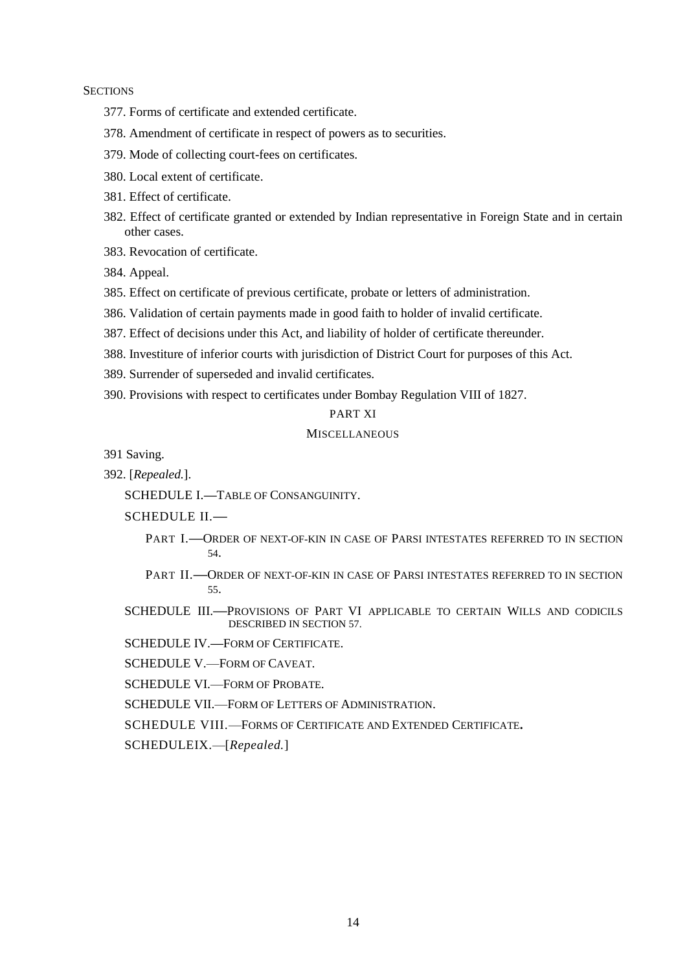- 377. Forms of certificate and extended certificate.
- 378. Amendment of certificate in respect of powers as to securities.
- 379. Mode of collecting court-fees on certificates.
- 380. Local extent of certificate.
- 381. Effect of certificate.
- 382. Effect of certificate granted or extended by Indian representative in Foreign State and in certain other cases.
- 383. Revocation of certificate.
- 384. Appeal.
- 385. Effect on certificate of previous certificate, probate or letters of administration.
- 386. Validation of certain payments made in good faith to holder of invalid certificate.
- 387. Effect of decisions under this Act, and liability of holder of certificate thereunder.
- 388. Investiture of inferior courts with jurisdiction of District Court for purposes of this Act.
- 389. Surrender of superseded and invalid certificates.
- 390. Provisions with respect to certificates under Bombay Regulation VIII of 1827.

# PART XI

# **MISCELLANEOUS**

391 Saving.

392. [*Repealed.*].

SCHEDULE I.**—**TABLE OF CONSANGUINITY.

- SCHEDULE II.
	- PART I.**—**ORDER OF NEXT-OF-KIN IN CASE OF PARSI INTESTATES REFERRED TO IN SECTION 54.
	- PART II.**—**ORDER OF NEXT-OF-KIN IN CASE OF PARSI INTESTATES REFERRED TO IN SECTION 55.
- SCHEDULE III.**—**PROVISIONS OF PART VI APPLICABLE TO CERTAIN WILLS AND CODICILS DESCRIBED IN SECTION 57.
- SCHEDULE IV.**—**FORM OF CERTIFICATE.
- SCHEDULE V.—FORM OF CAVEAT.

SCHEDULE VI.—FORM OF PROBATE.

SCHEDULE VII.—FORM OF LETTERS OF ADMINISTRATION.

SCHEDULE VIII.—FORMS OF CERTIFICATE AND EXTENDED CERTIFICATE**.**

SCHEDULEIX.—[*Repealed.*]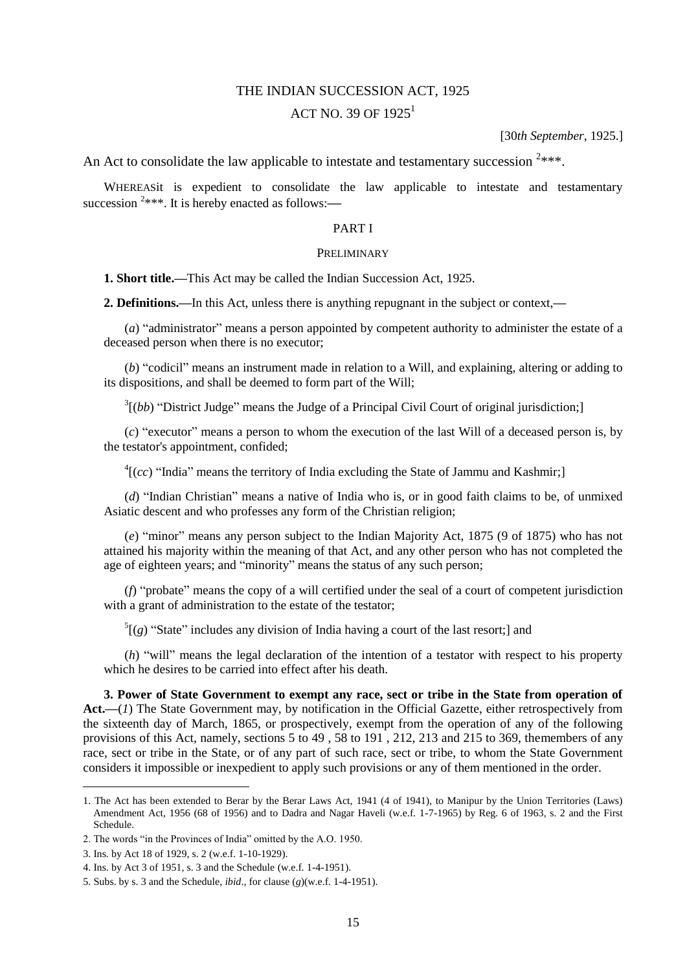# THE INDIAN SUCCESSION ACT, 1925

# ACT NO. 39 OF  $1925^1$

[30*th September*, 1925.]

An Act to consolidate the law applicable to intestate and testamentary succession  $2***$ .

WHEREASit is expedient to consolidate the law applicable to intestate and testamentary succession <sup>2</sup> \*\*\*. It is hereby enacted as follows:**—**

# PART I

### PRELIMINARY

**1. Short title.—**This Act may be called the Indian Succession Act, 1925.

**2. Definitions.—**In this Act, unless there is anything repugnant in the subject or context,**—**

(*a*) "administrator" means a person appointed by competent authority to administer the estate of a deceased person when there is no executor;

(*b*) "codicil" means an instrument made in relation to a Will, and explaining, altering or adding to its dispositions, and shall be deemed to form part of the Will;

 $3( (bb)$  "District Judge" means the Judge of a Principal Civil Court of original jurisdiction;]

(*c*) "executor" means a person to whom the execution of the last Will of a deceased person is, by the testator's appointment, confided;

 $^{4}$ [(*cc*) "India" means the territory of India excluding the State of Jammu and Kashmir;]

(*d*) "Indian Christian" means a native of India who is, or in good faith claims to be, of unmixed Asiatic descent and who professes any form of the Christian religion;

(*e*) "minor" means any person subject to the Indian Majority Act, 1875 (9 of 1875) who has not attained his majority within the meaning of that Act, and any other person who has not completed the age of eighteen years; and "minority" means the status of any such person;

(*f*) "probate" means the copy of a will certified under the seal of a court of competent jurisdiction with a grant of administration to the estate of the testator;

 $<sup>5</sup>$ [(g) "State" includes any division of India having a court of the last resort;] and</sup>

(*h*) "will" means the legal declaration of the intention of a testator with respect to his property which he desires to be carried into effect after his death.

**3. Power of State Government to exempt any race, sect or tribe in the State from operation of Act.—**(*1*) The State Government may, by notification in the Official Gazette, either retrospectively from the sixteenth day of March, 1865, or prospectively, exempt from the operation of any of the following provisions of this Act, namely, sections 5 to 49 , 58 to 191 , 212, 213 and 215 to 369, themembers of any race, sect or tribe in the State, or of any part of such race, sect or tribe, to whom the State Government considers it impossible or inexpedient to apply such provisions or any of them mentioned in the order.

<sup>1.</sup> The Act has been extended to Berar by the Berar Laws Act, 1941 (4 of 1941), to Manipur by the Union Territories (Laws) Amendment Act, 1956 (68 of 1956) and to Dadra and Nagar Haveli (w.e.f. 1-7-1965) by Reg. 6 of 1963, s. 2 and the First Schedule.

<sup>2.</sup> The words "in the Provinces of India" omitted by the A.O. 1950.

<sup>3.</sup> Ins. by Act 18 of 1929, s. 2 (w.e.f. 1-10-1929).

<sup>4.</sup> Ins. by Act 3 of 1951, s. 3 and the Schedule (w.e.f. 1-4-1951).

<sup>5.</sup> Subs. by s. 3 and the Schedule, *ibid*., for clause (*g*)(w.e.f. 1-4-1951).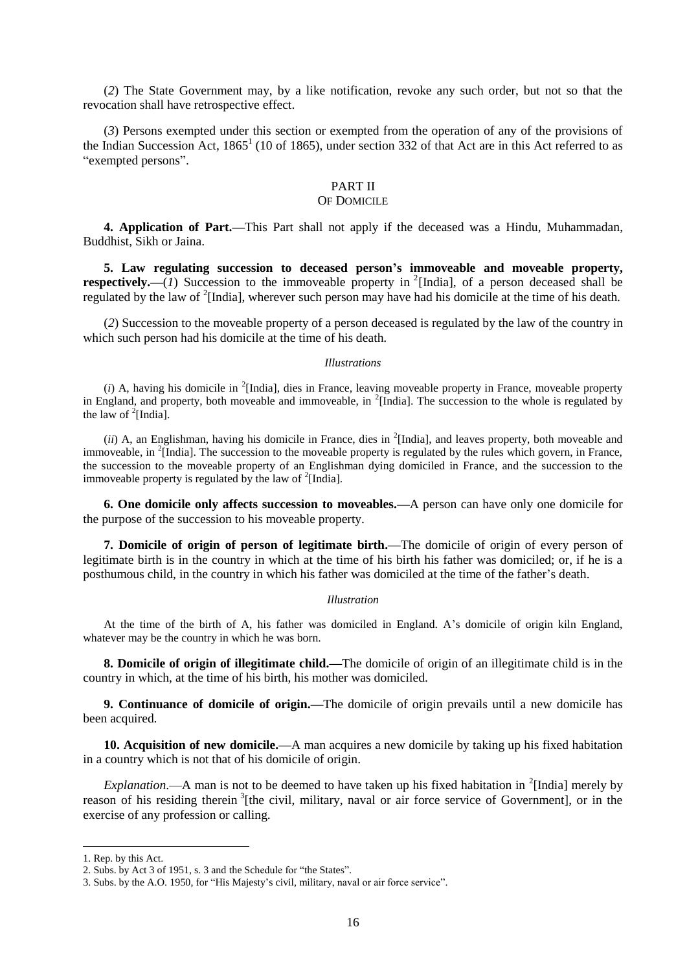(*2*) The State Government may, by a like notification, revoke any such order, but not so that the revocation shall have retrospective effect.

(*3*) Persons exempted under this section or exempted from the operation of any of the provisions of the Indian Succession Act,  $1865^1$  (10 of 1865), under section 332 of that Act are in this Act referred to as "exempted persons".

# PART II

# OF DOMICILE

**4. Application of Part.—**This Part shall not apply if the deceased was a Hindu, Muhammadan, Buddhist, Sikh or Jaina.

**5. Law regulating succession to deceased person's immoveable and moveable property, respectively.**—(*I*) Succession to the immoveable property in <sup>2</sup>[India], of a person deceased shall be regulated by the law of <sup>2</sup>[India], wherever such person may have had his domicile at the time of his death.

(*2*) Succession to the moveable property of a person deceased is regulated by the law of the country in which such person had his domicile at the time of his death.

## *Illustrations*

(*i*) A, having his domicile in <sup>2</sup>[India], dies in France, leaving moveable property in France, moveable property in England, and property, both moveable and immoveable, in <sup>2</sup>[India]. The succession to the whole is regulated by the law of  $^{2}$ [India].

 $(ii)$  A, an Englishman, having his domicile in France, dies in <sup>2</sup>[India], and leaves property, both moveable and immoveable, in  $2$ [India]. The succession to the moveable property is regulated by the rules which govern, in France, the succession to the moveable property of an Englishman dying domiciled in France, and the succession to the immoveable property is regulated by the law of  $^{2}$ [India].

**6. One domicile only affects succession to moveables.—**A person can have only one domicile for the purpose of the succession to his moveable property.

**7. Domicile of origin of person of legitimate birth.—**The domicile of origin of every person of legitimate birth is in the country in which at the time of his birth his father was domiciled; or, if he is a posthumous child, in the country in which his father was domiciled at the time of the father's death.

# *Illustration*

At the time of the birth of A, his father was domiciled in England. A's domicile of origin kiln England, whatever may be the country in which he was born.

**8. Domicile of origin of illegitimate child.—**The domicile of origin of an illegitimate child is in the country in which, at the time of his birth, his mother was domiciled.

**9. Continuance of domicile of origin.—**The domicile of origin prevails until a new domicile has been acquired.

**10. Acquisition of new domicile.—**A man acquires a new domicile by taking up his fixed habitation in a country which is not that of his domicile of origin.

*Explanation*.—A man is not to be deemed to have taken up his fixed habitation in <sup>2</sup>[India] merely by reason of his residing therein <sup>3</sup>[the civil, military, naval or air force service of Government], or in the exercise of any profession or calling.

<sup>1.</sup> Rep. by this Act.

<sup>2.</sup> Subs. by Act 3 of 1951, s. 3 and the Schedule for "the States".

<sup>3.</sup> Subs. by the A.O. 1950, for "His Majesty's civil, military, naval or air force service".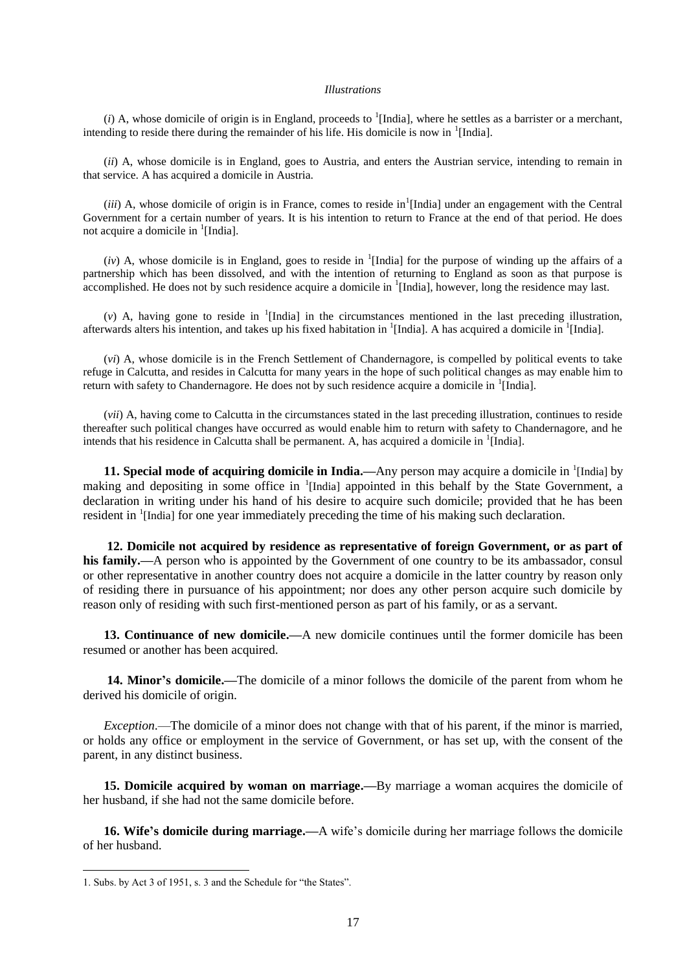#### *Illustrations*

 $(i)$  A, whose domicile of origin is in England, proceeds to <sup>1</sup>[India], where he settles as a barrister or a merchant, intending to reside there during the remainder of his life. His domicile is now in <sup>1</sup>[India].

(*ii*) A, whose domicile is in England, goes to Austria, and enters the Austrian service, intending to remain in that service. A has acquired a domicile in Austria.

 $(iii)$  A, whose domicile of origin is in France, comes to reside in<sup>1</sup>[India] under an engagement with the Central Government for a certain number of years. It is his intention to return to France at the end of that period. He does not acquire a domicile in <sup>1</sup>[India].

 $(iv)$  A, whose domicile is in England, goes to reside in <sup>1</sup>[India] for the purpose of winding up the affairs of a partnership which has been dissolved, and with the intention of returning to England as soon as that purpose is  $\alpha$  accomplished. He does not by such residence acquire a domicile in <sup>1</sup>[India], however, long the residence may last.

 $(v)$  A, having gone to reside in <sup>1</sup>[India] in the circumstances mentioned in the last preceding illustration, afterwards alters his intention, and takes up his fixed habitation in <sup>1</sup>[India]. A has acquired a domicile in <sup>1</sup>[India].

(*vi*) A, whose domicile is in the French Settlement of Chandernagore, is compelled by political events to take refuge in Calcutta, and resides in Calcutta for many years in the hope of such political changes as may enable him to return with safety to Chandernagore. He does not by such residence acquire a domicile in <sup>1</sup>[India].

(*vii*) A, having come to Calcutta in the circumstances stated in the last preceding illustration, continues to reside thereafter such political changes have occurred as would enable him to return with safety to Chandernagore, and he intends that his residence in Calcutta shall be permanent. A, has acquired a domicile in <sup>1</sup>[India].

**11. Special mode of acquiring domicile in India.**—Any person may acquire a domicile in <sup>1</sup>[India] by making and depositing in some office in <sup>1</sup>[India] appointed in this behalf by the State Government, a declaration in writing under his hand of his desire to acquire such domicile; provided that he has been resident in <sup>1</sup>[India] for one year immediately preceding the time of his making such declaration.

**12. Domicile not acquired by residence as representative of foreign Government, or as part of his family.—**A person who is appointed by the Government of one country to be its ambassador, consul or other representative in another country does not acquire a domicile in the latter country by reason only of residing there in pursuance of his appointment; nor does any other person acquire such domicile by reason only of residing with such first-mentioned person as part of his family, or as a servant.

**13. Continuance of new domicile.—**A new domicile continues until the former domicile has been resumed or another has been acquired.

**14. Minor's domicile.—**The domicile of a minor follows the domicile of the parent from whom he derived his domicile of origin.

*Exception*.—The domicile of a minor does not change with that of his parent, if the minor is married, or holds any office or employment in the service of Government, or has set up, with the consent of the parent, in any distinct business.

**15. Domicile acquired by woman on marriage.—**By marriage a woman acquires the domicile of her husband, if she had not the same domicile before.

**16. Wife's domicile during marriage.—**A wife's domicile during her marriage follows the domicile of her husband.

<sup>1.</sup> Subs. by Act 3 of 1951, s. 3 and the Schedule for "the States".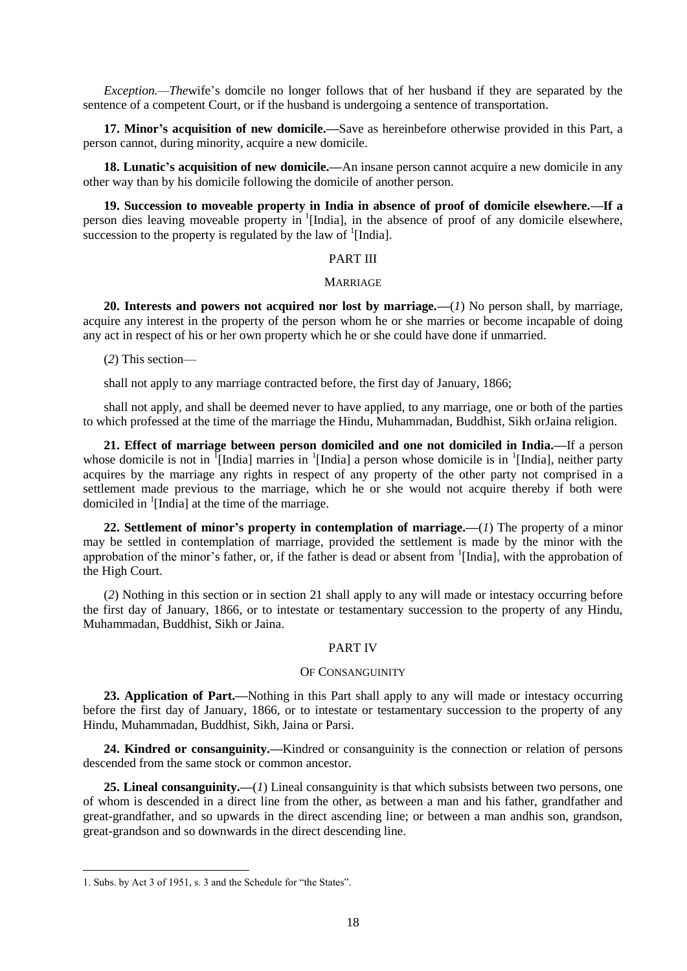*Exception.—The*wife's domcile no longer follows that of her husband if they are separated by the sentence of a competent Court, or if the husband is undergoing a sentence of transportation.

**17. Minor's acquisition of new domicile.—**Save as hereinbefore otherwise provided in this Part, a person cannot, during minority, acquire a new domicile.

**18. Lunatic's acquisition of new domicile.—**An insane person cannot acquire a new domicile in any other way than by his domicile following the domicile of another person.

**19. Succession to moveable property in India in absence of proof of domicile elsewhere.—If a**  person dies leaving moveable property in [India], in the absence of proof of any domicile elsewhere, succession to the property is regulated by the law of  $\frac{1}{1}$ [India].

# PART III

# MARRIAGE

**20. Interests and powers not acquired nor lost by marriage.—**(*1*) No person shall, by marriage, acquire any interest in the property of the person whom he or she marries or become incapable of doing any act in respect of his or her own property which he or she could have done if unmarried.

(*2*) This section—

shall not apply to any marriage contracted before, the first day of January, 1866;

shall not apply, and shall be deemed never to have applied, to any marriage, one or both of the parties to which professed at the time of the marriage the Hindu, Muhammadan, Buddhist, Sikh orJaina religion.

**21. Effect of marriage between person domiciled and one not domiciled in India.—**If a person whose domicile is not in  $\frac{1}{2}$ [India] marries in  $\frac{1}{2}$ [India] a person whose domicile is in  $\frac{1}{2}$ [India], neither party acquires by the marriage any rights in respect of any property of the other party not comprised in a settlement made previous to the marriage, which he or she would not acquire thereby if both were domiciled in  ${}^{1}$ [India] at the time of the marriage.

**22. Settlement of minor's property in contemplation of marriage.—**(*1*) The property of a minor may be settled in contemplation of marriage, provided the settlement is made by the minor with the approbation of the minor's father, or, if the father is dead or absent from <sup>1</sup>[India], with the approbation of the High Court.

(*2*) Nothing in this section or in section 21 shall apply to any will made or intestacy occurring before the first day of January, 1866, or to intestate or testamentary succession to the property of any Hindu, Muhammadan, Buddhist, Sikh or Jaina.

# PART IV

### OF CONSANGUINITY

**23. Application of Part.—**Nothing in this Part shall apply to any will made or intestacy occurring before the first day of January, 1866, or to intestate or testamentary succession to the property of any Hindu, Muhammadan, Buddhist, Sikh, Jaina or Parsi.

**24. Kindred or consanguinity.—**Kindred or consanguinity is the connection or relation of persons descended from the same stock or common ancestor.

**25. Lineal consanguinity.—**(*1*) Lineal consanguinity is that which subsists between two persons, one of whom is descended in a direct line from the other, as between a man and his father, grandfather and great-grandfather, and so upwards in the direct ascending line; or between a man andhis son, grandson, great-grandson and so downwards in the direct descending line.

<sup>1.</sup> Subs. by Act 3 of 1951, s. 3 and the Schedule for "the States".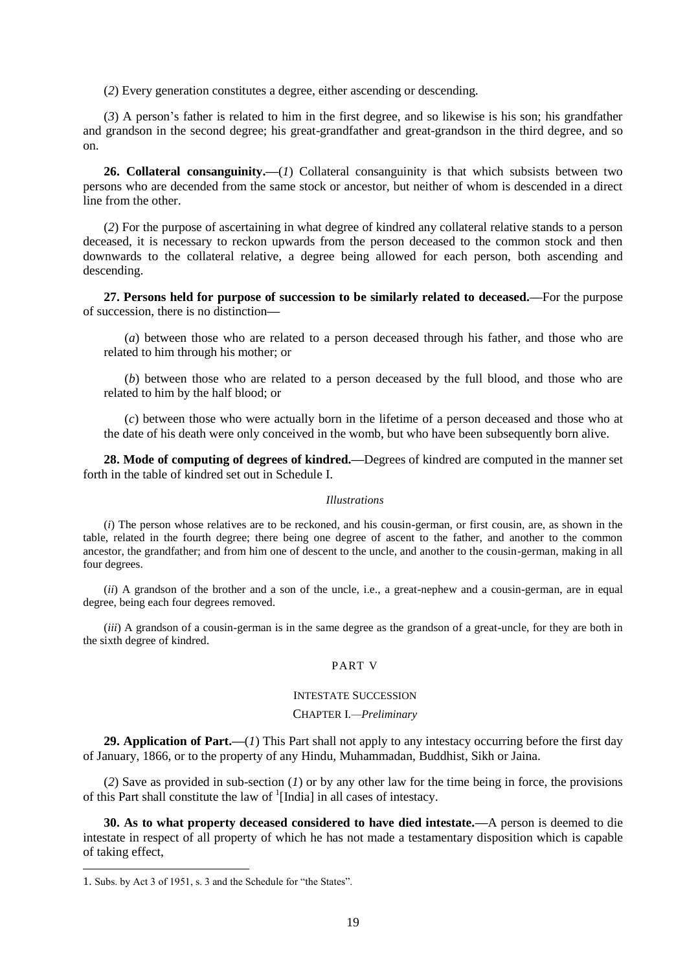(*2*) Every generation constitutes a degree, either ascending or descending.

(*3*) A person's father is related to him in the first degree, and so likewise is his son; his grandfather and grandson in the second degree; his great-grandfather and great-grandson in the third degree, and so on.

**26. Collateral consanguinity.—**(*1*) Collateral consanguinity is that which subsists between two persons who are decended from the same stock or ancestor, but neither of whom is descended in a direct line from the other.

(*2*) For the purpose of ascertaining in what degree of kindred any collateral relative stands to a person deceased, it is necessary to reckon upwards from the person deceased to the common stock and then downwards to the collateral relative, a degree being allowed for each person, both ascending and descending.

**27. Persons held for purpose of succession to be similarly related to deceased.—**For the purpose of succession, there is no distinction**—**

(*a*) between those who are related to a person deceased through his father, and those who are related to him through his mother; or

(*b*) between those who are related to a person deceased by the full blood, and those who are related to him by the half blood; or

(*c*) between those who were actually born in the lifetime of a person deceased and those who at the date of his death were only conceived in the womb, but who have been subsequently born alive.

**28. Mode of computing of degrees of kindred.—**Degrees of kindred are computed in the manner set forth in the table of kindred set out in Schedule I.

### *Illustrations*

(*i*) The person whose relatives are to be reckoned, and his cousin-german, or first cousin, are, as shown in the table, related in the fourth degree; there being one degree of ascent to the father, and another to the common ancestor, the grandfather; and from him one of descent to the uncle, and another to the cousin-german, making in all four degrees.

(*ii*) A grandson of the brother and a son of the uncle, i.e., a great-nephew and a cousin-german, are in equal degree, being each four degrees removed.

(*iii*) A grandson of a cousin-german is in the same degree as the grandson of a great-uncle, for they are both in the sixth degree of kindred.

# PART V

# INTESTATE SUCCESSION

# CHAPTER I*.—Preliminary*

**29. Application of Part.—**(*1*) This Part shall not apply to any intestacy occurring before the first day of January, 1866, or to the property of any Hindu, Muhammadan, Buddhist, Sikh or Jaina.

(*2*) Save as provided in sub-section (*1*) or by any other law for the time being in force, the provisions of this Part shall constitute the law of  $\frac{1}{1}$ [India] in all cases of intestacy.

**30. As to what property deceased considered to have died intestate.—**A person is deemed to die intestate in respect of all property of which he has not made a testamentary disposition which is capable of taking effect,

<sup>1.</sup> Subs. by Act 3 of 1951, s. 3 and the Schedule for "the States".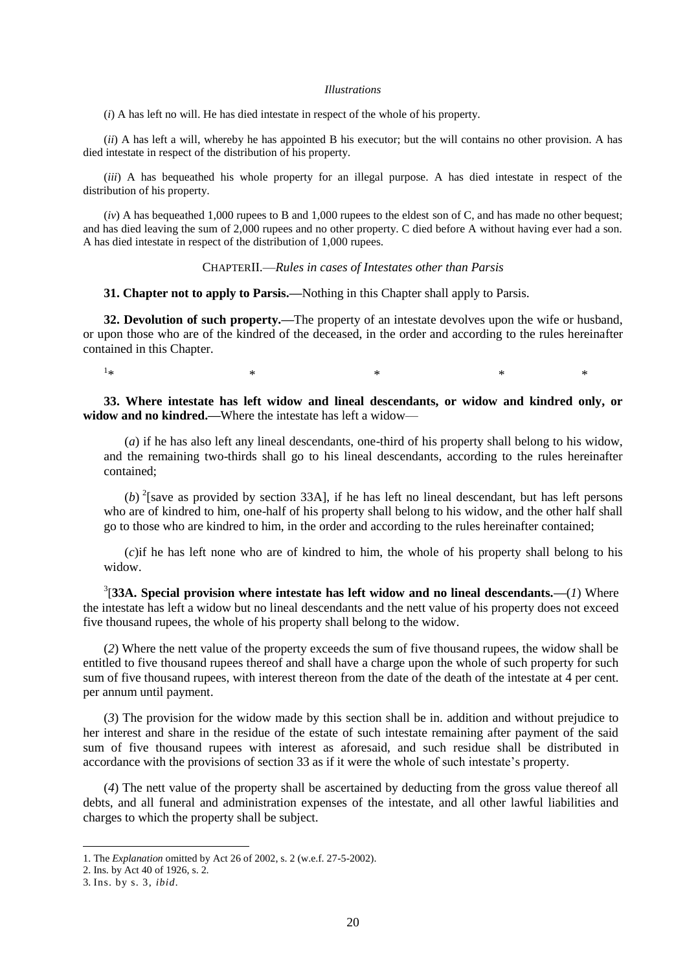#### *Illustrations*

(*i*) A has left no will. He has died intestate in respect of the whole of his property.

(*ii*) A has left a will, whereby he has appointed B his executor; but the will contains no other provision. A has died intestate in respect of the distribution of his property.

(*iii*) A has bequeathed his whole property for an illegal purpose. A has died intestate in respect of the distribution of his property.

(*iv*) A has bequeathed 1,000 rupees to B and 1,000 rupees to the eldest son of C, and has made no other bequest; and has died leaving the sum of 2,000 rupees and no other property. C died before A without having ever had a son. A has died intestate in respect of the distribution of 1,000 rupees.

CHAPTERII.—*Rules in cases of Intestates other than Parsis*

**31. Chapter not to apply to Parsis.—**Nothing in this Chapter shall apply to Parsis.

**32. Devolution of such property.—**The property of an intestate devolves upon the wife or husband, or upon those who are of the kindred of the deceased, in the order and according to the rules hereinafter contained in this Chapter.

 $1 +$  $*$   $*$   $*$   $*$   $*$   $*$ 

**33. Where intestate has left widow and lineal descendants, or widow and kindred only, or widow and no kindred.—**Where the intestate has left a widow—

(*a*) if he has also left any lineal descendants, one-third of his property shall belong to his widow, and the remaining two-thirds shall go to his lineal descendants, according to the rules hereinafter contained;

(b)  $^{2}$ [save as provided by section 33A], if he has left no lineal descendant, but has left persons who are of kindred to him, one-half of his property shall belong to his widow, and the other half shall go to those who are kindred to him, in the order and according to the rules hereinafter contained;

(*c*)if he has left none who are of kindred to him, the whole of his property shall belong to his widow.

3 [**33A. Special provision where intestate has left widow and no lineal descendants.—**(*1*) Where the intestate has left a widow but no lineal descendants and the nett value of his property does not exceed five thousand rupees, the whole of his property shall belong to the widow.

(*2*) Where the nett value of the property exceeds the sum of five thousand rupees, the widow shall be entitled to five thousand rupees thereof and shall have a charge upon the whole of such property for such sum of five thousand rupees, with interest thereon from the date of the death of the intestate at 4 per cent. per annum until payment.

(*3*) The provision for the widow made by this section shall be in. addition and without prejudice to her interest and share in the residue of the estate of such intestate remaining after payment of the said sum of five thousand rupees with interest as aforesaid, and such residue shall be distributed in accordance with the provisions of section 33 as if it were the whole of such intestate's property.

(*4*) The nett value of the property shall be ascertained by deducting from the gross value thereof all debts, and all funeral and administration expenses of the intestate, and all other lawful liabilities and charges to which the property shall be subject.

<sup>1.</sup> The *Explanation* omitted by Act 26 of 2002, s. 2 (w.e.f. 27-5-2002).

<sup>2.</sup> Ins. by Act 40 of 1926, s. 2.

<sup>3.</sup> Ins. by s. 3, *ibid.*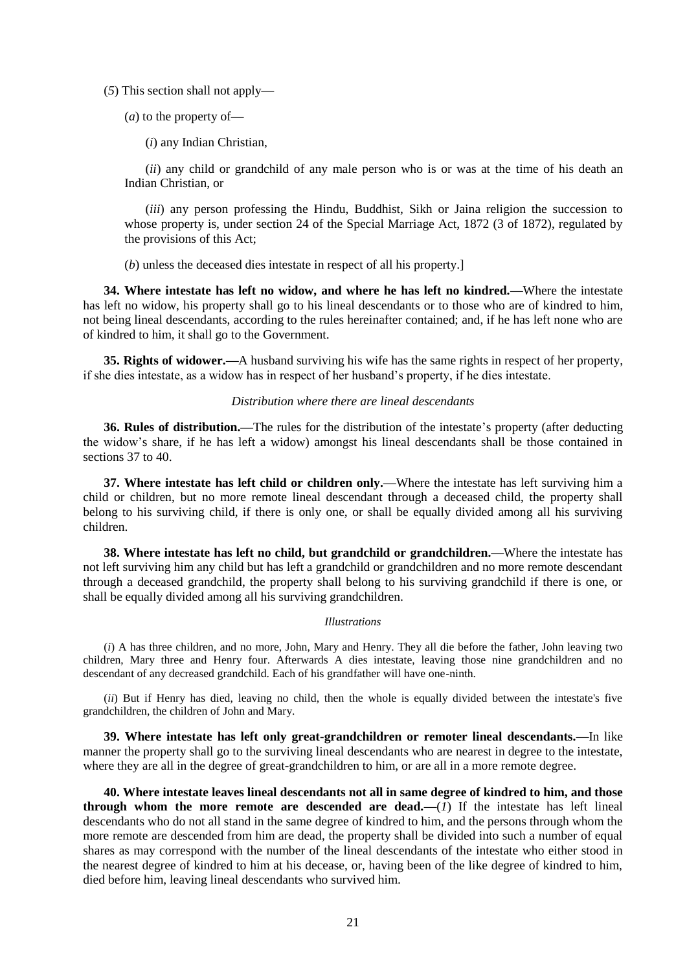(*5*) This section shall not apply—

(*a*) to the property of—

(*i*) any Indian Christian,

(*ii*) any child or grandchild of any male person who is or was at the time of his death an Indian Christian, or

(*iii*) any person professing the Hindu, Buddhist, Sikh or Jaina religion the succession to whose property is, under section 24 of the Special Marriage Act, 1872 (3 of 1872), regulated by the provisions of this Act;

(*b*) unless the deceased dies intestate in respect of all his property.]

**34. Where intestate has left no widow, and where he has left no kindred.—**Where the intestate has left no widow, his property shall go to his lineal descendants or to those who are of kindred to him, not being lineal descendants, according to the rules hereinafter contained; and, if he has left none who are of kindred to him, it shall go to the Government.

**35. Rights of widower.—**A husband surviving his wife has the same rights in respect of her property, if she dies intestate, as a widow has in respect of her husband's property, if he dies intestate.

# *Distribution where there are lineal descendants*

**36. Rules of distribution.—**The rules for the distribution of the intestate's property (after deducting the widow's share, if he has left a widow) amongst his lineal descendants shall be those contained in sections 37 to 40.

**37. Where intestate has left child or children only.—**Where the intestate has left surviving him a child or children, but no more remote lineal descendant through a deceased child, the property shall belong to his surviving child, if there is only one, or shall be equally divided among all his surviving children.

**38. Where intestate has left no child, but grandchild or grandchildren.—**Where the intestate has not left surviving him any child but has left a grandchild or grandchildren and no more remote descendant through a deceased grandchild, the property shall belong to his surviving grandchild if there is one, or shall be equally divided among all his surviving grandchildren.

#### *Illustrations*

(*i*) A has three children, and no more, John, Mary and Henry. They all die before the father, John leaving two children, Mary three and Henry four. Afterwards A dies intestate, leaving those nine grandchildren and no descendant of any decreased grandchild. Each of his grandfather will have one-ninth.

(*ii*) But if Henry has died, leaving no child, then the whole is equally divided between the intestate's five grandchildren, the children of John and Mary.

**39. Where intestate has left only great-grandchildren or remoter lineal descendants.—**In like manner the property shall go to the surviving lineal descendants who are nearest in degree to the intestate, where they are all in the degree of great-grandchildren to him, or are all in a more remote degree.

**40. Where intestate leaves lineal descendants not all in same degree of kindred to him, and those through whom the more remote are descended are dead.—** $(l)$  **If the intestate has left lineal** descendants who do not all stand in the same degree of kindred to him, and the persons through whom the more remote are descended from him are dead, the property shall be divided into such a number of equal shares as may correspond with the number of the lineal descendants of the intestate who either stood in the nearest degree of kindred to him at his decease, or, having been of the like degree of kindred to him, died before him, leaving lineal descendants who survived him.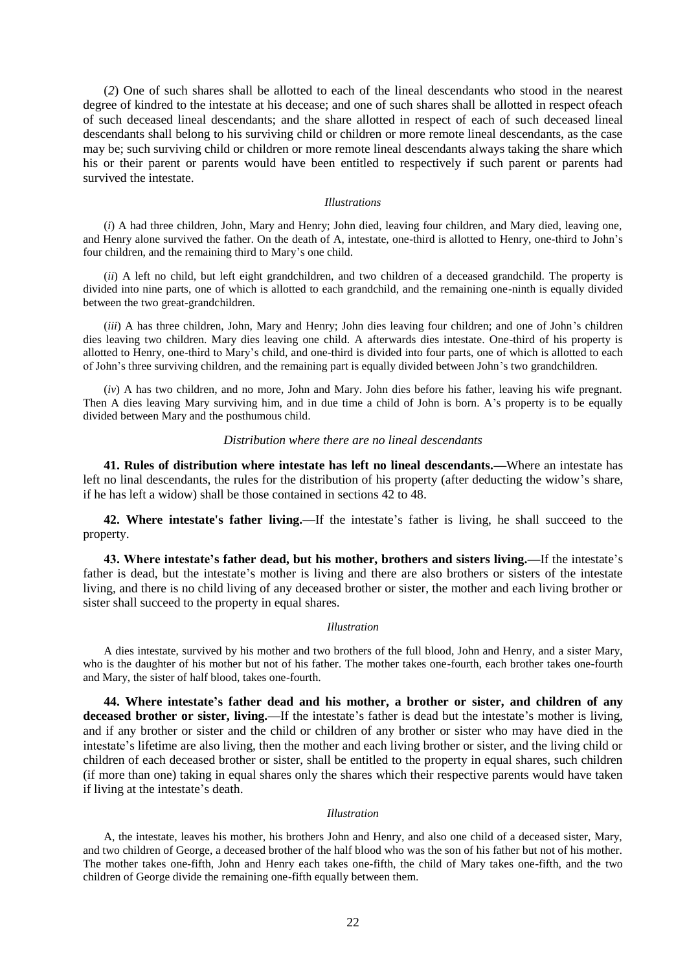(*2*) One of such shares shall be allotted to each of the lineal descendants who stood in the nearest degree of kindred to the intestate at his decease; and one of such shares shall be allotted in respect ofeach of such deceased lineal descendants; and the share allotted in respect of each of such deceased lineal descendants shall belong to his surviving child or children or more remote lineal descendants, as the case may be; such surviving child or children or more remote lineal descendants always taking the share which his or their parent or parents would have been entitled to respectively if such parent or parents had survived the intestate.

#### *Illustrations*

(*i*) A had three children, John, Mary and Henry; John died, leaving four children, and Mary died, leaving one, and Henry alone survived the father. On the death of A, intestate, one-third is allotted to Henry, one-third to John's four children, and the remaining third to Mary's one child.

(*ii*) A left no child, but left eight grandchildren, and two children of a deceased grandchild. The property is divided into nine parts, one of which is allotted to each grandchild, and the remaining one-ninth is equally divided between the two great-grandchildren.

(*iii*) A has three children, John, Mary and Henry; John dies leaving four children; and one of John's children dies leaving two children. Mary dies leaving one child. A afterwards dies intestate. One-third of his property is allotted to Henry, one-third to Mary's child, and one-third is divided into four parts, one of which is allotted to each of John's three surviving children, and the remaining part is equally divided between John's two grandchildren.

(*iv*) A has two children, and no more, John and Mary. John dies before his father, leaving his wife pregnant. Then A dies leaving Mary surviving him, and in due time a child of John is born. A's property is to be equally divided between Mary and the posthumous child.

### *Distribution where there are no lineal descendants*

**41. Rules of distribution where intestate has left no lineal descendants.—**Where an intestate has left no linal descendants, the rules for the distribution of his property (after deducting the widow's share, if he has left a widow) shall be those contained in sections 42 to 48.

**42. Where intestate's father living.—**If the intestate's father is living, he shall succeed to the property.

**43. Where intestate's father dead, but his mother, brothers and sisters living.—**If the intestate's father is dead, but the intestate's mother is living and there are also brothers or sisters of the intestate living, and there is no child living of any deceased brother or sister, the mother and each living brother or sister shall succeed to the property in equal shares.

#### *Illustration*

A dies intestate, survived by his mother and two brothers of the full blood, John and Henry, and a sister Mary, who is the daughter of his mother but not of his father. The mother takes one-fourth, each brother takes one-fourth and Mary, the sister of half blood, takes one-fourth.

**44. Where intestate's father dead and his mother, a brother or sister, and children of any deceased brother or sister, living.—**If the intestate's father is dead but the intestate's mother is living, and if any brother or sister and the child or children of any brother or sister who may have died in the intestate's lifetime are also living, then the mother and each living brother or sister, and the living child or children of each deceased brother or sister, shall be entitled to the property in equal shares, such children (if more than one) taking in equal shares only the shares which their respective parents would have taken if living at the intestate's death.

### *Illustration*

A, the intestate, leaves his mother, his brothers John and Henry, and also one child of a deceased sister, Mary, and two children of George, a deceased brother of the half blood who was the son of his father but not of his mother. The mother takes one-fifth, John and Henry each takes one-fifth, the child of Mary takes one-fifth, and the two children of George divide the remaining one-fifth equally between them.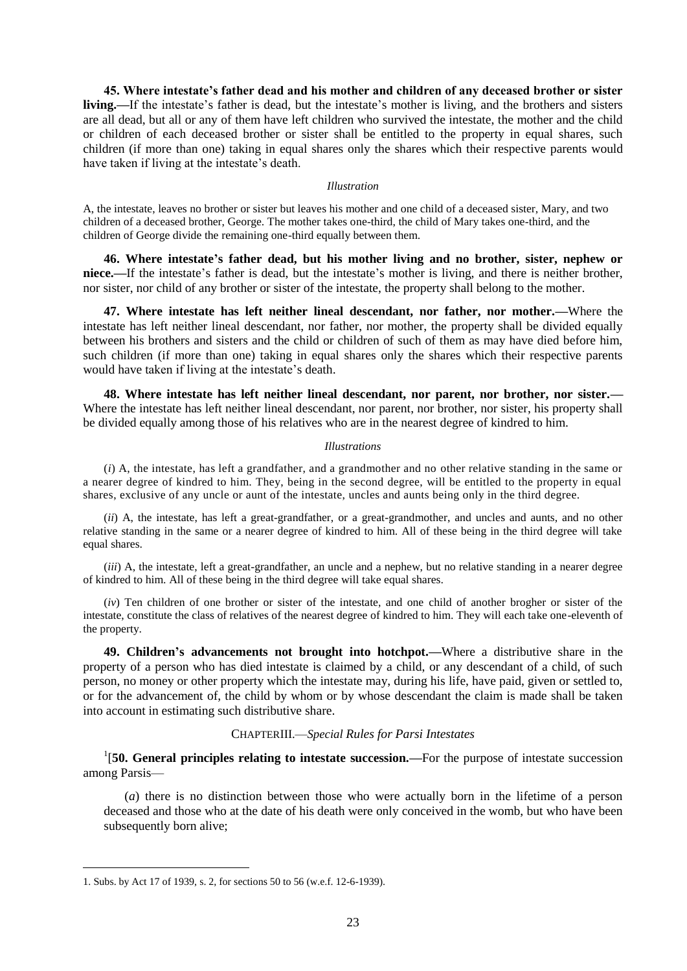**45. Where intestate's father dead and his mother and children of any deceased brother or sister living.—**If the intestate's father is dead, but the intestate's mother is living, and the brothers and sisters are all dead, but all or any of them have left children who survived the intestate, the mother and the child or children of each deceased brother or sister shall be entitled to the property in equal shares, such children (if more than one) taking in equal shares only the shares which their respective parents would have taken if living at the intestate's death.

### *Illustration*

A, the intestate, leaves no brother or sister but leaves his mother and one child of a deceased sister, Mary, and two children of a deceased brother, George. The mother takes one-third, the child of Mary takes one-third, and the children of George divide the remaining one-third equally between them.

**46. Where intestate's father dead, but his mother living and no brother, sister, nephew or niece.—**If the intestate's father is dead, but the intestate's mother is living, and there is neither brother, nor sister, nor child of any brother or sister of the intestate, the property shall belong to the mother.

**47. Where intestate has left neither lineal descendant, nor father, nor mother.—**Where the intestate has left neither lineal descendant, nor father, nor mother, the property shall be divided equally between his brothers and sisters and the child or children of such of them as may have died before him, such children (if more than one) taking in equal shares only the shares which their respective parents would have taken if living at the intestate's death.

**48. Where intestate has left neither lineal descendant, nor parent, nor brother, nor sister.—** Where the intestate has left neither lineal descendant, nor parent, nor brother, nor sister, his property shall be divided equally among those of his relatives who are in the nearest degree of kindred to him.

### *Illustrations*

(*i*) A, the intestate, has left a grandfather, and a grandmother and no other relative standing in the same or a nearer degree of kindred to him. They, being in the second degree, will be entitled to the property in equal shares, exclusive of any uncle or aunt of the intestate, uncles and aunts being only in the third degree.

(*ii*) A, the intestate, has left a great-grandfather, or a great-grandmother, and uncles and aunts, and no other relative standing in the same or a nearer degree of kindred to him. All of these being in the third degree will take equal shares.

*(iii)* A, the intestate, left a great-grandfather, an uncle and a nephew, but no relative standing in a nearer degree of kindred to him. All of these being in the third degree will take equal shares.

(*iv*) Ten children of one brother or sister of the intestate, and one child of another brogher or sister of the intestate, constitute the class of relatives of the nearest degree of kindred to him. They will each take one-eleventh of the property.

**49. Children's advancements not brought into hotchpot.—**Where a distributive share in the property of a person who has died intestate is claimed by a child, or any descendant of a child, of such person, no money or other property which the intestate may, during his life, have paid, given or settled to, or for the advancement of, the child by whom or by whose descendant the claim is made shall be taken into account in estimating such distributive share.

### CHAPTERIII.—*Special Rules for Parsi Intestates*

<sup>1</sup>[50. General principles relating to intestate succession.—For the purpose of intestate succession among Parsis—

(*a*) there is no distinction between those who were actually born in the lifetime of a person deceased and those who at the date of his death were only conceived in the womb, but who have been subsequently born alive;

1

<sup>1.</sup> Subs. by Act 17 of 1939, s. 2, for sections 50 to 56 (w.e.f. 12-6-1939).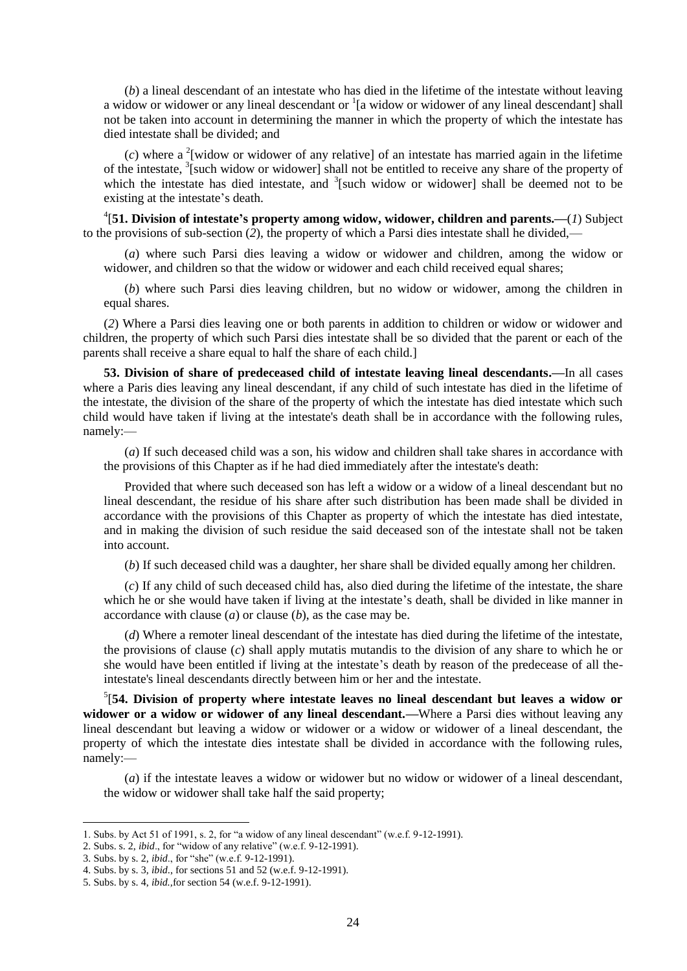(*b*) a lineal descendant of an intestate who has died in the lifetime of the intestate without leaving a widow or widower or any lineal descendant or  ${}^{1}$ [a widow or widower of any lineal descendant] shall not be taken into account in determining the manner in which the property of which the intestate has died intestate shall be divided; and

 $(c)$  where a <sup>2</sup>[widow or widower of any relative] of an intestate has married again in the lifetime of the intestate, <sup>3</sup>[such widow or widower] shall not be entitled to receive any share of the property of which the intestate has died intestate, and  $3$ [such widow or widower] shall be deemed not to be existing at the intestate's death.

4 [**51. Division of intestate's property among widow, widower, children and parents.—**(*1*) Subject to the provisions of sub-section (*2*), the property of which a Parsi dies intestate shall he divided,—

(*a*) where such Parsi dies leaving a widow or widower and children, among the widow or widower, and children so that the widow or widower and each child received equal shares;

(*b*) where such Parsi dies leaving children, but no widow or widower, among the children in equal shares.

(*2*) Where a Parsi dies leaving one or both parents in addition to children or widow or widower and children, the property of which such Parsi dies intestate shall be so divided that the parent or each of the parents shall receive a share equal to half the share of each child.]

**53. Division of share of predeceased child of intestate leaving lineal descendants.—**In all cases where a Paris dies leaving any lineal descendant, if any child of such intestate has died in the lifetime of the intestate, the division of the share of the property of which the intestate has died intestate which such child would have taken if living at the intestate's death shall be in accordance with the following rules, namely:—

(*a*) If such deceased child was a son, his widow and children shall take shares in accordance with the provisions of this Chapter as if he had died immediately after the intestate's death:

Provided that where such deceased son has left a widow or a widow of a lineal descendant but no lineal descendant, the residue of his share after such distribution has been made shall be divided in accordance with the provisions of this Chapter as property of which the intestate has died intestate, and in making the division of such residue the said deceased son of the intestate shall not be taken into account.

(*b*) If such deceased child was a daughter, her share shall be divided equally among her children.

(*c*) If any child of such deceased child has, also died during the lifetime of the intestate, the share which he or she would have taken if living at the intestate's death, shall be divided in like manner in accordance with clause (*a*) or clause (*b*), as the case may be.

(*d*) Where a remoter lineal descendant of the intestate has died during the lifetime of the intestate, the provisions of clause (*c*) shall apply mutatis mutandis to the division of any share to which he or she would have been entitled if living at the intestate's death by reason of the predecease of all theintestate's lineal descendants directly between him or her and the intestate.

5 [**54. Division of property where intestate leaves no lineal descendant but leaves a widow or widower or a widow or widower of any lineal descendant.—**Where a Parsi dies without leaving any lineal descendant but leaving a widow or widower or a widow or widower of a lineal descendant, the property of which the intestate dies intestate shall be divided in accordance with the following rules, namely:—

(*a*) if the intestate leaves a widow or widower but no widow or widower of a lineal descendant, the widow or widower shall take half the said property;

1

<sup>1.</sup> Subs. by Act 51 of 1991, s. 2, for "a widow of any lineal descendant" (w.e.f. 9-12-1991).

<sup>2.</sup> Subs. s. 2, *ibid*., for "widow of any relative" (w.e.f. 9-12-1991).

<sup>3.</sup> Subs. by s. 2, *ibid*., for "she" (w.e.f. 9-12-1991).

<sup>4.</sup> Subs. by s. 3, *ibid*., for sections 51 and 52 (w.e.f. 9-12-1991).

<sup>5.</sup> Subs. by s. 4, *ibid.,*for section 54 (w.e.f. 9-12-1991).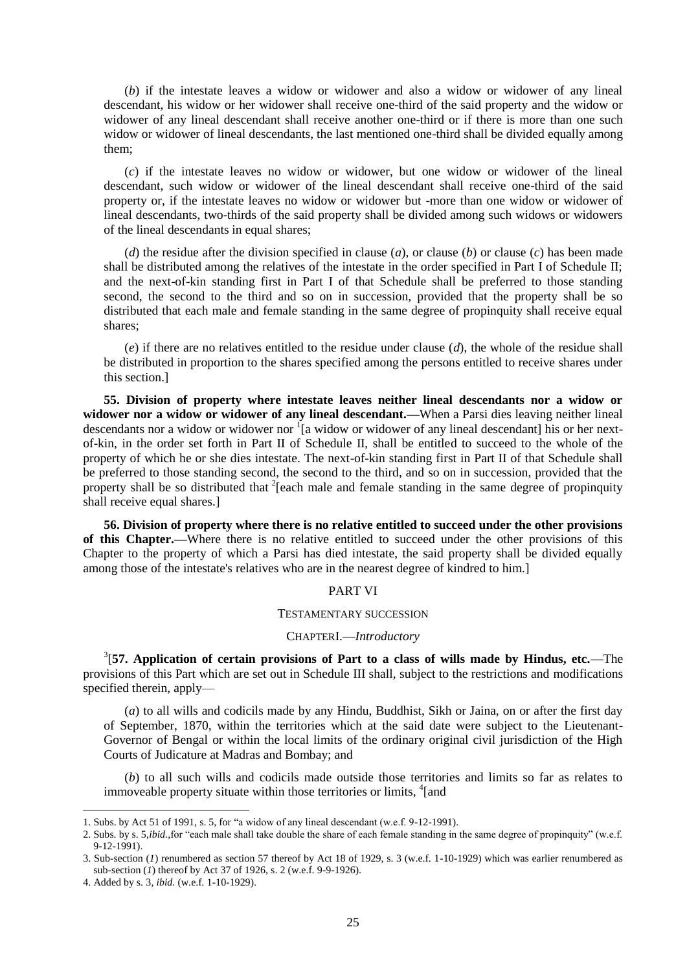(*b*) if the intestate leaves a widow or widower and also a widow or widower of any lineal descendant, his widow or her widower shall receive one-third of the said property and the widow or widower of any lineal descendant shall receive another one-third or if there is more than one such widow or widower of lineal descendants, the last mentioned one-third shall be divided equally among them;

(*c*) if the intestate leaves no widow or widower, but one widow or widower of the lineal descendant, such widow or widower of the lineal descendant shall receive one-third of the said property or, if the intestate leaves no widow or widower but -more than one widow or widower of lineal descendants, two-thirds of the said property shall be divided among such widows or widowers of the lineal descendants in equal shares;

(*d*) the residue after the division specified in clause (*a*), or clause (*b*) or clause (*c*) has been made shall be distributed among the relatives of the intestate in the order specified in Part I of Schedule II; and the next-of-kin standing first in Part I of that Schedule shall be preferred to those standing second, the second to the third and so on in succession, provided that the property shall be so distributed that each male and female standing in the same degree of propinquity shall receive equal shares;

(*e*) if there are no relatives entitled to the residue under clause (*d*), the whole of the residue shall be distributed in proportion to the shares specified among the persons entitled to receive shares under this section.]

**55. Division of property where intestate leaves neither lineal descendants nor a widow or widower nor a widow or widower of any lineal descendant.—**When a Parsi dies leaving neither lineal descendants nor a widow or widower nor <sup>1</sup>[a widow or widower of any lineal descendant] his or her nextof-kin, in the order set forth in Part II of Schedule II, shall be entitled to succeed to the whole of the property of which he or she dies intestate. The next-of-kin standing first in Part II of that Schedule shall be preferred to those standing second, the second to the third, and so on in succession, provided that the property shall be so distributed that <sup>2</sup>[each male and female standing in the same degree of propinquity shall receive equal shares.]

**56. Division of property where there is no relative entitled to succeed under the other provisions of this Chapter.—**Where there is no relative entitled to succeed under the other provisions of this Chapter to the property of which a Parsi has died intestate, the said property shall be divided equally among those of the intestate's relatives who are in the nearest degree of kindred to him.]

# PART VI

# TESTAMENTARY SUCCESSION

# CHAPTERI.—*Introductory*

3 [**57. Application of certain provisions of Part to a class of wills made by Hindus, etc.—**The provisions of this Part which are set out in Schedule III shall, subject to the restrictions and modifications specified therein, apply—

(*a*) to all wills and codicils made by any Hindu, Buddhist, Sikh or Jaina, on or after the first day of September, 1870, within the territories which at the said date were subject to the Lieutenant-Governor of Bengal or within the local limits of the ordinary original civil jurisdiction of the High Courts of Judicature at Madras and Bombay; and

(*b*) to all such wills and codicils made outside those territories and limits so far as relates to immoveable property situate within those territories or limits, <sup>4</sup>[and

<sup>1.</sup> Subs. by Act 51 of 1991, s. 5, for "a widow of any lineal descendant (w.e.f. 9-12-1991).

<sup>2.</sup> Subs. by s. 5,*ibid.,*for "each male shall take double the share of each female standing in the same degree of propinquity" (w.e.f. 9-12-1991).

<sup>3.</sup> Sub-section (*1*) renumbered as section 57 thereof by Act 18 of 1929, s. 3 (w.e.f. 1-10-1929) which was earlier renumbered as sub-section (*1*) thereof by Act 37 of 1926, s. 2 (w.e.f. 9-9-1926).

<sup>4.</sup> Added by s. 3, *ibid.* (w.e.f. 1-10-1929).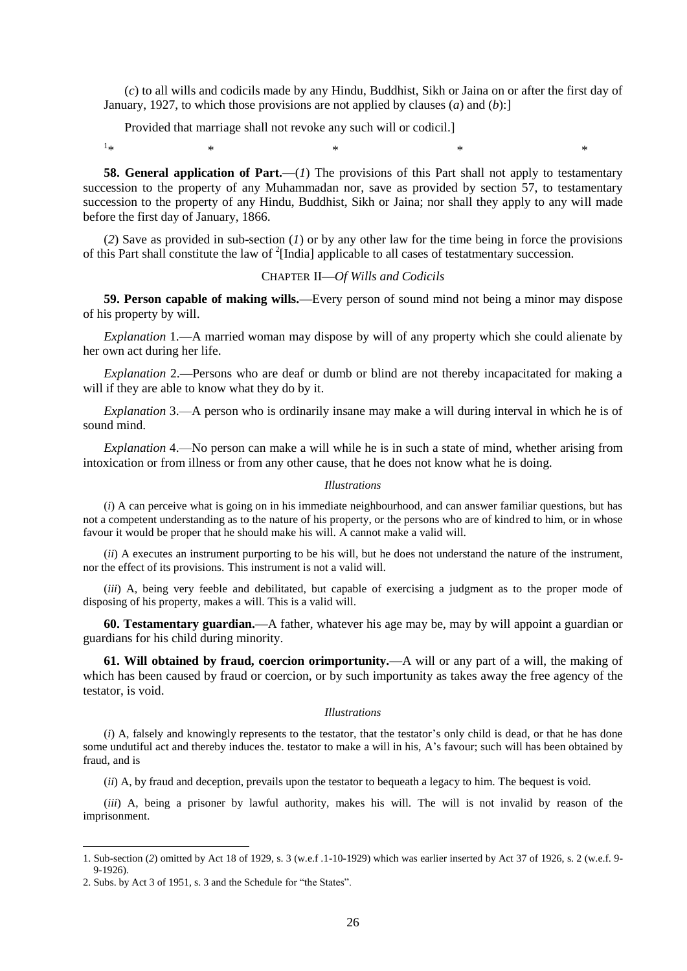(*c*) to all wills and codicils made by any Hindu, Buddhist, Sikh or Jaina on or after the first day of January, 1927, to which those provisions are not applied by clauses (*a*) and (*b*):]

Provided that marriage shall not revoke any such will or codicil.]

 $1*$  $*$   $*$   $*$   $*$   $*$   $*$ 

**58. General application of Part.**—(*1*) The provisions of this Part shall not apply to testamentary succession to the property of any Muhammadan nor, save as provided by section 57, to testamentary succession to the property of any Hindu, Buddhist, Sikh or Jaina; nor shall they apply to any will made before the first day of January, 1866.

(*2*) Save as provided in sub-section (*1*) or by any other law for the time being in force the provisions of this Part shall constitute the law of <sup>2</sup>[India] applicable to all cases of testatmentary succession.

# CHAPTER II—*Of Wills and Codicils*

**59. Person capable of making wills.—**Every person of sound mind not being a minor may dispose of his property by will.

*Explanation* 1.—A married woman may dispose by will of any property which she could alienate by her own act during her life.

*Explanation* 2.—Persons who are deaf or dumb or blind are not thereby incapacitated for making a will if they are able to know what they do by it.

*Explanation* 3.—A person who is ordinarily insane may make a will during interval in which he is of sound mind.

*Explanation* 4.—No person can make a will while he is in such a state of mind, whether arising from intoxication or from illness or from any other cause, that he does not know what he is doing.

#### *Illustrations*

(*i*) A can perceive what is going on in his immediate neighbourhood, and can answer familiar questions, but has not a competent understanding as to the nature of his property, or the persons who are of kindred to him, or in whose favour it would be proper that he should make his will. A cannot make a valid will.

(*ii*) A executes an instrument purporting to be his will, but he does not understand the nature of the instrument, nor the effect of its provisions. This instrument is not a valid will.

(*iii*) A, being very feeble and debilitated, but capable of exercising a judgment as to the proper mode of disposing of his property, makes a will. This is a valid will.

**60. Testamentary guardian.—**A father, whatever his age may be, may by will appoint a guardian or guardians for his child during minority.

**61. Will obtained by fraud, coercion orimportunity.—**A will or any part of a will, the making of which has been caused by fraud or coercion, or by such importunity as takes away the free agency of the testator, is void.

# *Illustrations*

(*i*) A, falsely and knowingly represents to the testator, that the testator's only child is dead, or that he has done some undutiful act and thereby induces the. testator to make a will in his, A's favour; such will has been obtained by fraud, and is

(*ii*) A, by fraud and deception, prevails upon the testator to bequeath a legacy to him. The bequest is void.

(*iii*) A, being a prisoner by lawful authority, makes his will. The will is not invalid by reason of the imprisonment.

<sup>1.</sup> Sub-section (*2*) omitted by Act 18 of 1929, s. 3 (w.e.f .1-10-1929) which was earlier inserted by Act 37 of 1926, s. 2 (w.e.f. 9- 9-1926).

<sup>2.</sup> Subs. by Act 3 of 1951, s. 3 and the Schedule for "the States".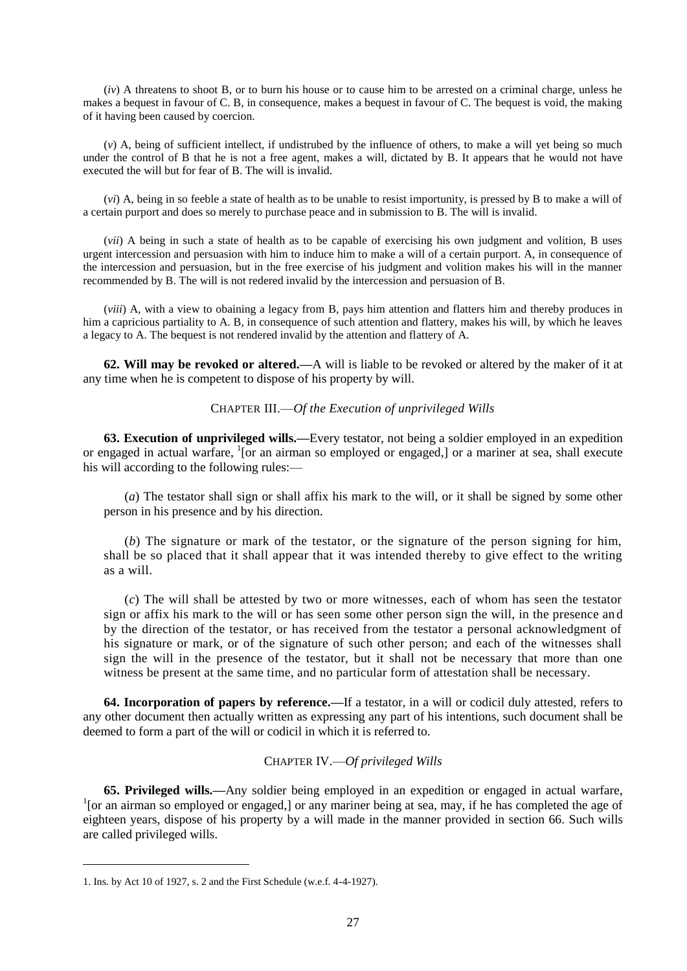(*iv*) A threatens to shoot B, or to burn his house or to cause him to be arrested on a criminal charge, unless he makes a bequest in favour of C. B, in consequence, makes a bequest in favour of C. The bequest is void, the making of it having been caused by coercion.

(*v*) A, being of sufficient intellect, if undistrubed by the influence of others, to make a will yet being so much under the control of B that he is not a free agent, makes a will, dictated by B. It appears that he would not have executed the will but for fear of B. The will is invalid.

(*vi*) A, being in so feeble a state of health as to be unable to resist importunity, is pressed by B to make a will of a certain purport and does so merely to purchase peace and in submission to B. The will is invalid.

(*vii*) A being in such a state of health as to be capable of exercising his own judgment and volition, B uses urgent intercession and persuasion with him to induce him to make a will of a certain purport. A, in consequence of the intercession and persuasion, but in the free exercise of his judgment and volition makes his will in the manner recommended by B. The will is not redered invalid by the intercession and persuasion of B.

(*viii*) A, with a view to obaining a legacy from B, pays him attention and flatters him and thereby produces in him a capricious partiality to A. B, in consequence of such attention and flattery, makes his will, by which he leaves a legacy to A. The bequest is not rendered invalid by the attention and flattery of A.

**62. Will may be revoked or altered.—**A will is liable to be revoked or altered by the maker of it at any time when he is competent to dispose of his property by will.

CHAPTER III.—*Of the Execution of unprivileged Wills*

**63. Execution of unprivileged wills.—**Every testator, not being a soldier employed in an expedition or engaged in actual warfare, <sup>1</sup>[or an airman so employed or engaged,] or a mariner at sea, shall execute his will according to the following rules:—

(*a*) The testator shall sign or shall affix his mark to the will, or it shall be signed by some other person in his presence and by his direction.

(*b*) The signature or mark of the testator, or the signature of the person signing for him, shall be so placed that it shall appear that it was intended thereby to give effect to the writing as a will.

(*c*) The will shall be attested by two or more witnesses, each of whom has seen the testator sign or affix his mark to the will or has seen some other person sign the will, in the presence an d by the direction of the testator, or has received from the testator a personal acknowledgment of his signature or mark, or of the signature of such other person; and each of the witnesses shall sign the will in the presence of the testator, but it shall not be necessary that more than one witness be present at the same time, and no particular form of attestation shall be necessary.

**64. Incorporation of papers by reference.—**If a testator, in a will or codicil duly attested, refers to any other document then actually written as expressing any part of his intentions, such document shall be deemed to form a part of the will or codicil in which it is referred to.

# CHAPTER IV.—*Of privileged Wills*

**65. Privileged wills.—**Any soldier being employed in an expedition or engaged in actual warfare, <sup>1</sup>[or an airman so employed or engaged,] or any mariner being at sea, may, if he has completed the age of eighteen years, dispose of his property by a will made in the manner provided in section 66. Such wills are called privileged wills.

1

<sup>1.</sup> Ins. by Act 10 of 1927, s. 2 and the First Schedule (w.e.f. 4-4-1927).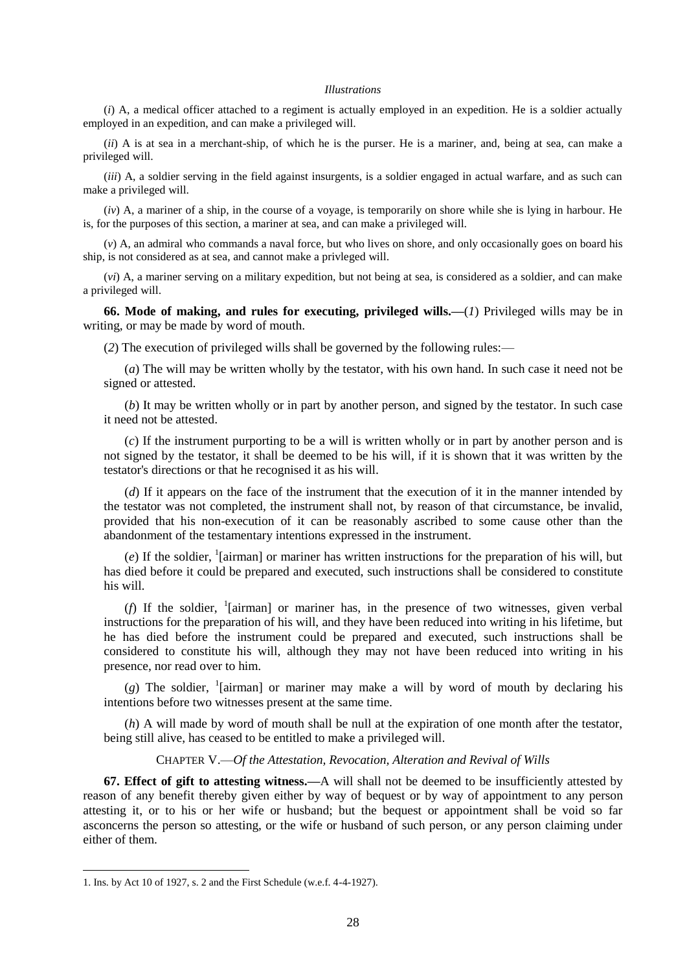#### *Illustrations*

(*i*) A, a medical officer attached to a regiment is actually employed in an expedition. He is a soldier actually employed in an expedition, and can make a privileged will.

(*ii*) A is at sea in a merchant-ship, of which he is the purser. He is a mariner, and, being at sea, can make a privileged will.

(*iii*) A, a soldier serving in the field against insurgents, is a soldier engaged in actual warfare, and as such can make a privileged will.

(*iv*) A, a mariner of a ship, in the course of a voyage, is temporarily on shore while she is lying in harbour. He is, for the purposes of this section, a mariner at sea, and can make a privileged will.

(*v*) A, an admiral who commands a naval force, but who lives on shore, and only occasionally goes on board his ship, is not considered as at sea, and cannot make a privleged will.

(*vi*) A, a mariner serving on a military expedition, but not being at sea, is considered as a soldier, and can make a privileged will.

**66. Mode of making, and rules for executing, privileged wills.—**(*1*) Privileged wills may be in writing, or may be made by word of mouth.

(*2*) The execution of privileged wills shall be governed by the following rules:—

(*a*) The will may be written wholly by the testator, with his own hand. In such case it need not be signed or attested.

(*b*) It may be written wholly or in part by another person, and signed by the testator. In such case it need not be attested.

(*c*) If the instrument purporting to be a will is written wholly or in part by another person and is not signed by the testator, it shall be deemed to be his will, if it is shown that it was written by the testator's directions or that he recognised it as his will.

(*d*) If it appears on the face of the instrument that the execution of it in the manner intended by the testator was not completed, the instrument shall not, by reason of that circumstance, be invalid, provided that his non-execution of it can be reasonably ascribed to some cause other than the abandonment of the testamentary intentions expressed in the instrument.

 $(e)$  If the soldier, <sup>1</sup>[airman] or mariner has written instructions for the preparation of his will, but has died before it could be prepared and executed, such instructions shall be considered to constitute his will.

( $f$ ) If the soldier, <sup>1</sup>[airman] or mariner has, in the presence of two witnesses, given verbal instructions for the preparation of his will, and they have been reduced into writing in his lifetime, but he has died before the instrument could be prepared and executed, such instructions shall be considered to constitute his will, although they may not have been reduced into writing in his presence, nor read over to him.

 $(g)$  The soldier, <sup>1</sup>[airman] or mariner may make a will by word of mouth by declaring his intentions before two witnesses present at the same time.

(*h*) A will made by word of mouth shall be null at the expiration of one month after the testator, being still alive, has ceased to be entitled to make a privileged will.

### CHAPTER V.—*Of the Attestation, Revocation, Alteration and Revival of Wills*

**67. Effect of gift to attesting witness.—**A will shall not be deemed to be insufficiently attested by reason of any benefit thereby given either by way of bequest or by way of appointment to any person attesting it, or to his or her wife or husband; but the bequest or appointment shall be void so far asconcerns the person so attesting, or the wife or husband of such person, or any person claiming under either of them.

<sup>1.</sup> Ins. by Act 10 of 1927, s. 2 and the First Schedule (w.e.f. 4-4-1927).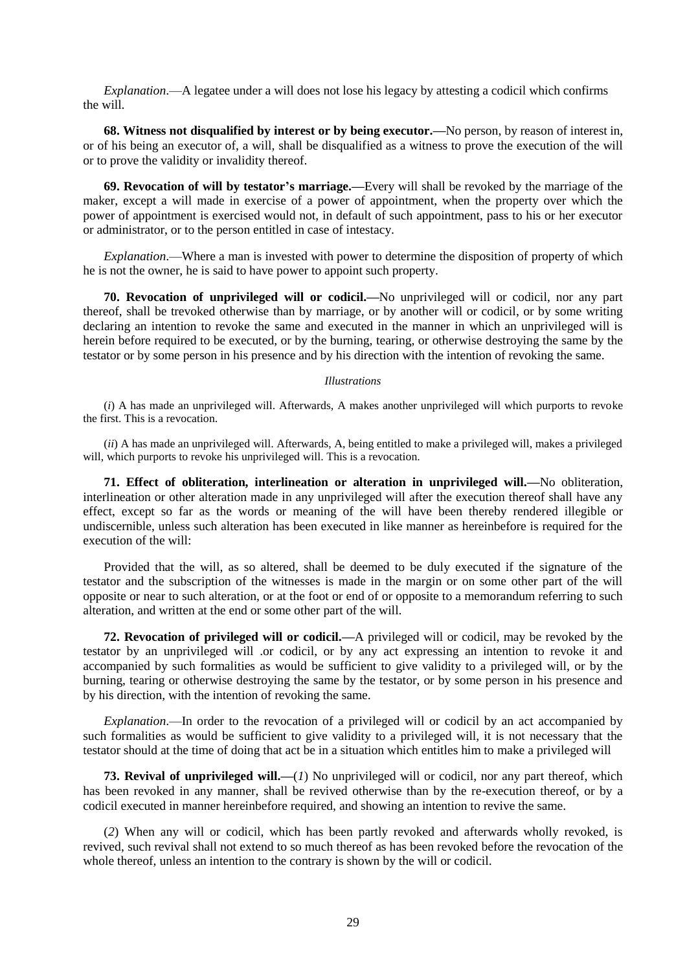*Explanation*.—A legatee under a will does not lose his legacy by attesting a codicil which confirms the will.

**68. Witness not disqualified by interest or by being executor.—**No person, by reason of interest in, or of his being an executor of, a will, shall be disqualified as a witness to prove the execution of the will or to prove the validity or invalidity thereof.

**69. Revocation of will by testator's marriage.—**Every will shall be revoked by the marriage of the maker, except a will made in exercise of a power of appointment, when the property over which the power of appointment is exercised would not, in default of such appointment, pass to his or her executor or administrator, or to the person entitled in case of intestacy.

*Explanation*.—Where a man is invested with power to determine the disposition of property of which he is not the owner, he is said to have power to appoint such property.

**70. Revocation of unprivileged will or codicil.—**No unprivileged will or codicil, nor any part thereof, shall be trevoked otherwise than by marriage, or by another will or codicil, or by some writing declaring an intention to revoke the same and executed in the manner in which an unprivileged will is herein before required to be executed, or by the burning, tearing, or otherwise destroying the same by the testator or by some person in his presence and by his direction with the intention of revoking the same.

### *Illustrations*

(*i*) A has made an unprivileged will. Afterwards, A makes another unprivileged will which purports to revoke the first. This is a revocation.

(*ii*) A has made an unprivileged will. Afterwards, A, being entitled to make a privileged will, makes a privileged will, which purports to revoke his unprivileged will. This is a revocation.

**71. Effect of obliteration, interlineation or alteration in unprivileged will.—**No obliteration, interlineation or other alteration made in any unprivileged will after the execution thereof shall have any effect, except so far as the words or meaning of the will have been thereby rendered illegible or undiscernible, unless such alteration has been executed in like manner as hereinbefore is required for the execution of the will:

Provided that the will, as so altered, shall be deemed to be duly executed if the signature of the testator and the subscription of the witnesses is made in the margin or on some other part of the will opposite or near to such alteration, or at the foot or end of or opposite to a memorandum referring to such alteration, and written at the end or some other part of the will.

**72. Revocation of privileged will or codicil.—**A privileged will or codicil, may be revoked by the testator by an unprivileged will .or codicil, or by any act expressing an intention to revoke it and accompanied by such formalities as would be sufficient to give validity to a privileged will, or by the burning, tearing or otherwise destroying the same by the testator, or by some person in his presence and by his direction, with the intention of revoking the same.

*Explanation*.—In order to the revocation of a privileged will or codicil by an act accompanied by such formalities as would be sufficient to give validity to a privileged will, it is not necessary that the testator should at the time of doing that act be in a situation which entitles him to make a privileged will

**73. Revival of unprivileged will.—**(*1*) No unprivileged will or codicil, nor any part thereof, which has been revoked in any manner, shall be revived otherwise than by the re-execution thereof, or by a codicil executed in manner hereinbefore required, and showing an intention to revive the same.

(*2*) When any will or codicil, which has been partly revoked and afterwards wholly revoked, is revived, such revival shall not extend to so much thereof as has been revoked before the revocation of the whole thereof, unless an intention to the contrary is shown by the will or codicil.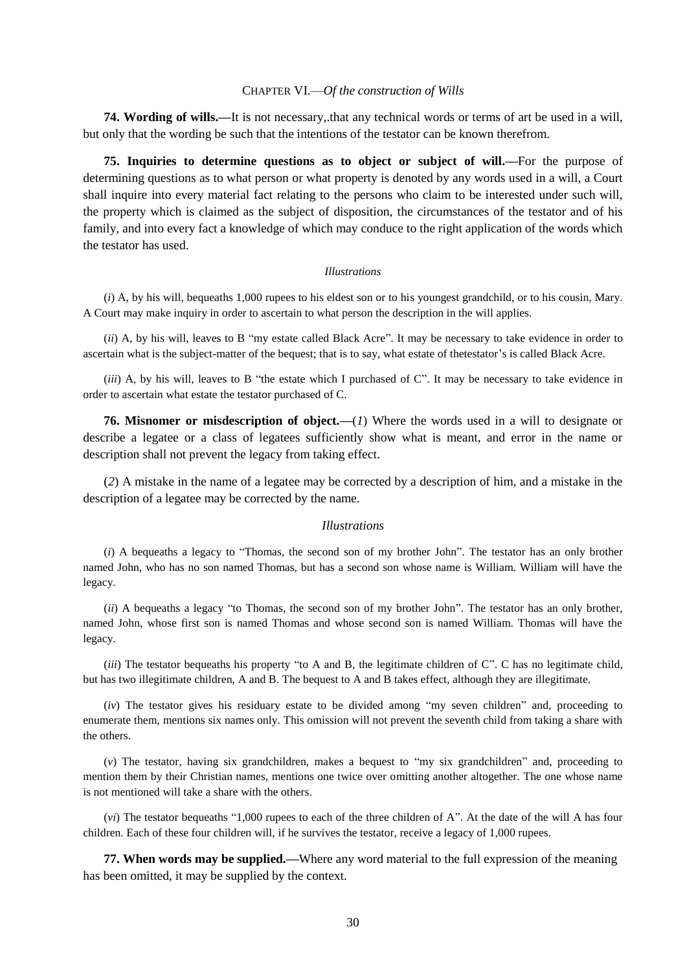# CHAPTER VI.—*Of the construction of Wills*

**74. Wording of wills.—**It is not necessary,.that any technical words or terms of art be used in a will, but only that the wording be such that the intentions of the testator can be known therefrom.

**75. Inquiries to determine questions as to object or subject of will.—**For the purpose of determining questions as to what person or what property is denoted by any words used in a will, a Court shall inquire into every material fact relating to the persons who claim to be interested under such will, the property which is claimed as the subject of disposition, the circumstances of the testator and of his family, and into every fact a knowledge of which may conduce to the right application of the words which the testator has used.

#### *Illustrations*

(*i*) A, by his will, bequeaths 1,000 rupees to his eldest son or to his youngest grandchild, or to his cousin, Mary. A Court may make inquiry in order to ascertain to what person the description in the will applies.

(*ii*) A, by his will, leaves to B "my estate called Black Acre". It may be necessary to take evidence in order to ascertain what is the subject-matter of the bequest; that is to say, what estate of thetestator's is called Black Acre.

(*iii*) A, by his will, leaves to B "the estate which I purchased of C". It may be necessary to take evidence in order to ascertain what estate the testator purchased of C.

**76. Misnomer or misdescription of object.—**(*1*) Where the words used in a will to designate or describe a legatee or a class of legatees sufficiently show what is meant, and error in the name or description shall not prevent the legacy from taking effect.

(*2*) A mistake in the name of a legatee may be corrected by a description of him, and a mistake in the description of a legatee may be corrected by the name.

# *Illustrations*

(*i*) A bequeaths a legacy to "Thomas, the second son of my brother John". The testator has an only brother named John, who has no son named Thomas, but has a second son whose name is William. William will have the legacy.

(*ii*) A bequeaths a legacy "to Thomas, the second son of my brother John". The testator has an only brother, named John, whose first son is named Thomas and whose second son is named William. Thomas will have the legacy.

(*iii*) The testator bequeaths his property "to A and B, the legitimate children of C". C has no legitimate child, but has two illegitimate children, A and B. The bequest to A and B takes effect, although they are illegitimate.

(*iv*) The testator gives his residuary estate to be divided among "my seven children" and, proceeding to enumerate them, mentions six names only. This omission will not prevent the seventh child from taking a share with the others.

(*v*) The testator, having six grandchildren, makes a bequest to "my six grandchildren" and, proceeding to mention them by their Christian names, mentions one twice over omitting another altogether. The one whose name is not mentioned will take a share with the others.

(*vi*) The testator bequeaths "1,000 rupees to each of the three children of A". At the date of the will A has four children. Each of these four children will, if he survives the testator, receive a legacy of 1,000 rupees.

**77. When words may be supplied.—**Where any word material to the full expression of the meaning has been omitted, it may be supplied by the context.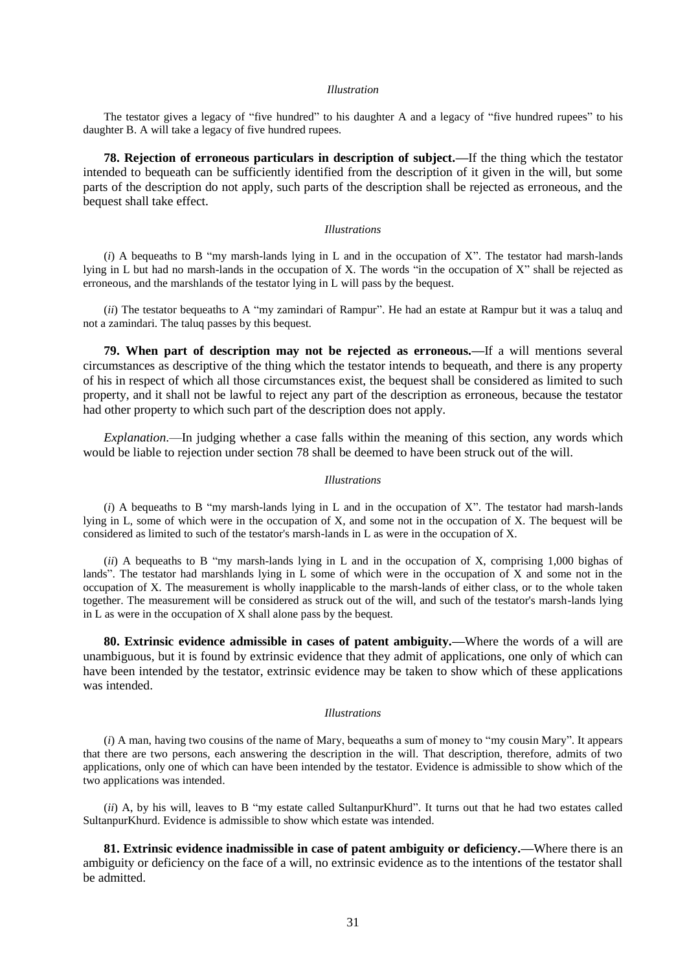#### *Illustration*

The testator gives a legacy of "five hundred" to his daughter A and a legacy of "five hundred rupees" to his daughter B. A will take a legacy of five hundred rupees.

**78. Rejection of erroneous particulars in description of subject.—**If the thing which the testator intended to bequeath can be sufficiently identified from the description of it given in the will, but some parts of the description do not apply, such parts of the description shall be rejected as erroneous, and the bequest shall take effect.

#### *Illustrations*

(*i*) A bequeaths to B "my marsh-lands lying in L and in the occupation of X". The testator had marsh-lands lying in L but had no marsh-lands in the occupation of X. The words "in the occupation of X" shall be rejected as erroneous, and the marshlands of the testator lying in L will pass by the bequest.

(*ii*) The testator bequeaths to A "my zamindari of Rampur". He had an estate at Rampur but it was a taluq and not a zamindari. The taluq passes by this bequest.

**79. When part of description may not be rejected as erroneous.—**If a will mentions several circumstances as descriptive of the thing which the testator intends to bequeath, and there is any property of his in respect of which all those circumstances exist, the bequest shall be considered as limited to such property, and it shall not be lawful to reject any part of the description as erroneous, because the testator had other property to which such part of the description does not apply.

*Explanation*.—In judging whether a case falls within the meaning of this section, any words which would be liable to rejection under section 78 shall be deemed to have been struck out of the will.

#### *Illustrations*

(*i*) A bequeaths to B "my marsh-lands lying in L and in the occupation of X". The testator had marsh-lands lying in L, some of which were in the occupation of X, and some not in the occupation of X. The bequest will be considered as limited to such of the testator's marsh-lands in L as were in the occupation of X.

(*ii*) A bequeaths to B "my marsh-lands lying in L and in the occupation of X, comprising 1,000 bighas of lands". The testator had marshlands lying in L some of which were in the occupation of X and some not in the occupation of X. The measurement is wholly inapplicable to the marsh-lands of either class, or to the whole taken together. The measurement will be considered as struck out of the will, and such of the testator's marsh-lands lying in L as were in the occupation of X shall alone pass by the bequest.

**80. Extrinsic evidence admissible in cases of patent ambiguity.—**Where the words of a will are unambiguous, but it is found by extrinsic evidence that they admit of applications, one only of which can have been intended by the testator, extrinsic evidence may be taken to show which of these applications was intended.

### *Illustrations*

(*i*) A man, having two cousins of the name of Mary, bequeaths a sum of money to "my cousin Mary". It appears that there are two persons, each answering the description in the will. That description, therefore, admits of two applications, only one of which can have been intended by the testator. Evidence is admissible to show which of the two applications was intended.

(*ii*) A, by his will, leaves to B "my estate called SultanpurKhurd". It turns out that he had two estates called SultanpurKhurd. Evidence is admissible to show which estate was intended.

**81. Extrinsic evidence inadmissible in case of patent ambiguity or deficiency.—**Where there is an ambiguity or deficiency on the face of a will, no extrinsic evidence as to the intentions of the testator shall be admitted.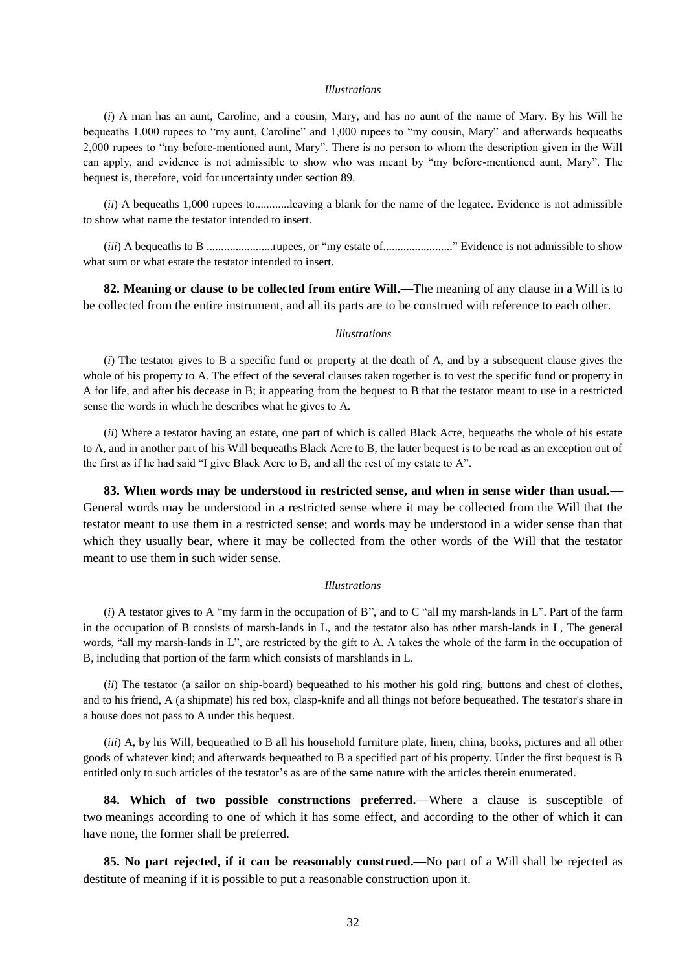#### *Illustrations*

(*i*) A man has an aunt, Caroline, and a cousin, Mary, and has no aunt of the name of Mary. By his Will he bequeaths 1,000 rupees to "my aunt, Caroline" and 1,000 rupees to "my cousin, Mary" and afterwards bequeaths 2,000 rupees to "my before-mentioned aunt, Mary". There is no person to whom the description given in the Will can apply, and evidence is not admissible to show who was meant by "my before-mentioned aunt, Mary". The bequest is, therefore, void for uncertainty under section 89.

(*ii*) A bequeaths 1,000 rupees to............leaving a blank for the name of the legatee. Evidence is not admissible to show what name the testator intended to insert.

(*iii*) A bequeaths to B .......................rupees, or "my estate of........................" Evidence is not admissible to show what sum or what estate the testator intended to insert.

**82. Meaning or clause to be collected from entire Will.—**The meaning of any clause in a Will is to be collected from the entire instrument, and all its parts are to be construed with reference to each other.

# *Illustrations*

(*i*) The testator gives to B a specific fund or property at the death of A, and by a subsequent clause gives the whole of his property to A. The effect of the several clauses taken together is to vest the specific fund or property in A for life, and after his decease in B; it appearing from the bequest to B that the testator meant to use in a restricted sense the words in which he describes what he gives to A.

(*ii*) Where a testator having an estate, one part of which is called Black Acre, bequeaths the whole of his estate to A, and in another part of his Will bequeaths Black Acre to B, the latter bequest is to be read as an exception out of the first as if he had said "I give Black Acre to B, and all the rest of my estate to A".

**83. When words may be understood in restricted sense, and when in sense wider than usual.—** General words may be understood in a restricted sense where it may be collected from the Will that the testator meant to use them in a restricted sense; and words may be understood in a wider sense than that which they usually bear, where it may be collected from the other words of the Will that the testator meant to use them in such wider sense.

### *Illustrations*

(*i*) A testator gives to A "my farm in the occupation of B", and to C "all my marsh-lands in L". Part of the farm in the occupation of B consists of marsh-lands in L, and the testator also has other marsh-lands in L, The general words, "all my marsh-lands in L", are restricted by the gift to A. A takes the whole of the farm in the occupation of B, including that portion of the farm which consists of marshlands in L.

(*ii*) The testator (a sailor on ship-board) bequeathed to his mother his gold ring, buttons and chest of clothes, and to his friend, A (a shipmate) his red box, clasp-knife and all things not before bequeathed. The testator's share in a house does not pass to A under this bequest.

(*iii*) A, by his Will, bequeathed to B all his household furniture plate, linen, china, books, pictures and all other goods of whatever kind; and afterwards bequeathed to B a specified part of his property. Under the first bequest is B entitled only to such articles of the testator's as are of the same nature with the articles therein enumerated.

**84. Which of two possible constructions preferred.—**Where a clause is susceptible of two meanings according to one of which it has some effect, and according to the other of which it can have none, the former shall be preferred.

**85. No part rejected, if it can be reasonably construed.—**No part of a Will shall be rejected as destitute of meaning if it is possible to put a reasonable construction upon it.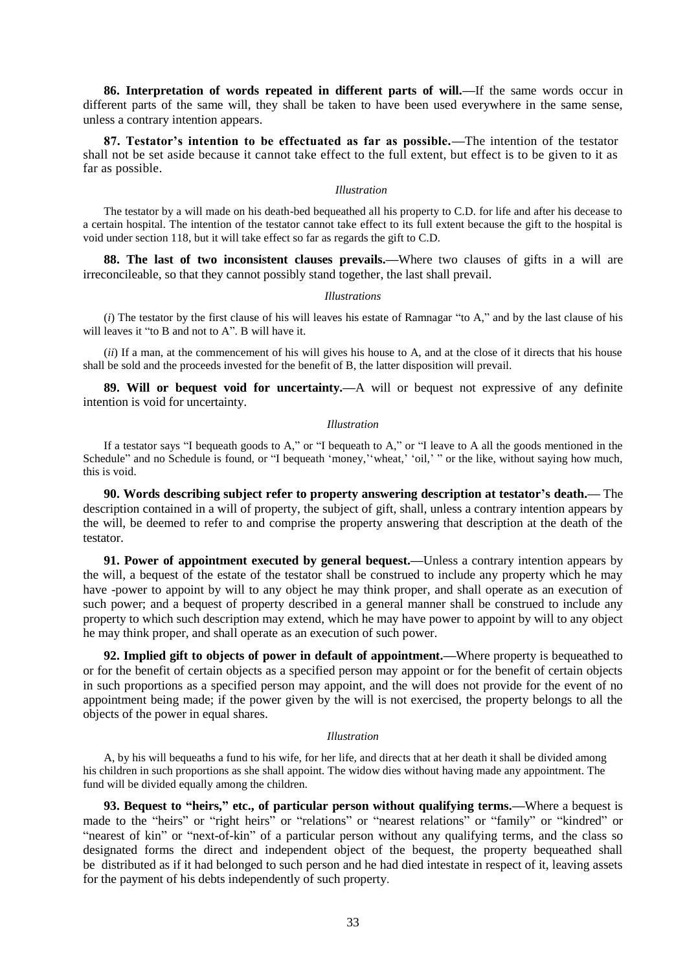**86. Interpretation of words repeated in different parts of will.—**If the same words occur in different parts of the same will, they shall be taken to have been used everywhere in the same sense, unless a contrary intention appears.

**87. Testator's intention to be effectuated as far as possible.—**The intention of the testator shall not be set aside because it cannot take effect to the full extent, but effect is to be given to it as far as possible.

#### *Illustration*

The testator by a will made on his death-bed bequeathed all his property to C.D. for life and after his decease to a certain hospital. The intention of the testator cannot take effect to its full extent because the gift to the hospital is void under section 118, but it will take effect so far as regards the gift to C.D.

**88. The last of two inconsistent clauses prevails.—**Where two clauses of gifts in a will are irreconcileable, so that they cannot possibly stand together, the last shall prevail.

#### *Illustrations*

(*i*) The testator by the first clause of his will leaves his estate of Ramnagar "to A," and by the last clause of his will leaves it "to B and not to A". B will have it.

(*ii*) If a man, at the commencement of his will gives his house to A, and at the close of it directs that his house shall be sold and the proceeds invested for the benefit of B, the latter disposition will prevail.

**89. Will or bequest void for uncertainty.—**A will or bequest not expressive of any definite intention is void for uncertainty.

# *Illustration*

If a testator says "I bequeath goods to A," or "I bequeath to A," or "I leave to A all the goods mentioned in the Schedule" and no Schedule is found, or "I bequeath 'money,' wheat,' 'oil,' " or the like, without saying how much, this is void.

**90. Words describing subject refer to property answering description at testator's death.—** The description contained in a will of property, the subject of gift, shall, unless a contrary intention appears by the will, be deemed to refer to and comprise the property answering that description at the death of the testator.

**91. Power of appointment executed by general bequest.—**Unless a contrary intention appears by the will, a bequest of the estate of the testator shall be construed to include any property which he may have -power to appoint by will to any object he may think proper, and shall operate as an execution of such power; and a bequest of property described in a general manner shall be construed to include any property to which such description may extend, which he may have power to appoint by will to any object he may think proper, and shall operate as an execution of such power.

**92. Implied gift to objects of power in default of appointment.—**Where property is bequeathed to or for the benefit of certain objects as a specified person may appoint or for the benefit of certain objects in such proportions as a specified person may appoint, and the will does not provide for the event of no appointment being made; if the power given by the will is not exercised, the property belongs to all the objects of the power in equal shares.

#### *Illustration*

A, by his will bequeaths a fund to his wife, for her life, and directs that at her death it shall be divided among his children in such proportions as she shall appoint. The widow dies without having made any appointment. The fund will be divided equally among the children.

**93. Bequest to "heirs," etc., of particular person without qualifying terms.—**Where a bequest is made to the "heirs" or "right heirs" or "relations" or "nearest relations" or "family" or "kindred" or "nearest of kin" or "next-of-kin" of a particular person without any qualifying terms, and the class so designated forms the direct and independent object of the bequest, the property bequeathed shall be distributed as if it had belonged to such person and he had died intestate in respect of it, leaving assets for the payment of his debts independently of such property.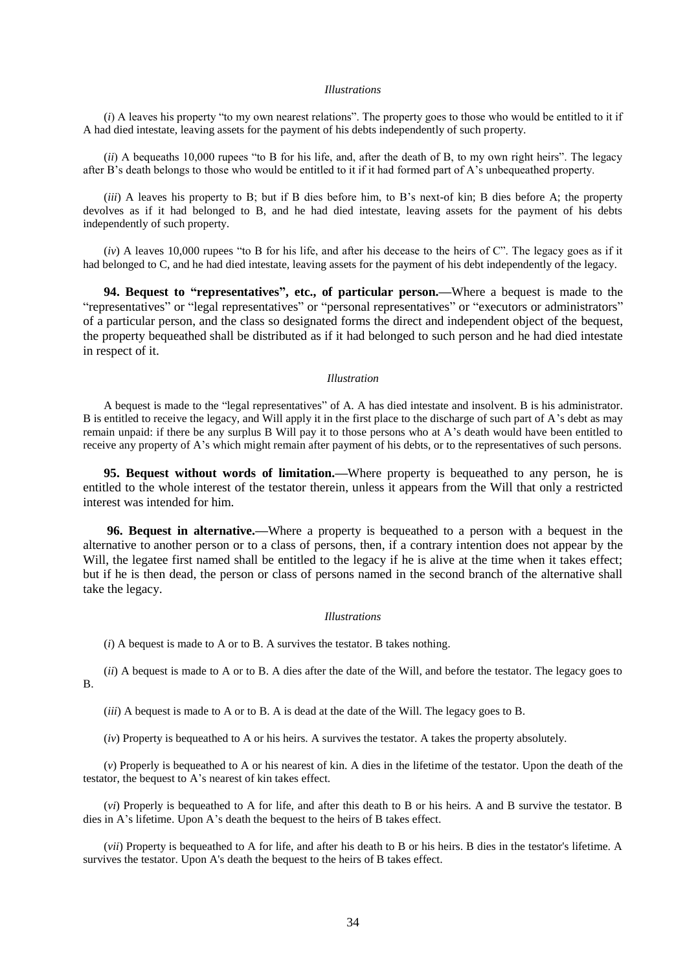#### *Illustrations*

(*i*) A leaves his property "to my own nearest relations". The property goes to those who would be entitled to it if A had died intestate, leaving assets for the payment of his debts independently of such property.

(*ii*) A bequeaths 10,000 rupees "to B for his life, and, after the death of B, to my own right heirs". The legacy after B's death belongs to those who would be entitled to it if it had formed part of A's unbequeathed property.

(*iii*) A leaves his property to B; but if B dies before him, to B's next-of kin; B dies before A; the property devolves as if it had belonged to B, and he had died intestate, leaving assets for the payment of his debts independently of such property.

 $(iv)$  A leaves 10,000 rupees "to B for his life, and after his decease to the heirs of C". The legacy goes as if it had belonged to C, and he had died intestate, leaving assets for the payment of his debt independently of the legacy.

**94. Bequest to "representatives", etc., of particular person.—**Where a bequest is made to the "representatives" or "legal representatives" or "personal representatives" or "executors or administrators" of a particular person, and the class so designated forms the direct and independent object of the bequest, the property bequeathed shall be distributed as if it had belonged to such person and he had died intestate in respect of it.

#### *Illustration*

A bequest is made to the "legal representatives" of A. A has died intestate and insolvent. B is his administrator. B is entitled to receive the legacy, and Will apply it in the first place to the discharge of such part of A's debt as may remain unpaid: if there be any surplus B Will pay it to those persons who at A's death would have been entitled to receive any property of A's which might remain after payment of his debts, or to the representatives of such persons.

**95. Bequest without words of limitation.—**Where property is bequeathed to any person, he is entitled to the whole interest of the testator therein, unless it appears from the Will that only a restricted interest was intended for him.

**96. Bequest in alternative.—**Where a property is bequeathed to a person with a bequest in the alternative to another person or to a class of persons, then, if a contrary intention does not appear by the Will, the legatee first named shall be entitled to the legacy if he is alive at the time when it takes effect; but if he is then dead, the person or class of persons named in the second branch of the alternative shall take the legacy.

#### *Illustrations*

(*i*) A bequest is made to A or to B. A survives the testator. B takes nothing.

(*ii*) A bequest is made to A or to B. A dies after the date of the Will, and before the testator. The legacy goes to B.

(*iii*) A bequest is made to A or to B. A is dead at the date of the Will. The legacy goes to B.

(*iv*) Property is bequeathed to A or his heirs. A survives the testator. A takes the property absolutely.

(*v*) Properly is bequeathed to A or his nearest of kin. A dies in the lifetime of the testator. Upon the death of the testator, the bequest to A's nearest of kin takes effect.

(*vi*) Properly is bequeathed to A for life, and after this death to B or his heirs. A and B survive the testator. B dies in A's lifetime. Upon A's death the bequest to the heirs of B takes effect.

(*vii*) Property is bequeathed to A for life, and after his death to B or his heirs. B dies in the testator's lifetime. A survives the testator. Upon A's death the bequest to the heirs of B takes effect.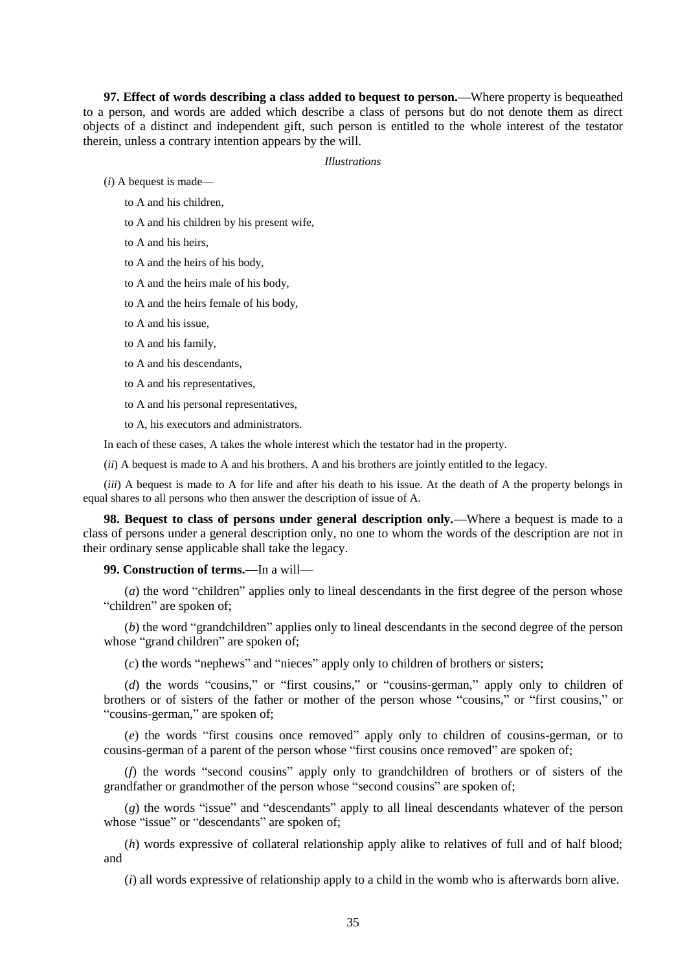**97. Effect of words describing a class added to bequest to person.—**Where property is bequeathed to a person, and words are added which describe a class of persons but do not denote them as direct objects of a distinct and independent gift, such person is entitled to the whole interest of the testator therein, unless a contrary intention appears by the will.

### *Illustrations*

- (*i*) A bequest is made
	- to A and his children,
	- to A and his children by his present wife,
	- to A and his heirs,
	- to A and the heirs of his body,
	- to A and the heirs male of his body,
	- to A and the heirs female of his body,
	- to A and his issue,
	- to A and his family,
	- to A and his descendants,
	- to A and his representatives,
	- to A and his personal representatives,
	- to A, his executors and administrators.

In each of these cases, A takes the whole interest which the testator had in the property.

(*ii*) A bequest is made to A and his brothers. A and his brothers are jointly entitled to the legacy.

(*iii*) A bequest is made to A for life and after his death to his issue. At the death of A the property belongs in equal shares to all persons who then answer the description of issue of A.

**98. Bequest to class of persons under general description only.—**Where a bequest is made to a class of persons under a general description only, no one to whom the words of the description are not in their ordinary sense applicable shall take the legacy.

#### **99. Construction of terms.—**In a will—

(*a*) the word "children" applies only to lineal descendants in the first degree of the person whose "children" are spoken of;

(*b*) the word "grandchildren" applies only to lineal descendants in the second degree of the person whose "grand children" are spoken of;

(*c*) the words "nephews" and "nieces" apply only to children of brothers or sisters;

(*d*) the words "cousins," or "first cousins," or "cousins-german," apply only to children of brothers or of sisters of the father or mother of the person whose "cousins," or "first cousins," or "cousins-german," are spoken of;

(*e*) the words "first cousins once removed" apply only to children of cousins-german, or to cousins-german of a parent of the person whose "first cousins once removed" are spoken of;

(*f*) the words "second cousins" apply only to grandchildren of brothers or of sisters of the grandfather or grandmother of the person whose "second cousins" are spoken of;

(*g*) the words "issue" and "descendants" apply to all lineal descendants whatever of the person whose "issue" or "descendants" are spoken of;

(*h*) words expressive of collateral relationship apply alike to relatives of full and of half blood; and

(*i*) all words expressive of relationship apply to a child in the womb who is afterwards born alive.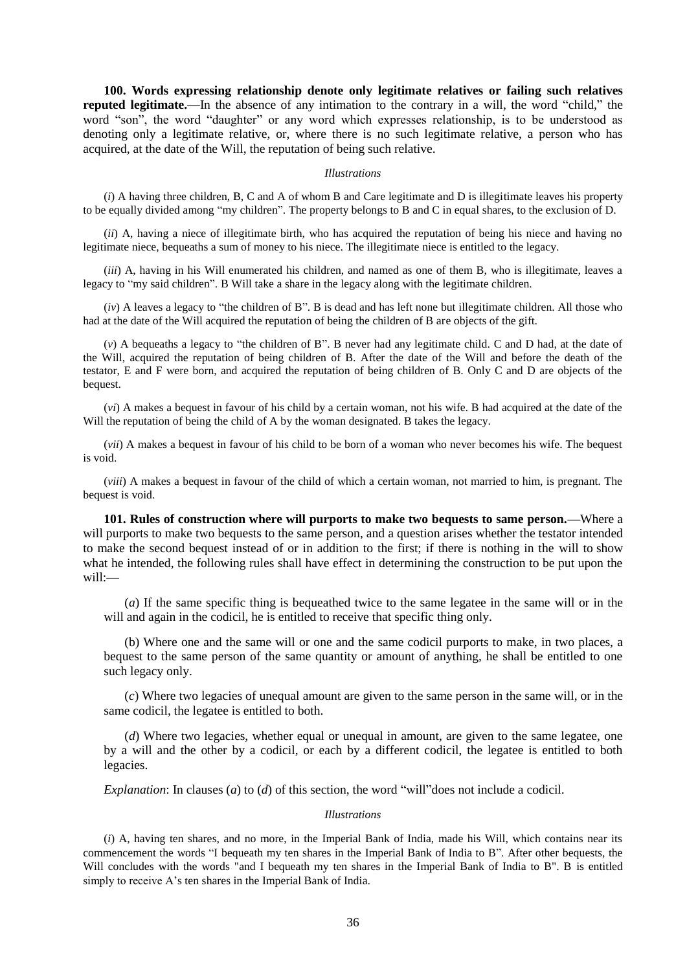**100. Words expressing relationship denote only legitimate relatives or failing such relatives reputed legitimate.—**In the absence of any intimation to the contrary in a will, the word "child," the word "son", the word "daughter" or any word which expresses relationship, is to be understood as denoting only a legitimate relative, or, where there is no such legitimate relative, a person who has acquired, at the date of the Will, the reputation of being such relative.

#### *Illustrations*

(*i*) A having three children, B, C and A of whom B and Care legitimate and D is illegitimate leaves his property to be equally divided among "my children". The property belongs to B and C in equal shares, to the exclusion of D.

(*ii*) A, having a niece of illegitimate birth, who has acquired the reputation of being his niece and having no legitimate niece, bequeaths a sum of money to his niece. The illegitimate niece is entitled to the legacy.

(*iii*) A, having in his Will enumerated his children, and named as one of them B, who is illegitimate, leaves a legacy to "my said children". B Will take a share in the legacy along with the legitimate children.

(*iv*) A leaves a legacy to "the children of B". B is dead and has left none but illegitimate children. All those who had at the date of the Will acquired the reputation of being the children of B are objects of the gift.

(*v*) A bequeaths a legacy to "the children of B". B never had any legitimate child. C and D had, at the date of the Will, acquired the reputation of being children of B. After the date of the Will and before the death of the testator, E and F were born, and acquired the reputation of being children of B. Only C and D are objects of the bequest.

(*vi*) A makes a bequest in favour of his child by a certain woman, not his wife. B had acquired at the date of the Will the reputation of being the child of A by the woman designated. B takes the legacy.

(*vii*) A makes a bequest in favour of his child to be born of a woman who never becomes his wife. The bequest is void.

(*viii*) A makes a bequest in favour of the child of which a certain woman, not married to him, is pregnant. The bequest is void.

**101. Rules of construction where will purports to make two bequests to same person.—**Where a will purports to make two bequests to the same person, and a question arises whether the testator intended to make the second bequest instead of or in addition to the first; if there is nothing in the will to show what he intended, the following rules shall have effect in determining the construction to be put upon the will:—

(*a*) If the same specific thing is bequeathed twice to the same legatee in the same will or in the will and again in the codicil, he is entitled to receive that specific thing only.

(b) Where one and the same will or one and the same codicil purports to make, in two places, a bequest to the same person of the same quantity or amount of anything, he shall be entitled to one such legacy only.

(*c*) Where two legacies of unequal amount are given to the same person in the same will, or in the same codicil, the legatee is entitled to both.

(*d*) Where two legacies, whether equal or unequal in amount, are given to the same legatee, one by a will and the other by a codicil, or each by a different codicil, the legatee is entitled to both legacies.

*Explanation*: In clauses (*a*) to (*d*) of this section, the word "will"does not include a codicil.

#### *Illustrations*

(*i*) A, having ten shares, and no more, in the Imperial Bank of India, made his Will, which contains near its commencement the words "I bequeath my ten shares in the Imperial Bank of India to B". After other bequests, the Will concludes with the words "and I bequeath my ten shares in the Imperial Bank of India to B". B is entitled simply to receive A's ten shares in the Imperial Bank of India.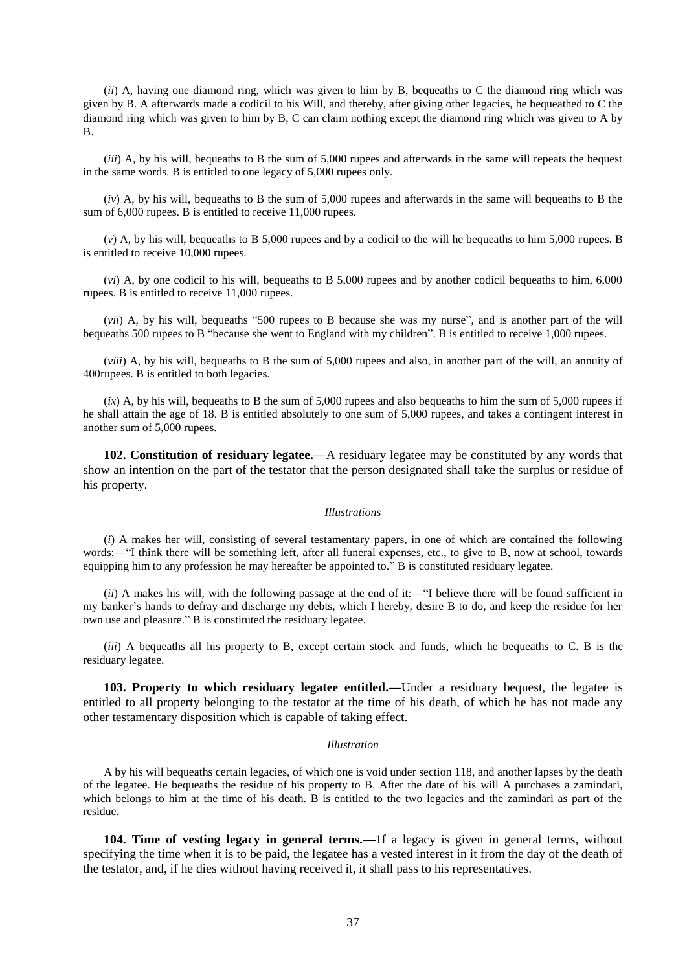(*ii*) A, having one diamond ring, which was given to him by B, bequeaths to C the diamond ring which was given by B. A afterwards made a codicil to his Will, and thereby, after giving other legacies, he bequeathed to C the diamond ring which was given to him by B, C can claim nothing except the diamond ring which was given to A by B.

(*iii*) A, by his will, bequeaths to B the sum of 5,000 rupees and afterwards in the same will repeats the bequest in the same words. B is entitled to one legacy of 5,000 rupees only.

(*iv*) A, by his will, bequeaths to B the sum of 5,000 rupees and afterwards in the same will bequeaths to B the sum of 6,000 rupees. B is entitled to receive 11,000 rupees.

(*v*) A, by his will, bequeaths to B 5,000 rupees and by a codicil to the will he bequeaths to him 5,000 rupees. B is entitled to receive 10,000 rupees.

(*vi*) A, by one codicil to his will, bequeaths to B 5,000 rupees and by another codicil bequeaths to him, 6,000 rupees. B is entitled to receive 11,000 rupees.

(*vii*) A, by his will, bequeaths "500 rupees to B because she was my nurse", and is another part of the will bequeaths 500 rupees to B "because she went to England with my children". B is entitled to receive 1,000 rupees.

(*viii*) A, by his will, bequeaths to B the sum of 5,000 rupees and also, in another part of the will, an annuity of 400rupees. B is entitled to both legacies.

(*ix*) A, by his will, bequeaths to B the sum of 5,000 rupees and also bequeaths to him the sum of 5,000 rupees if he shall attain the age of 18. B is entitled absolutely to one sum of 5,000 rupees, and takes a contingent interest in another sum of 5,000 rupees.

**102. Constitution of residuary legatee.—**A residuary legatee may be constituted by any words that show an intention on the part of the testator that the person designated shall take the surplus or residue of his property.

### *Illustrations*

(*i*) A makes her will, consisting of several testamentary papers, in one of which are contained the following words:—"I think there will be something left, after all funeral expenses, etc., to give to B, now at school, towards equipping him to any profession he may hereafter be appointed to." B is constituted residuary legatee.

(*ii*) A makes his will, with the following passage at the end of it:—"I believe there will be found sufficient in my banker's hands to defray and discharge my debts, which I hereby, desire B to do, and keep the residue for her own use and pleasure." B is constituted the residuary legatee.

(*iii*) A bequeaths all his property to B, except certain stock and funds, which he bequeaths to C. B is the residuary legatee.

**103. Property to which residuary legatee entitled.—**Under a residuary bequest, the legatee is entitled to all property belonging to the testator at the time of his death, of which he has not made any other testamentary disposition which is capable of taking effect.

### *Illustration*

A by his will bequeaths certain legacies, of which one is void under section 118, and another lapses by the death of the legatee. He bequeaths the residue of his property to B. After the date of his will A purchases a zamindari, which belongs to him at the time of his death. B is entitled to the two legacies and the zamindari as part of the residue.

**104. Time of vesting legacy in general terms.—**1f a legacy is given in general terms, without specifying the time when it is to be paid, the legatee has a vested interest in it from the day of the death of the testator, and, if he dies without having received it, it shall pass to his representatives.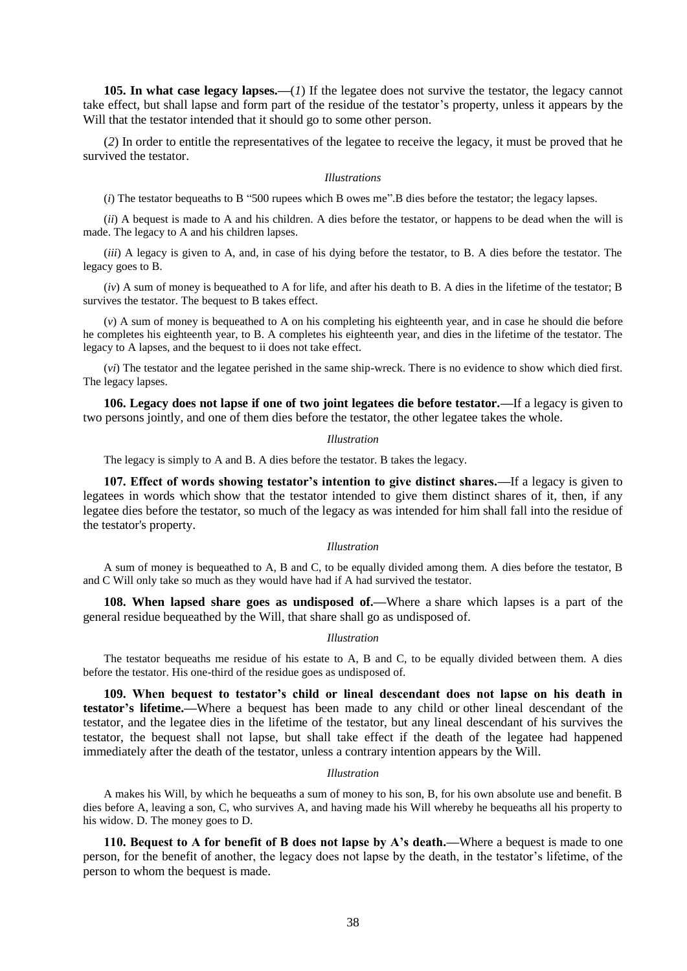**105. In what case legacy lapses.—**(*1*) If the legatee does not survive the testator, the legacy cannot take effect, but shall lapse and form part of the residue of the testator's property, unless it appears by the Will that the testator intended that it should go to some other person.

(*2*) In order to entitle the representatives of the legatee to receive the legacy, it must be proved that he survived the testator.

#### *Illustrations*

(*i*) The testator bequeaths to B "500 rupees which B owes me".B dies before the testator; the legacy lapses.

(*ii*) A bequest is made to A and his children. A dies before the testator, or happens to be dead when the will is made. The legacy to A and his children lapses.

(*iii*) A legacy is given to A, and, in case of his dying before the testator, to B. A dies before the testator. The legacy goes to B.

(*iv*) A sum of money is bequeathed to A for life, and after his death to B. A dies in the lifetime of the testator; B survives the testator. The bequest to B takes effect.

(*v*) A sum of money is bequeathed to A on his completing his eighteenth year, and in case he should die before he completes his eighteenth year, to B. A completes his eighteenth year, and dies in the lifetime of the testator. The legacy to A lapses, and the bequest to ii does not take effect.

(*vi*) The testator and the legatee perished in the same ship-wreck. There is no evidence to show which died first. The legacy lapses.

**106. Legacy does not lapse if one of two joint legatees die before testator.—**If a legacy is given to two persons jointly, and one of them dies before the testator, the other legatee takes the whole.

#### *Illustration*

The legacy is simply to A and B. A dies before the testator. B takes the legacy.

**107. Effect of words showing testator's intention to give distinct shares.—**If a legacy is given to legatees in words which show that the testator intended to give them distinct shares of it, then, if any legatee dies before the testator, so much of the legacy as was intended for him shall fall into the residue of the testator's property.

#### *Illustration*

A sum of money is bequeathed to A, B and C, to be equally divided among them. A dies before the testator, B and C Will only take so much as they would have had if A had survived the testator.

**108. When lapsed share goes as undisposed of.—**Where a share which lapses is a part of the general residue bequeathed by the Will, that share shall go as undisposed of.

### *Illustration*

The testator bequeaths me residue of his estate to A, B and C, to be equally divided between them. A dies before the testator. His one-third of the residue goes as undisposed of.

**109. When bequest to testator's child or lineal descendant does not lapse on his death in testator's lifetime.—**Where a bequest has been made to any child or other lineal descendant of the testator, and the legatee dies in the lifetime of the testator, but any lineal descendant of his survives the testator, the bequest shall not lapse, but shall take effect if the death of the legatee had happened immediately after the death of the testator, unless a contrary intention appears by the Will.

### *Illustration*

A makes his Will, by which he bequeaths a sum of money to his son, B, for his own absolute use and benefit. B dies before A, leaving a son, C, who survives A, and having made his Will whereby he bequeaths all his property to his widow. D. The money goes to D.

**110. Bequest to A for benefit of B does not lapse by A's death.—**Where a bequest is made to one person, for the benefit of another, the legacy does not lapse by the death, in the testator's lifetime, of the person to whom the bequest is made.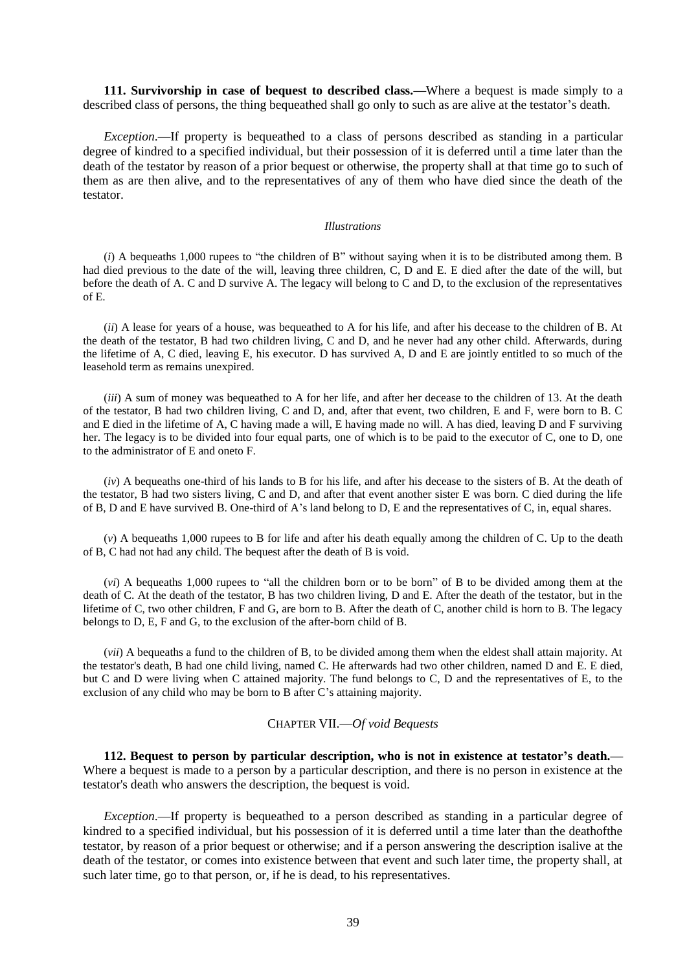**111. Survivorship in case of bequest to described class.—**Where a bequest is made simply to a described class of persons, the thing bequeathed shall go only to such as are alive at the testator's death.

*Exception*.—If property is bequeathed to a class of persons described as standing in a particular degree of kindred to a specified individual, but their possession of it is deferred until a time later than the death of the testator by reason of a prior bequest or otherwise, the property shall at that time go to such of them as are then alive, and to the representatives of any of them who have died since the death of the testator.

### *Illustrations*

(*i*) A bequeaths 1,000 rupees to "the children of B" without saying when it is to be distributed among them. B had died previous to the date of the will, leaving three children, C, D and E. E died after the date of the will, but before the death of A. C and D survive A. The legacy will belong to C and D, to the exclusion of the representatives of E.

(*ii*) A lease for years of a house, was bequeathed to A for his life, and after his decease to the children of B. At the death of the testator, B had two children living, C and D, and he never had any other child. Afterwards, during the lifetime of A, C died, leaving E, his executor. D has survived A, D and E are jointly entitled to so much of the leasehold term as remains unexpired.

(*iii*) A sum of money was bequeathed to A for her life, and after her decease to the children of 13. At the death of the testator, B had two children living, C and D, and, after that event, two children, E and F, were born to B. C and E died in the lifetime of A, C having made a will, E having made no will. A has died, leaving D and F surviving her. The legacy is to be divided into four equal parts, one of which is to be paid to the executor of C, one to D, one to the administrator of E and oneto F.

(*iv*) A bequeaths one-third of his lands to B for his life, and after his decease to the sisters of B. At the death of the testator, B had two sisters living, C and D, and after that event another sister E was born. C died during the life of B, D and E have survived B. One-third of A's land belong to D, E and the representatives of C, in, equal shares.

(*v*) A bequeaths 1,000 rupees to B for life and after his death equally among the children of C. Up to the death of B, C had not had any child. The bequest after the death of B is void.

(*vi*) A bequeaths 1,000 rupees to "all the children born or to be born" of B to be divided among them at the death of C. At the death of the testator, B has two children living, D and E. After the death of the testator, but in the lifetime of C, two other children, F and G, are born to B. After the death of C, another child is horn to B. The legacy belongs to D, E, F and G, to the exclusion of the after-born child of B.

(*vii*) A bequeaths a fund to the children of B, to be divided among them when the eldest shall attain majority. At the testator's death, B had one child living, named C. He afterwards had two other children, named D and E. E died, but C and D were living when C attained majority. The fund belongs to C, D and the representatives of E, to the exclusion of any child who may be born to B after C's attaining majority.

# CHAPTER VII.—*Of void Bequests*

**112. Bequest to person by particular description, who is not in existence at testator's death.—** Where a bequest is made to a person by a particular description, and there is no person in existence at the testator's death who answers the description, the bequest is void.

*Exception*.—If property is bequeathed to a person described as standing in a particular degree of kindred to a specified individual, but his possession of it is deferred until a time later than the deathofthe testator, by reason of a prior bequest or otherwise; and if a person answering the description isalive at the death of the testator, or comes into existence between that event and such later time, the property shall, at such later time, go to that person, or, if he is dead, to his representatives.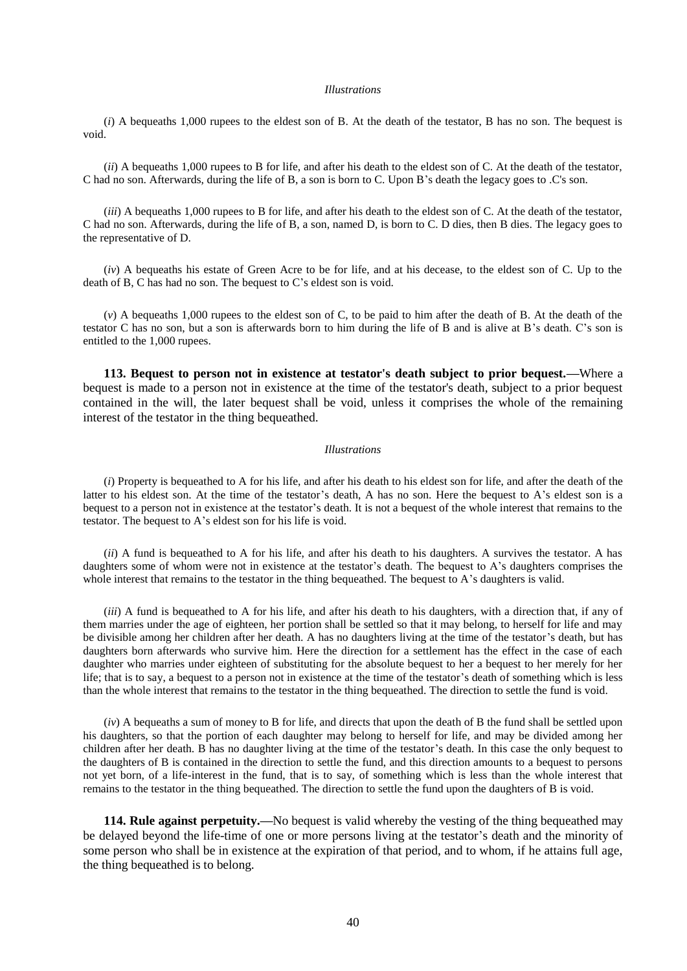(*i*) A bequeaths 1,000 rupees to the eldest son of B. At the death of the testator, B has no son. The bequest is void.

(*ii*) A bequeaths 1,000 rupees to B for life, and after his death to the eldest son of C. At the death of the testator, C had no son. Afterwards, during the life of B, a son is born to C. Upon B's death the legacy goes to .C's son.

(*iii*) A bequeaths 1,000 rupees to B for life, and after his death to the eldest son of C. At the death of the testator, C had no son. Afterwards, during the life of B, a son, named D, is born to C. D dies, then B dies. The legacy goes to the representative of D.

(*iv*) A bequeaths his estate of Green Acre to be for life, and at his decease, to the eldest son of C. Up to the death of B, C has had no son. The bequest to C's eldest son is void.

(*v*) A bequeaths 1,000 rupees to the eldest son of C, to be paid to him after the death of B. At the death of the testator C has no son, but a son is afterwards born to him during the life of B and is alive at B's death. C's son is entitled to the 1,000 rupees.

**113. Bequest to person not in existence at testator's death subject to prior bequest.—**Where a bequest is made to a person not in existence at the time of the testator's death, subject to a prior bequest contained in the will, the later bequest shall be void, unless it comprises the whole of the remaining interest of the testator in the thing bequeathed.

#### *Illustrations*

(*i*) Property is bequeathed to A for his life, and after his death to his eldest son for life, and after the death of the latter to his eldest son. At the time of the testator's death, A has no son. Here the bequest to A's eldest son is a bequest to a person not in existence at the testator's death. It is not a bequest of the whole interest that remains to the testator. The bequest to A's eldest son for his life is void.

(*ii*) A fund is bequeathed to A for his life, and after his death to his daughters. A survives the testator. A has daughters some of whom were not in existence at the testator's death. The bequest to A's daughters comprises the whole interest that remains to the testator in the thing bequeathed. The bequest to A's daughters is valid.

(*iii*) A fund is bequeathed to A for his life, and after his death to his daughters, with a direction that, if any of them marries under the age of eighteen, her portion shall be settled so that it may belong, to herself for life and may be divisible among her children after her death. A has no daughters living at the time of the testator's death, but has daughters born afterwards who survive him. Here the direction for a settlement has the effect in the case of each daughter who marries under eighteen of substituting for the absolute bequest to her a bequest to her merely for her life; that is to say, a bequest to a person not in existence at the time of the testator's death of something which is less than the whole interest that remains to the testator in the thing bequeathed. The direction to settle the fund is void.

(*iv*) A bequeaths a sum of money to B for life, and directs that upon the death of B the fund shall be settled upon his daughters, so that the portion of each daughter may belong to herself for life, and may be divided among her children after her death. B has no daughter living at the time of the testator's death. In this case the only bequest to the daughters of B is contained in the direction to settle the fund, and this direction amounts to a bequest to persons not yet born, of a life-interest in the fund, that is to say, of something which is less than the whole interest that remains to the testator in the thing bequeathed. The direction to settle the fund upon the daughters of B is void.

**114. Rule against perpetuity.—**No bequest is valid whereby the vesting of the thing bequeathed may be delayed beyond the life-time of one or more persons living at the testator's death and the minority of some person who shall be in existence at the expiration of that period, and to whom, if he attains full age, the thing bequeathed is to belong.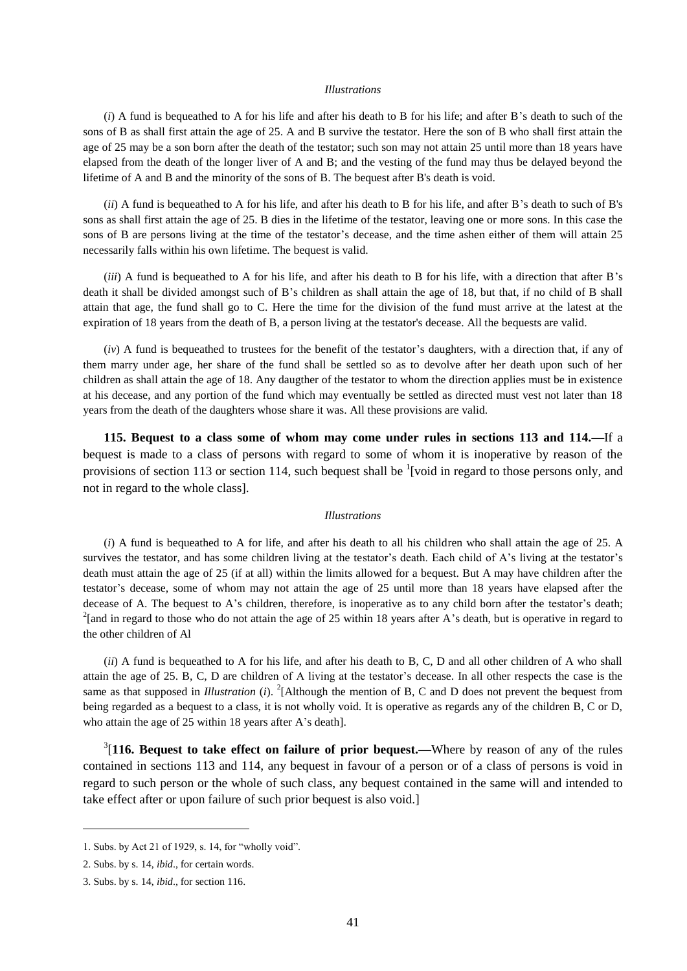(*i*) A fund is bequeathed to A for his life and after his death to B for his life; and after B's death to such of the sons of B as shall first attain the age of 25. A and B survive the testator. Here the son of B who shall first attain the age of 25 may be a son born after the death of the testator; such son may not attain 25 until more than 18 years have elapsed from the death of the longer liver of A and B; and the vesting of the fund may thus be delayed beyond the lifetime of A and B and the minority of the sons of B. The bequest after B's death is void.

(*ii*) A fund is bequeathed to A for his life, and after his death to B for his life, and after B's death to such of B's sons as shall first attain the age of 25. B dies in the lifetime of the testator, leaving one or more sons. In this case the sons of B are persons living at the time of the testator's decease, and the time ashen either of them will attain 25 necessarily falls within his own lifetime. The bequest is valid.

(*iii*) A fund is bequeathed to A for his life, and after his death to B for his life, with a direction that after B's death it shall be divided amongst such of B's children as shall attain the age of 18, but that, if no child of B shall attain that age, the fund shall go to C. Here the time for the division of the fund must arrive at the latest at the expiration of 18 years from the death of B, a person living at the testator's decease. All the bequests are valid.

(*iv*) A fund is bequeathed to trustees for the benefit of the testator's daughters, with a direction that, if any of them marry under age, her share of the fund shall be settled so as to devolve after her death upon such of her children as shall attain the age of 18. Any daugther of the testator to whom the direction applies must be in existence at his decease, and any portion of the fund which may eventually be settled as directed must vest not later than 18 years from the death of the daughters whose share it was. All these provisions are valid.

**115. Bequest to a class some of whom may come under rules in sections 113 and 114.—**If a bequest is made to a class of persons with regard to some of whom it is inoperative by reason of the provisions of section 113 or section 114, such bequest shall be  $\frac{1}{1}$  [void in regard to those persons only, and not in regard to the whole class].

### *Illustrations*

(*i*) A fund is bequeathed to A for life, and after his death to all his children who shall attain the age of 25. A survives the testator, and has some children living at the testator's death. Each child of A's living at the testator's death must attain the age of 25 (if at all) within the limits allowed for a bequest. But A may have children after the testator's decease, some of whom may not attain the age of 25 until more than 18 years have elapsed after the decease of A. The bequest to A's children, therefore, is inoperative as to any child born after the testator's death;  $2$ [and in regard to those who do not attain the age of 25 within 18 years after A's death, but is operative in regard to the other children of Al

(*ii*) A fund is bequeathed to A for his life, and after his death to B, C, D and all other children of A who shall attain the age of 25. B, C, D are children of A living at the testator's decease. In all other respects the case is the same as that supposed in *Illustration* (*i*). <sup>2</sup>[Although the mention of B, C and D does not prevent the bequest from being regarded as a bequest to a class, it is not wholly void. It is operative as regards any of the children B, C or D, who attain the age of 25 within 18 years after A's death].

<sup>3</sup>[116. Bequest to take effect on failure of prior bequest.—Where by reason of any of the rules contained in sections 113 and 114, any bequest in favour of a person or of a class of persons is void in regard to such person or the whole of such class, any bequest contained in the same will and intended to take effect after or upon failure of such prior bequest is also void.]

1

<sup>1.</sup> Subs. by Act 21 of 1929, s. 14, for "wholly void".

<sup>2.</sup> Subs. by s. 14, *ibid*., for certain words.

<sup>3.</sup> Subs. by s. 14, *ibid*., for section 116.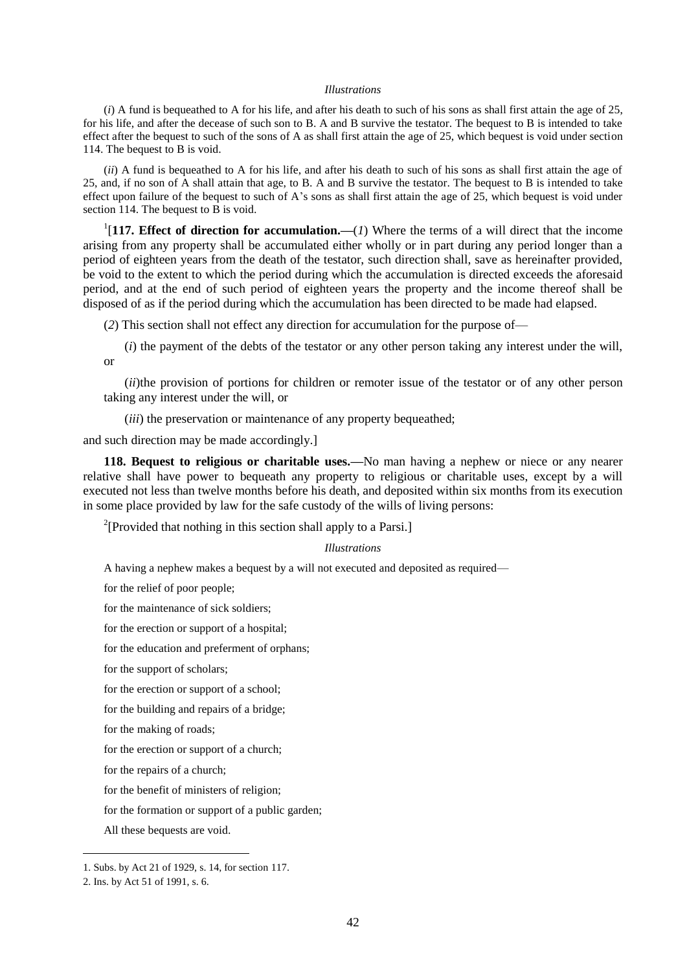(*i*) A fund is bequeathed to A for his life, and after his death to such of his sons as shall first attain the age of 25, for his life, and after the decease of such son to B. A and B survive the testator. The bequest to B is intended to take effect after the bequest to such of the sons of A as shall first attain the age of 25, which bequest is void under section 114. The bequest to B is void.

(*ii*) A fund is bequeathed to A for his life, and after his death to such of his sons as shall first attain the age of 25, and, if no son of A shall attain that age, to B. A and B survive the testator. The bequest to B is intended to take effect upon failure of the bequest to such of A's sons as shall first attain the age of 25, which bequest is void under section 114. The bequest to B is void.

<sup>1</sup>[117. Effect of direction for accumulation.—(*1*) Where the terms of a will direct that the income arising from any property shall be accumulated either wholly or in part during any period longer than a period of eighteen years from the death of the testator, such direction shall, save as hereinafter provided, be void to the extent to which the period during which the accumulation is directed exceeds the aforesaid period, and at the end of such period of eighteen years the property and the income thereof shall be disposed of as if the period during which the accumulation has been directed to be made had elapsed.

(*2*) This section shall not effect any direction for accumulation for the purpose of—

(*i*) the payment of the debts of the testator or any other person taking any interest under the will, or

(*ii*)the provision of portions for children or remoter issue of the testator or of any other person taking any interest under the will, or

(*iii*) the preservation or maintenance of any property bequeathed;

and such direction may be made accordingly.]

**118. Bequest to religious or charitable uses.—**No man having a nephew or niece or any nearer relative shall have power to bequeath any property to religious or charitable uses, except by a will executed not less than twelve months before his death, and deposited within six months from its execution in some place provided by law for the safe custody of the wills of living persons:

<sup>2</sup>[Provided that nothing in this section shall apply to a Parsi.]

*Illustrations*

A having a nephew makes a bequest by a will not executed and deposited as required—

for the relief of poor people;

for the maintenance of sick soldiers;

for the erection or support of a hospital;

for the education and preferment of orphans;

for the support of scholars;

for the erection or support of a school;

for the building and repairs of a bridge;

for the making of roads;

for the erection or support of a church;

for the repairs of a church;

for the benefit of ministers of religion;

for the formation or support of a public garden;

All these bequests are void.

-

<sup>1.</sup> Subs. by Act 21 of 1929, s. 14, for section 117.

<sup>2.</sup> Ins. by Act 51 of 1991, s. 6.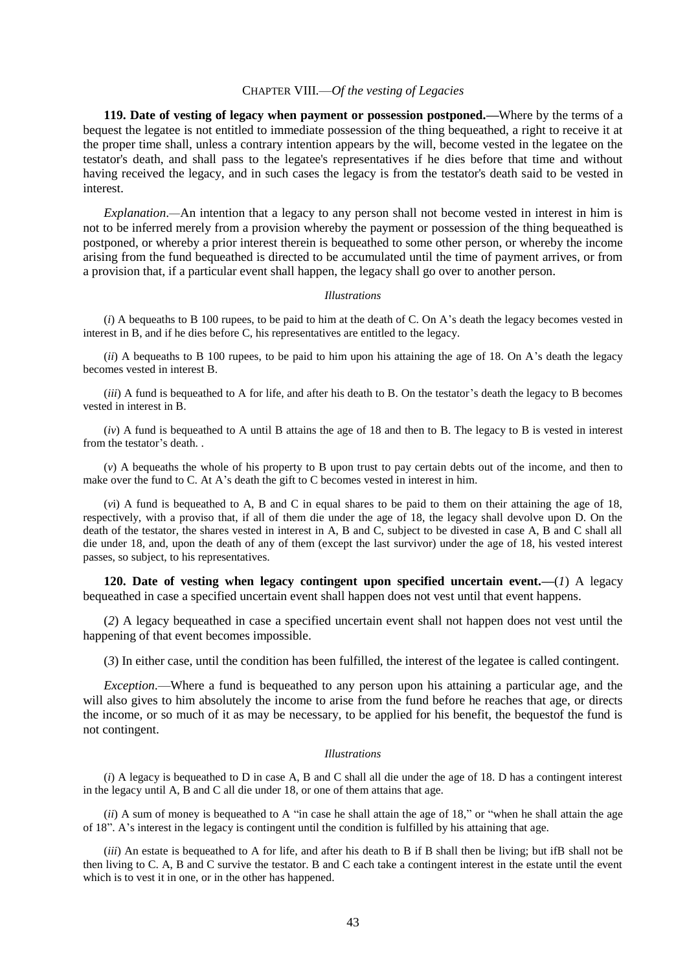# CHAPTER VIII.—*Of the vesting of Legacies*

**119. Date of vesting of legacy when payment or possession postponed.—**Where by the terms of a bequest the legatee is not entitled to immediate possession of the thing bequeathed, a right to receive it at the proper time shall, unless a contrary intention appears by the will, become vested in the legatee on the testator's death, and shall pass to the legatee's representatives if he dies before that time and without having received the legacy, and in such cases the legacy is from the testator's death said to be vested in interest.

*Explanation*.*—*An intention that a legacy to any person shall not become vested in interest in him is not to be inferred merely from a provision whereby the payment or possession of the thing bequeathed is postponed, or whereby a prior interest therein is bequeathed to some other person, or whereby the income arising from the fund bequeathed is directed to be accumulated until the time of payment arrives, or from a provision that, if a particular event shall happen, the legacy shall go over to another person.

# *Illustrations*

(*i*) A bequeaths to B 100 rupees, to be paid to him at the death of C. On A's death the legacy becomes vested in interest in B, and if he dies before C, his representatives are entitled to the legacy.

(*ii*) A bequeaths to B 100 rupees, to be paid to him upon his attaining the age of 18. On A's death the legacy becomes vested in interest B.

(*iii*) A fund is bequeathed to A for life, and after his death to B. On the testator's death the legacy to B becomes vested in interest in B.

(*iv*) A fund is bequeathed to A until B attains the age of 18 and then to B. The legacy to B is vested in interest from the testator's death. .

(*v*) A bequeaths the whole of his property to B upon trust to pay certain debts out of the income, and then to make over the fund to C. At A's death the gift to C becomes vested in interest in him.

(*v*i) A fund is bequeathed to A, B and C in equal shares to be paid to them on their attaining the age of 18, respectively, with a proviso that, if all of them die under the age of 18, the legacy shall devolve upon D. On the death of the testator, the shares vested in interest in A, B and C, subject to be divested in case A, B and C shall all die under 18, and, upon the death of any of them (except the last survivor) under the age of 18, his vested interest passes, so subject, to his representatives.

**120. Date of vesting when legacy contingent upon specified uncertain event.**—(*1*) A legacy bequeathed in case a specified uncertain event shall happen does not vest until that event happens.

(*2*) A legacy bequeathed in case a specified uncertain event shall not happen does not vest until the happening of that event becomes impossible.

(*3*) In either case, until the condition has been fulfilled, the interest of the legatee is called contingent.

*Exception*.—Where a fund is bequeathed to any person upon his attaining a particular age, and the will also gives to him absolutely the income to arise from the fund before he reaches that age, or directs the income, or so much of it as may be necessary, to be applied for his benefit, the bequestof the fund is not contingent.

### *Illustrations*

(*i*) A legacy is bequeathed to D in case A, B and C shall all die under the age of 18. D has a contingent interest in the legacy until A, B and C all die under 18, or one of them attains that age.

(*ii*) A sum of money is bequeathed to A "in case he shall attain the age of 18," or "when he shall attain the age of 18". A's interest in the legacy is contingent until the condition is fulfilled by his attaining that age.

(*iii*) An estate is bequeathed to A for life, and after his death to B if B shall then be living; but ifB shall not be then living to C. A, B and C survive the testator. B and C each take a contingent interest in the estate until the event which is to vest it in one, or in the other has happened.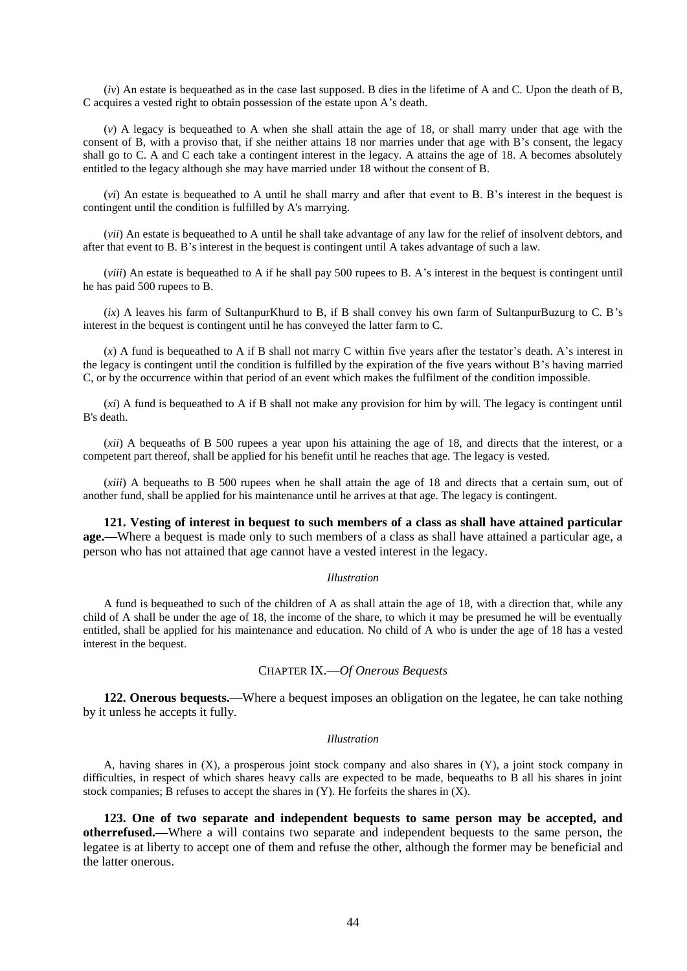(*iv*) An estate is bequeathed as in the case last supposed. B dies in the lifetime of A and C. Upon the death of B, C acquires a vested right to obtain possession of the estate upon A's death.

(*v*) A legacy is bequeathed to A when she shall attain the age of 18, or shall marry under that age with the consent of B, with a proviso that, if she neither attains 18 nor marries under that age with B's consent, the legacy shall go to C. A and C each take a contingent interest in the legacy. A attains the age of 18. A becomes absolutely entitled to the legacy although she may have married under 18 without the consent of B.

(*vi*) An estate is bequeathed to A until he shall marry and after that event to B. B's interest in the bequest is contingent until the condition is fulfilled by A's marrying.

(*vii*) An estate is bequeathed to A until he shall take advantage of any law for the relief of insolvent debtors, and after that event to B. B's interest in the bequest is contingent until A takes advantage of such a law.

(*viii*) An estate is bequeathed to A if he shall pay 500 rupees to B. A's interest in the bequest is contingent until he has paid 500 rupees to B.

(*ix*) A leaves his farm of SultanpurKhurd to B, if B shall convey his own farm of SultanpurBuzurg to C. B's interest in the bequest is contingent until he has conveyed the latter farm to C.

(*x*) A fund is bequeathed to A if B shall not marry C within five years after the testator's death. A's interest in the legacy is contingent until the condition is fulfilled by the expiration of the five years without B's having married C, or by the occurrence within that period of an event which makes the fulfilment of the condition impossible.

(*xi*) A fund is bequeathed to A if B shall not make any provision for him by will. The legacy is contingent until B's death.

(*xii*) A bequeaths of B 500 rupees a year upon his attaining the age of 18, and directs that the interest, or a competent part thereof, shall be applied for his benefit until he reaches that age. The legacy is vested.

(*xiii*) A bequeaths to B 500 rupees when he shall attain the age of 18 and directs that a certain sum, out of another fund, shall be applied for his maintenance until he arrives at that age. The legacy is contingent.

**121. Vesting of interest in bequest to such members of a class as shall have attained particular age.—**Where a bequest is made only to such members of a class as shall have attained a particular age, a person who has not attained that age cannot have a vested interest in the legacy.

#### *Illustration*

A fund is bequeathed to such of the children of A as shall attain the age of 18, with a direction that, while any child of A shall be under the age of 18, the income of the share, to which it may be presumed he will be eventually entitled, shall be applied for his maintenance and education. No child of A who is under the age of 18 has a vested interest in the bequest.

# CHAPTER IX.—*Of Onerous Bequests*

**122. Onerous bequests.—**Where a bequest imposes an obligation on the legatee, he can take nothing by it unless he accepts it fully.

### *Illustration*

A, having shares in (X), a prosperous joint stock company and also shares in (Y), a joint stock company in difficulties, in respect of which shares heavy calls are expected to be made, bequeaths to B all his shares in joint stock companies; B refuses to accept the shares in (Y). He forfeits the shares in (X).

**123. One of two separate and independent bequests to same person may be accepted, and otherrefused.—**Where a will contains two separate and independent bequests to the same person, the legatee is at liberty to accept one of them and refuse the other, although the former may be beneficial and the latter onerous.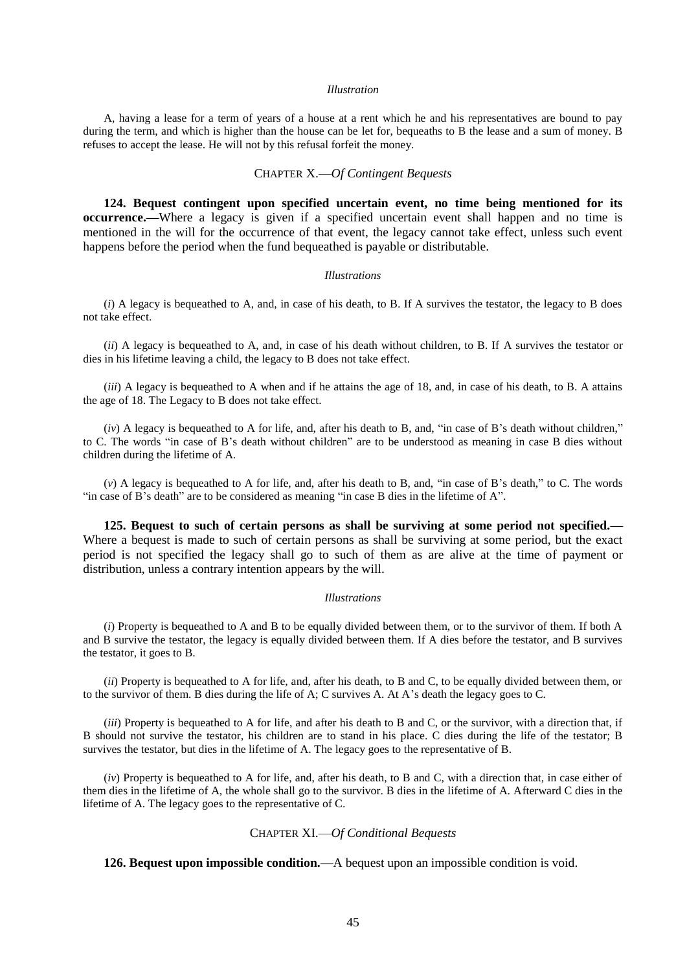A, having a lease for a term of years of a house at a rent which he and his representatives are bound to pay during the term, and which is higher than the house can be let for, bequeaths to B the lease and a sum of money. B refuses to accept the lease. He will not by this refusal forfeit the money.

# CHAPTER X.—*Of Contingent Bequests*

**124. Bequest contingent upon specified uncertain event, no time being mentioned for its occurrence.—**Where a legacy is given if a specified uncertain event shall happen and no time is mentioned in the will for the occurrence of that event, the legacy cannot take effect, unless such event happens before the period when the fund bequeathed is payable or distributable.

#### *Illustrations*

(*i*) A legacy is bequeathed to A, and, in case of his death, to B. If A survives the testator, the legacy to B does not take effect.

(*ii*) A legacy is bequeathed to A, and, in case of his death without children, to B. If A survives the testator or dies in his lifetime leaving a child, the legacy to B does not take effect.

(*iii*) A legacy is bequeathed to A when and if he attains the age of 18, and, in case of his death, to B. A attains the age of 18. The Legacy to B does not take effect.

(*iv*) A legacy is bequeathed to A for life, and, after his death to B, and, "in case of B's death without children," to C. The words "in case of B's death without children" are to be understood as meaning in case B dies without children during the lifetime of A.

(*v*) A legacy is bequeathed to A for life, and, after his death to B, and, "in case of B's death," to C. The words "in case of B's death" are to be considered as meaning "in case B dies in the lifetime of A".

**125. Bequest to such of certain persons as shall be surviving at some period not specified.—** Where a bequest is made to such of certain persons as shall be surviving at some period, but the exact period is not specified the legacy shall go to such of them as are alive at the time of payment or distribution, unless a contrary intention appears by the will.

### *Illustrations*

(*i*) Property is bequeathed to A and B to be equally divided between them, or to the survivor of them. If both A and B survive the testator, the legacy is equally divided between them. If A dies before the testator, and B survives the testator, it goes to B.

(*ii*) Property is bequeathed to A for life, and, after his death, to B and C, to be equally divided between them, or to the survivor of them. B dies during the life of A; C survives A. At A's death the legacy goes to C.

(*iii*) Property is bequeathed to A for life, and after his death to B and C, or the survivor, with a direction that, if B should not survive the testator, his children are to stand in his place. C dies during the life of the testator; B survives the testator, but dies in the lifetime of A. The legacy goes to the representative of B.

(*iv*) Property is bequeathed to A for life, and, after his death, to B and C, with a direction that, in case either of them dies in the lifetime of A, the whole shall go to the survivor. B dies in the lifetime of A. Afterward C dies in the lifetime of A. The legacy goes to the representative of C.

# CHAPTER XI.—*Of Conditional Bequests*

**126. Bequest upon impossible condition.—**A bequest upon an impossible condition is void.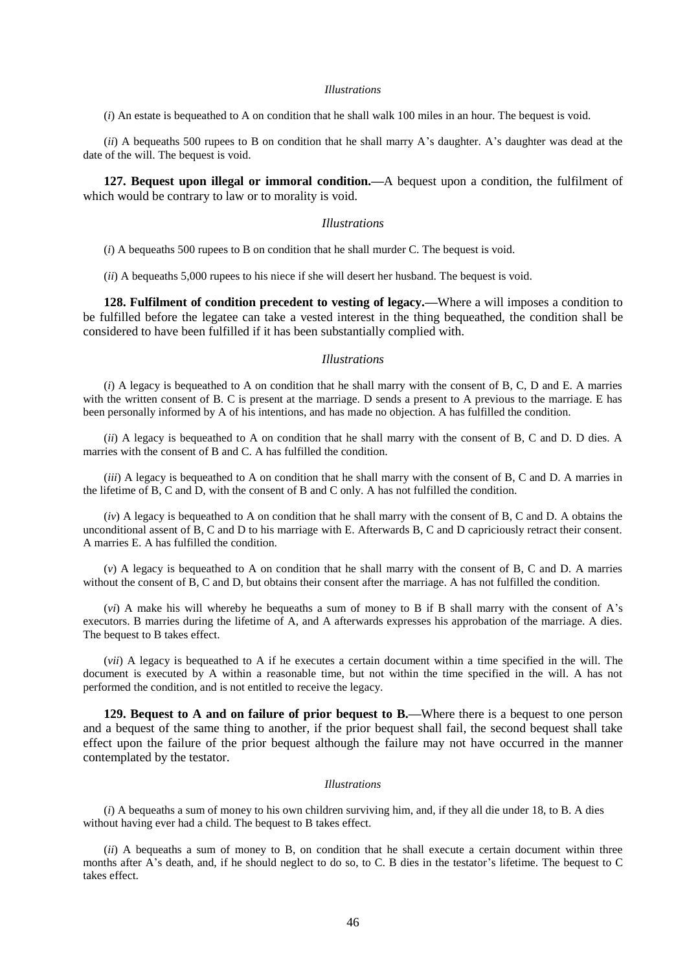(*i*) An estate is bequeathed to A on condition that he shall walk 100 miles in an hour. The bequest is void.

(*ii*) A bequeaths 500 rupees to B on condition that he shall marry A's daughter. A's daughter was dead at the date of the will. The bequest is void.

**127. Bequest upon illegal or immoral condition.—**A bequest upon a condition, the fulfilment of which would be contrary to law or to morality is void.

### *Illustrations*

(*i*) A bequeaths 500 rupees to B on condition that he shall murder C. The bequest is void.

(*ii*) A bequeaths 5,000 rupees to his niece if she will desert her husband. The bequest is void.

**128. Fulfilment of condition precedent to vesting of legacy.—**Where a will imposes a condition to be fulfilled before the legatee can take a vested interest in the thing bequeathed, the condition shall be considered to have been fulfilled if it has been substantially complied with.

### *Illustrations*

(*i*) A legacy is bequeathed to A on condition that he shall marry with the consent of B, C, D and E. A marries with the written consent of B. C is present at the marriage. D sends a present to A previous to the marriage. E has been personally informed by A of his intentions, and has made no objection. A has fulfilled the condition.

(*ii*) A legacy is bequeathed to A on condition that he shall marry with the consent of B, C and D. D dies. A marries with the consent of B and C. A has fulfilled the condition.

(*iii*) A legacy is bequeathed to A on condition that he shall marry with the consent of B, C and D. A marries in the lifetime of B, C and D, with the consent of B and C only. A has not fulfilled the condition.

(*iv*) A legacy is bequeathed to A on condition that he shall marry with the consent of B, C and D. A obtains the unconditional assent of B, C and D to his marriage with E. Afterwards B, C and D capriciously retract their consent. A marries E. A has fulfilled the condition.

(*v*) A legacy is bequeathed to A on condition that he shall marry with the consent of B, C and D. A marries without the consent of B, C and D, but obtains their consent after the marriage. A has not fulfilled the condition.

(*vi*) A make his will whereby he bequeaths a sum of money to B if B shall marry with the consent of A's executors. B marries during the lifetime of A, and A afterwards expresses his approbation of the marriage. A dies. The bequest to B takes effect.

(*vii*) A legacy is bequeathed to A if he executes a certain document within a time specified in the will. The document is executed by A within a reasonable time, but not within the time specified in the will. A has not performed the condition, and is not entitled to receive the legacy.

**129. Bequest to A and on failure of prior bequest to B.—**Where there is a bequest to one person and a bequest of the same thing to another, if the prior bequest shall fail, the second bequest shall take effect upon the failure of the prior bequest although the failure may not have occurred in the manner contemplated by the testator.

### *Illustrations*

(*i*) A bequeaths a sum of money to his own children surviving him, and, if they all die under 18, to B. A dies without having ever had a child. The bequest to B takes effect.

(*ii*) A bequeaths a sum of money to B, on condition that he shall execute a certain document within three months after A's death, and, if he should neglect to do so, to C. B dies in the testator's lifetime. The bequest to C takes effect.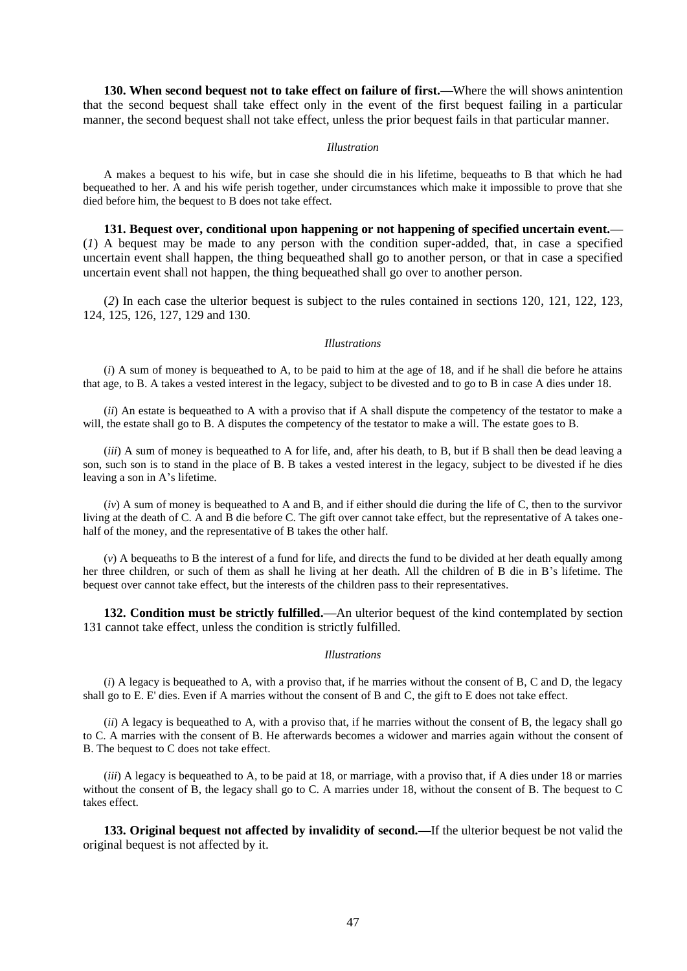**130. When second bequest not to take effect on failure of first.—**Where the will shows anintention that the second bequest shall take effect only in the event of the first bequest failing in a particular manner, the second bequest shall not take effect, unless the prior bequest fails in that particular manner.

## *Illustration*

A makes a bequest to his wife, but in case she should die in his lifetime, bequeaths to B that which he had bequeathed to her. A and his wife perish together, under circumstances which make it impossible to prove that she died before him, the bequest to B does not take effect.

**131. Bequest over, conditional upon happening or not happening of specified uncertain event.—** (*1*) A bequest may be made to any person with the condition super-added, that, in case a specified uncertain event shall happen, the thing bequeathed shall go to another person, or that in case a specified uncertain event shall not happen, the thing bequeathed shall go over to another person.

(*2*) In each case the ulterior bequest is subject to the rules contained in sections 120, 121, 122, 123, 124, 125, 126, 127, 129 and 130.

#### *Illustrations*

(*i*) A sum of money is bequeathed to A, to be paid to him at the age of 18, and if he shall die before he attains that age, to B. A takes a vested interest in the legacy, subject to be divested and to go to B in case A dies under 18.

(*ii*) An estate is bequeathed to A with a proviso that if A shall dispute the competency of the testator to make a will, the estate shall go to B. A disputes the competency of the testator to make a will. The estate goes to B.

(*iii*) A sum of money is bequeathed to A for life, and, after his death, to B, but if B shall then be dead leaving a son, such son is to stand in the place of B. B takes a vested interest in the legacy, subject to be divested if he dies leaving a son in A's lifetime.

(*iv*) A sum of money is bequeathed to A and B, and if either should die during the life of C, then to the survivor living at the death of C. A and B die before C. The gift over cannot take effect, but the representative of A takes onehalf of the money, and the representative of B takes the other half.

(*v*) A bequeaths to B the interest of a fund for life, and directs the fund to be divided at her death equally among her three children, or such of them as shall he living at her death. All the children of B die in B's lifetime. The bequest over cannot take effect, but the interests of the children pass to their representatives.

**132. Condition must be strictly fulfilled.—**An ulterior bequest of the kind contemplated by section 131 cannot take effect, unless the condition is strictly fulfilled.

### *Illustrations*

(*i*) A legacy is bequeathed to A, with a proviso that, if he marries without the consent of B, C and D, the legacy shall go to E. E' dies. Even if A marries without the consent of B and C, the gift to E does not take effect.

(*ii*) A legacy is bequeathed to A, with a proviso that, if he marries without the consent of B, the legacy shall go to C. A marries with the consent of B. He afterwards becomes a widower and marries again without the consent of B. The bequest to C does not take effect.

(*iii*) A legacy is bequeathed to A, to be paid at 18, or marriage, with a proviso that, if A dies under 18 or marries without the consent of B, the legacy shall go to C. A marries under 18, without the consent of B. The bequest to C takes effect.

**133. Original bequest not affected by invalidity of second.—**If the ulterior bequest be not valid the original bequest is not affected by it.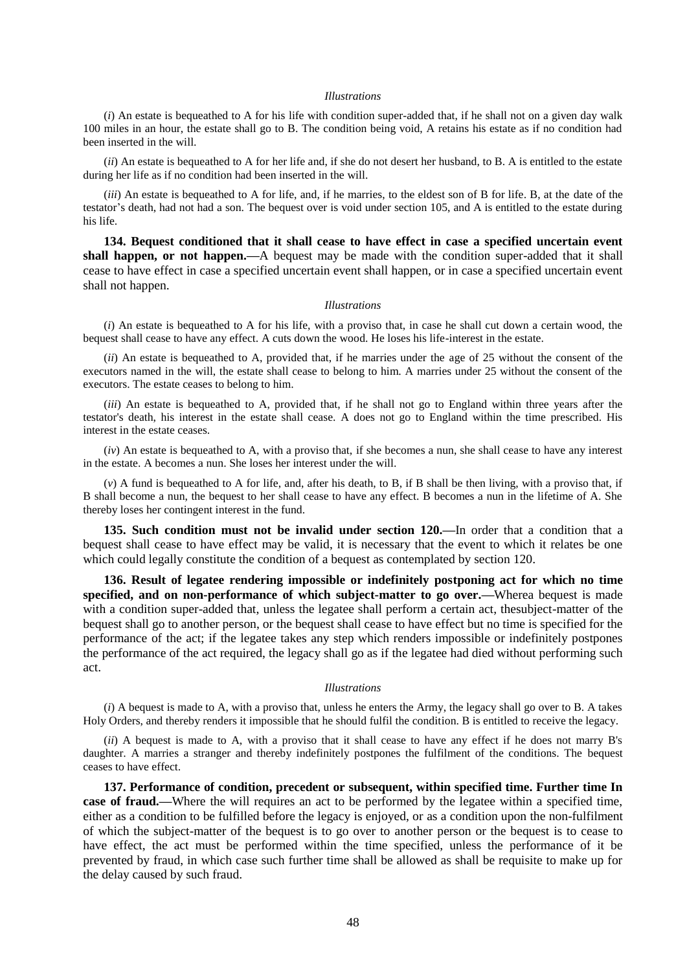(*i*) An estate is bequeathed to A for his life with condition super-added that, if he shall not on a given day walk 100 miles in an hour, the estate shall go to B. The condition being void, A retains his estate as if no condition had been inserted in the will.

(*ii*) An estate is bequeathed to A for her life and, if she do not desert her husband, to B. A is entitled to the estate during her life as if no condition had been inserted in the will.

(*iii*) An estate is bequeathed to A for life, and, if he marries, to the eldest son of B for life. B, at the date of the testator's death, had not had a son. The bequest over is void under section 105, and A is entitled to the estate during his life.

**134. Bequest conditioned that it shall cease to have effect in case a specified uncertain event shall happen, or not happen.—A** bequest may be made with the condition super-added that it shall cease to have effect in case a specified uncertain event shall happen, or in case a specified uncertain event shall not happen.

#### *Illustrations*

(*i*) An estate is bequeathed to A for his life, with a proviso that, in case he shall cut down a certain wood, the bequest shall cease to have any effect. A cuts down the wood. He loses his life-interest in the estate.

(*ii*) An estate is bequeathed to A, provided that, if he marries under the age of 25 without the consent of the executors named in the will, the estate shall cease to belong to him. A marries under 25 without the consent of the executors. The estate ceases to belong to him.

(*iii*) An estate is bequeathed to A, provided that, if he shall not go to England within three years after the testator's death, his interest in the estate shall cease. A does not go to England within the time prescribed. His interest in the estate ceases.

(*iv*) An estate is bequeathed to A, with a proviso that, if she becomes a nun, she shall cease to have any interest in the estate. A becomes a nun. She loses her interest under the will.

(*v*) A fund is bequeathed to A for life, and, after his death, to B, if B shall be then living, with a proviso that, if B shall become a nun, the bequest to her shall cease to have any effect. B becomes a nun in the lifetime of A. She thereby loses her contingent interest in the fund.

**135. Such condition must not be invalid under section 120.—**In order that a condition that a bequest shall cease to have effect may be valid, it is necessary that the event to which it relates be one which could legally constitute the condition of a bequest as contemplated by section 120.

**136. Result of legatee rendering impossible or indefinitely postponing act for which no time specified, and on non-performance of which subject-matter to go over.—**Wherea bequest is made with a condition super-added that, unless the legatee shall perform a certain act, thesubject-matter of the bequest shall go to another person, or the bequest shall cease to have effect but no time is specified for the performance of the act; if the legatee takes any step which renders impossible or indefinitely postpones the performance of the act required, the legacy shall go as if the legatee had died without performing such act.

### *Illustrations*

(*i*) A bequest is made to A, with a proviso that, unless he enters the Army, the legacy shall go over to B. A takes Holy Orders, and thereby renders it impossible that he should fulfil the condition. B is entitled to receive the legacy.

(*ii*) A bequest is made to A, with a proviso that it shall cease to have any effect if he does not marry B's daughter. A marries a stranger and thereby indefinitely postpones the fulfilment of the conditions. The bequest ceases to have effect.

**137. Performance of condition, precedent or subsequent, within specified time. Further time In case of fraud.—**Where the will requires an act to be performed by the legatee within a specified time, either as a condition to be fulfilled before the legacy is enjoyed, or as a condition upon the non-fulfilment of which the subject-matter of the bequest is to go over to another person or the bequest is to cease to have effect, the act must be performed within the time specified, unless the performance of it be prevented by fraud, in which case such further time shall be allowed as shall be requisite to make up for the delay caused by such fraud.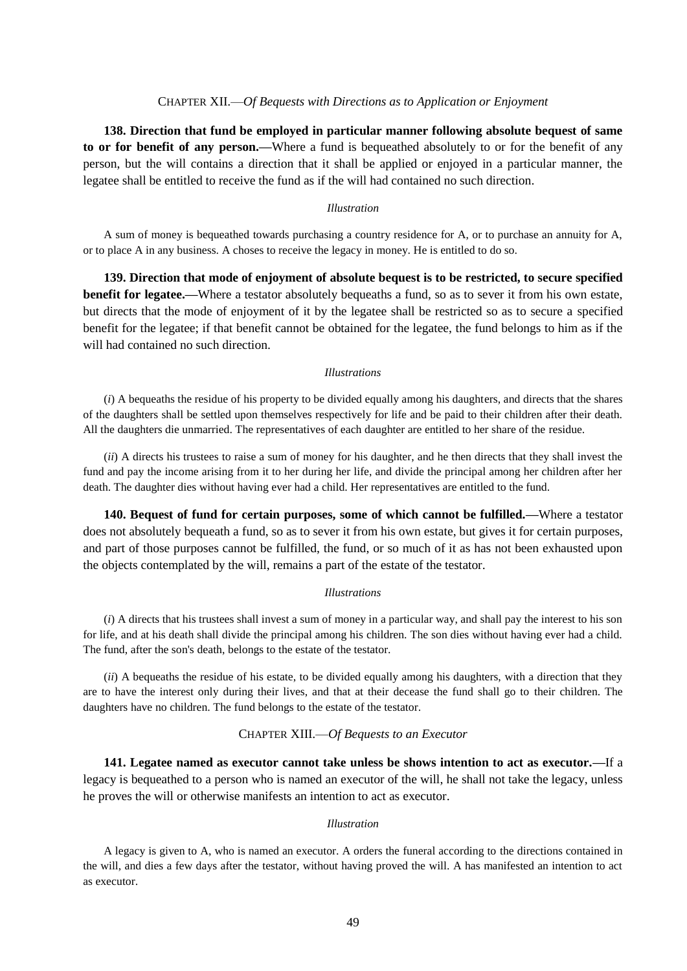### CHAPTER XII.—*Of Bequests with Directions as to Application or Enjoyment*

**138. Direction that fund be employed in particular manner following absolute bequest of same to or for benefit of any person.—**Where a fund is bequeathed absolutely to or for the benefit of any person, but the will contains a direction that it shall be applied or enjoyed in a particular manner, the legatee shall be entitled to receive the fund as if the will had contained no such direction.

# *Illustration*

A sum of money is bequeathed towards purchasing a country residence for A, or to purchase an annuity for A, or to place A in any business. A choses to receive the legacy in money. He is entitled to do so.

**139. Direction that mode of enjoyment of absolute bequest is to be restricted, to secure specified benefit for legatee.—Where a testator absolutely bequeaths a fund, so as to sever it from his own estate,** but directs that the mode of enjoyment of it by the legatee shall be restricted so as to secure a specified benefit for the legatee; if that benefit cannot be obtained for the legatee, the fund belongs to him as if the will had contained no such direction.

# *Illustrations*

(*i*) A bequeaths the residue of his property to be divided equally among his daughters, and directs that the shares of the daughters shall be settled upon themselves respectively for life and be paid to their children after their death. All the daughters die unmarried. The representatives of each daughter are entitled to her share of the residue.

(*ii*) A directs his trustees to raise a sum of money for his daughter, and he then directs that they shall invest the fund and pay the income arising from it to her during her life, and divide the principal among her children after her death. The daughter dies without having ever had a child. Her representatives are entitled to the fund.

**140. Bequest of fund for certain purposes, some of which cannot be fulfilled.—**Where a testator does not absolutely bequeath a fund, so as to sever it from his own estate, but gives it for certain purposes, and part of those purposes cannot be fulfilled, the fund, or so much of it as has not been exhausted upon the objects contemplated by the will, remains a part of the estate of the testator.

# *Illustrations*

(*i*) A directs that his trustees shall invest a sum of money in a particular way, and shall pay the interest to his son for life, and at his death shall divide the principal among his children. The son dies without having ever had a child. The fund, after the son's death, belongs to the estate of the testator.

(*ii*) A bequeaths the residue of his estate, to be divided equally among his daughters, with a direction that they are to have the interest only during their lives, and that at their decease the fund shall go to their children. The daughters have no children. The fund belongs to the estate of the testator.

# CHAPTER XIII.—*Of Bequests to an Executor*

**141. Legatee named as executor cannot take unless be shows intention to act as executor.—**If a legacy is bequeathed to a person who is named an executor of the will, he shall not take the legacy, unless he proves the will or otherwise manifests an intention to act as executor.

### *Illustration*

A legacy is given to A, who is named an executor. A orders the funeral according to the directions contained in the will, and dies a few days after the testator, without having proved the will. A has manifested an intention to act as executor.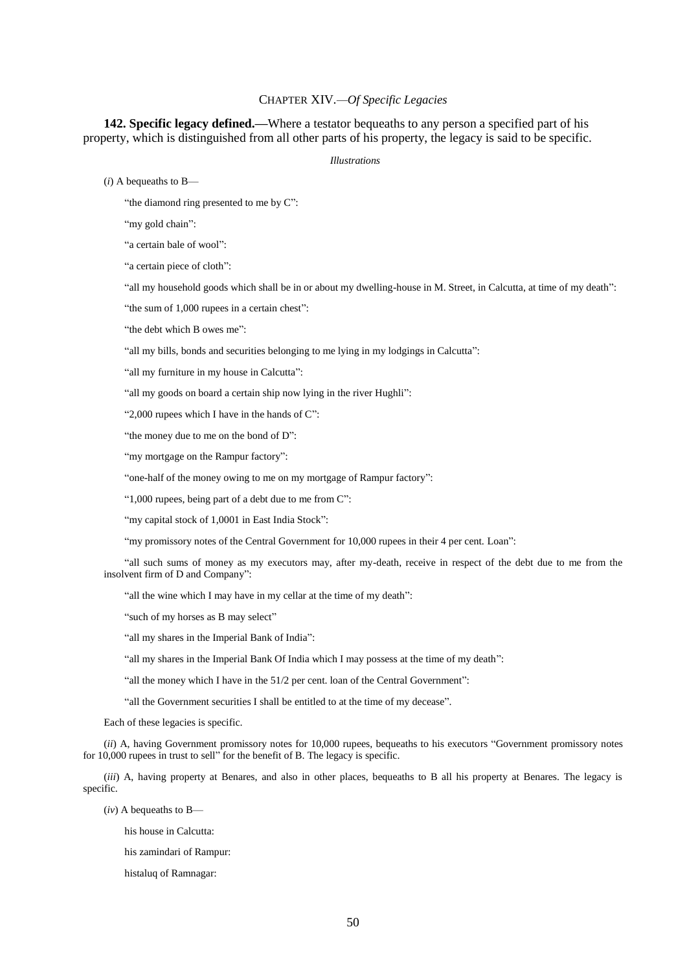# CHAPTER XIV*.—Of Specific Legacies*

**142. Specific legacy defined.—**Where a testator bequeaths to any person a specified part of his property, which is distinguished from all other parts of his property, the legacy is said to be specific.

#### *Illustrations*

(*i*) A bequeaths to B—

"the diamond ring presented to me by C":

"my gold chain":

"a certain bale of wool":

"a certain piece of cloth":

"all my household goods which shall be in or about my dwelling-house in M. Street, in Calcutta, at time of my death":

"the sum of 1,000 rupees in a certain chest":

"the debt which B owes me":

"all my bills, bonds and securities belonging to me lying in my lodgings in Calcutta":

"all my furniture in my house in Calcutta":

"all my goods on board a certain ship now lying in the river Hughli":

"2,000 rupees which I have in the hands of C":

"the money due to me on the bond of D":

"my mortgage on the Rampur factory":

"one-half of the money owing to me on my mortgage of Rampur factory":

"1,000 rupees, being part of a debt due to me from C":

"my capital stock of 1,0001 in East India Stock":

"my promissory notes of the Central Government for 10,000 rupees in their 4 per cent. Loan":

"all such sums of money as my executors may, after my-death, receive in respect of the debt due to me from the insolvent firm of D and Company":

"all the wine which I may have in my cellar at the time of my death":

"such of my horses as B may select"

"all my shares in the Imperial Bank of India":

"all my shares in the Imperial Bank Of India which I may possess at the time of my death":

"all the money which I have in the 51/2 per cent. loan of the Central Government":

"all the Government securities I shall be entitled to at the time of my decease".

Each of these legacies is specific.

(*ii*) A, having Government promissory notes for 10,000 rupees, bequeaths to his executors "Government promissory notes for 10,000 rupees in trust to sell" for the benefit of B. The legacy is specific.

(*iii*) A, having property at Benares, and also in other places, bequeaths to B all his property at Benares. The legacy is specific.

(*iv*) A bequeaths to B—

his house in Calcutta:

- his zamindari of Rampur:
- histaluq of Ramnagar: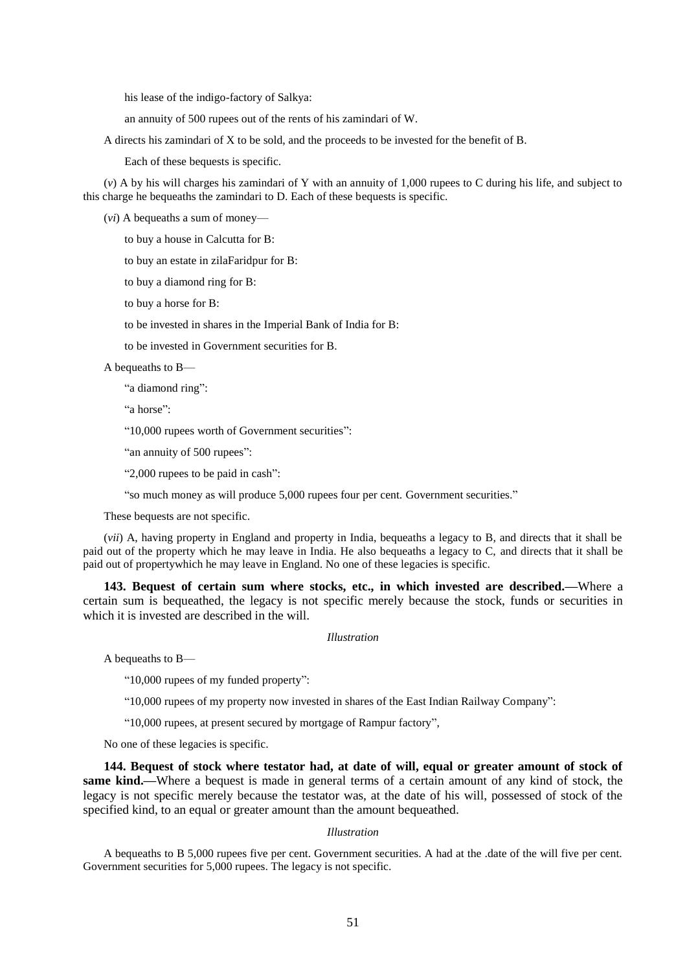his lease of the indigo-factory of Salkya:

an annuity of 500 rupees out of the rents of his zamindari of W.

A directs his zamindari of X to be sold, and the proceeds to be invested for the benefit of B.

Each of these bequests is specific.

(*v*) A by his will charges his zamindari of Y with an annuity of 1,000 rupees to C during his life, and subject to this charge he bequeaths the zamindari to D. Each of these bequests is specific.

(*vi*) A bequeaths a sum of money—

to buy a house in Calcutta for B:

to buy an estate in zilaFaridpur for B:

to buy a diamond ring for B:

to buy a horse for B:

to be invested in shares in the Imperial Bank of India for B:

to be invested in Government securities for B.

A bequeaths to B—

"a diamond ring":

"a horse":

"10,000 rupees worth of Government securities":

"an annuity of 500 rupees":

"2,000 rupees to be paid in cash":

"so much money as will produce 5,000 rupees four per cent. Government securities."

These bequests are not specific.

(*vii*) A, having property in England and property in India, bequeaths a legacy to B, and directs that it shall be paid out of the property which he may leave in India. He also bequeaths a legacy to C, and directs that it shall be paid out of propertywhich he may leave in England. No one of these legacies is specific.

**143. Bequest of certain sum where stocks, etc., in which invested are described.—**Where a certain sum is bequeathed, the legacy is not specific merely because the stock, funds or securities in which it is invested are described in the will.

*Illustration*

A bequeaths to B—

"10,000 rupees of my funded property":

"10,000 rupees of my property now invested in shares of the East Indian Railway Company":

"10,000 rupees, at present secured by mortgage of Rampur factory",

No one of these legacies is specific.

**144. Bequest of stock where testator had, at date of will, equal or greater amount of stock of same kind.—**Where a bequest is made in general terms of a certain amount of any kind of stock, the legacy is not specific merely because the testator was, at the date of his will, possessed of stock of the specified kind, to an equal or greater amount than the amount bequeathed.

#### *Illustration*

A bequeaths to B 5,000 rupees five per cent. Government securities. A had at the .date of the will five per cent. Government securities for 5,000 rupees. The legacy is not specific.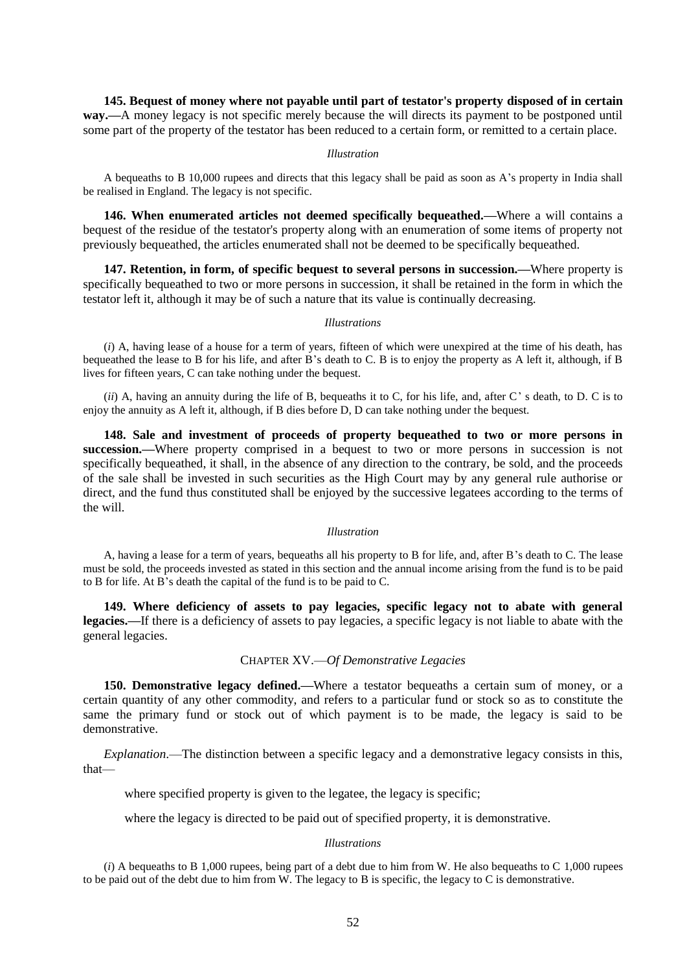**145. Bequest of money where not payable until part of testator's property disposed of in certain way.—**A money legacy is not specific merely because the will directs its payment to be postponed until some part of the property of the testator has been reduced to a certain form, or remitted to a certain place.

#### *Illustration*

A bequeaths to B 10,000 rupees and directs that this legacy shall be paid as soon as A's property in India shall be realised in England. The legacy is not specific.

**146. When enumerated articles not deemed specifically bequeathed.—**Where a will contains a bequest of the residue of the testator's property along with an enumeration of some items of property not previously bequeathed, the articles enumerated shall not be deemed to be specifically bequeathed.

**147. Retention, in form, of specific bequest to several persons in succession.—**Where property is specifically bequeathed to two or more persons in succession, it shall be retained in the form in which the testator left it, although it may be of such a nature that its value is continually decreasing.

### *Illustrations*

(*i*) A, having lease of a house for a term of years, fifteen of which were unexpired at the time of his death, has bequeathed the lease to B for his life, and after B's death to C. B is to enjoy the property as A left it, although, if B lives for fifteen years, C can take nothing under the bequest.

(*ii*) A, having an annuity during the life of B, bequeaths it to C, for his life, and, after C' s death, to D. C is to enjoy the annuity as A left it, although, if B dies before D, D can take nothing under the bequest.

**148. Sale and investment of proceeds of property bequeathed to two or more persons in succession.—**Where property comprised in a bequest to two or more persons in succession is not specifically bequeathed, it shall, in the absence of any direction to the contrary, be sold, and the proceeds of the sale shall be invested in such securities as the High Court may by any general rule authorise or direct, and the fund thus constituted shall be enjoyed by the successive legatees according to the terms of the will.

#### *Illustration*

A, having a lease for a term of years, bequeaths all his property to B for life, and, after B's death to C. The lease must be sold, the proceeds invested as stated in this section and the annual income arising from the fund is to be paid to B for life. At B's death the capital of the fund is to be paid to C.

**149. Where deficiency of assets to pay legacies, specific legacy not to abate with general legacies.—**If there is a deficiency of assets to pay legacies, a specific legacy is not liable to abate with the general legacies.

# CHAPTER XV.—*Of Demonstrative Legacies*

**150. Demonstrative legacy defined.—**Where a testator bequeaths a certain sum of money, or a certain quantity of any other commodity, and refers to a particular fund or stock so as to constitute the same the primary fund or stock out of which payment is to be made, the legacy is said to be demonstrative.

*Explanation*.—The distinction between a specific legacy and a demonstrative legacy consists in this, that—

where specified property is given to the legatee, the legacy is specific;

where the legacy is directed to be paid out of specified property, it is demonstrative.

# *Illustrations*

(*i*) A bequeaths to B 1,000 rupees, being part of a debt due to him from W. He also bequeaths to C 1,000 rupees to be paid out of the debt due to him from W. The legacy to B is specific, the legacy to C is demonstrative.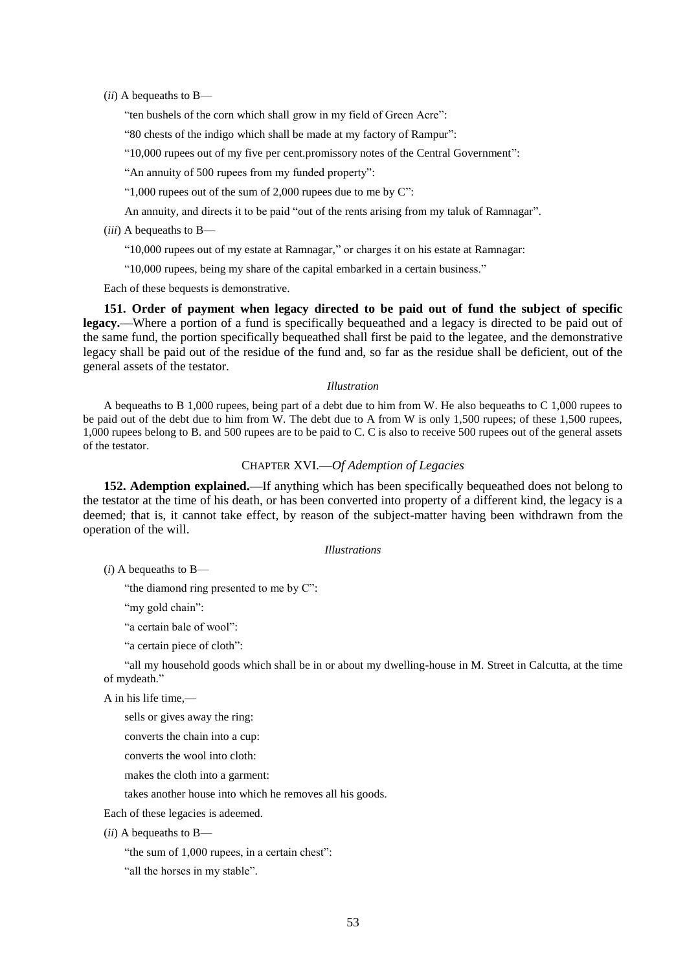(*ii*) A bequeaths to B—

"ten bushels of the corn which shall grow in my field of Green Acre":

"80 chests of the indigo which shall be made at my factory of Rampur":

"10,000 rupees out of my five per cent.promissory notes of the Central Government":

"An annuity of 500 rupees from my funded property":

"1,000 rupees out of the sum of 2,000 rupees due to me by C":

An annuity, and directs it to be paid "out of the rents arising from my taluk of Ramnagar".

(*iii*) A bequeaths to B—

"10,000 rupees out of my estate at Ramnagar," or charges it on his estate at Ramnagar:

"10,000 rupees, being my share of the capital embarked in a certain business."

Each of these bequests is demonstrative.

**151. Order of payment when legacy directed to be paid out of fund the subject of specific legacy.—**Where a portion of a fund is specifically bequeathed and a legacy is directed to be paid out of the same fund, the portion specifically bequeathed shall first be paid to the legatee, and the demonstrative legacy shall be paid out of the residue of the fund and, so far as the residue shall be deficient, out of the general assets of the testator.

# *Illustration*

A bequeaths to B 1,000 rupees, being part of a debt due to him from W. He also bequeaths to C 1,000 rupees to be paid out of the debt due to him from W. The debt due to A from W is only 1,500 rupees; of these 1,500 rupees, 1,000 rupees belong to B. and 500 rupees are to be paid to C. C is also to receive 500 rupees out of the general assets of the testator.

## CHAPTER XVI.—*Of Ademption of Legacies*

**152. Ademption explained.—**If anything which has been specifically bequeathed does not belong to the testator at the time of his death, or has been converted into property of a different kind, the legacy is a deemed; that is, it cannot take effect, by reason of the subject-matter having been withdrawn from the operation of the will.

*Illustrations*

(*i*) A bequeaths to B—

"the diamond ring presented to me by C":

"my gold chain":

"a certain bale of wool":

"a certain piece of cloth":

"all my household goods which shall be in or about my dwelling-house in M. Street in Calcutta, at the time of mydeath."

A in his life time,—

sells or gives away the ring:

converts the chain into a cup:

converts the wool into cloth:

makes the cloth into a garment:

takes another house into which he removes all his goods.

Each of these legacies is adeemed.

(*ii*) A bequeaths to B—

"the sum of 1,000 rupees, in a certain chest":

"all the horses in my stable".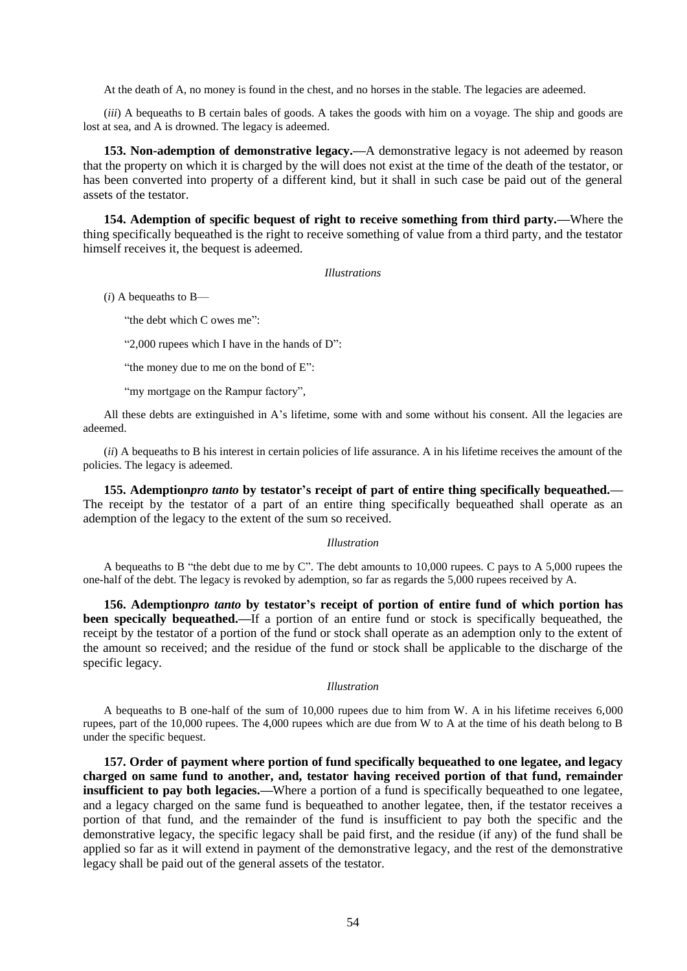At the death of A, no money is found in the chest, and no horses in the stable. The legacies are adeemed.

(*iii*) A bequeaths to B certain bales of goods. A takes the goods with him on a voyage. The ship and goods are lost at sea, and A is drowned. The legacy is adeemed.

**153. Non-ademption of demonstrative legacy.—A** demonstrative legacy is not adeemed by reason that the property on which it is charged by the will does not exist at the time of the death of the testator, or has been converted into property of a different kind, but it shall in such case be paid out of the general assets of the testator.

**154. Ademption of specific bequest of right to receive something from third party.—**Where the thing specifically bequeathed is the right to receive something of value from a third party, and the testator himself receives it, the bequest is adeemed.

*Illustrations*

(*i*) A bequeaths to B—

"the debt which C owes me":

"2,000 rupees which I have in the hands of D":

"the money due to me on the bond of E":

"my mortgage on the Rampur factory",

All these debts are extinguished in A's lifetime, some with and some without his consent. All the legacies are adeemed.

(*ii*) A bequeaths to B his interest in certain policies of life assurance. A in his lifetime receives the amount of the policies. The legacy is adeemed.

**155. Ademption***pro tanto* **by testator's receipt of part of entire thing specifically bequeathed.—** The receipt by the testator of a part of an entire thing specifically bequeathed shall operate as an ademption of the legacy to the extent of the sum so received.

#### *Illustration*

A bequeaths to B "the debt due to me by C". The debt amounts to 10,000 rupees. C pays to A 5,000 rupees the one-half of the debt. The legacy is revoked by ademption, so far as regards the 5,000 rupees received by A.

**156. Ademption***pro tanto* **by testator's receipt of portion of entire fund of which portion has been specically bequeathed.—**If a portion of an entire fund or stock is specifically bequeathed, the receipt by the testator of a portion of the fund or stock shall operate as an ademption only to the extent of the amount so received; and the residue of the fund or stock shall be applicable to the discharge of the specific legacy.

### *Illustration*

A bequeaths to B one-half of the sum of 10,000 rupees due to him from W. A in his lifetime receives 6,000 rupees, part of the 10,000 rupees. The 4,000 rupees which are due from W to A at the time of his death belong to B under the specific bequest.

**157. Order of payment where portion of fund specifically bequeathed to one legatee, and legacy charged on same fund to another, and, testator having received portion of that fund, remainder insufficient to pay both legacies.—**Where a portion of a fund is specifically bequeathed to one legatee, and a legacy charged on the same fund is bequeathed to another legatee, then, if the testator receives a portion of that fund, and the remainder of the fund is insufficient to pay both the specific and the demonstrative legacy, the specific legacy shall be paid first, and the residue (if any) of the fund shall be applied so far as it will extend in payment of the demonstrative legacy, and the rest of the demonstrative legacy shall be paid out of the general assets of the testator.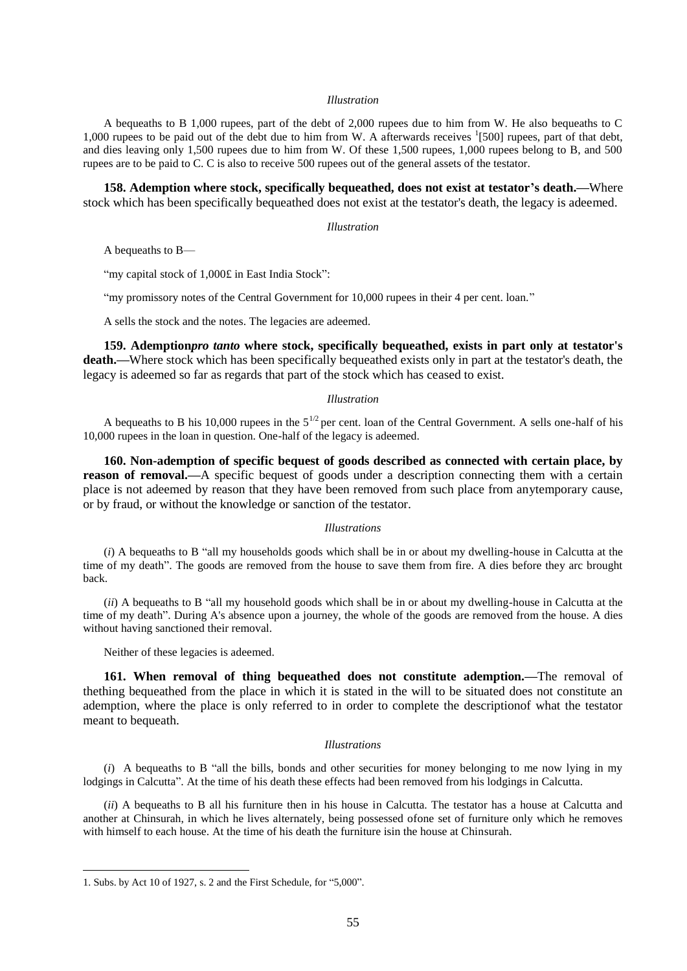A bequeaths to B 1,000 rupees, part of the debt of 2,000 rupees due to him from W. He also bequeaths to C 1,000 rupees to be paid out of the debt due to him from W. A afterwards receives  $\frac{1}{2}$ [500] rupees, part of that debt, and dies leaving only 1,500 rupees due to him from W. Of these 1,500 rupees, 1,000 rupees belong to B, and 500 rupees are to be paid to C. C is also to receive 500 rupees out of the general assets of the testator.

**158. Ademption where stock, specifically bequeathed, does not exist at testator's death.—**Where stock which has been specifically bequeathed does not exist at the testator's death, the legacy is adeemed.

### *Illustration*

A bequeaths to B—

"my capital stock of 1,000£ in East India Stock":

"my promissory notes of the Central Government for 10,000 rupees in their 4 per cent. loan."

A sells the stock and the notes. The legacies are adeemed.

**159. Ademption***pro tanto* **where stock, specifically bequeathed, exists in part only at testator's**  death.—Where stock which has been specifically bequeathed exists only in part at the testator's death, the legacy is adeemed so far as regards that part of the stock which has ceased to exist.

# *Illustration*

A bequeaths to B his 10,000 rupees in the  $5^{1/2}$  per cent. loan of the Central Government. A sells one-half of his 10,000 rupees in the loan in question. One-half of the legacy is adeemed.

**160. Non-ademption of specific bequest of goods described as connected with certain place, by reason of removal.—**A specific bequest of goods under a description connecting them with a certain place is not adeemed by reason that they have been removed from such place from anytemporary cause, or by fraud, or without the knowledge or sanction of the testator.

### *Illustrations*

(*i*) A bequeaths to B "all my households goods which shall be in or about my dwelling-house in Calcutta at the time of my death". The goods are removed from the house to save them from fire. A dies before they arc brought back.

(*ii*) A bequeaths to B "all my household goods which shall be in or about my dwelling-house in Calcutta at the time of my death". During A's absence upon a journey, the whole of the goods are removed from the house. A dies without having sanctioned their removal.

Neither of these legacies is adeemed.

**161. When removal of thing bequeathed does not constitute ademption.—**The removal of thething bequeathed from the place in which it is stated in the will to be situated does not constitute an ademption, where the place is only referred to in order to complete the descriptionof what the testator meant to bequeath.

#### *Illustrations*

(*i*) A bequeaths to B "all the bills, bonds and other securities for money belonging to me now lying in my lodgings in Calcutta". At the time of his death these effects had been removed from his lodgings in Calcutta.

(*ii*) A bequeaths to B all his furniture then in his house in Calcutta. The testator has a house at Calcutta and another at Chinsurah, in which he lives alternately, being possessed ofone set of furniture only which he removes with himself to each house. At the time of his death the furniture isin the house at Chinsurah.

-

<sup>1.</sup> Subs. by Act 10 of 1927, s. 2 and the First Schedule, for "5,000".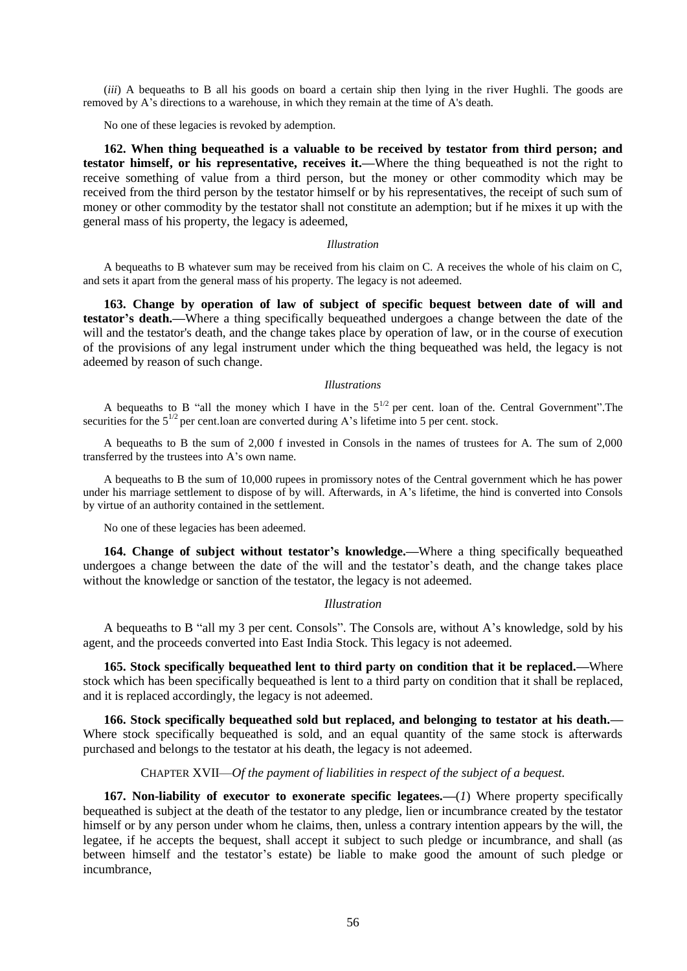(*iii*) A bequeaths to B all his goods on board a certain ship then lying in the river Hughli. The goods are removed by A's directions to a warehouse, in which they remain at the time of A's death.

No one of these legacies is revoked by ademption.

**162. When thing bequeathed is a valuable to be received by testator from third person; and testator himself, or his representative, receives it.—**Where the thing bequeathed is not the right to receive something of value from a third person, but the money or other commodity which may be received from the third person by the testator himself or by his representatives, the receipt of such sum of money or other commodity by the testator shall not constitute an ademption; but if he mixes it up with the general mass of his property, the legacy is adeemed,

#### *Illustration*

A bequeaths to B whatever sum may be received from his claim on C. A receives the whole of his claim on C, and sets it apart from the general mass of his property. The legacy is not adeemed.

**163. Change by operation of law of subject of specific bequest between date of will and testator's death.—**Where a thing specifically bequeathed undergoes a change between the date of the will and the testator's death, and the change takes place by operation of law, or in the course of execution of the provisions of any legal instrument under which the thing bequeathed was held, the legacy is not adeemed by reason of such change.

### *Illustrations*

A bequeaths to B "all the money which I have in the  $5^{1/2}$  per cent. loan of the. Central Government". The securities for the  $5^{1/2}$  per cent. loan are converted during A's lifetime into 5 per cent. stock.

A bequeaths to B the sum of 2,000 f invested in Consols in the names of trustees for A. The sum of 2,000 transferred by the trustees into A's own name.

A bequeaths to B the sum of 10,000 rupees in promissory notes of the Central government which he has power under his marriage settlement to dispose of by will. Afterwards, in A's lifetime, the hind is converted into Consols by virtue of an authority contained in the settlement.

No one of these legacies has been adeemed.

**164. Change of subject without testator's knowledge.—**Where a thing specifically bequeathed undergoes a change between the date of the will and the testator's death, and the change takes place without the knowledge or sanction of the testator, the legacy is not adeemed.

## *Illustration*

A bequeaths to B "all my 3 per cent. Consols". The Consols are, without A's knowledge, sold by his agent, and the proceeds converted into East India Stock. This legacy is not adeemed.

**165. Stock specifically bequeathed lent to third party on condition that it be replaced.—**Where stock which has been specifically bequeathed is lent to a third party on condition that it shall be replaced, and it is replaced accordingly, the legacy is not adeemed.

**166. Stock specifically bequeathed sold but replaced, and belonging to testator at his death.—** Where stock specifically bequeathed is sold, and an equal quantity of the same stock is afterwards purchased and belongs to the testator at his death, the legacy is not adeemed.

## CHAPTER XVII—*Of the payment of liabilities in respect of the subject of a bequest.*

**167. Non-liability of executor to exonerate specific legatees.—**(*1*) Where property specifically bequeathed is subject at the death of the testator to any pledge, lien or incumbrance created by the testator himself or by any person under whom he claims, then, unless a contrary intention appears by the will, the legatee, if he accepts the bequest, shall accept it subject to such pledge or incumbrance, and shall (as between himself and the testator's estate) be liable to make good the amount of such pledge or incumbrance,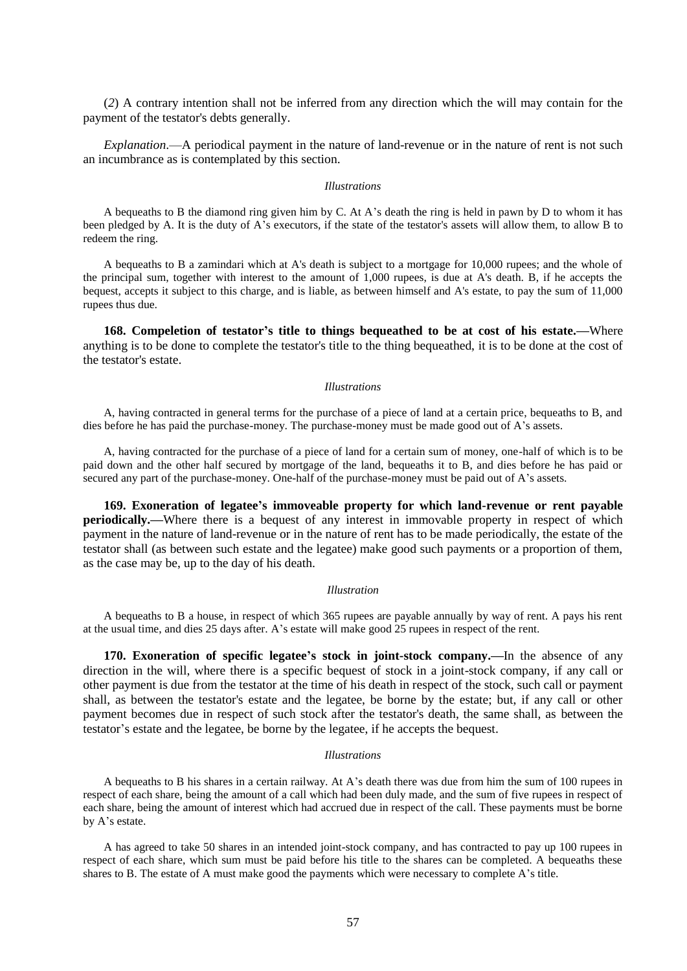(*2*) A contrary intention shall not be inferred from any direction which the will may contain for the payment of the testator's debts generally.

*Explanation*.—A periodical payment in the nature of land-revenue or in the nature of rent is not such an incumbrance as is contemplated by this section.

#### *Illustrations*

A bequeaths to B the diamond ring given him by C. At A's death the ring is held in pawn by D to whom it has been pledged by A. It is the duty of A's executors, if the state of the testator's assets will allow them, to allow B to redeem the ring.

A bequeaths to B a zamindari which at A's death is subject to a mortgage for 10,000 rupees; and the whole of the principal sum, together with interest to the amount of 1,000 rupees, is due at A's death. B, if he accepts the bequest, accepts it subject to this charge, and is liable, as between himself and A's estate, to pay the sum of 11,000 rupees thus due.

**168. Compeletion of testator's title to things bequeathed to be at cost of his estate.—**Where anything is to be done to complete the testator's title to the thing bequeathed, it is to be done at the cost of the testator's estate.

### *Illustrations*

A, having contracted in general terms for the purchase of a piece of land at a certain price, bequeaths to B, and dies before he has paid the purchase-money. The purchase-money must be made good out of A's assets.

A, having contracted for the purchase of a piece of land for a certain sum of money, one-half of which is to be paid down and the other half secured by mortgage of the land, bequeaths it to B, and dies before he has paid or secured any part of the purchase-money. One-half of the purchase-money must be paid out of A's assets.

**169. Exoneration of legatee's immoveable property for which land-revenue or rent payable periodically.—Where there is a bequest of any interest in immovable property in respect of which** payment in the nature of land-revenue or in the nature of rent has to be made periodically, the estate of the testator shall (as between such estate and the legatee) make good such payments or a proportion of them, as the case may be, up to the day of his death.

## *Illustration*

A bequeaths to B a house, in respect of which 365 rupees are payable annually by way of rent. A pays his rent at the usual time, and dies 25 days after. A's estate will make good 25 rupees in respect of the rent.

**170. Exoneration of specific legatee's stock in joint-stock company.—**In the absence of any direction in the will, where there is a specific bequest of stock in a joint-stock company, if any call or other payment is due from the testator at the time of his death in respect of the stock, such call or payment shall, as between the testator's estate and the legatee, be borne by the estate; but, if any call or other payment becomes due in respect of such stock after the testator's death, the same shall, as between the testator's estate and the legatee, be borne by the legatee, if he accepts the bequest.

# *Illustrations*

A bequeaths to B his shares in a certain railway. At A's death there was due from him the sum of 100 rupees in respect of each share, being the amount of a call which had been duly made, and the sum of five rupees in respect of each share, being the amount of interest which had accrued due in respect of the call. These payments must be borne by A's estate.

A has agreed to take 50 shares in an intended joint-stock company, and has contracted to pay up 100 rupees in respect of each share, which sum must be paid before his title to the shares can be completed. A bequeaths these shares to B. The estate of A must make good the payments which were necessary to complete A's title.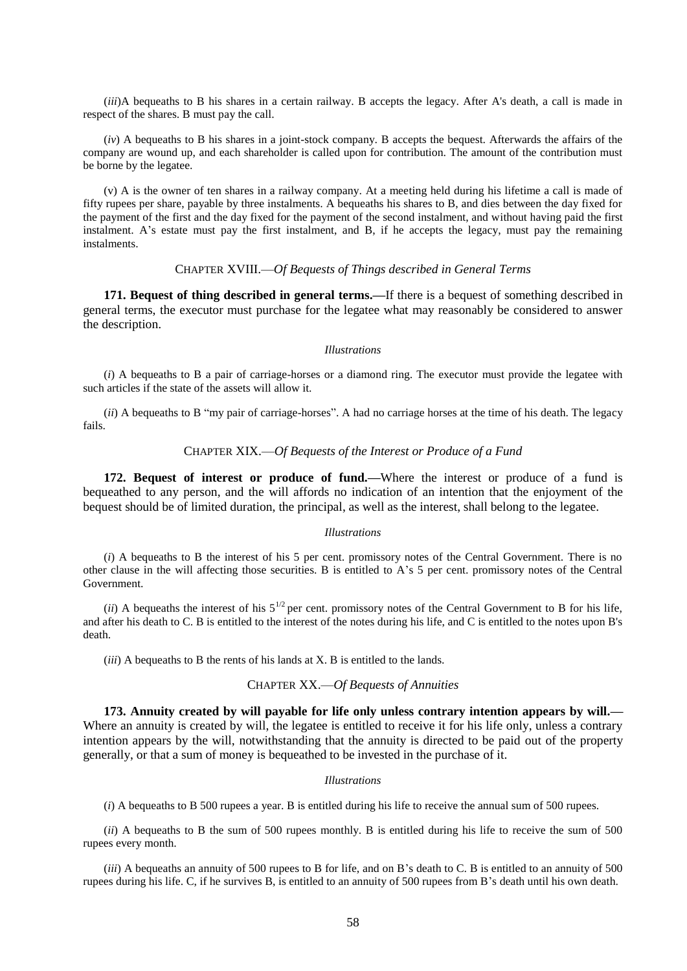(*iii*)A bequeaths to B his shares in a certain railway. B accepts the legacy. After A's death, a call is made in respect of the shares. B must pay the call.

(*iv*) A bequeaths to B his shares in a joint-stock company. B accepts the bequest. Afterwards the affairs of the company are wound up, and each shareholder is called upon for contribution. The amount of the contribution must be borne by the legatee.

(v) A is the owner of ten shares in a railway company. At a meeting held during his lifetime a call is made of fifty rupees per share, payable by three instalments. A bequeaths his shares to B, and dies between the day fixed for the payment of the first and the day fixed for the payment of the second instalment, and without having paid the first instalment. A's estate must pay the first instalment, and B, if he accepts the legacy, must pay the remaining instalments.

### CHAPTER XVIII.—*Of Bequests of Things described in General Terms*

**171. Bequest of thing described in general terms.—**If there is a bequest of something described in general terms, the executor must purchase for the legatee what may reasonably be considered to answer the description.

### *Illustrations*

(*i*) A bequeaths to B a pair of carriage-horses or a diamond ring. The executor must provide the legatee with such articles if the state of the assets will allow it.

(*ii*) A bequeaths to B "my pair of carriage-horses". A had no carriage horses at the time of his death. The legacy fails.

# CHAPTER XIX.—*Of Bequests of the Interest or Produce of a Fund*

**172. Bequest of interest or produce of fund.—**Where the interest or produce of a fund is bequeathed to any person, and the will affords no indication of an intention that the enjoyment of the bequest should be of limited duration, the principal, as well as the interest, shall belong to the legatee.

#### *Illustrations*

(*i*) A bequeaths to B the interest of his 5 per cent. promissory notes of the Central Government. There is no other clause in the will affecting those securities. B is entitled to A's 5 per cent. promissory notes of the Central Government.

(*ii*) A bequeaths the interest of his  $5^{1/2}$  per cent. promissory notes of the Central Government to B for his life, and after his death to C. B is entitled to the interest of the notes during his life, and C is entitled to the notes upon B's death.

(*iii*) A bequeaths to B the rents of his lands at X. B is entitled to the lands.

# CHAPTER XX.—*Of Bequests of Annuities*

**173. Annuity created by will payable for life only unless contrary intention appears by will.—** Where an annuity is created by will, the legatee is entitled to receive it for his life only, unless a contrary intention appears by the will, notwithstanding that the annuity is directed to be paid out of the property generally, or that a sum of money is bequeathed to be invested in the purchase of it.

#### *Illustrations*

(*i*) A bequeaths to B 500 rupees a year. B is entitled during his life to receive the annual sum of 500 rupees.

(*ii*) A bequeaths to B the sum of 500 rupees monthly. B is entitled during his life to receive the sum of 500 rupees every month.

*(iii)* A bequeaths an annuity of 500 rupees to B for life, and on B's death to C. B is entitled to an annuity of 500 rupees during his life. C, if he survives B, is entitled to an annuity of 500 rupees from B's death until his own death.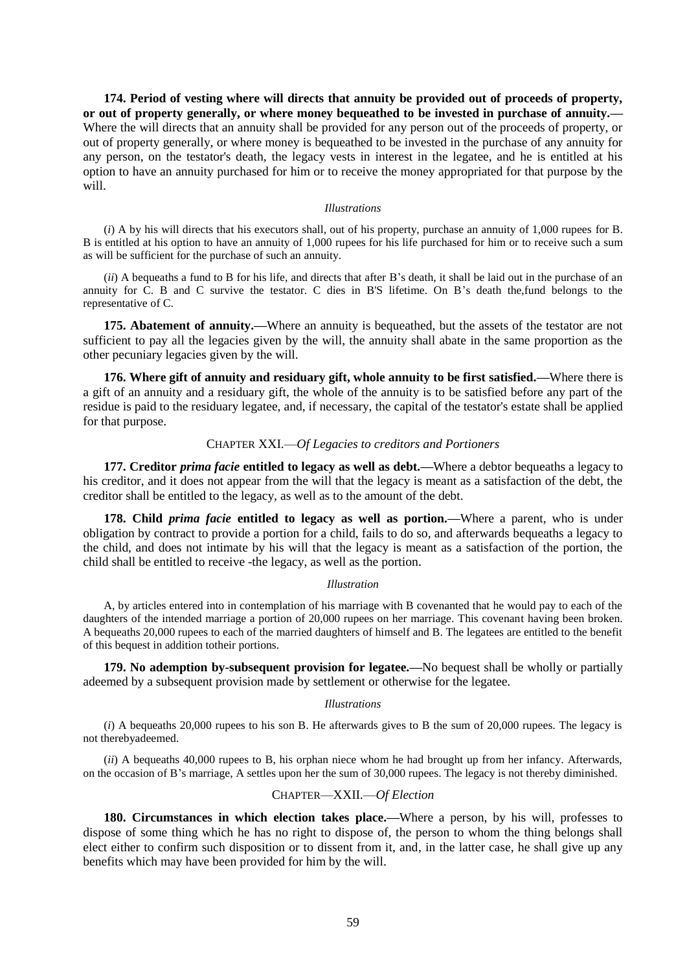**174. Period of vesting where will directs that annuity be provided out of proceeds of property, or out of property generally, or where money bequeathed to be invested in purchase of annuity.—** Where the will directs that an annuity shall be provided for any person out of the proceeds of property, or out of property generally, or where money is bequeathed to be invested in the purchase of any annuity for any person, on the testator's death, the legacy vests in interest in the legatee, and he is entitled at his option to have an annuity purchased for him or to receive the money appropriated for that purpose by the will.

# *Illustrations*

(*i*) A by his will directs that his executors shall, out of his property, purchase an annuity of 1,000 rupees for B. B is entitled at his option to have an annuity of 1,000 rupees for his life purchased for him or to receive such a sum as will be sufficient for the purchase of such an annuity.

(*ii*) A bequeaths a fund to B for his life, and directs that after B's death, it shall be laid out in the purchase of an annuity for C. B and C survive the testator. C dies in B'S lifetime. On B's death the,fund belongs to the representative of C.

**175. Abatement of annuity.—**Where an annuity is bequeathed, but the assets of the testator are not sufficient to pay all the legacies given by the will, the annuity shall abate in the same proportion as the other pecuniary legacies given by the will.

**176. Where gift of annuity and residuary gift, whole annuity to be first satisfied.—**Where there is a gift of an annuity and a residuary gift, the whole of the annuity is to be satisfied before any part of the residue is paid to the residuary legatee, and, if necessary, the capital of the testator's estate shall be applied for that purpose.

## CHAPTER XXI.—*Of Legacies to creditors and Portioners*

**177. Creditor** *prima facie* **entitled to legacy as well as debt.—**Where a debtor bequeaths a legacy to his creditor, and it does not appear from the will that the legacy is meant as a satisfaction of the debt, the creditor shall be entitled to the legacy, as well as to the amount of the debt.

**178. Child** *prima facie* **entitled to legacy as well as portion.—**Where a parent, who is under obligation by contract to provide a portion for a child, fails to do so, and afterwards bequeaths a legacy to the child, and does not intimate by his will that the legacy is meant as a satisfaction of the portion, the child shall be entitled to receive -the legacy, as well as the portion.

### *Illustration*

A, by articles entered into in contemplation of his marriage with B covenanted that he would pay to each of the daughters of the intended marriage a portion of 20,000 rupees on her marriage. This covenant having been broken. A bequeaths 20,000 rupees to each of the married daughters of himself and B. The legatees are entitled to the benefit of this bequest in addition totheir portions.

**179. No ademption by-subsequent provision for legatee.—**No bequest shall be wholly or partially adeemed by a subsequent provision made by settlement or otherwise for the legatee.

### *Illustrations*

(*i*) A bequeaths 20,000 rupees to his son B. He afterwards gives to B the sum of 20,000 rupees. The legacy is not therebyadeemed.

(*ii*) A bequeaths 40,000 rupees to B, his orphan niece whom he had brought up from her infancy. Afterwards, on the occasion of B's marriage, A settles upon her the sum of 30,000 rupees. The legacy is not thereby diminished.

### CHAPTER—XXII.—*Of Election*

**180. Circumstances in which election takes place.—**Where a person, by his will, professes to dispose of some thing which he has no right to dispose of, the person to whom the thing belongs shall elect either to confirm such disposition or to dissent from it, and, in the latter case, he shall give up any benefits which may have been provided for him by the will.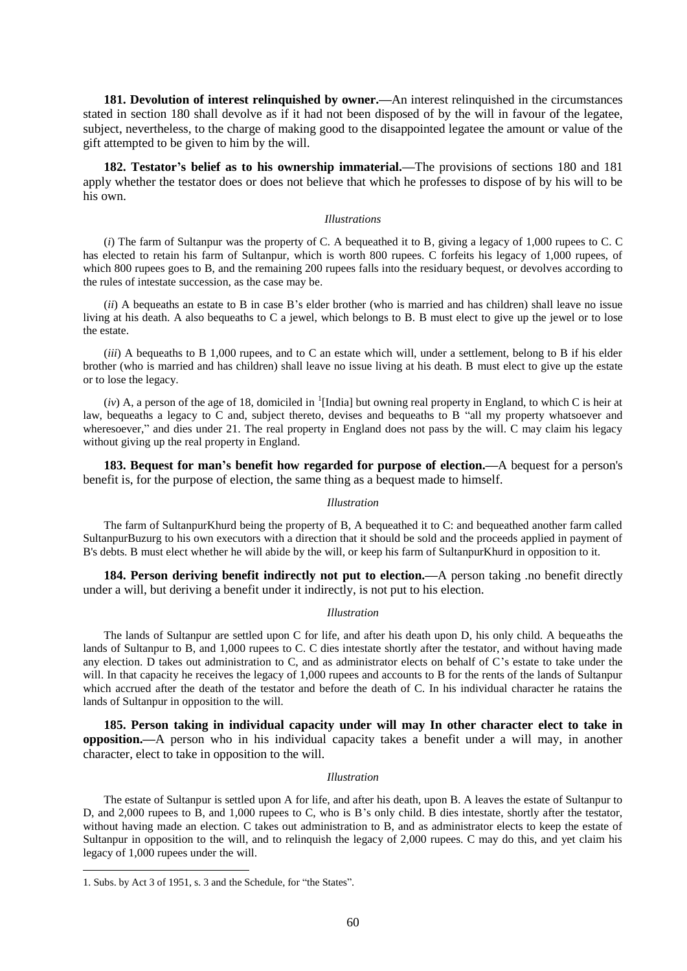**181. Devolution of interest relinquished by owner.—**An interest relinquished in the circumstances stated in section 180 shall devolve as if it had not been disposed of by the will in favour of the legatee, subject, nevertheless, to the charge of making good to the disappointed legatee the amount or value of the gift attempted to be given to him by the will.

**182. Testator's belief as to his ownership immaterial.—**The provisions of sections 180 and 181 apply whether the testator does or does not believe that which he professes to dispose of by his will to be his own.

#### *Illustrations*

(*i*) The farm of Sultanpur was the property of C. A bequeathed it to B, giving a legacy of 1,000 rupees to C. C has elected to retain his farm of Sultanpur, which is worth 800 rupees. C forfeits his legacy of 1,000 rupees, of which 800 rupees goes to B, and the remaining 200 rupees falls into the residuary bequest, or devolves according to the rules of intestate succession, as the case may be.

(*ii*) A bequeaths an estate to B in case B's elder brother (who is married and has children) shall leave no issue living at his death. A also bequeaths to C a jewel, which belongs to B. B must elect to give up the jewel or to lose the estate.

(*iii*) A bequeaths to B 1,000 rupees, and to C an estate which will, under a settlement, belong to B if his elder brother (who is married and has children) shall leave no issue living at his death. B must elect to give up the estate or to lose the legacy.

 $(iv)$  A, a person of the age of 18, domiciled in <sup>1</sup>[India] but owning real property in England, to which C is heir at law, bequeaths a legacy to C and, subject thereto, devises and bequeaths to B "all my property whatsoever and wheresoever," and dies under 21. The real property in England does not pass by the will. C may claim his legacy without giving up the real property in England.

**183. Bequest for man's benefit how regarded for purpose of election.—**A bequest for a person's benefit is, for the purpose of election, the same thing as a bequest made to himself.

## *Illustration*

The farm of SultanpurKhurd being the property of B, A bequeathed it to C: and bequeathed another farm called SultanpurBuzurg to his own executors with a direction that it should be sold and the proceeds applied in payment of B's debts. B must elect whether he will abide by the will, or keep his farm of SultanpurKhurd in opposition to it.

**184. Person deriving benefit indirectly not put to election.—**A person taking .no benefit directly under a will, but deriving a benefit under it indirectly, is not put to his election.

# *Illustration*

The lands of Sultanpur are settled upon C for life, and after his death upon D, his only child. A bequeaths the lands of Sultanpur to B, and 1,000 rupees to C. C dies intestate shortly after the testator, and without having made any election. D takes out administration to C, and as administrator elects on behalf of C's estate to take under the will. In that capacity he receives the legacy of 1,000 rupees and accounts to B for the rents of the lands of Sultanpur which accrued after the death of the testator and before the death of C. In his individual character he ratains the lands of Sultanpur in opposition to the will.

**185. Person taking in individual capacity under will may In other character elect to take in opposition.—**A person who in his individual capacity takes a benefit under a will may, in another character, elect to take in opposition to the will.

### *Illustration*

The estate of Sultanpur is settled upon A for life, and after his death, upon B. A leaves the estate of Sultanpur to D, and 2,000 rupees to B, and 1,000 rupees to C, who is B's only child. B dies intestate, shortly after the testator, without having made an election. C takes out administration to B, and as administrator elects to keep the estate of Sultanpur in opposition to the will, and to relinquish the legacy of 2,000 rupees. C may do this, and yet claim his legacy of 1,000 rupees under the will.

-

<sup>1.</sup> Subs. by Act 3 of 1951, s. 3 and the Schedule, for "the States".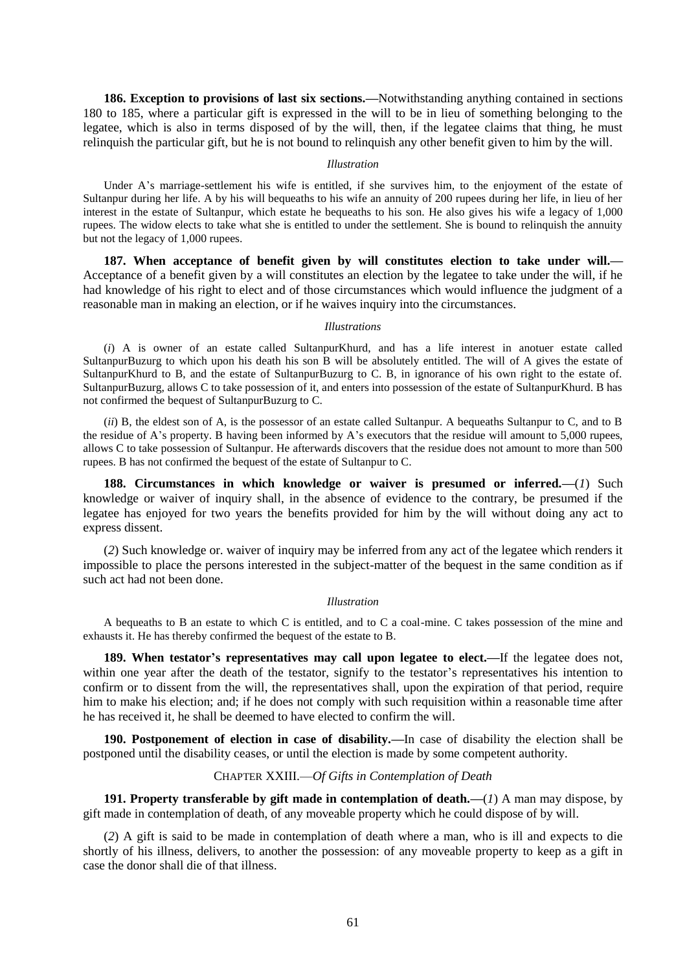**186. Exception to provisions of last six sections.—**Notwithstanding anything contained in sections 180 to 185, where a particular gift is expressed in the will to be in lieu of something belonging to the legatee, which is also in terms disposed of by the will, then, if the legatee claims that thing, he must relinquish the particular gift, but he is not bound to relinquish any other benefit given to him by the will.

### *Illustration*

Under A's marriage-settlement his wife is entitled, if she survives him, to the enjoyment of the estate of Sultanpur during her life. A by his will bequeaths to his wife an annuity of 200 rupees during her life, in lieu of her interest in the estate of Sultanpur, which estate he bequeaths to his son. He also gives his wife a legacy of 1,000 rupees. The widow elects to take what she is entitled to under the settlement. She is bound to relinquish the annuity but not the legacy of 1,000 rupees.

**187. When acceptance of benefit given by will constitutes election to take under will.—** Acceptance of a benefit given by a will constitutes an election by the legatee to take under the will, if he had knowledge of his right to elect and of those circumstances which would influence the judgment of a reasonable man in making an election, or if he waives inquiry into the circumstances.

#### *Illustrations*

(*i*) A is owner of an estate called SultanpurKhurd, and has a life interest in anotuer estate called SultanpurBuzurg to which upon his death his son B will be absolutely entitled. The will of A gives the estate of SultanpurKhurd to B, and the estate of SultanpurBuzurg to C. B, in ignorance of his own right to the estate of. SultanpurBuzurg, allows C to take possession of it, and enters into possession of the estate of SultanpurKhurd. B has not confirmed the bequest of SultanpurBuzurg to C.

(*ii*) B, the eldest son of A, is the possessor of an estate called Sultanpur. A bequeaths Sultanpur to C, and to B the residue of A's property. B having been informed by A's executors that the residue will amount to 5,000 rupees, allows C to take possession of Sultanpur. He afterwards discovers that the residue does not amount to more than 500 rupees. B has not confirmed the bequest of the estate of Sultanpur to C.

**188. Circumstances in which knowledge or waiver is presumed or inferred.—**(*1*) Such knowledge or waiver of inquiry shall, in the absence of evidence to the contrary, be presumed if the legatee has enjoyed for two years the benefits provided for him by the will without doing any act to express dissent.

(*2*) Such knowledge or. waiver of inquiry may be inferred from any act of the legatee which renders it impossible to place the persons interested in the subject-matter of the bequest in the same condition as if such act had not been done.

# *Illustration*

A bequeaths to B an estate to which C is entitled, and to C a coal-mine. C takes possession of the mine and exhausts it. He has thereby confirmed the bequest of the estate to B.

**189. When testator's representatives may call upon legatee to elect.—**If the legatee does not, within one year after the death of the testator, signify to the testator's representatives his intention to confirm or to dissent from the will, the representatives shall, upon the expiration of that period, require him to make his election; and; if he does not comply with such requisition within a reasonable time after he has received it, he shall be deemed to have elected to confirm the will.

**190. Postponement of election in case of disability.—**In case of disability the election shall be postponed until the disability ceases, or until the election is made by some competent authority.

# CHAPTER XXIII.—*Of Gifts in Contemplation of Death*

**191. Property transferable by gift made in contemplation of death.—**(*1*) A man may dispose, by gift made in contemplation of death, of any moveable property which he could dispose of by will.

(*2*) A gift is said to be made in contemplation of death where a man, who is ill and expects to die shortly of his illness, delivers, to another the possession: of any moveable property to keep as a gift in case the donor shall die of that illness.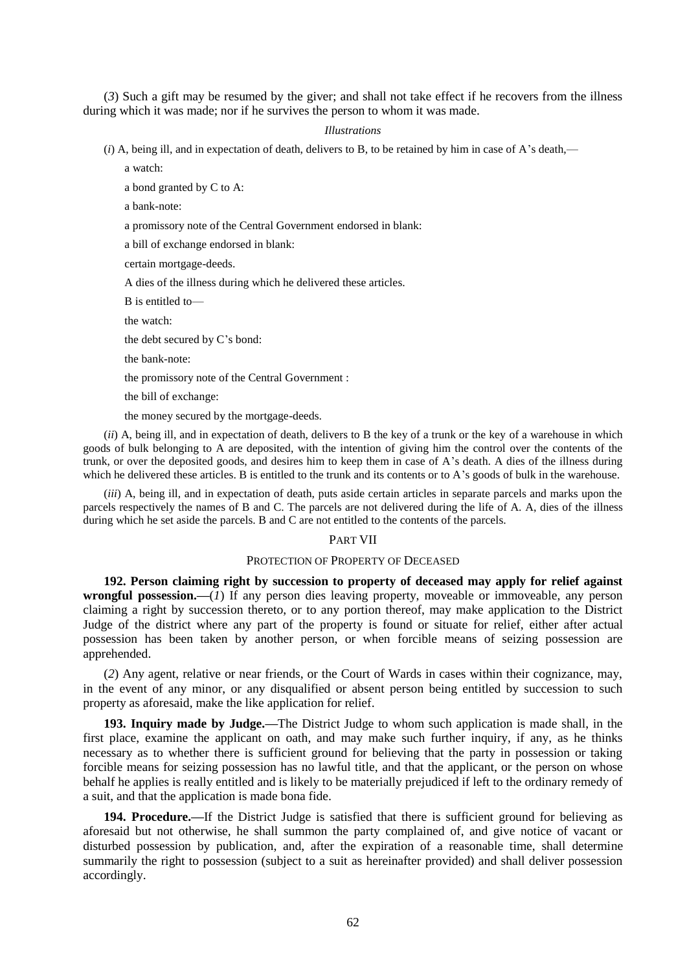(*3*) Such a gift may be resumed by the giver; and shall not take effect if he recovers from the illness during which it was made; nor if he survives the person to whom it was made.

#### *Illustrations*

(*i*) A, being ill, and in expectation of death, delivers to B, to be retained by him in case of A's death,—

a watch:

a bond granted by C to A:

a bank-note:

a promissory note of the Central Government endorsed in blank:

a bill of exchange endorsed in blank:

certain mortgage-deeds.

A dies of the illness during which he delivered these articles.

B is entitled to—

the watch:

the debt secured by C's bond:

the bank-note:

the promissory note of the Central Government :

the bill of exchange:

the money secured by the mortgage-deeds.

(*ii*) A, being ill, and in expectation of death, delivers to B the key of a trunk or the key of a warehouse in which goods of bulk belonging to A are deposited, with the intention of giving him the control over the contents of the trunk, or over the deposited goods, and desires him to keep them in case of A's death. A dies of the illness during which he delivered these articles. B is entitled to the trunk and its contents or to A's goods of bulk in the warehouse.

(*iii*) A, being ill, and in expectation of death, puts aside certain articles in separate parcels and marks upon the parcels respectively the names of B and C. The parcels are not delivered during the life of A. A, dies of the illness during which he set aside the parcels. B and C are not entitled to the contents of the parcels.

# PART VII

# PROTECTION OF PROPERTY OF DECEASED

**192. Person claiming right by succession to property of deceased may apply for relief against wrongful possession.—**(*1*) If any person dies leaving property, moveable or immoveable, any person claiming a right by succession thereto, or to any portion thereof, may make application to the District Judge of the district where any part of the property is found or situate for relief, either after actual possession has been taken by another person, or when forcible means of seizing possession are apprehended.

(*2*) Any agent, relative or near friends, or the Court of Wards in cases within their cognizance, may, in the event of any minor, or any disqualified or absent person being entitled by succession to such property as aforesaid, make the like application for relief.

**193. Inquiry made by Judge.—**The District Judge to whom such application is made shall, in the first place, examine the applicant on oath, and may make such further inquiry, if any, as he thinks necessary as to whether there is sufficient ground for believing that the party in possession or taking forcible means for seizing possession has no lawful title, and that the applicant, or the person on whose behalf he applies is really entitled and is likely to be materially prejudiced if left to the ordinary remedy of a suit, and that the application is made bona fide.

**194. Procedure.—**If the District Judge is satisfied that there is sufficient ground for believing as aforesaid but not otherwise, he shall summon the party complained of, and give notice of vacant or disturbed possession by publication, and, after the expiration of a reasonable time, shall determine summarily the right to possession (subject to a suit as hereinafter provided) and shall deliver possession accordingly.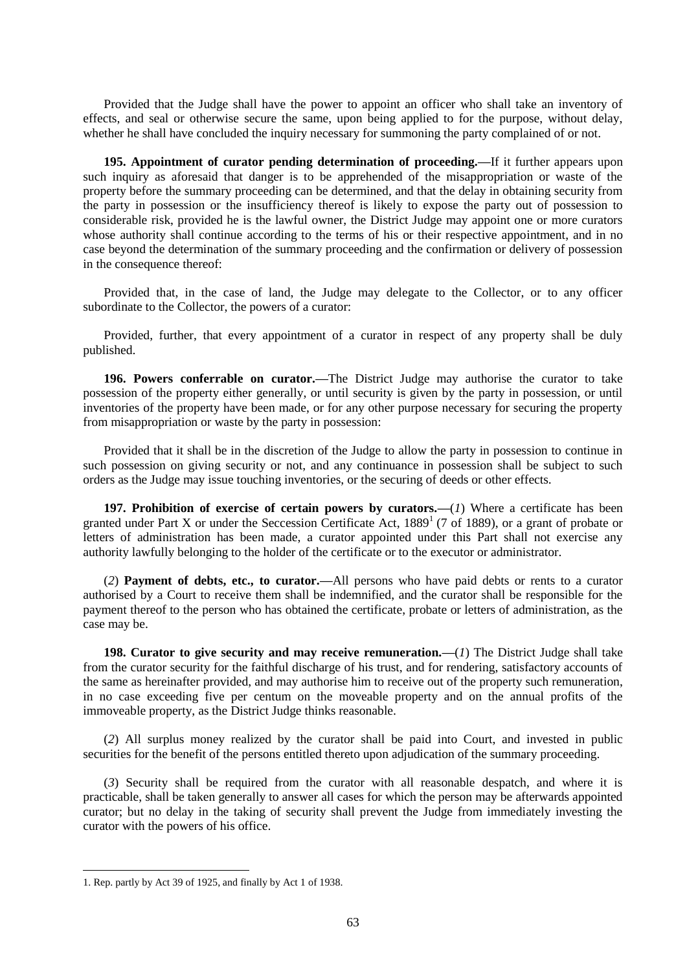Provided that the Judge shall have the power to appoint an officer who shall take an inventory of effects, and seal or otherwise secure the same, upon being applied to for the purpose, without delay, whether he shall have concluded the inquiry necessary for summoning the party complained of or not.

**195. Appointment of curator pending determination of proceeding.—**If it further appears upon such inquiry as aforesaid that danger is to be apprehended of the misappropriation or waste of the property before the summary proceeding can be determined, and that the delay in obtaining security from the party in possession or the insufficiency thereof is likely to expose the party out of possession to considerable risk, provided he is the lawful owner, the District Judge may appoint one or more curators whose authority shall continue according to the terms of his or their respective appointment, and in no case beyond the determination of the summary proceeding and the confirmation or delivery of possession in the consequence thereof:

Provided that, in the case of land, the Judge may delegate to the Collector, or to any officer subordinate to the Collector, the powers of a curator:

Provided, further, that every appointment of a curator in respect of any property shall be duly published.

**196. Powers conferrable on curator.—**The District Judge may authorise the curator to take possession of the property either generally, or until security is given by the party in possession, or until inventories of the property have been made, or for any other purpose necessary for securing the property from misappropriation or waste by the party in possession:

Provided that it shall be in the discretion of the Judge to allow the party in possession to continue in such possession on giving security or not, and any continuance in possession shall be subject to such orders as the Judge may issue touching inventories, or the securing of deeds or other effects.

**197. Prohibition of exercise of certain powers by curators.—**(*1*) Where a certificate has been granted under Part X or under the Seccession Certificate Act,  $1889<sup>1</sup>$  (7 of 1889), or a grant of probate or letters of administration has been made, a curator appointed under this Part shall not exercise any authority lawfully belonging to the holder of the certificate or to the executor or administrator.

(*2*) **Payment of debts, etc., to curator.—**All persons who have paid debts or rents to a curator authorised by a Court to receive them shall be indemnified, and the curator shall be responsible for the payment thereof to the person who has obtained the certificate, probate or letters of administration, as the case may be.

**198. Curator to give security and may receive remuneration.—**(*1*) The District Judge shall take from the curator security for the faithful discharge of his trust, and for rendering, satisfactory accounts of the same as hereinafter provided, and may authorise him to receive out of the property such remuneration, in no case exceeding five per centum on the moveable property and on the annual profits of the immoveable property, as the District Judge thinks reasonable.

(*2*) All surplus money realized by the curator shall be paid into Court, and invested in public securities for the benefit of the persons entitled thereto upon adjudication of the summary proceeding.

(*3*) Security shall be required from the curator with all reasonable despatch, and where it is practicable, shall be taken generally to answer all cases for which the person may be afterwards appointed curator; but no delay in the taking of security shall prevent the Judge from immediately investing the curator with the powers of his office.

-

<sup>1.</sup> Rep. partly by Act 39 of 1925, and finally by Act 1 of 1938.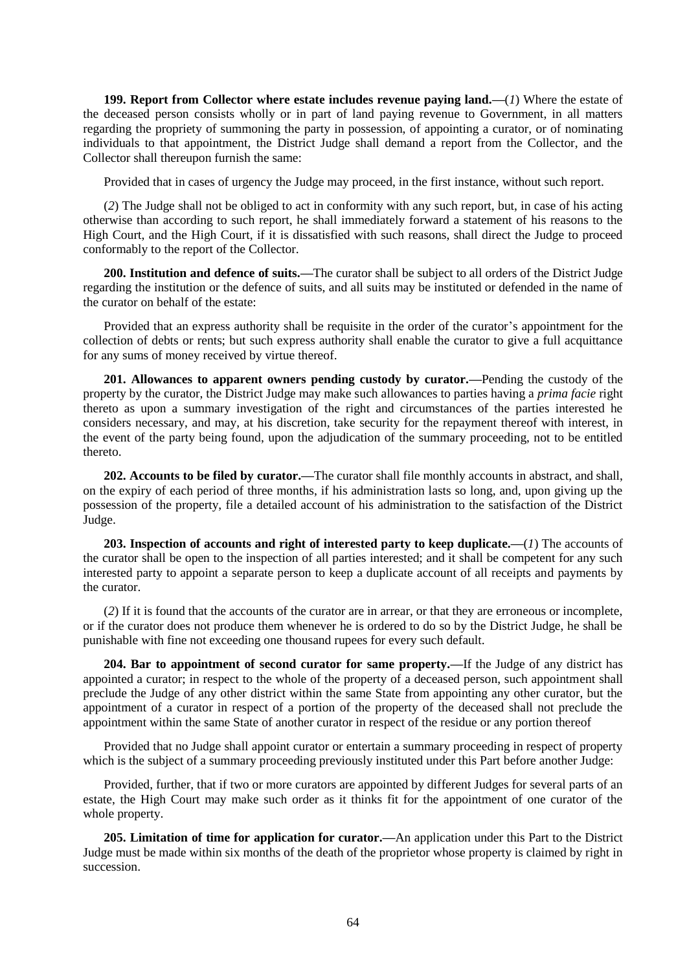**199. Report from Collector where estate includes revenue paying land.—**(*1*) Where the estate of the deceased person consists wholly or in part of land paying revenue to Government, in all matters regarding the propriety of summoning the party in possession, of appointing a curator, or of nominating individuals to that appointment, the District Judge shall demand a report from the Collector, and the Collector shall thereupon furnish the same:

Provided that in cases of urgency the Judge may proceed, in the first instance, without such report.

(*2*) The Judge shall not be obliged to act in conformity with any such report, but, in case of his acting otherwise than according to such report, he shall immediately forward a statement of his reasons to the High Court, and the High Court, if it is dissatisfied with such reasons, shall direct the Judge to proceed conformably to the report of the Collector.

**200. Institution and defence of suits.—**The curator shall be subject to all orders of the District Judge regarding the institution or the defence of suits, and all suits may be instituted or defended in the name of the curator on behalf of the estate:

Provided that an express authority shall be requisite in the order of the curator's appointment for the collection of debts or rents; but such express authority shall enable the curator to give a full acquittance for any sums of money received by virtue thereof.

**201. Allowances to apparent owners pending custody by curator.—**Pending the custody of the property by the curator, the District Judge may make such allowances to parties having a *prima facie* right thereto as upon a summary investigation of the right and circumstances of the parties interested he considers necessary, and may, at his discretion, take security for the repayment thereof with interest, in the event of the party being found, upon the adjudication of the summary proceeding, not to be entitled thereto.

**202. Accounts to be filed by curator.—**The curator shall file monthly accounts in abstract, and shall, on the expiry of each period of three months, if his administration lasts so long, and, upon giving up the possession of the property, file a detailed account of his administration to the satisfaction of the District Judge.

**203. Inspection of accounts and right of interested party to keep duplicate.—**(*1*) The accounts of the curator shall be open to the inspection of all parties interested; and it shall be competent for any such interested party to appoint a separate person to keep a duplicate account of all receipts and payments by the curator.

(*2*) If it is found that the accounts of the curator are in arrear, or that they are erroneous or incomplete, or if the curator does not produce them whenever he is ordered to do so by the District Judge, he shall be punishable with fine not exceeding one thousand rupees for every such default.

**204. Bar to appointment of second curator for same property.—**If the Judge of any district has appointed a curator; in respect to the whole of the property of a deceased person, such appointment shall preclude the Judge of any other district within the same State from appointing any other curator, but the appointment of a curator in respect of a portion of the property of the deceased shall not preclude the appointment within the same State of another curator in respect of the residue or any portion thereof

Provided that no Judge shall appoint curator or entertain a summary proceeding in respect of property which is the subject of a summary proceeding previously instituted under this Part before another Judge:

Provided, further, that if two or more curators are appointed by different Judges for several parts of an estate, the High Court may make such order as it thinks fit for the appointment of one curator of the whole property.

**205. Limitation of time for application for curator.—**An application under this Part to the District Judge must be made within six months of the death of the proprietor whose property is claimed by right in succession.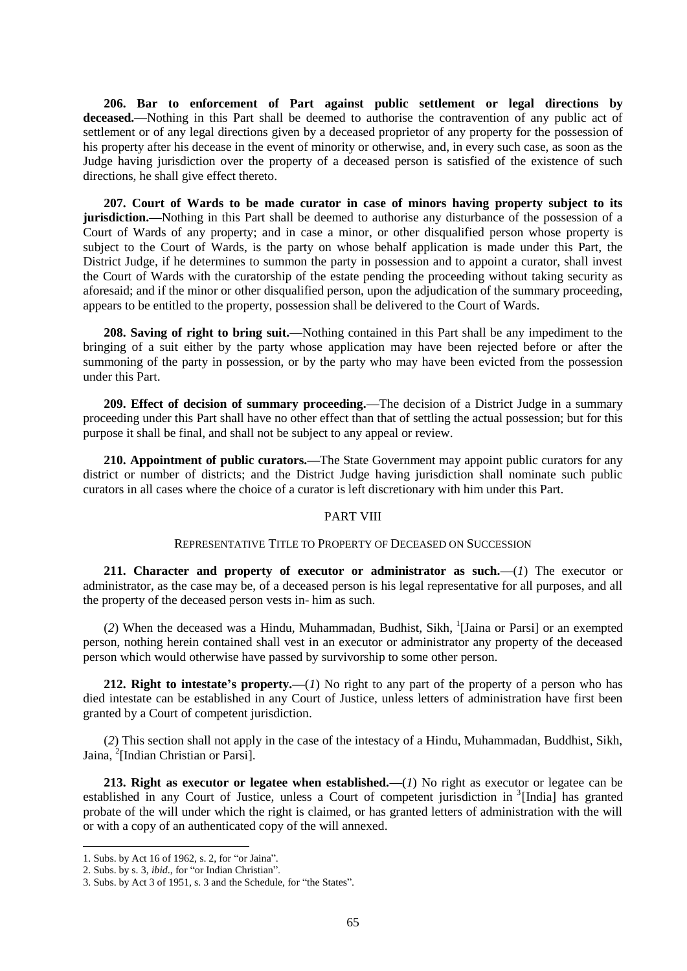**206. Bar to enforcement of Part against public settlement or legal directions by deceased.—**Nothing in this Part shall be deemed to authorise the contravention of any public act of settlement or of any legal directions given by a deceased proprietor of any property for the possession of his property after his decease in the event of minority or otherwise, and, in every such case, as soon as the Judge having jurisdiction over the property of a deceased person is satisfied of the existence of such directions, he shall give effect thereto.

**207. Court of Wards to be made curator in case of minors having property subject to its jurisdiction.—**Nothing in this Part shall be deemed to authorise any disturbance of the possession of a Court of Wards of any property; and in case a minor, or other disqualified person whose property is subject to the Court of Wards, is the party on whose behalf application is made under this Part, the District Judge, if he determines to summon the party in possession and to appoint a curator, shall invest the Court of Wards with the curatorship of the estate pending the proceeding without taking security as aforesaid; and if the minor or other disqualified person, upon the adjudication of the summary proceeding, appears to be entitled to the property, possession shall be delivered to the Court of Wards.

**208. Saving of right to bring suit.—**Nothing contained in this Part shall be any impediment to the bringing of a suit either by the party whose application may have been rejected before or after the summoning of the party in possession, or by the party who may have been evicted from the possession under this Part.

**209. Effect of decision of summary proceeding.—**The decision of a District Judge in a summary proceeding under this Part shall have no other effect than that of settling the actual possession; but for this purpose it shall be final, and shall not be subject to any appeal or review.

**210. Appointment of public curators.—**The State Government may appoint public curators for any district or number of districts; and the District Judge having jurisdiction shall nominate such public curators in all cases where the choice of a curator is left discretionary with him under this Part.

# PART VIII

# REPRESENTATIVE TITLE TO PROPERTY OF DECEASED ON SUCCESSION

**211. Character and property of executor or administrator as such.—**(*1*) The executor or administrator, as the case may be, of a deceased person is his legal representative for all purposes, and all the property of the deceased person vests in- him as such.

(2) When the deceased was a Hindu, Muhammadan, Budhist, Sikh, <sup>1</sup>[Jaina or Parsi] or an exempted person, nothing herein contained shall vest in an executor or administrator any property of the deceased person which would otherwise have passed by survivorship to some other person.

**212. Right to intestate's property.—**(*1*) No right to any part of the property of a person who has died intestate can be established in any Court of Justice, unless letters of administration have first been granted by a Court of competent jurisdiction.

(*2*) This section shall not apply in the case of the intestacy of a Hindu, Muhammadan, Buddhist, Sikh, Jaina, <sup>2</sup>[Indian Christian or Parsi].

**213. Right as executor or legatee when established.—**(*1*) No right as executor or legatee can be established in any Court of Justice, unless a Court of competent jurisdiction in <sup>3</sup>[India] has granted probate of the will under which the right is claimed, or has granted letters of administration with the will or with a copy of an authenticated copy of the will annexed.

-

<sup>1.</sup> Subs. by Act 16 of 1962, s. 2, for "or Jaina".

<sup>2.</sup> Subs. by s. 3, *ibid*., for "or Indian Christian".

<sup>3.</sup> Subs. by Act 3 of 1951, s. 3 and the Schedule, for "the States".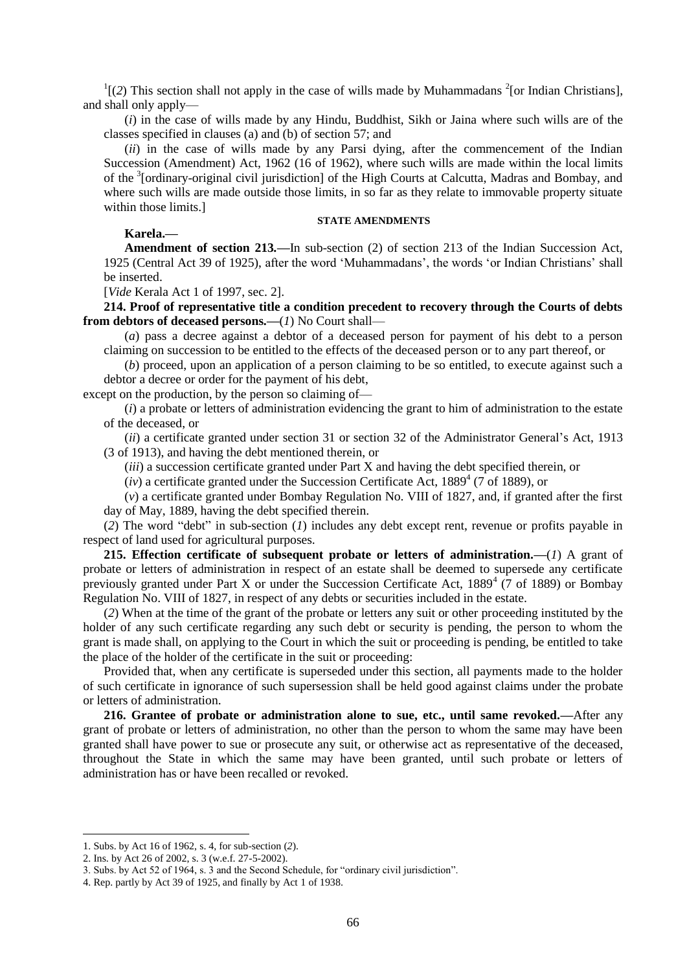$\frac{1}{2}$  (2) This section shall not apply in the case of wills made by Muhammadans  $\frac{2}{2}$  [or Indian Christians], and shall only apply—

(*i*) in the case of wills made by any Hindu, Buddhist, Sikh or Jaina where such wills are of the classes specified in clauses (a) and (b) of section 57; and

(*ii*) in the case of wills made by any Parsi dying, after the commencement of the Indian Succession (Amendment) Act, 1962 (16 of 1962), where such wills are made within the local limits of the <sup>3</sup>[ordinary-original civil jurisdiction] of the High Courts at Calcutta, Madras and Bombay, and where such wills are made outside those limits, in so far as they relate to immovable property situate within those limits.]

# **STATE AMENDMENTS**

# **Karela.—**

**Amendment of section 213***.—*In sub-section (2) of section 213 of the Indian Succession Act, 1925 (Central Act 39 of 1925), after the word 'Muhammadans', the words 'or Indian Christians' shall be inserted.

[*Vide* Kerala Act 1 of 1997, sec. 2].

**214. Proof of representative title a condition precedent to recovery through the Courts of debts from debtors of deceased persons.—**(*1*) No Court shall—

(*a*) pass a decree against a debtor of a deceased person for payment of his debt to a person claiming on succession to be entitled to the effects of the deceased person or to any part thereof, or

(*b*) proceed, upon an application of a person claiming to be so entitled, to execute against such a debtor a decree or order for the payment of his debt,

except on the production, by the person so claiming of—

(*i*) a probate or letters of administration evidencing the grant to him of administration to the estate of the deceased, or

(*ii*) a certificate granted under section 31 or section 32 of the Administrator General's Act, 1913 (3 of 1913), and having the debt mentioned therein, or

(*iii*) a succession certificate granted under Part X and having the debt specified therein, or

 $(iv)$  a certificate granted under the Succession Certificate Act, 1889<sup>4</sup> (7 of 1889), or

(*v*) a certificate granted under Bombay Regulation No. VIII of 1827, and, if granted after the first day of May, 1889, having the debt specified therein.

(*2*) The word "debt" in sub-section (*1*) includes any debt except rent, revenue or profits payable in respect of land used for agricultural purposes.

**215. Effection certificate of subsequent probate or letters of administration.—**(*1*) A grant of probate or letters of administration in respect of an estate shall be deemed to supersede any certificate previously granted under Part X or under the Succession Certificate Act,  $1889^4$  (7 of 1889) or Bombay Regulation No. VIII of 1827, in respect of any debts or securities included in the estate.

(*2*) When at the time of the grant of the probate or letters any suit or other proceeding instituted by the holder of any such certificate regarding any such debt or security is pending, the person to whom the grant is made shall, on applying to the Court in which the suit or proceeding is pending, be entitled to take the place of the holder of the certificate in the suit or proceeding:

Provided that, when any certificate is superseded under this section, all payments made to the holder of such certificate in ignorance of such supersession shall be held good against claims under the probate or letters of administration.

**216. Grantee of probate or administration alone to sue, etc., until same revoked.—**After any grant of probate or letters of administration, no other than the person to whom the same may have been granted shall have power to sue or prosecute any suit, or otherwise act as representative of the deceased, throughout the State in which the same may have been granted, until such probate or letters of administration has or have been recalled or revoked.

1

<sup>1.</sup> Subs. by Act 16 of 1962, s. 4, for sub-section (*2*).

<sup>2.</sup> Ins. by Act 26 of 2002, s. 3 (w.e.f. 27-5-2002).

<sup>3.</sup> Subs. by Act 52 of 1964, s. 3 and the Second Schedule, for "ordinary civil jurisdiction".

<sup>4.</sup> Rep. partly by Act 39 of 1925, and finally by Act 1 of 1938.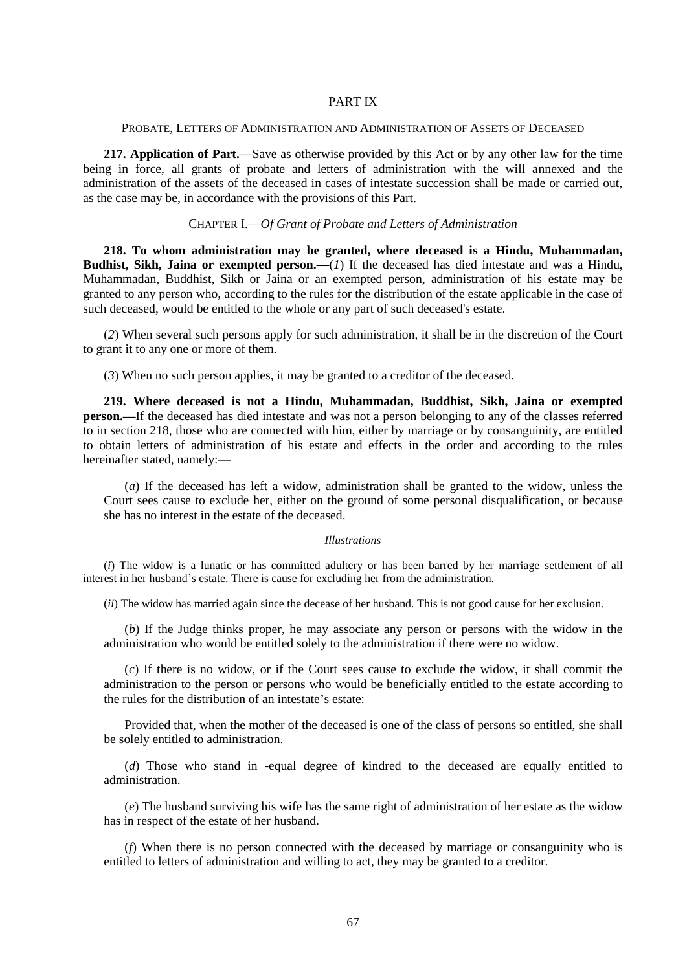# PART IX

#### PROBATE, LETTERS OF ADMINISTRATION AND ADMINISTRATION OF ASSETS OF DECEASED

**217. Application of Part.—**Save as otherwise provided by this Act or by any other law for the time being in force, all grants of probate and letters of administration with the will annexed and the administration of the assets of the deceased in cases of intestate succession shall be made or carried out, as the case may be, in accordance with the provisions of this Part.

# CHAPTER I.—*Of Grant of Probate and Letters of Administration*

**218. To whom administration may be granted, where deceased is a Hindu, Muhammadan, Budhist, Sikh, Jaina or exempted person.—**(*1*) If the deceased has died intestate and was a Hindu, Muhammadan, Buddhist, Sikh or Jaina or an exempted person, administration of his estate may be granted to any person who, according to the rules for the distribution of the estate applicable in the case of such deceased, would be entitled to the whole or any part of such deceased's estate.

(*2*) When several such persons apply for such administration, it shall be in the discretion of the Court to grant it to any one or more of them.

(*3*) When no such person applies, it may be granted to a creditor of the deceased.

**219. Where deceased is not a Hindu, Muhammadan, Buddhist, Sikh, Jaina or exempted person.—**If the deceased has died intestate and was not a person belonging to any of the classes referred to in section 218, those who are connected with him, either by marriage or by consanguinity, are entitled to obtain letters of administration of his estate and effects in the order and according to the rules hereinafter stated, namely:—

(*a*) If the deceased has left a widow, administration shall be granted to the widow, unless the Court sees cause to exclude her, either on the ground of some personal disqualification, or because she has no interest in the estate of the deceased.

## *Illustrations*

(*i*) The widow is a lunatic or has committed adultery or has been barred by her marriage settlement of all interest in her husband's estate. There is cause for excluding her from the administration.

(*ii*) The widow has married again since the decease of her husband. This is not good cause for her exclusion.

(*b*) If the Judge thinks proper, he may associate any person or persons with the widow in the administration who would be entitled solely to the administration if there were no widow.

(*c*) If there is no widow, or if the Court sees cause to exclude the widow, it shall commit the administration to the person or persons who would be beneficially entitled to the estate according to the rules for the distribution of an intestate's estate:

Provided that, when the mother of the deceased is one of the class of persons so entitled, she shall be solely entitled to administration.

(*d*) Those who stand in -equal degree of kindred to the deceased are equally entitled to administration.

(*e*) The husband surviving his wife has the same right of administration of her estate as the widow has in respect of the estate of her husband.

(*f*) When there is no person connected with the deceased by marriage or consanguinity who is entitled to letters of administration and willing to act, they may be granted to a creditor.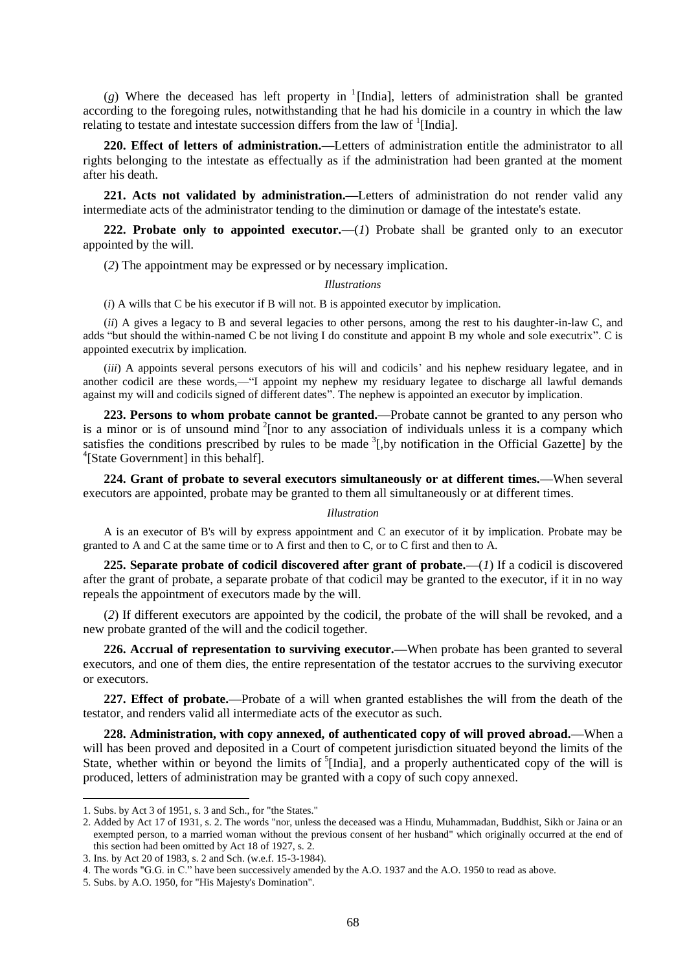$(g)$  Where the deceased has left property in <sup>1</sup>[India], letters of administration shall be granted according to the foregoing rules, notwithstanding that he had his domicile in a country in which the law relating to testate and intestate succession differs from the law of <sup>1</sup>[India].

**220. Effect of letters of administration.—**Letters of administration entitle the administrator to all rights belonging to the intestate as effectually as if the administration had been granted at the moment after his death.

**221. Acts not validated by administration.—**Letters of administration do not render valid any intermediate acts of the administrator tending to the diminution or damage of the intestate's estate.

**222. Probate only to appointed executor***.—*(*1*) Probate shall be granted only to an executor appointed by the will.

(*2*) The appointment may be expressed or by necessary implication.

## *Illustrations*

(*i*) A wills that C be his executor if B will not. B is appointed executor by implication.

(*ii*) A gives a legacy to B and several legacies to other persons, among the rest to his daughter-in-law C, and adds "but should the within-named C be not living I do constitute and appoint B my whole and sole executrix". C is appointed executrix by implication.

(*iii*) A appoints several persons executors of his will and codicils' and his nephew residuary legatee, and in another codicil are these words,—"I appoint my nephew my residuary legatee to discharge all lawful demands against my will and codicils signed of different dates". The nephew is appointed an executor by implication.

**223. Persons to whom probate cannot be granted.—**Probate cannot be granted to any person who is a minor or is of unsound mind  $2$ [nor to any association of individuals unless it is a company which satisfies the conditions prescribed by rules to be made  ${}^{3}$ [,by notification in the Official Gazette] by the 4 [State Government] in this behalf].

**224. Grant of probate to several executors simultaneously or at different times.—**When several executors are appointed, probate may be granted to them all simultaneously or at different times.

### *Illustration*

A is an executor of B's will by express appointment and C an executor of it by implication. Probate may be granted to A and C at the same time or to A first and then to C, or to C first and then to A.

**225. Separate probate of codicil discovered after grant of probate.—**(*1*) If a codicil is discovered after the grant of probate, a separate probate of that codicil may be granted to the executor, if it in no way repeals the appointment of executors made by the will.

(*2*) If different executors are appointed by the codicil, the probate of the will shall be revoked, and a new probate granted of the will and the codicil together.

**226. Accrual of representation to surviving executor.—**When probate has been granted to several executors, and one of them dies, the entire representation of the testator accrues to the surviving executor or executors.

**227. Effect of probate.—**Probate of a will when granted establishes the will from the death of the testator, and renders valid all intermediate acts of the executor as such.

**228. Administration, with copy annexed, of authenticated copy of will proved abroad.—**When a will has been proved and deposited in a Court of competent jurisdiction situated beyond the limits of the State, whether within or beyond the limits of  ${}^{5}$ [India], and a properly authenticated copy of the will is produced, letters of administration may be granted with a copy of such copy annexed.

1

<sup>1.</sup> Subs. by Act 3 of 1951, s. 3 and Sch., for "the States."

<sup>2.</sup> Added by Act 17 of 1931, s. 2. The words "nor, unless the deceased was a Hindu, Muhammadan, Buddhist, Sikh or Jaina or an exempted person, to a married woman without the previous consent of her husband" which originally occurred at the end of this section had been omitted by Act 18 of 1927, s. 2.

<sup>3.</sup> Ins. by Act 20 of 1983, s. 2 and Sch. (w.e.f. 15-3-1984).

<sup>4.</sup> The words "G.G. in C." have been successively amended by the A.O. 1937 and the A.O. 1950 to read as above.

<sup>5.</sup> Subs. by A.O. 1950, for "His Majesty's Domination".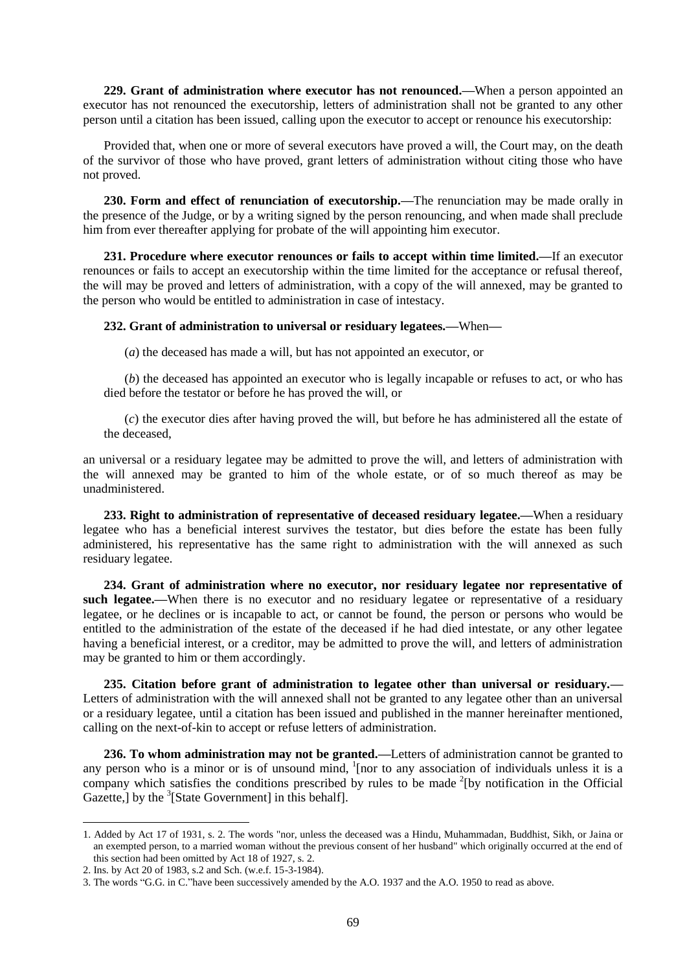**229. Grant of administration where executor has not renounced.—**When a person appointed an executor has not renounced the executorship, letters of administration shall not be granted to any other person until a citation has been issued, calling upon the executor to accept or renounce his executorship:

Provided that, when one or more of several executors have proved a will, the Court may, on the death of the survivor of those who have proved, grant letters of administration without citing those who have not proved.

**230. Form and effect of renunciation of executorship.—**The renunciation may be made orally in the presence of the Judge, or by a writing signed by the person renouncing, and when made shall preclude him from ever thereafter applying for probate of the will appointing him executor.

**231. Procedure where executor renounces or fails to accept within time limited.—**If an executor renounces or fails to accept an executorship within the time limited for the acceptance or refusal thereof, the will may be proved and letters of administration, with a copy of the will annexed, may be granted to the person who would be entitled to administration in case of intestacy.

# **232. Grant of administration to universal or residuary legatees.—**When**—**

(*a*) the deceased has made a will, but has not appointed an executor, or

(*b*) the deceased has appointed an executor who is legally incapable or refuses to act, or who has died before the testator or before he has proved the will, or

(*c*) the executor dies after having proved the will, but before he has administered all the estate of the deceased,

an universal or a residuary legatee may be admitted to prove the will, and letters of administration with the will annexed may be granted to him of the whole estate, or of so much thereof as may be unadministered.

**233. Right to administration of representative of deceased residuary legatee.—**When a residuary legatee who has a beneficial interest survives the testator, but dies before the estate has been fully administered, his representative has the same right to administration with the will annexed as such residuary legatee.

**234. Grant of administration where no executor, nor residuary legatee nor representative of**  such legatee.—When there is no executor and no residuary legatee or representative of a residuary legatee, or he declines or is incapable to act, or cannot be found, the person or persons who would be entitled to the administration of the estate of the deceased if he had died intestate, or any other legatee having a beneficial interest, or a creditor, may be admitted to prove the will, and letters of administration may be granted to him or them accordingly.

**235. Citation before grant of administration to legatee other than universal or residuary.—** Letters of administration with the will annexed shall not be granted to any legatee other than an universal or a residuary legatee, until a citation has been issued and published in the manner hereinafter mentioned, calling on the next-of-kin to accept or refuse letters of administration.

**236. To whom administration may not be granted.—**Letters of administration cannot be granted to any person who is a minor or is of unsound mind,  $1$ [nor to any association of individuals unless it is a company which satisfies the conditions prescribed by rules to be made  $2$ [by notification in the Official Gazette,] by the  ${}^{3}$ [State Government] in this behalf].

1

<sup>1.</sup> Added by Act 17 of 1931, s. 2. The words "nor, unless the deceased was a Hindu, Muhammadan, Buddhist, Sikh, or Jaina or an exempted person, to a married woman without the previous consent of her husband" which originally occurred at the end of this section had been omitted by Act 18 of 1927, s. 2.

<sup>2.</sup> Ins. by Act 20 of 1983, s.2 and Sch. (w.e.f. 15-3-1984).

<sup>3.</sup> The words "G.G. in C."have been successively amended by the A.O. 1937 and the A.O. 1950 to read as above.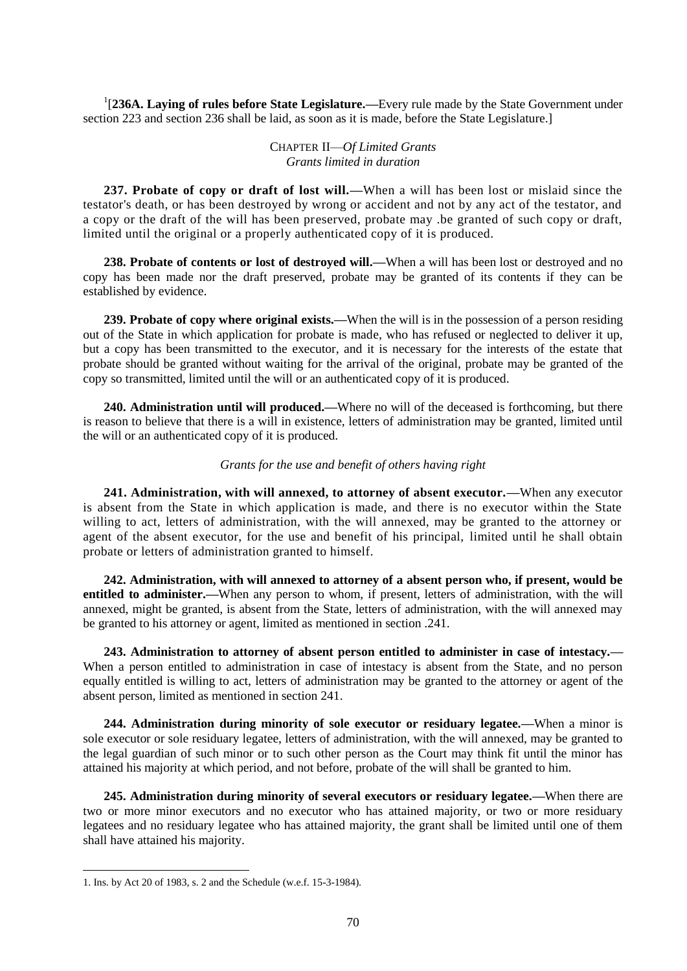1 [**236A. Laying of rules before State Legislature.—**Every rule made by the State Government under section 223 and section 236 shall be laid, as soon as it is made, before the State Legislature.]

# CHAPTER II—*Of Limited Grants Grants limited in duration*

**237. Probate of copy or draft of lost will.—**When a will has been lost or mislaid since the testator's death, or has been destroyed by wrong or accident and not by any act of the testator, and a copy or the draft of the will has been preserved, probate may .be granted of such copy or draft, limited until the original or a properly authenticated copy of it is produced.

**238. Probate of contents or lost of destroyed will.—**When a will has been lost or destroyed and no copy has been made nor the draft preserved, probate may be granted of its contents if they can be established by evidence.

**239. Probate of copy where original exists.—**When the will is in the possession of a person residing out of the State in which application for probate is made, who has refused or neglected to deliver it up, but a copy has been transmitted to the executor, and it is necessary for the interests of the estate that probate should be granted without waiting for the arrival of the original, probate may be granted of the copy so transmitted, limited until the will or an authenticated copy of it is produced.

**240. Administration until will produced.—**Where no will of the deceased is forthcoming, but there is reason to believe that there is a will in existence, letters of administration may be granted, limited until the will or an authenticated copy of it is produced.

# *Grants for the use and benefit of others having right*

**241. Administration, with will annexed, to attorney of absent executor.—**When any executor is absent from the State in which application is made, and there is no executor within the State willing to act, letters of administration, with the will annexed, may be granted to the attorney or agent of the absent executor, for the use and benefit of his principal, limited until he shall obtain probate or letters of administration granted to himself.

**242. Administration, with will annexed to attorney of a absent person who, if present, would be entitled to administer.—**When any person to whom, if present, letters of administration, with the will annexed, might be granted, is absent from the State, letters of administration, with the will annexed may be granted to his attorney or agent, limited as mentioned in section .241.

**243. Administration to attorney of absent person entitled to administer in case of intestacy.—** When a person entitled to administration in case of intestacy is absent from the State, and no person equally entitled is willing to act, letters of administration may be granted to the attorney or agent of the absent person, limited as mentioned in section 241.

**244. Administration during minority of sole executor or residuary legatee.—**When a minor is sole executor or sole residuary legatee, letters of administration, with the will annexed, may be granted to the legal guardian of such minor or to such other person as the Court may think fit until the minor has attained his majority at which period, and not before, probate of the will shall be granted to him.

**245. Administration during minority of several executors or residuary legatee.—**When there are two or more minor executors and no executor who has attained majority, or two or more residuary legatees and no residuary legatee who has attained majority, the grant shall be limited until one of them shall have attained his majority.

-

<sup>1.</sup> Ins. by Act 20 of 1983, s. 2 and the Schedule (w.e.f. 15-3-1984).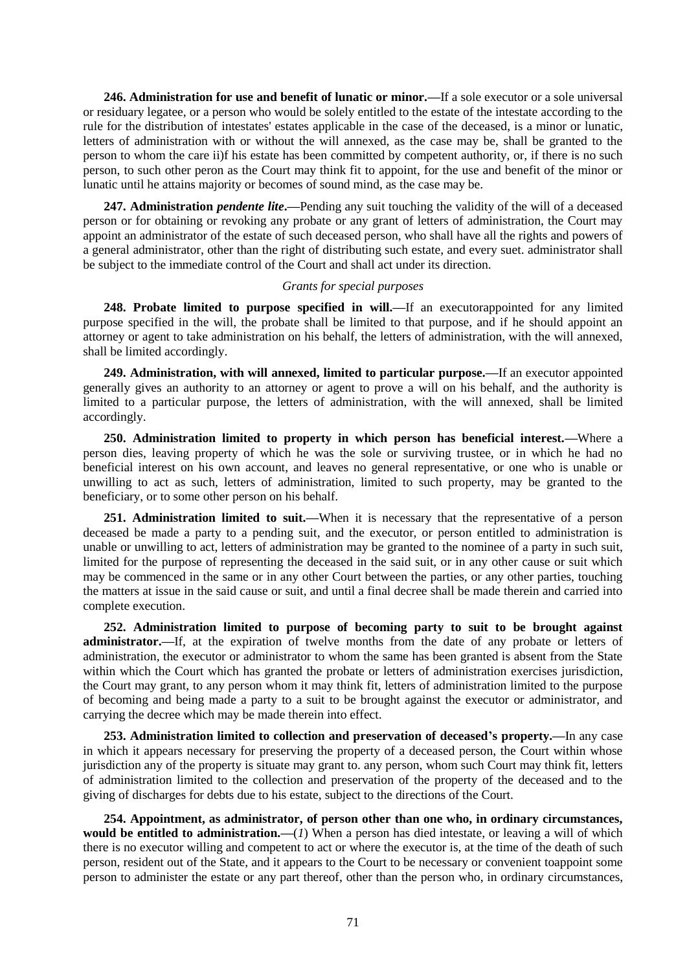**246. Administration for use and benefit of lunatic or minor.—**If a sole executor or a sole universal or residuary legatee, or a person who would be solely entitled to the estate of the intestate according to the rule for the distribution of intestates' estates applicable in the case of the deceased, is a minor or lunatic, letters of administration with or without the will annexed, as the case may be, shall be granted to the person to whom the care ii)f his estate has been committed by competent authority, or, if there is no such person, to such other peron as the Court may think fit to appoint, for the use and benefit of the minor or lunatic until he attains majority or becomes of sound mind, as the case may be.

**247. Administration** *pendente lite*.—Pending any suit touching the validity of the will of a deceased person or for obtaining or revoking any probate or any grant of letters of administration, the Court may appoint an administrator of the estate of such deceased person, who shall have all the rights and powers of a general administrator, other than the right of distributing such estate, and every suet. administrator shall be subject to the immediate control of the Court and shall act under its direction.

# *Grants for special purposes*

**248. Probate limited to purpose specified in will.—**If an executorappointed for any limited purpose specified in the will, the probate shall be limited to that purpose, and if he should appoint an attorney or agent to take administration on his behalf, the letters of administration, with the will annexed, shall be limited accordingly.

**249. Administration, with will annexed, limited to particular purpose.—**If an executor appointed generally gives an authority to an attorney or agent to prove a will on his behalf, and the authority is limited to a particular purpose, the letters of administration, with the will annexed, shall be limited accordingly.

**250. Administration limited to property in which person has beneficial interest.—**Where a person dies, leaving property of which he was the sole or surviving trustee, or in which he had no beneficial interest on his own account, and leaves no general representative, or one who is unable or unwilling to act as such, letters of administration, limited to such property, may be granted to the beneficiary, or to some other person on his behalf.

**251. Administration limited to suit.—**When it is necessary that the representative of a person deceased be made a party to a pending suit, and the executor, or person entitled to administration is unable or unwilling to act, letters of administration may be granted to the nominee of a party in such suit, limited for the purpose of representing the deceased in the said suit, or in any other cause or suit which may be commenced in the same or in any other Court between the parties, or any other parties, touching the matters at issue in the said cause or suit, and until a final decree shall be made therein and carried into complete execution.

**252. Administration limited to purpose of becoming party to suit to be brought against administrator.**—If, at the expiration of twelve months from the date of any probate or letters of administration, the executor or administrator to whom the same has been granted is absent from the State within which the Court which has granted the probate or letters of administration exercises jurisdiction, the Court may grant, to any person whom it may think fit, letters of administration limited to the purpose of becoming and being made a party to a suit to be brought against the executor or administrator, and carrying the decree which may be made therein into effect.

**253. Administration limited to collection and preservation of deceased's property.—**In any case in which it appears necessary for preserving the property of a deceased person, the Court within whose jurisdiction any of the property is situate may grant to. any person, whom such Court may think fit, letters of administration limited to the collection and preservation of the property of the deceased and to the giving of discharges for debts due to his estate, subject to the directions of the Court.

**254. Appointment, as administrator, of person other than one who, in ordinary circumstances, would be entitled to administration.—(***1***)** When a person has died intestate, or leaving a will of which there is no executor willing and competent to act or where the executor is, at the time of the death of such person, resident out of the State, and it appears to the Court to be necessary or convenient toappoint some person to administer the estate or any part thereof, other than the person who, in ordinary circumstances,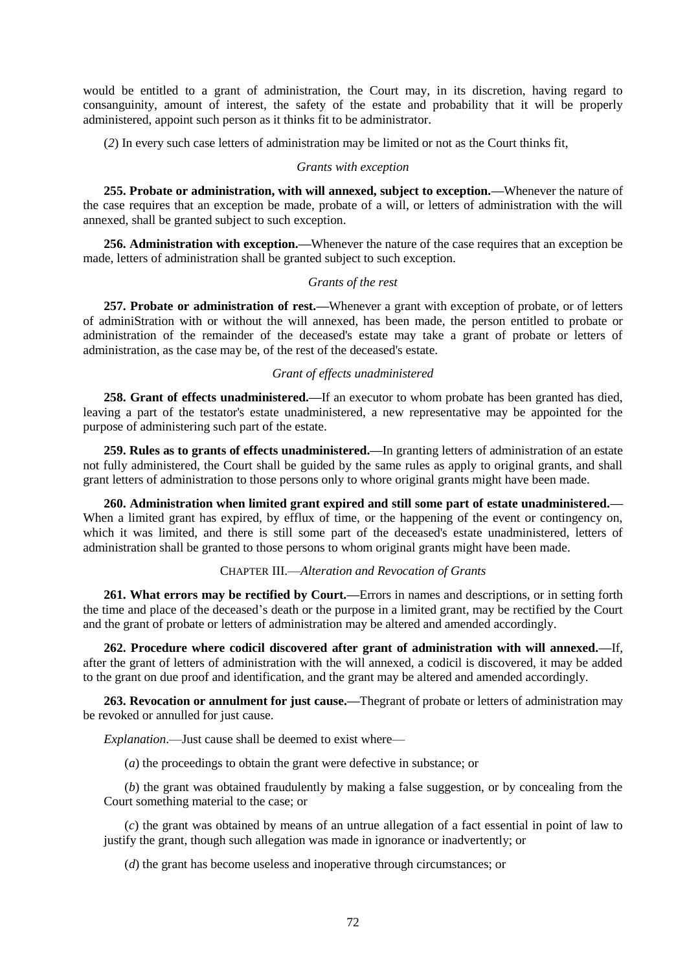would be entitled to a grant of administration, the Court may, in its discretion, having regard to consanguinity, amount of interest, the safety of the estate and probability that it will be properly administered, appoint such person as it thinks fit to be administrator.

(*2*) In every such case letters of administration may be limited or not as the Court thinks fit,

### *Grants with exception*

**255. Probate or administration, with will annexed, subject to exception.—**Whenever the nature of the case requires that an exception be made, probate of a will, or letters of administration with the will annexed, shall be granted subject to such exception.

**256. Administration with exception.—**Whenever the nature of the case requires that an exception be made, letters of administration shall be granted subject to such exception.

# *Grants of the rest*

**257. Probate or administration of rest.—**Whenever a grant with exception of probate, or of letters of adminiStration with or without the will annexed, has been made, the person entitled to probate or administration of the remainder of the deceased's estate may take a grant of probate or letters of administration, as the case may be, of the rest of the deceased's estate.

# *Grant of effects unadministered*

**258. Grant of effects unadministered.—**If an executor to whom probate has been granted has died, leaving a part of the testator's estate unadministered, a new representative may be appointed for the purpose of administering such part of the estate.

**259. Rules as to grants of effects unadministered.—**In granting letters of administration of an estate not fully administered, the Court shall be guided by the same rules as apply to original grants, and shall grant letters of administration to those persons only to whore original grants might have been made.

**260. Administration when limited grant expired and still some part of estate unadministered.—** When a limited grant has expired, by efflux of time, or the happening of the event or contingency on, which it was limited, and there is still some part of the deceased's estate unadministered, letters of administration shall be granted to those persons to whom original grants might have been made.

# CHAPTER III.—*Alteration and Revocation of Grants*

**261. What errors may be rectified by Court.—**Errors in names and descriptions, or in setting forth the time and place of the deceased's death or the purpose in a limited grant, may be rectified by the Court and the grant of probate or letters of administration may be altered and amended accordingly.

**262. Procedure where codicil discovered after grant of administration with will annexed.—**If, after the grant of letters of administration with the will annexed, a codicil is discovered, it may be added to the grant on due proof and identification, and the grant may be altered and amended accordingly.

**263. Revocation or annulment for just cause.—**Thegrant of probate or letters of administration may be revoked or annulled for just cause.

*Explanation*.—Just cause shall be deemed to exist where—

(*a*) the proceedings to obtain the grant were defective in substance; or

(*b*) the grant was obtained fraudulently by making a false suggestion, or by concealing from the Court something material to the case; or

(*c*) the grant was obtained by means of an untrue allegation of a fact essential in point of law to justify the grant, though such allegation was made in ignorance or inadvertently; or

(*d*) the grant has become useless and inoperative through circumstances; or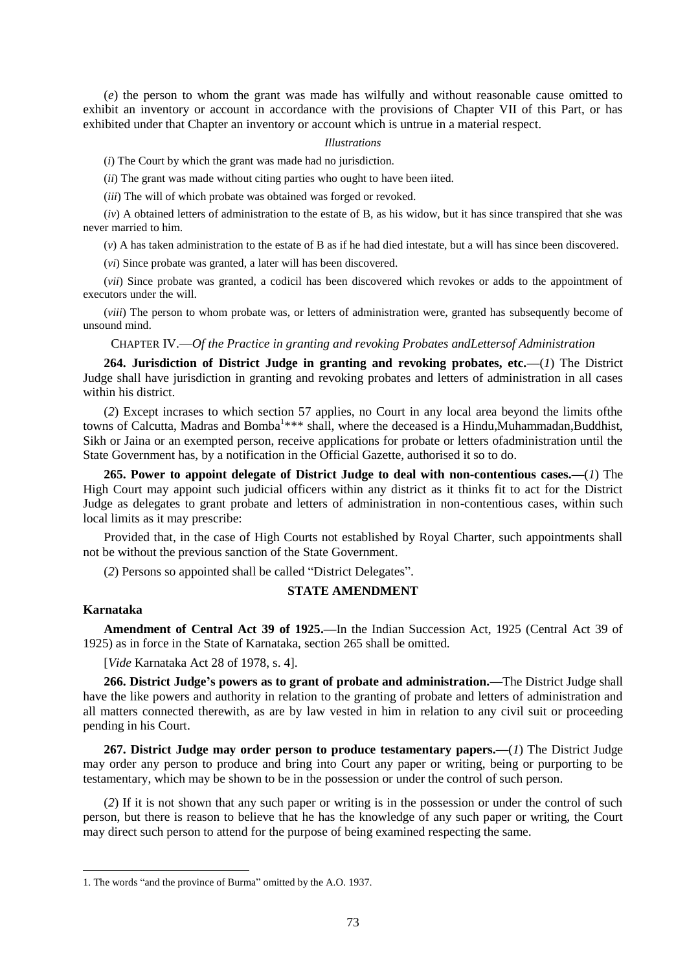(*e*) the person to whom the grant was made has wilfully and without reasonable cause omitted to exhibit an inventory or account in accordance with the provisions of Chapter VII of this Part, or has exhibited under that Chapter an inventory or account which is untrue in a material respect.

## *Illustrations*

(*i*) The Court by which the grant was made had no jurisdiction.

(*ii*) The grant was made without citing parties who ought to have been iited.

(*iii*) The will of which probate was obtained was forged or revoked.

(*iv*) A obtained letters of administration to the estate of B, as his widow, but it has since transpired that she was never married to him.

(*v*) A has taken administration to the estate of B as if he had died intestate, but a will has since been discovered.

(*vi*) Since probate was granted, a later will has been discovered.

(*vii*) Since probate was granted, a codicil has been discovered which revokes or adds to the appointment of executors under the will.

(*viii*) The person to whom probate was, or letters of administration were, granted has subsequently become of unsound mind.

CHAPTER IV.—*Of the Practice in granting and revoking Probates andLettersof Administration*

**264. Jurisdiction of District Judge in granting and revoking probates, etc.—**(*1*) The District Judge shall have jurisdiction in granting and revoking probates and letters of administration in all cases within his district.

(*2*) Except incrases to which section 57 applies, no Court in any local area beyond the limits ofthe towns of Calcutta, Madras and Bomba<sup>1\*\*\*</sup> shall, where the deceased is a Hindu,Muhammadan,Buddhist, Sikh or Jaina or an exempted person, receive applications for probate or letters ofadministration until the State Government has, by a notification in the Official Gazette, authorised it so to do.

**265. Power to appoint delegate of District Judge to deal with non-contentious cases.—**(*1*) The High Court may appoint such judicial officers within any district as it thinks fit to act for the District Judge as delegates to grant probate and letters of administration in non-contentious cases, within such local limits as it may prescribe:

Provided that, in the case of High Courts not established by Royal Charter, such appointments shall not be without the previous sanction of the State Government.

(*2*) Persons so appointed shall be called "District Delegates".

## **STATE AMENDMENT**

#### **Karnataka**

-

**Amendment of Central Act 39 of 1925.—**In the Indian Succession Act, 1925 (Central Act 39 of 1925) as in force in the State of Karnataka, section 265 shall be omitted.

[*Vide* Karnataka Act 28 of 1978, s. 4].

**266. District Judge's powers as to grant of probate and administration.—**The District Judge shall have the like powers and authority in relation to the granting of probate and letters of administration and all matters connected therewith, as are by law vested in him in relation to any civil suit or proceeding pending in his Court.

**267. District Judge may order person to produce testamentary papers.—**(*1*) The District Judge may order any person to produce and bring into Court any paper or writing, being or purporting to be testamentary, which may be shown to be in the possession or under the control of such person.

(*2*) If it is not shown that any such paper or writing is in the possession or under the control of such person, but there is reason to believe that he has the knowledge of any such paper or writing, the Court may direct such person to attend for the purpose of being examined respecting the same.

<sup>1.</sup> The words "and the province of Burma" omitted by the A.O. 1937.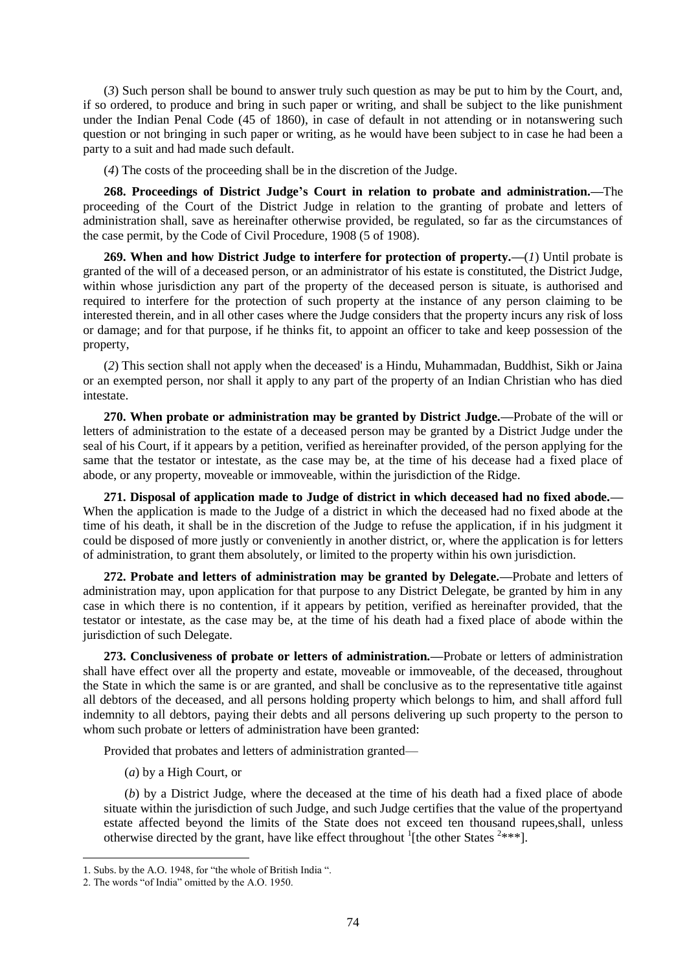(*3*) Such person shall be bound to answer truly such question as may be put to him by the Court, and, if so ordered, to produce and bring in such paper or writing, and shall be subject to the like punishment under the Indian Penal Code (45 of 1860), in case of default in not attending or in notanswering such question or not bringing in such paper or writing, as he would have been subject to in case he had been a party to a suit and had made such default.

(*4*) The costs of the proceeding shall be in the discretion of the Judge.

**268. Proceedings of District Judge's Court in relation to probate and administration.—**The proceeding of the Court of the District Judge in relation to the granting of probate and letters of administration shall, save as hereinafter otherwise provided, be regulated, so far as the circumstances of the case permit, by the Code of Civil Procedure, 1908 (5 of 1908).

**269. When and how District Judge to interfere for protection of property.—**(*1*) Until probate is granted of the will of a deceased person, or an administrator of his estate is constituted, the District Judge, within whose jurisdiction any part of the property of the deceased person is situate, is authorised and required to interfere for the protection of such property at the instance of any person claiming to be interested therein, and in all other cases where the Judge considers that the property incurs any risk of loss or damage; and for that purpose, if he thinks fit, to appoint an officer to take and keep possession of the property,

(*2*) This section shall not apply when the deceased' is a Hindu, Muhammadan, Buddhist, Sikh or Jaina or an exempted person, nor shall it apply to any part of the property of an Indian Christian who has died intestate.

**270. When probate or administration may be granted by District Judge.—**Probate of the will or letters of administration to the estate of a deceased person may be granted by a District Judge under the seal of his Court, if it appears by a petition, verified as hereinafter provided, of the person applying for the same that the testator or intestate, as the case may be, at the time of his decease had a fixed place of abode, or any property, moveable or immoveable, within the jurisdiction of the Ridge.

**271. Disposal of application made to Judge of district in which deceased had no fixed abode.—** When the application is made to the Judge of a district in which the deceased had no fixed abode at the time of his death, it shall be in the discretion of the Judge to refuse the application, if in his judgment it could be disposed of more justly or conveniently in another district, or, where the application is for letters of administration, to grant them absolutely, or limited to the property within his own jurisdiction.

**272. Probate and letters of administration may be granted by Delegate.—**Probate and letters of administration may, upon application for that purpose to any District Delegate, be granted by him in any case in which there is no contention, if it appears by petition, verified as hereinafter provided, that the testator or intestate, as the case may be, at the time of his death had a fixed place of abode within the jurisdiction of such Delegate.

**273. Conclusiveness of probate or letters of administration.—**Probate or letters of administration shall have effect over all the property and estate, moveable or immoveable, of the deceased, throughout the State in which the same is or are granted, and shall be conclusive as to the representative title against all debtors of the deceased, and all persons holding property which belongs to him, and shall afford full indemnity to all debtors, paying their debts and all persons delivering up such property to the person to whom such probate or letters of administration have been granted:

Provided that probates and letters of administration granted—

(*a*) by a High Court, or

(*b*) by a District Judge, where the deceased at the time of his death had a fixed place of abode situate within the jurisdiction of such Judge, and such Judge certifies that the value of the propertyand estate affected beyond the limits of the State does not exceed ten thousand rupees,shall, unless otherwise directed by the grant, have like effect throughout  $\frac{1}{1}$  [the other States  $\frac{2***}{1}$ ].

1

<sup>1.</sup> Subs. by the A.O. 1948, for "the whole of British India ".

<sup>2.</sup> The words "of India" omitted by the A.O. 1950.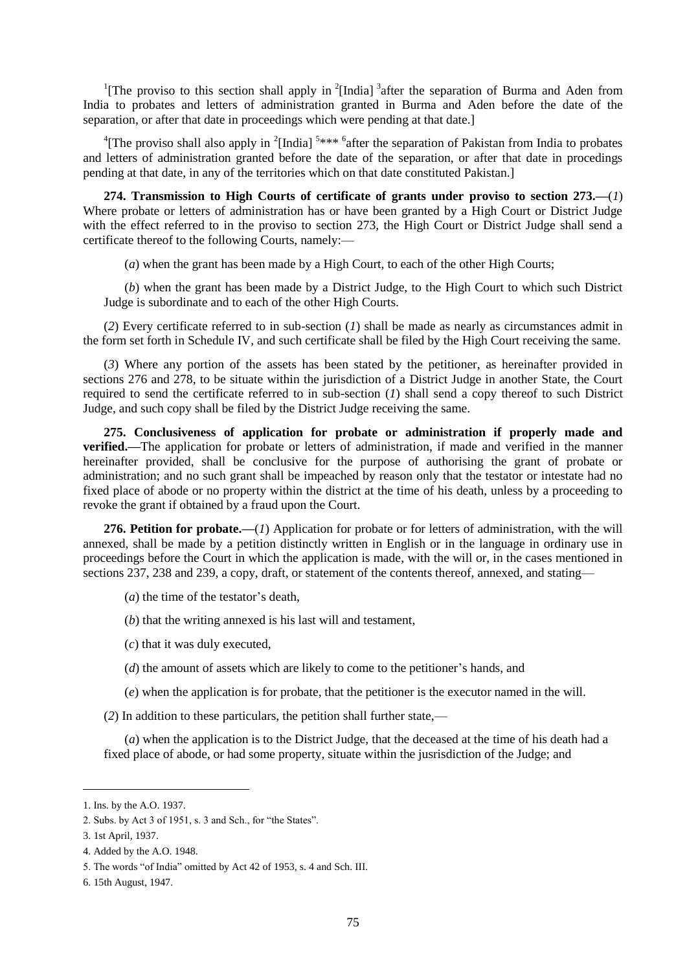<sup>1</sup>[The proviso to this section shall apply in <sup>2</sup>[India]<sup>3</sup> after the separation of Burma and Aden from India to probates and letters of administration granted in Burma and Aden before the date of the separation, or after that date in proceedings which were pending at that date.]

<sup>4</sup>[The proviso shall also apply in <sup>2</sup>[India]<sup>5\*\*\*</sup> <sup>6</sup>after the separation of Pakistan from India to probates and letters of administration granted before the date of the separation, or after that date in procedings pending at that date, in any of the territories which on that date constituted Pakistan.]

**274. Transmission to High Courts of certificate of grants under proviso to section 273.—**(*1*) Where probate or letters of administration has or have been granted by a High Court or District Judge with the effect referred to in the proviso to section 273, the High Court or District Judge shall send a certificate thereof to the following Courts, namely:—

(*a*) when the grant has been made by a High Court, to each of the other High Courts;

(*b*) when the grant has been made by a District Judge, to the High Court to which such District Judge is subordinate and to each of the other High Courts.

(*2*) Every certificate referred to in sub-section (*1*) shall be made as nearly as circumstances admit in the form set forth in Schedule IV, and such certificate shall be filed by the High Court receiving the same.

(*3*) Where any portion of the assets has been stated by the petitioner, as hereinafter provided in sections 276 and 278, to be situate within the jurisdiction of a District Judge in another State, the Court required to send the certificate referred to in sub-section (*1*) shall send a copy thereof to such District Judge, and such copy shall be filed by the District Judge receiving the same.

**275. Conclusiveness of application for probate or administration if properly made and verified.—**The application for probate or letters of administration, if made and verified in the manner hereinafter provided, shall be conclusive for the purpose of authorising the grant of probate or administration; and no such grant shall be impeached by reason only that the testator or intestate had no fixed place of abode or no property within the district at the time of his death, unless by a proceeding to revoke the grant if obtained by a fraud upon the Court.

**276. Petition for probate.—**(*1*) Application for probate or for letters of administration, with the will annexed, shall be made by a petition distinctly written in English or in the language in ordinary use in proceedings before the Court in which the application is made, with the will or, in the cases mentioned in sections 237, 238 and 239, a copy, draft, or statement of the contents thereof, annexed, and stating—

(*a*) the time of the testator's death,

(*b*) that the writing annexed is his last will and testament,

- (*c*) that it was duly executed,
- (*d*) the amount of assets which are likely to come to the petitioner's hands, and
- (*e*) when the application is for probate, that the petitioner is the executor named in the will.
- (*2*) In addition to these particulars, the petition shall further state,—

(*a*) when the application is to the District Judge, that the deceased at the time of his death had a fixed place of abode, or had some property, situate within the jusrisdiction of the Judge; and

<sup>1.</sup> Ins. by the A.O. 1937.

<sup>2.</sup> Subs. by Act 3 of 1951, s. 3 and Sch., for "the States".

<sup>3. 1</sup>st April, 1937.

<sup>4.</sup> Added by the A.O. 1948.

<sup>5.</sup> The words "of India" omitted by Act 42 of 1953, s. 4 and Sch. III.

<sup>6. 15</sup>th August, 1947.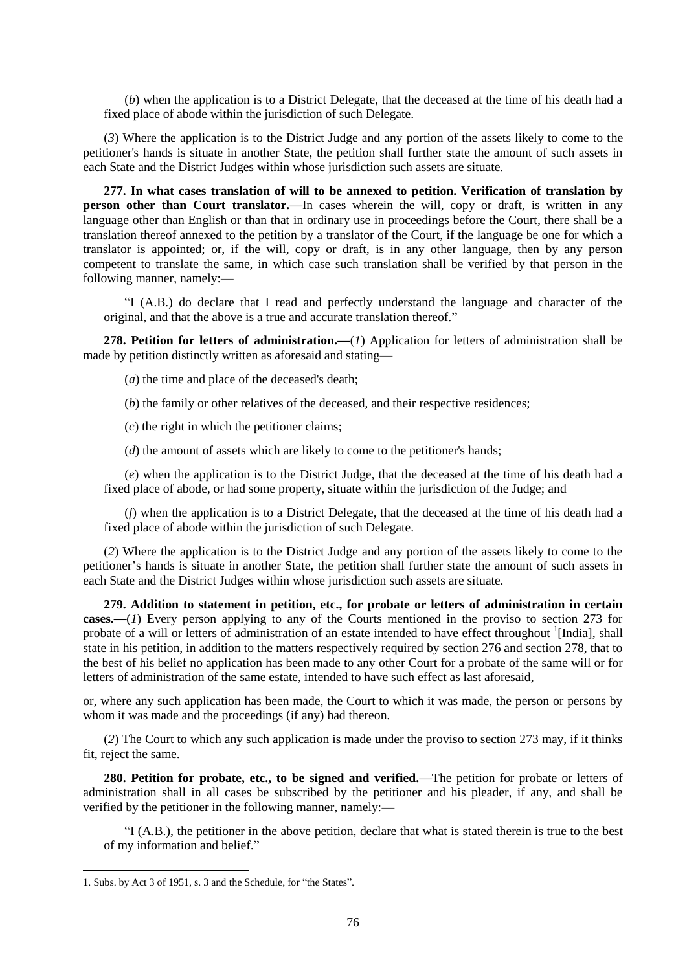(*b*) when the application is to a District Delegate, that the deceased at the time of his death had a fixed place of abode within the jurisdiction of such Delegate.

(*3*) Where the application is to the District Judge and any portion of the assets likely to come to the petitioner's hands is situate in another State, the petition shall further state the amount of such assets in each State and the District Judges within whose jurisdiction such assets are situate.

**277. In what cases translation of will to be annexed to petition. Verification of translation by person other than Court translator.—In** cases wherein the will, copy or draft, is written in any language other than English or than that in ordinary use in proceedings before the Court, there shall be a translation thereof annexed to the petition by a translator of the Court, if the language be one for which a translator is appointed; or, if the will, copy or draft, is in any other language, then by any person competent to translate the same, in which case such translation shall be verified by that person in the following manner, namely:—

"I (A.B.) do declare that I read and perfectly understand the language and character of the original, and that the above is a true and accurate translation thereof."

**278. Petition for letters of administration.—**(*1*) Application for letters of administration shall be made by petition distinctly written as aforesaid and stating—

(*a*) the time and place of the deceased's death;

(*b*) the family or other relatives of the deceased, and their respective residences;

(*c*) the right in which the petitioner claims;

(*d*) the amount of assets which are likely to come to the petitioner's hands;

(*e*) when the application is to the District Judge, that the deceased at the time of his death had a fixed place of abode, or had some property, situate within the jurisdiction of the Judge; and

(*f*) when the application is to a District Delegate, that the deceased at the time of his death had a fixed place of abode within the jurisdiction of such Delegate.

(*2*) Where the application is to the District Judge and any portion of the assets likely to come to the petitioner's hands is situate in another State, the petition shall further state the amount of such assets in each State and the District Judges within whose jurisdiction such assets are situate.

**279. Addition to statement in petition, etc., for probate or letters of administration in certain cases.—**(*1*) Every person applying to any of the Courts mentioned in the proviso to section 273 for probate of a will or letters of administration of an estate intended to have effect throughout <sup>1</sup>[India], shall state in his petition, in addition to the matters respectively required by section 276 and section 278, that to the best of his belief no application has been made to any other Court for a probate of the same will or for letters of administration of the same estate, intended to have such effect as last aforesaid,

or, where any such application has been made, the Court to which it was made, the person or persons by whom it was made and the proceedings (if any) had thereon.

(*2*) The Court to which any such application is made under the proviso to section 273 may, if it thinks fit, reject the same.

**280. Petition for probate, etc., to be signed and verified.—**The petition for probate or letters of administration shall in all cases be subscribed by the petitioner and his pleader, if any, and shall be verified by the petitioner in the following manner, namely:—

"I (A.B.), the petitioner in the above petition, declare that what is stated therein is true to the best of my information and belief."

<sup>1.</sup> Subs. by Act 3 of 1951, s. 3 and the Schedule, for "the States".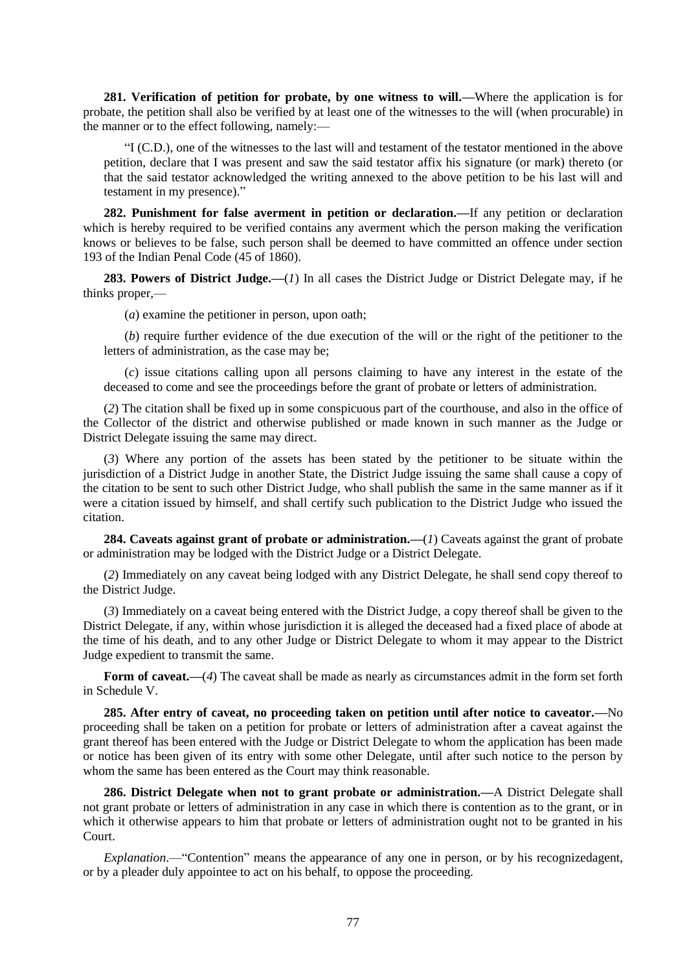**281. Verification of petition for probate, by one witness to will.—**Where the application is for probate, the petition shall also be verified by at least one of the witnesses to the will (when procurable) in the manner or to the effect following, namely:—

"I (C.D.), one of the witnesses to the last will and testament of the testator mentioned in the above petition, declare that I was present and saw the said testator affix his signature (or mark) thereto (or that the said testator acknowledged the writing annexed to the above petition to be his last will and testament in my presence)."

**282. Punishment for false averment in petition or declaration.—**If any petition or declaration which is hereby required to be verified contains any averment which the person making the verification knows or believes to be false, such person shall be deemed to have committed an offence under section 193 of the Indian Penal Code (45 of 1860).

**283. Powers of District Judge.—**(*1*) In all cases the District Judge or District Delegate may, if he thinks proper,—

(*a*) examine the petitioner in person, upon oath;

(*b*) require further evidence of the due execution of the will or the right of the petitioner to the letters of administration, as the case may be;

(*c*) issue citations calling upon all persons claiming to have any interest in the estate of the deceased to come and see the proceedings before the grant of probate or letters of administration.

(*2*) The citation shall be fixed up in some conspicuous part of the courthouse, and also in the office of the Collector of the district and otherwise published or made known in such manner as the Judge or District Delegate issuing the same may direct.

(*3*) Where any portion of the assets has been stated by the petitioner to be situate within the jurisdiction of a District Judge in another State, the District Judge issuing the same shall cause a copy of the citation to be sent to such other District Judge, who shall publish the same in the same manner as if it were a citation issued by himself, and shall certify such publication to the District Judge who issued the citation.

**284. Caveats against grant of probate or administration.—**(*1*) Caveats against the grant of probate or administration may be lodged with the District Judge or a District Delegate.

(*2*) Immediately on any caveat being lodged with any District Delegate, he shall send copy thereof to the District Judge.

(*3*) Immediately on a caveat being entered with the District Judge, a copy thereof shall be given to the District Delegate, if any, within whose jurisdiction it is alleged the deceased had a fixed place of abode at the time of his death, and to any other Judge or District Delegate to whom it may appear to the District Judge expedient to transmit the same.

**Form of caveat.—**(*4*) The caveat shall be made as nearly as circumstances admit in the form set forth in Schedule V.

**285. After entry of caveat, no proceeding taken on petition until after notice to caveator.—**No proceeding shall be taken on a petition for probate or letters of administration after a caveat against the grant thereof has been entered with the Judge or District Delegate to whom the application has been made or notice has been given of its entry with some other Delegate, until after such notice to the person by whom the same has been entered as the Court may think reasonable.

**286. District Delegate when not to grant probate or administration.—**A District Delegate shall not grant probate or letters of administration in any case in which there is contention as to the grant, or in which it otherwise appears to him that probate or letters of administration ought not to be granted in his Court.

*Explanation*.—"Contention" means the appearance of any one in person, or by his recognizedagent, or by a pleader duly appointee to act on his behalf, to oppose the proceeding.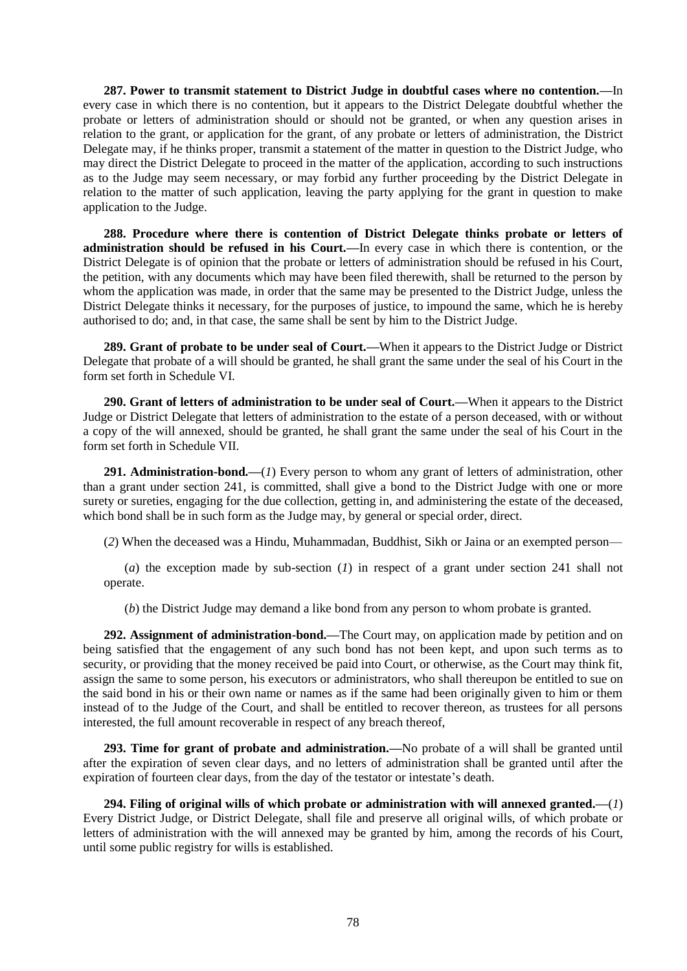**287. Power to transmit statement to District Judge in doubtful cases where no contention.—**In every case in which there is no contention, but it appears to the District Delegate doubtful whether the probate or letters of administration should or should not be granted, or when any question arises in relation to the grant, or application for the grant, of any probate or letters of administration, the District Delegate may, if he thinks proper, transmit a statement of the matter in question to the District Judge, who may direct the District Delegate to proceed in the matter of the application, according to such instructions as to the Judge may seem necessary, or may forbid any further proceeding by the District Delegate in relation to the matter of such application, leaving the party applying for the grant in question to make application to the Judge.

**288. Procedure where there is contention of District Delegate thinks probate or letters of administration should be refused in his Court.—**In every case in which there is contention, or the District Delegate is of opinion that the probate or letters of administration should be refused in his Court, the petition, with any documents which may have been filed therewith, shall be returned to the person by whom the application was made, in order that the same may be presented to the District Judge, unless the District Delegate thinks it necessary, for the purposes of justice, to impound the same, which he is hereby authorised to do; and, in that case, the same shall be sent by him to the District Judge.

**289. Grant of probate to be under seal of Court.—**When it appears to the District Judge or District Delegate that probate of a will should be granted, he shall grant the same under the seal of his Court in the form set forth in Schedule VI.

**290. Grant of letters of administration to be under seal of Court.—**When it appears to the District Judge or District Delegate that letters of administration to the estate of a person deceased, with or without a copy of the will annexed, should be granted, he shall grant the same under the seal of his Court in the form set forth in Schedule VII.

**291. Administration-bond.—**(*1*) Every person to whom any grant of letters of administration, other than a grant under section 241, is committed, shall give a bond to the District Judge with one or more surety or sureties, engaging for the due collection, getting in, and administering the estate of the deceased, which bond shall be in such form as the Judge may, by general or special order, direct.

(*2*) When the deceased was a Hindu, Muhammadan, Buddhist, Sikh or Jaina or an exempted person—

(*a*) the exception made by sub-section (*1*) in respect of a grant under section 241 shall not operate.

(*b*) the District Judge may demand a like bond from any person to whom probate is granted.

**292. Assignment of administration-bond.—**The Court may, on application made by petition and on being satisfied that the engagement of any such bond has not been kept, and upon such terms as to security, or providing that the money received be paid into Court, or otherwise, as the Court may think fit, assign the same to some person, his executors or administrators, who shall thereupon be entitled to sue on the said bond in his or their own name or names as if the same had been originally given to him or them instead of to the Judge of the Court, and shall be entitled to recover thereon, as trustees for all persons interested, the full amount recoverable in respect of any breach thereof,

**293. Time for grant of probate and administration.—**No probate of a will shall be granted until after the expiration of seven clear days, and no letters of administration shall be granted until after the expiration of fourteen clear days, from the day of the testator or intestate's death.

**294. Filing of original wills of which probate or administration with will annexed granted.—**(*1*) Every District Judge, or District Delegate, shall file and preserve all original wills, of which probate or letters of administration with the will annexed may be granted by him, among the records of his Court, until some public registry for wills is established.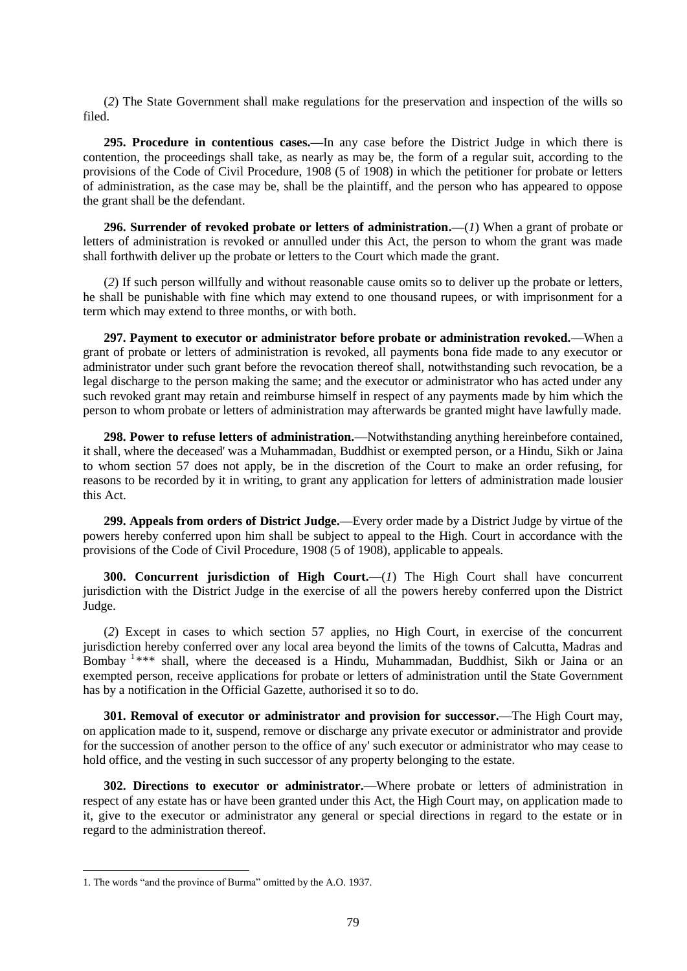(*2*) The State Government shall make regulations for the preservation and inspection of the wills so filed.

**295. Procedure in contentious cases.—**In any case before the District Judge in which there is contention, the proceedings shall take, as nearly as may be, the form of a regular suit, according to the provisions of the Code of Civil Procedure, 1908 (5 of 1908) in which the petitioner for probate or letters of administration, as the case may be, shall be the plaintiff, and the person who has appeared to oppose the grant shall be the defendant.

**296. Surrender of revoked probate or letters of administration.—**(*1*) When a grant of probate or letters of administration is revoked or annulled under this Act, the person to whom the grant was made shall forthwith deliver up the probate or letters to the Court which made the grant.

(*2*) If such person willfully and without reasonable cause omits so to deliver up the probate or letters, he shall be punishable with fine which may extend to one thousand rupees, or with imprisonment for a term which may extend to three months, or with both.

**297. Payment to executor or administrator before probate or administration revoked.—**When a grant of probate or letters of administration is revoked, all payments bona fide made to any executor or administrator under such grant before the revocation thereof shall, notwithstanding such revocation, be a legal discharge to the person making the same; and the executor or administrator who has acted under any such revoked grant may retain and reimburse himself in respect of any payments made by him which the person to whom probate or letters of administration may afterwards be granted might have lawfully made.

**298. Power to refuse letters of administration.—**Notwithstanding anything hereinbefore contained, it shall, where the deceased' was a Muhammadan, Buddhist or exempted person, or a Hindu, Sikh or Jaina to whom section 57 does not apply, be in the discretion of the Court to make an order refusing, for reasons to be recorded by it in writing, to grant any application for letters of administration made lousier this Act.

**299. Appeals from orders of District Judge.—**Every order made by a District Judge by virtue of the powers hereby conferred upon him shall be subject to appeal to the High. Court in accordance with the provisions of the Code of Civil Procedure, 1908 (5 of 1908), applicable to appeals.

**300. Concurrent jurisdiction of High Court.—**(*1*) The High Court shall have concurrent jurisdiction with the District Judge in the exercise of all the powers hereby conferred upon the District Judge.

(*2*) Except in cases to which section 57 applies, no High Court, in exercise of the concurrent jurisdiction hereby conferred over any local area beyond the limits of the towns of Calcutta, Madras and Bombay  $1***$  shall, where the deceased is a Hindu, Muhammadan, Buddhist, Sikh or Jaina or an exempted person, receive applications for probate or letters of administration until the State Government has by a notification in the Official Gazette, authorised it so to do.

**301. Removal of executor or administrator and provision for successor.—**The High Court may, on application made to it, suspend, remove or discharge any private executor or administrator and provide for the succession of another person to the office of any' such executor or administrator who may cease to hold office, and the vesting in such successor of any property belonging to the estate.

**302. Directions to executor or administrator.—**Where probate or letters of administration in respect of any estate has or have been granted under this Act, the High Court may, on application made to it, give to the executor or administrator any general or special directions in regard to the estate or in regard to the administration thereof.

<sup>1.</sup> The words "and the province of Burma" omitted by the A.O. 1937.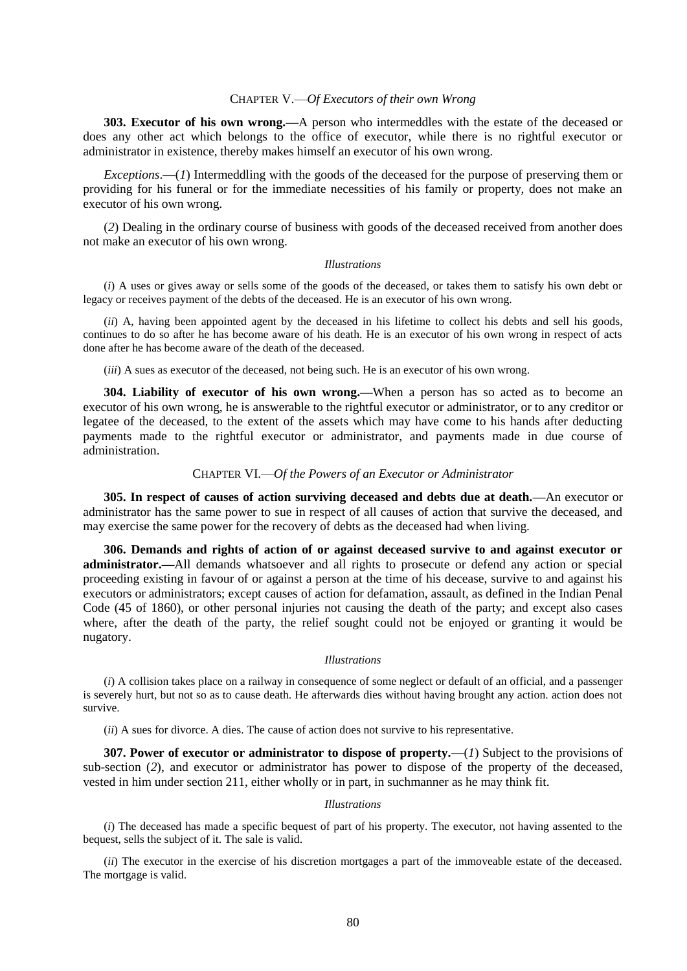# CHAPTER V.—*Of Executors of their own Wrong*

**303. Executor of his own wrong.—**A person who intermeddles with the estate of the deceased or does any other act which belongs to the office of executor, while there is no rightful executor or administrator in existence, thereby makes himself an executor of his own wrong.

*Exceptions*.**—**(*1*) Intermeddling with the goods of the deceased for the purpose of preserving them or providing for his funeral or for the immediate necessities of his family or property, does not make an executor of his own wrong.

(*2*) Dealing in the ordinary course of business with goods of the deceased received from another does not make an executor of his own wrong.

#### *Illustrations*

(*i*) A uses or gives away or sells some of the goods of the deceased, or takes them to satisfy his own debt or legacy or receives payment of the debts of the deceased. He is an executor of his own wrong.

(*ii*) A, having been appointed agent by the deceased in his lifetime to collect his debts and sell his goods, continues to do so after he has become aware of his death. He is an executor of his own wrong in respect of acts done after he has become aware of the death of the deceased.

(*iii*) A sues as executor of the deceased, not being such. He is an executor of his own wrong.

**304. Liability of executor of his own wrong.—**When a person has so acted as to become an executor of his own wrong, he is answerable to the rightful executor or administrator, or to any creditor or legatee of the deceased, to the extent of the assets which may have come to his hands after deducting payments made to the rightful executor or administrator, and payments made in due course of administration.

## CHAPTER VI.—*Of the Powers of an Executor or Administrator*

**305. In respect of causes of action surviving deceased and debts due at death.—**An executor or administrator has the same power to sue in respect of all causes of action that survive the deceased, and may exercise the same power for the recovery of debts as the deceased had when living.

**306. Demands and rights of action of or against deceased survive to and against executor or administrator.—**All demands whatsoever and all rights to prosecute or defend any action or special proceeding existing in favour of or against a person at the time of his decease, survive to and against his executors or administrators; except causes of action for defamation, assault, as defined in the Indian Penal Code (45 of 1860), or other personal injuries not causing the death of the party; and except also cases where, after the death of the party, the relief sought could not be enjoyed or granting it would be nugatory.

#### *Illustrations*

(*i*) A collision takes place on a railway in consequence of some neglect or default of an official, and a passenger is severely hurt, but not so as to cause death. He afterwards dies without having brought any action. action does not survive.

(*ii*) A sues for divorce. A dies. The cause of action does not survive to his representative.

**307. Power of executor or administrator to dispose of property.—**(*1*) Subject to the provisions of sub-section (*2*), and executor or administrator has power to dispose of the property of the deceased, vested in him under section 211, either wholly or in part, in suchmanner as he may think fit.

#### *Illustrations*

(*i*) The deceased has made a specific bequest of part of his property. The executor, not having assented to the bequest, sells the subject of it. The sale is valid.

(*ii*) The executor in the exercise of his discretion mortgages a part of the immoveable estate of the deceased. The mortgage is valid.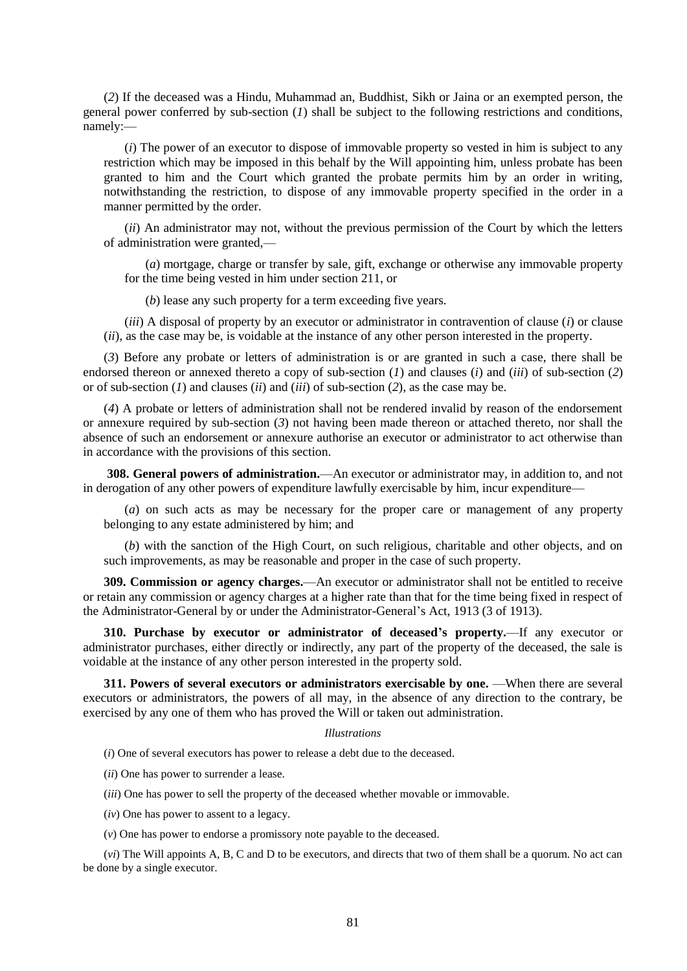(*2*) If the deceased was a Hindu, Muhammad an, Buddhist, Sikh or Jaina or an exempted person, the general power conferred by sub-section (*1*) shall be subject to the following restrictions and conditions, namely:—

(*i*) The power of an executor to dispose of immovable property so vested in him is subject to any restriction which may be imposed in this behalf by the Will appointing him, unless probate has been granted to him and the Court which granted the probate permits him by an order in writing, notwithstanding the restriction, to dispose of any immovable property specified in the order in a manner permitted by the order.

(*ii*) An administrator may not, without the previous permission of the Court by which the letters of administration were granted,—

(*a*) mortgage, charge or transfer by sale, gift, exchange or otherwise any immovable property for the time being vested in him under section 211, or

(*b*) lease any such property for a term exceeding five years.

(*iii*) A disposal of property by an executor or administrator in contravention of clause (*i*) or clause (*ii*), as the case may be, is voidable at the instance of any other person interested in the property.

(*3*) Before any probate or letters of administration is or are granted in such a case, there shall be endorsed thereon or annexed thereto a copy of sub-section (*1*) and clauses (*i*) and (*iii*) of sub-section (*2*) or of sub-section (*1*) and clauses (*ii*) and (*iii*) of sub-section (*2*), as the case may be.

(*4*) A probate or letters of administration shall not be rendered invalid by reason of the endorsement or annexure required by sub-section (*3*) not having been made thereon or attached thereto, nor shall the absence of such an endorsement or annexure authorise an executor or administrator to act otherwise than in accordance with the provisions of this section.

**308. General powers of administration.**—An executor or administrator may, in addition to, and not in derogation of any other powers of expenditure lawfully exercisable by him, incur expenditure—

(*a*) on such acts as may be necessary for the proper care or management of any property belonging to any estate administered by him; and

(*b*) with the sanction of the High Court, on such religious, charitable and other objects, and on such improvements, as may be reasonable and proper in the case of such property.

**309. Commission or agency charges.**—An executor or administrator shall not be entitled to receive or retain any commission or agency charges at a higher rate than that for the time being fixed in respect of the Administrator-General by or under the Administrator-General's Act, 1913 (3 of 1913).

**310. Purchase by executor or administrator of deceased's property.**—If any executor or administrator purchases, either directly or indirectly, any part of the property of the deceased, the sale is voidable at the instance of any other person interested in the property sold.

**311. Powers of several executors or administrators exercisable by one.** —When there are several executors or administrators, the powers of all may, in the absence of any direction to the contrary, be exercised by any one of them who has proved the Will or taken out administration.

#### *Illustrations*

(*i*) One of several executors has power to release a debt due to the deceased.

(*ii*) One has power to surrender a lease.

(*iii*) One has power to sell the property of the deceased whether movable or immovable.

(*iv*) One has power to assent to a legacy.

(*v*) One has power to endorse a promissory note payable to the deceased.

(*vi*) The Will appoints A, B, C and D to be executors, and directs that two of them shall be a quorum. No act can be done by a single executor.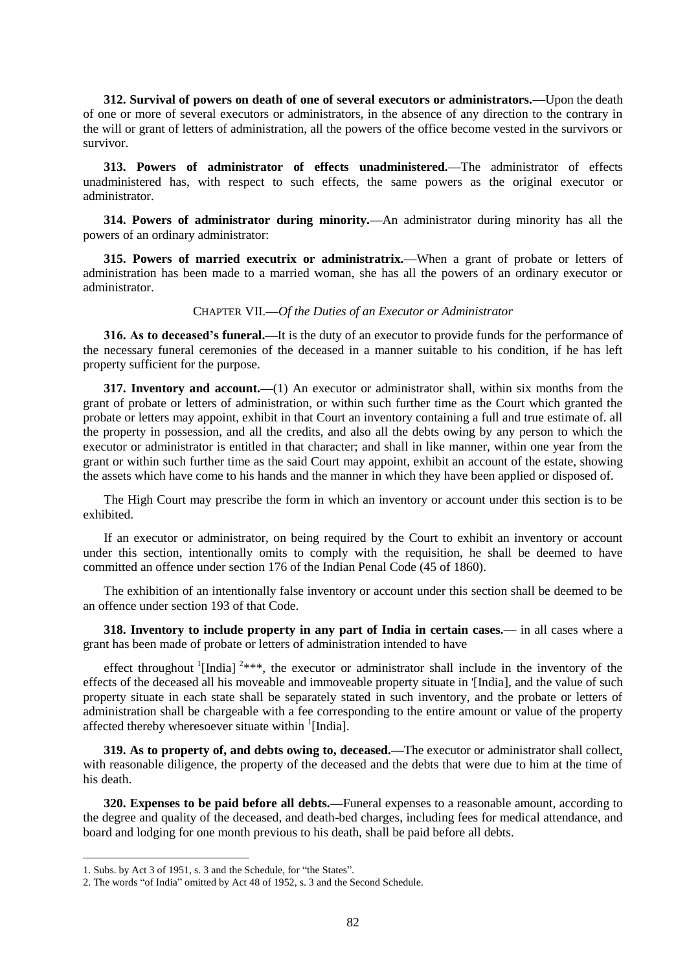**312. Survival of powers on death of one of several executors or administrators.—**Upon the death of one or more of several executors or administrators, in the absence of any direction to the contrary in the will or grant of letters of administration, all the powers of the office become vested in the survivors or survivor.

**313. Powers of administrator of effects unadministered.—**The administrator of effects unadministered has, with respect to such effects, the same powers as the original executor or administrator.

**314. Powers of administrator during minority.—**An administrator during minority has all the powers of an ordinary administrator:

**315. Powers of married executrix or administratrix.—**When a grant of probate or letters of administration has been made to a married woman, she has all the powers of an ordinary executor or administrator.

# CHAPTER VII.**—***Of the Duties of an Executor or Administrator*

**316. As to deceased's funeral.—**It is the duty of an executor to provide funds for the performance of the necessary funeral ceremonies of the deceased in a manner suitable to his condition, if he has left property sufficient for the purpose.

**317. Inventory and account.—**(1) An executor or administrator shall, within six months from the grant of probate or letters of administration, or within such further time as the Court which granted the probate or letters may appoint, exhibit in that Court an inventory containing a full and true estimate of. all the property in possession, and all the credits, and also all the debts owing by any person to which the executor or administrator is entitled in that character; and shall in like manner, within one year from the grant or within such further time as the said Court may appoint, exhibit an account of the estate, showing the assets which have come to his hands and the manner in which they have been applied or disposed of.

The High Court may prescribe the form in which an inventory or account under this section is to be exhibited.

If an executor or administrator, on being required by the Court to exhibit an inventory or account under this section, intentionally omits to comply with the requisition, he shall be deemed to have committed an offence under section 176 of the Indian Penal Code (45 of 1860).

The exhibition of an intentionally false inventory or account under this section shall be deemed to be an offence under section 193 of that Code.

**318. Inventory to include property in any part of India in certain cases.—** in all cases where a grant has been made of probate or letters of administration intended to have

effect throughout  $\left[$ [India]<sup>2\*\*\*</sup>, the executor or administrator shall include in the inventory of the effects of the deceased all his moveable and immoveable property situate in '[India], and the value of such property situate in each state shall be separately stated in such inventory, and the probate or letters of administration shall be chargeable with a fee corresponding to the entire amount or value of the property affected thereby wheresoever situate within <sup>1</sup>[India].

**319. As to property of, and debts owing to, deceased.—**The executor or administrator shall collect, with reasonable diligence, the property of the deceased and the debts that were due to him at the time of his death.

**320. Expenses to be paid before all debts.—**Funeral expenses to a reasonable amount, according to the degree and quality of the deceased, and death-bed charges, including fees for medical attendance, and board and lodging for one month previous to his death, shall be paid before all debts.

1

<sup>1.</sup> Subs. by Act 3 of 1951, s. 3 and the Schedule, for "the States".

<sup>2.</sup> The words "of India" omitted by Act 48 of 1952, s. 3 and the Second Schedule.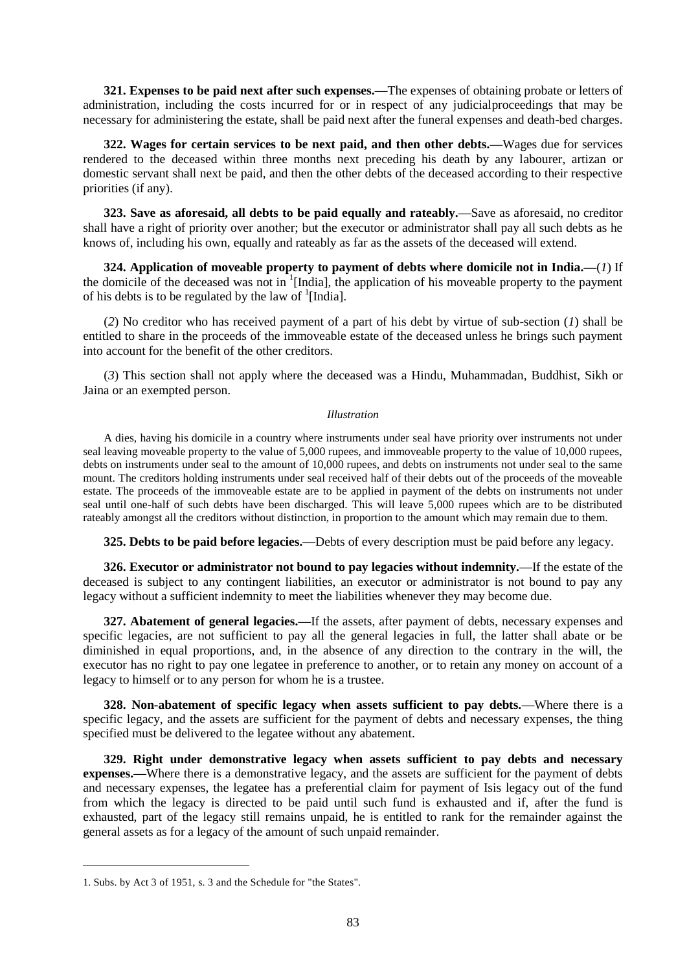**321. Expenses to be paid next after such expenses.—**The expenses of obtaining probate or letters of administration, including the costs incurred for or in respect of any judicialproceedings that may be necessary for administering the estate, shall be paid next after the funeral expenses and death-bed charges.

**322. Wages for certain services to be next paid, and then other debts.—**Wages due for services rendered to the deceased within three months next preceding his death by any labourer, artizan or domestic servant shall next be paid, and then the other debts of the deceased according to their respective priorities (if any).

**323. Save as aforesaid, all debts to be paid equally and rateably.—**Save as aforesaid, no creditor shall have a right of priority over another; but the executor or administrator shall pay all such debts as he knows of, including his own, equally and rateably as far as the assets of the deceased will extend.

**324. Application of moveable property to payment of debts where domicile not in India.—**(*1*) If the domicile of the deceased was not in  $\left[$ India], the application of his moveable property to the payment of his debts is to be regulated by the law of  $\frac{1}{2}$ [India].

(*2*) No creditor who has received payment of a part of his debt by virtue of sub-section (*1*) shall be entitled to share in the proceeds of the immoveable estate of the deceased unless he brings such payment into account for the benefit of the other creditors.

(*3*) This section shall not apply where the deceased was a Hindu, Muhammadan, Buddhist, Sikh or Jaina or an exempted person.

## *Illustration*

A dies, having his domicile in a country where instruments under seal have priority over instruments not under seal leaving moveable property to the value of 5,000 rupees, and immoveable property to the value of 10,000 rupees, debts on instruments under seal to the amount of 10,000 rupees, and debts on instruments not under seal to the same mount. The creditors holding instruments under seal received half of their debts out of the proceeds of the moveable estate. The proceeds of the immoveable estate are to be applied in payment of the debts on instruments not under seal until one-half of such debts have been discharged. This will leave 5,000 rupees which are to be distributed rateably amongst all the creditors without distinction, in proportion to the amount which may remain due to them.

**325. Debts to be paid before legacies.—**Debts of every description must be paid before any legacy.

**326. Executor or administrator not bound to pay legacies without indemnity.—**If the estate of the deceased is subject to any contingent liabilities, an executor or administrator is not bound to pay any legacy without a sufficient indemnity to meet the liabilities whenever they may become due.

**327. Abatement of general legacies.—**If the assets, after payment of debts, necessary expenses and specific legacies, are not sufficient to pay all the general legacies in full, the latter shall abate or be diminished in equal proportions, and, in the absence of any direction to the contrary in the will, the executor has no right to pay one legatee in preference to another, or to retain any money on account of a legacy to himself or to any person for whom he is a trustee.

**328. Non-abatement of specific legacy when assets sufficient to pay debts.—**Where there is a specific legacy, and the assets are sufficient for the payment of debts and necessary expenses, the thing specified must be delivered to the legatee without any abatement.

**329. Right under demonstrative legacy when assets sufficient to pay debts and necessary expenses.—**Where there is a demonstrative legacy, and the assets are sufficient for the payment of debts and necessary expenses, the legatee has a preferential claim for payment of Isis legacy out of the fund from which the legacy is directed to be paid until such fund is exhausted and if, after the fund is exhausted, part of the legacy still remains unpaid, he is entitled to rank for the remainder against the general assets as for a legacy of the amount of such unpaid remainder.

<sup>1.</sup> Subs. by Act 3 of 1951, s. 3 and the Schedule for "the States".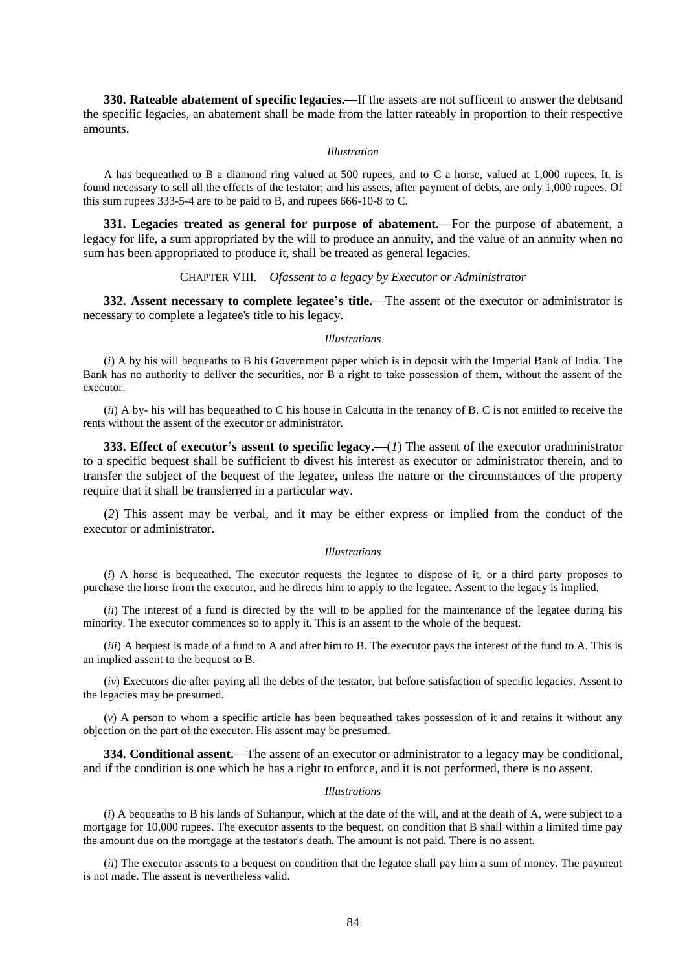**330. Rateable abatement of specific legacies.—**If the assets are not sufficent to answer the debtsand the specific legacies, an abatement shall be made from the latter rateably in proportion to their respective amounts.

#### *Illustration*

A has bequeathed to B a diamond ring valued at 500 rupees, and to C a horse, valued at 1,000 rupees. It. is found necessary to sell all the effects of the testator; and his assets, after payment of debts, are only 1,000 rupees. Of this sum rupees 333-5-4 are to be paid to B, and rupees 666-10-8 to C.

**331. Legacies treated as general for purpose of abatement.—**For the purpose of abatement, a legacy for life, a sum appropriated by the will to produce an annuity, and the value of an annuity when no sum has been appropriated to produce it, shall be treated as general legacies.

# CHAPTER VIII.—*Ofassent to a legacy by Executor or Administrator*

**332. Assent necessary to complete legatee's title.—**The assent of the executor or administrator is necessary to complete a legatee's title to his legacy.

#### *Illustrations*

(*i*) A by his will bequeaths to B his Government paper which is in deposit with the Imperial Bank of India. The Bank has no authority to deliver the securities, nor B a right to take possession of them, without the assent of the executor.

(*ii*) A by- his will has bequeathed to C his house in Calcutta in the tenancy of B. C is not entitled to receive the rents without the assent of the executor or administrator.

**333. Effect of executor's assent to specific legacy.—(***1***) The assent of the executor oradministrator** to a specific bequest shall be sufficient tb divest his interest as executor or administrator therein, and to transfer the subject of the bequest of the legatee, unless the nature or the circumstances of the property require that it shall be transferred in a particular way.

(*2*) This assent may be verbal, and it may be either express or implied from the conduct of the executor or administrator.

## *Illustrations*

(*i*) A horse is bequeathed. The executor requests the legatee to dispose of it, or a third party proposes to purchase the horse from the executor, and he directs him to apply to the legatee. Assent to the legacy is implied.

(*ii*) The interest of a fund is directed by the will to be applied for the maintenance of the legatee during his minority. The executor commences so to apply it. This is an assent to the whole of the bequest.

(*iii*) A bequest is made of a fund to A and after him to B. The executor pays the interest of the fund to A. This is an implied assent to the bequest to B.

(*iv*) Executors die after paying all the debts of the testator, but before satisfaction of specific legacies. Assent to the legacies may be presumed.

(*v*) A person to whom a specific article has been bequeathed takes possession of it and retains it without any objection on the part of the executor. His assent may be presumed.

**334. Conditional assent.—**The assent of an executor or administrator to a legacy may be conditional, and if the condition is one which he has a right to enforce, and it is not performed, there is no assent.

#### *Illustrations*

(*i*) A bequeaths to B his lands of Sultanpur, which at the date of the will, and at the death of A, were subject to a mortgage for 10,000 rupees. The executor assents to the bequest, on condition that B shall within a limited time pay the amount due on the mortgage at the testator's death. The amount is not paid. There is no assent.

(*ii*) The executor assents to a bequest on condition that the legatee shall pay him a sum of money. The payment is not made. The assent is nevertheless valid.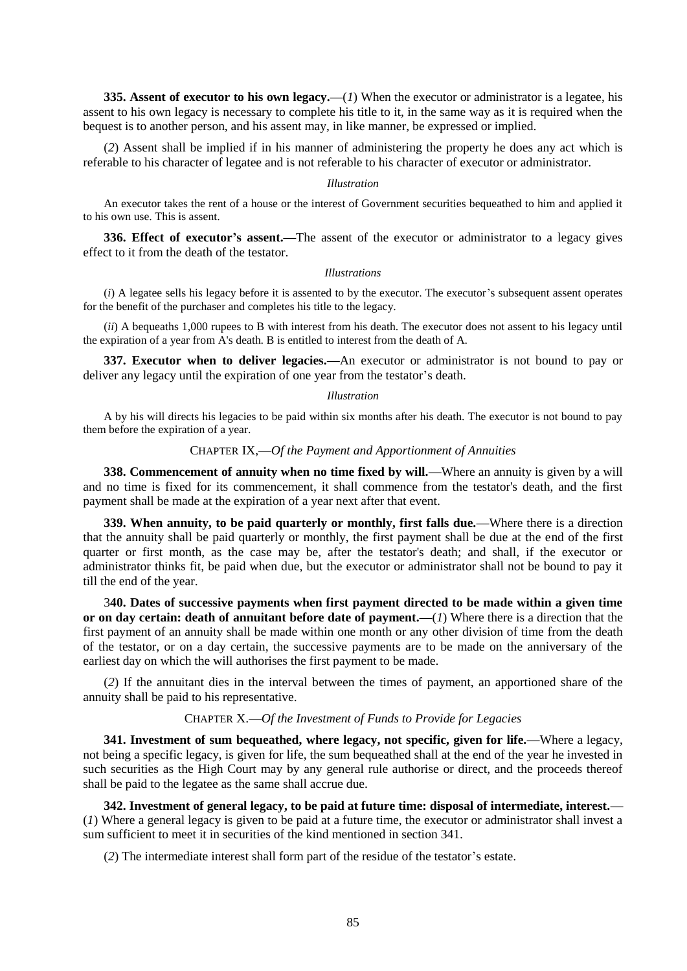**335. Assent of executor to his own legacy.—**(*1*) When the executor or administrator is a legatee, his assent to his own legacy is necessary to complete his title to it, in the same way as it is required when the bequest is to another person, and his assent may, in like manner, be expressed or implied.

(*2*) Assent shall be implied if in his manner of administering the property he does any act which is referable to his character of legatee and is not referable to his character of executor or administrator.

# *Illustration*

An executor takes the rent of a house or the interest of Government securities bequeathed to him and applied it to his own use. This is assent.

**336. Effect of executor's assent.—**The assent of the executor or administrator to a legacy gives effect to it from the death of the testator.

## *Illustrations*

(*i*) A legatee sells his legacy before it is assented to by the executor. The executor's subsequent assent operates for the benefit of the purchaser and completes his title to the legacy.

(*ii*) A bequeaths 1,000 rupees to B with interest from his death. The executor does not assent to his legacy until the expiration of a year from A's death. B is entitled to interest from the death of A.

**337. Executor when to deliver legacies.—**An executor or administrator is not bound to pay or deliver any legacy until the expiration of one year from the testator's death.

## *Illustration*

A by his will directs his legacies to be paid within six months after his death. The executor is not bound to pay them before the expiration of a year.

# CHAPTER IX,—*Of the Payment and Apportionment of Annuities*

**338. Commencement of annuity when no time fixed by will.—**Where an annuity is given by a will and no time is fixed for its commencement, it shall commence from the testator's death, and the first payment shall be made at the expiration of a year next after that event.

**339. When annuity, to be paid quarterly or monthly, first falls due.—**Where there is a direction that the annuity shall be paid quarterly or monthly, the first payment shall be due at the end of the first quarter or first month, as the case may be, after the testator's death; and shall, if the executor or administrator thinks fit, be paid when due, but the executor or administrator shall not be bound to pay it till the end of the year.

3**40. Dates of successive payments when first payment directed to be made within a given time or on day certain: death of annuitant before date of payment.—**(*1*) Where there is a direction that the first payment of an annuity shall be made within one month or any other division of time from the death of the testator, or on a day certain, the successive payments are to be made on the anniversary of the earliest day on which the will authorises the first payment to be made.

(*2*) If the annuitant dies in the interval between the times of payment, an apportioned share of the annuity shall be paid to his representative.

## CHAPTER X.—*Of the Investment of Funds to Provide for Legacies*

**341. Investment of sum bequeathed, where legacy, not specific, given for life.—**Where a legacy, not being a specific legacy, is given for life, the sum bequeathed shall at the end of the year he invested in such securities as the High Court may by any general rule authorise or direct, and the proceeds thereof shall be paid to the legatee as the same shall accrue due.

**342. Investment of general legacy, to be paid at future time: disposal of intermediate, interest.—** (*1*) Where a general legacy is given to be paid at a future time, the executor or administrator shall invest a sum sufficient to meet it in securities of the kind mentioned in section 341.

(*2*) The intermediate interest shall form part of the residue of the testator's estate.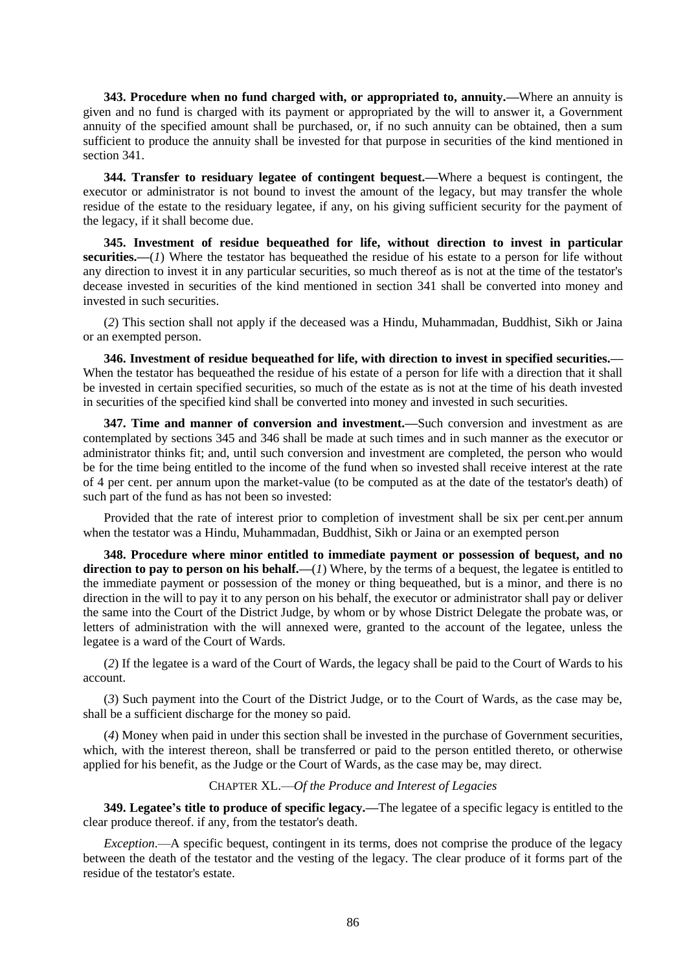**343. Procedure when no fund charged with, or appropriated to, annuity.—**Where an annuity is given and no fund is charged with its payment or appropriated by the will to answer it, a Government annuity of the specified amount shall be purchased, or, if no such annuity can be obtained, then a sum sufficient to produce the annuity shall be invested for that purpose in securities of the kind mentioned in section 341.

**344. Transfer to residuary legatee of contingent bequest.—**Where a bequest is contingent, the executor or administrator is not bound to invest the amount of the legacy, but may transfer the whole residue of the estate to the residuary legatee, if any, on his giving sufficient security for the payment of the legacy, if it shall become due.

**345. Investment of residue bequeathed for life, without direction to invest in particular securities.—**(*1*) Where the testator has bequeathed the residue of his estate to a person for life without any direction to invest it in any particular securities, so much thereof as is not at the time of the testator's decease invested in securities of the kind mentioned in section 341 shall be converted into money and invested in such securities.

(*2*) This section shall not apply if the deceased was a Hindu, Muhammadan, Buddhist, Sikh or Jaina or an exempted person.

**346. Investment of residue bequeathed for life, with direction to invest in specified securities.—** When the testator has bequeathed the residue of his estate of a person for life with a direction that it shall be invested in certain specified securities, so much of the estate as is not at the time of his death invested in securities of the specified kind shall be converted into money and invested in such securities.

**347. Time and manner of conversion and investment.—**Such conversion and investment as are contemplated by sections 345 and 346 shall be made at such times and in such manner as the executor or administrator thinks fit; and, until such conversion and investment are completed, the person who would be for the time being entitled to the income of the fund when so invested shall receive interest at the rate of 4 per cent. per annum upon the market-value (to be computed as at the date of the testator's death) of such part of the fund as has not been so invested:

Provided that the rate of interest prior to completion of investment shall be six per cent.per annum when the testator was a Hindu, Muhammadan, Buddhist, Sikh or Jaina or an exempted person

**348. Procedure where minor entitled to immediate payment or possession of bequest, and no direction to pay to person on his behalf.—**(*1*) Where, by the terms of a bequest, the legatee is entitled to the immediate payment or possession of the money or thing bequeathed, but is a minor, and there is no direction in the will to pay it to any person on his behalf, the executor or administrator shall pay or deliver the same into the Court of the District Judge, by whom or by whose District Delegate the probate was, or letters of administration with the will annexed were, granted to the account of the legatee, unless the legatee is a ward of the Court of Wards.

(*2*) If the legatee is a ward of the Court of Wards, the legacy shall be paid to the Court of Wards to his account.

(*3*) Such payment into the Court of the District Judge, or to the Court of Wards, as the case may be, shall be a sufficient discharge for the money so paid.

(*4*) Money when paid in under this section shall be invested in the purchase of Government securities, which, with the interest thereon, shall be transferred or paid to the person entitled thereto, or otherwise applied for his benefit, as the Judge or the Court of Wards, as the case may be, may direct.

## CHAPTER XL.—*Of the Produce and Interest of Legacies*

**349. Legatee's title to produce of specific legacy.—**The legatee of a specific legacy is entitled to the clear produce thereof. if any, from the testator's death.

*Exception*.—A specific bequest, contingent in its terms, does not comprise the produce of the legacy between the death of the testator and the vesting of the legacy. The clear produce of it forms part of the residue of the testator's estate.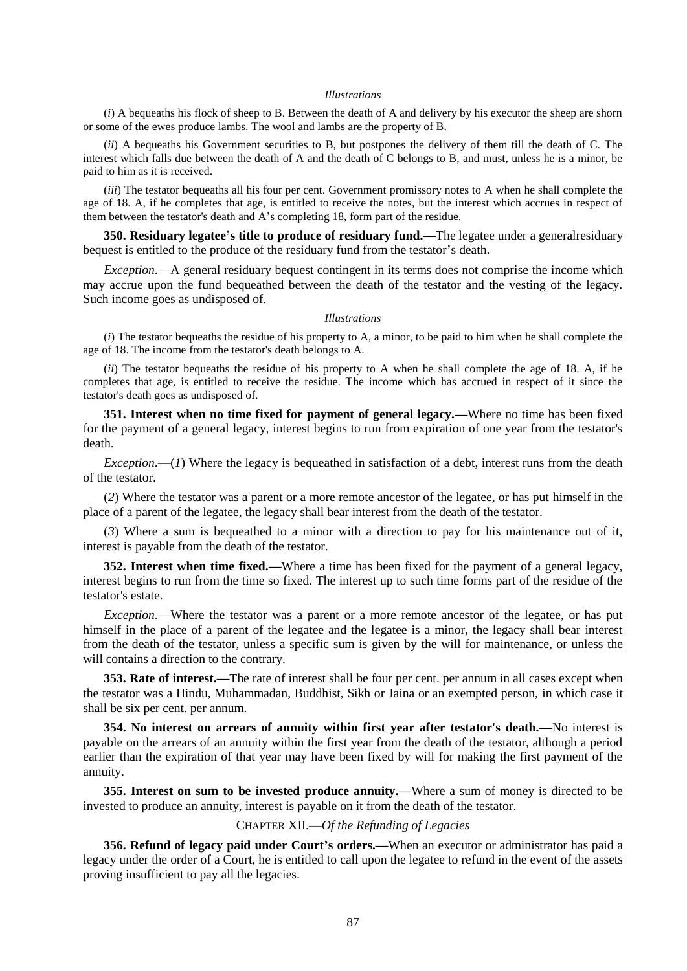## *Illustrations*

(*i*) A bequeaths his flock of sheep to B. Between the death of A and delivery by his executor the sheep are shorn or some of the ewes produce lambs. The wool and lambs are the property of B.

(*ii*) A bequeaths his Government securities to B, but postpones the delivery of them till the death of C. The interest which falls due between the death of A and the death of C belongs to B, and must, unless he is a minor, be paid to him as it is received.

(*iii*) The testator bequeaths all his four per cent. Government promissory notes to A when he shall complete the age of 18. A, if he completes that age, is entitled to receive the notes, but the interest which accrues in respect of them between the testator's death and A's completing 18, form part of the residue.

**350. Residuary legatee's title to produce of residuary fund.—**The legatee under a generalresiduary bequest is entitled to the produce of the residuary fund from the testator's death.

*Exception*.—A general residuary bequest contingent in its terms does not comprise the income which may accrue upon the fund bequeathed between the death of the testator and the vesting of the legacy. Such income goes as undisposed of.

#### *Illustrations*

(*i*) The testator bequeaths the residue of his property to A, a minor, to be paid to him when he shall complete the age of 18. The income from the testator's death belongs to A.

(*ii*) The testator bequeaths the residue of his property to A when he shall complete the age of 18. A, if he completes that age, is entitled to receive the residue. The income which has accrued in respect of it since the testator's death goes as undisposed of.

**351. Interest when no time fixed for payment of general legacy.—**Where no time has been fixed for the payment of a general legacy, interest begins to run from expiration of one year from the testator's death.

*Exception.—(1)* Where the legacy is bequeathed in satisfaction of a debt, interest runs from the death of the testator.

(*2*) Where the testator was a parent or a more remote ancestor of the legatee, or has put himself in the place of a parent of the legatee, the legacy shall bear interest from the death of the testator.

(*3*) Where a sum is bequeathed to a minor with a direction to pay for his maintenance out of it, interest is payable from the death of the testator.

**352. Interest when time fixed.—**Where a time has been fixed for the payment of a general legacy, interest begins to run from the time so fixed. The interest up to such time forms part of the residue of the testator's estate.

*Exception*.—Where the testator was a parent or a more remote ancestor of the legatee, or has put himself in the place of a parent of the legatee and the legatee is a minor, the legacy shall bear interest from the death of the testator, unless a specific sum is given by the will for maintenance, or unless the will contains a direction to the contrary.

**353. Rate of interest.—**The rate of interest shall be four per cent. per annum in all cases except when the testator was a Hindu, Muhammadan, Buddhist, Sikh or Jaina or an exempted person, in which case it shall be six per cent. per annum.

**354. No interest on arrears of annuity within first year after testator's death.—**No interest is payable on the arrears of an annuity within the first year from the death of the testator, although a period earlier than the expiration of that year may have been fixed by will for making the first payment of the annuity.

**355. Interest on sum to be invested produce annuity.—**Where a sum of money is directed to be invested to produce an annuity, interest is payable on it from the death of the testator.

# CHAPTER XII.—*Of the Refunding of Legacies*

**356. Refund of legacy paid under Court's orders.—**When an executor or administrator has paid a legacy under the order of a Court, he is entitled to call upon the legatee to refund in the event of the assets proving insufficient to pay all the legacies.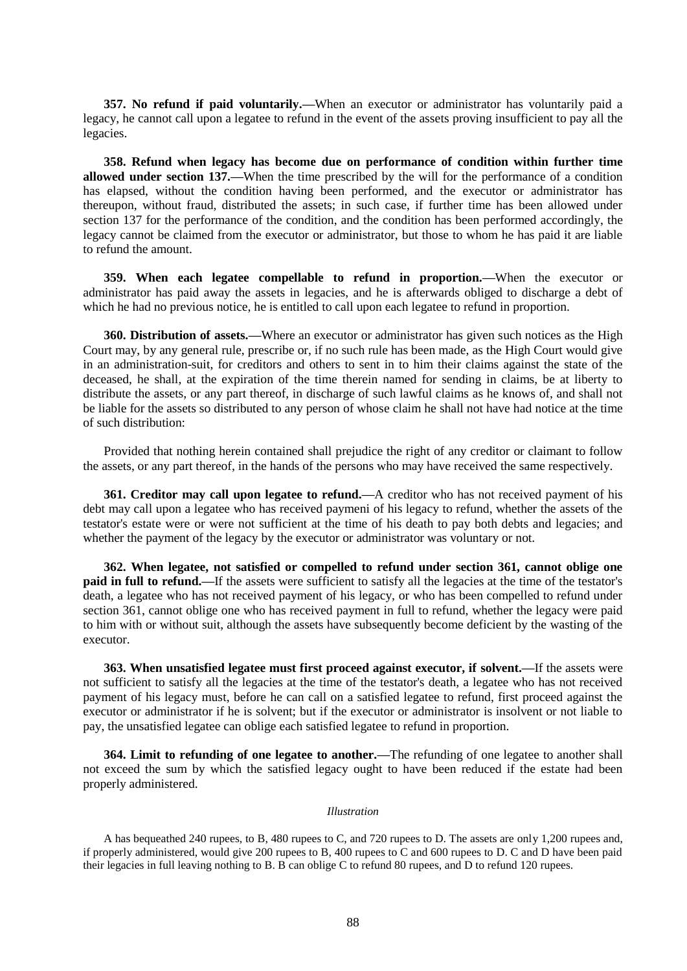**357. No refund if paid voluntarily.—**When an executor or administrator has voluntarily paid a legacy, he cannot call upon a legatee to refund in the event of the assets proving insufficient to pay all the legacies.

**358. Refund when legacy has become due on performance of condition within further time allowed under section 137.—**When the time prescribed by the will for the performance of a condition has elapsed, without the condition having been performed, and the executor or administrator has thereupon, without fraud, distributed the assets; in such case, if further time has been allowed under section 137 for the performance of the condition, and the condition has been performed accordingly, the legacy cannot be claimed from the executor or administrator, but those to whom he has paid it are liable to refund the amount.

**359. When each legatee compellable to refund in proportion.—**When the executor or administrator has paid away the assets in legacies, and he is afterwards obliged to discharge a debt of which he had no previous notice, he is entitled to call upon each legatee to refund in proportion.

**360. Distribution of assets.—**Where an executor or administrator has given such notices as the High Court may, by any general rule, prescribe or, if no such rule has been made, as the High Court would give in an administration-suit, for creditors and others to sent in to him their claims against the state of the deceased, he shall, at the expiration of the time therein named for sending in claims, be at liberty to distribute the assets, or any part thereof, in discharge of such lawful claims as he knows of, and shall not be liable for the assets so distributed to any person of whose claim he shall not have had notice at the time of such distribution:

Provided that nothing herein contained shall prejudice the right of any creditor or claimant to follow the assets, or any part thereof, in the hands of the persons who may have received the same respectively.

**361. Creditor may call upon legatee to refund.—**A creditor who has not received payment of his debt may call upon a legatee who has received paymeni of his legacy to refund, whether the assets of the testator's estate were or were not sufficient at the time of his death to pay both debts and legacies; and whether the payment of the legacy by the executor or administrator was voluntary or not.

**362. When legatee, not satisfied or compelled to refund under section 361, cannot oblige one paid in full to refund.—If** the assets were sufficient to satisfy all the legacies at the time of the testator's death, a legatee who has not received payment of his legacy, or who has been compelled to refund under section 361, cannot oblige one who has received payment in full to refund, whether the legacy were paid to him with or without suit, although the assets have subsequently become deficient by the wasting of the executor.

**363. When unsatisfied legatee must first proceed against executor, if solvent.—**If the assets were not sufficient to satisfy all the legacies at the time of the testator's death, a legatee who has not received payment of his legacy must, before he can call on a satisfied legatee to refund, first proceed against the executor or administrator if he is solvent; but if the executor or administrator is insolvent or not liable to pay, the unsatisfied legatee can oblige each satisfied legatee to refund in proportion.

**364. Limit to refunding of one legatee to another.—**The refunding of one legatee to another shall not exceed the sum by which the satisfied legacy ought to have been reduced if the estate had been properly administered.

#### *Illustration*

A has bequeathed 240 rupees, to B, 480 rupees to C, and 720 rupees to D. The assets are only 1,200 rupees and, if properly administered, would give 200 rupees to B, 400 rupees to C and 600 rupees to D. C and D have been paid their legacies in full leaving nothing to B. B can oblige C to refund 80 rupees, and D to refund 120 rupees.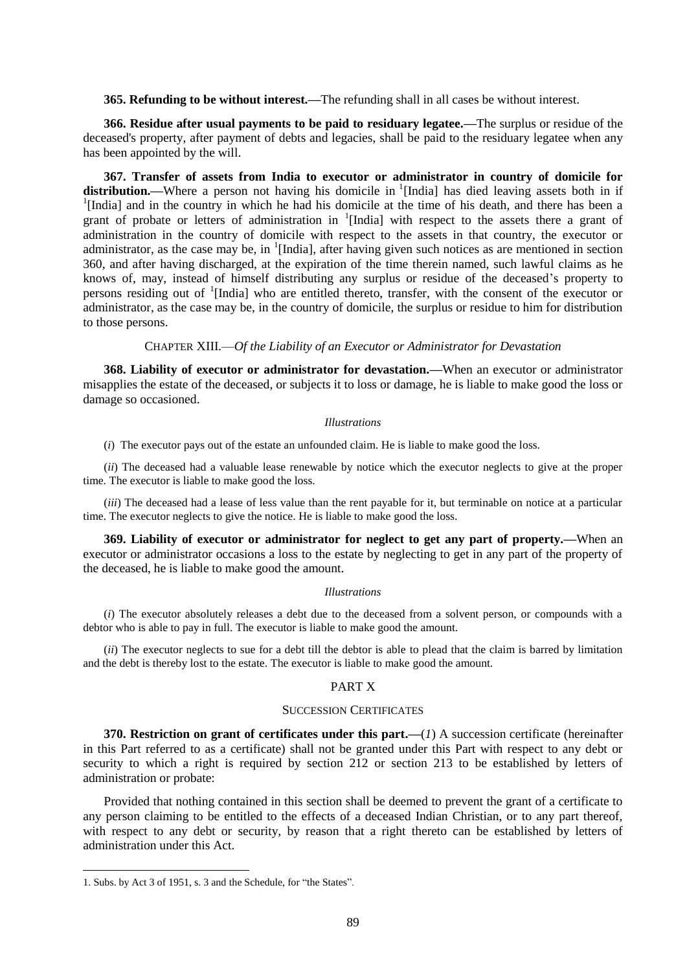## **365. Refunding to be without interest.—**The refunding shall in all cases be without interest.

**366. Residue after usual payments to be paid to residuary legatee.—**The surplus or residue of the deceased's property, after payment of debts and legacies, shall be paid to the residuary legatee when any has been appointed by the will.

**367. Transfer of assets from India to executor or administrator in country of domicile for**  distribution.—Where a person not having his domicile in <sup>1</sup>[India] has died leaving assets both in if <sup>1</sup>[India] and in the country in which he had his domicile at the time of his death, and there has been a grant of probate or letters of administration in <sup>1</sup>[India] with respect to the assets there a grant of administration in the country of domicile with respect to the assets in that country, the executor or administrator, as the case may be, in  $\frac{1}{1}$ [India], after having given such notices as are mentioned in section 360, and after having discharged, at the expiration of the time therein named, such lawful claims as he knows of, may, instead of himself distributing any surplus or residue of the deceased's property to persons residing out of <sup>1</sup>[India] who are entitled thereto, transfer, with the consent of the executor or administrator, as the case may be, in the country of domicile, the surplus or residue to him for distribution to those persons.

## CHAPTER XIII.—*Of the Liability of an Executor or Administrator for Devastation*

**368. Liability of executor or administrator for devastation.—**When an executor or administrator misapplies the estate of the deceased, or subjects it to loss or damage, he is liable to make good the loss or damage so occasioned.

#### *Illustrations*

(*i*) The executor pays out of the estate an unfounded claim. He is liable to make good the loss.

(*ii*) The deceased had a valuable lease renewable by notice which the executor neglects to give at the proper time. The executor is liable to make good the loss.

(*iii*) The deceased had a lease of less value than the rent payable for it, but terminable on notice at a particular time. The executor neglects to give the notice. He is liable to make good the loss.

**369. Liability of executor or administrator for neglect to get any part of property.—**When an executor or administrator occasions a loss to the estate by neglecting to get in any part of the property of the deceased, he is liable to make good the amount.

#### *Illustrations*

(*i*) The executor absolutely releases a debt due to the deceased from a solvent person, or compounds with a debtor who is able to pay in full. The executor is liable to make good the amount.

(*ii*) The executor neglects to sue for a debt till the debtor is able to plead that the claim is barred by limitation and the debt is thereby lost to the estate. The executor is liable to make good the amount.

## PART X

## SUCCESSION CERTIFICATES

**370. Restriction on grant of certificates under this part.—**(*1*) A succession certificate (hereinafter in this Part referred to as a certificate) shall not be granted under this Part with respect to any debt or security to which a right is required by section 212 or section 213 to be established by letters of administration or probate:

Provided that nothing contained in this section shall be deemed to prevent the grant of a certificate to any person claiming to be entitled to the effects of a deceased Indian Christian, or to any part thereof, with respect to any debt or security, by reason that a right thereto can be established by letters of administration under this Act.

<sup>1.</sup> Subs. by Act 3 of 1951, s. 3 and the Schedule, for "the States".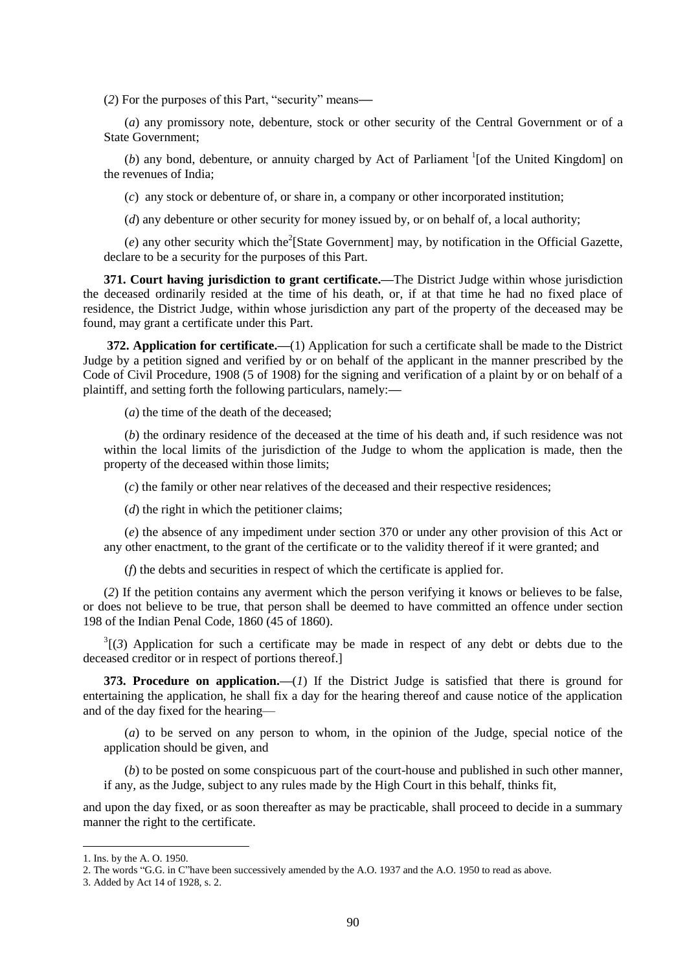(*2*) For the purposes of this Part, "security" means**—**

(*a*) any promissory note, debenture, stock or other security of the Central Government or of a State Government;

(b) any bond, debenture, or annuity charged by Act of Parliament  $\frac{1}{1}$  [of the United Kingdom] on the revenues of India;

(*c*) any stock or debenture of, or share in, a company or other incorporated institution;

(*d*) any debenture or other security for money issued by, or on behalf of, a local authority;

 $(e)$  any other security which the<sup>2</sup>[State Government] may, by notification in the Official Gazette, declare to be a security for the purposes of this Part.

**371. Court having jurisdiction to grant certificate.—**The District Judge within whose jurisdiction the deceased ordinarily resided at the time of his death, or, if at that time he had no fixed place of residence, the District Judge, within whose jurisdiction any part of the property of the deceased may be found, may grant a certificate under this Part.

**372. Application for certificate.—**(1) Application for such a certificate shall be made to the District Judge by a petition signed and verified by or on behalf of the applicant in the manner prescribed by the Code of Civil Procedure, 1908 (5 of 1908) for the signing and verification of a plaint by or on behalf of a plaintiff, and setting forth the following particulars, namely:**—**

(*a*) the time of the death of the deceased;

(*b*) the ordinary residence of the deceased at the time of his death and, if such residence was not within the local limits of the jurisdiction of the Judge to whom the application is made, then the property of the deceased within those limits;

(*c*) the family or other near relatives of the deceased and their respective residences;

(*d*) the right in which the petitioner claims;

(*e*) the absence of any impediment under section 370 or under any other provision of this Act or any other enactment, to the grant of the certificate or to the validity thereof if it were granted; and

(*f*) the debts and securities in respect of which the certificate is applied for.

(*2*) If the petition contains any averment which the person verifying it knows or believes to be false, or does not believe to be true, that person shall be deemed to have committed an offence under section 198 of the Indian Penal Code, 1860 (45 of 1860).

 $3(3)$  Application for such a certificate may be made in respect of any debt or debts due to the deceased creditor or in respect of portions thereof.]

**373. Procedure on application.—**(*1*) If the District Judge is satisfied that there is ground for entertaining the application, he shall fix a day for the hearing thereof and cause notice of the application and of the day fixed for the hearing—

(*a*) to be served on any person to whom, in the opinion of the Judge, special notice of the application should be given, and

(*b*) to be posted on some conspicuous part of the court-house and published in such other manner, if any, as the Judge, subject to any rules made by the High Court in this behalf, thinks fit,

and upon the day fixed, or as soon thereafter as may be practicable, shall proceed to decide in a summary manner the right to the certificate.

<sup>1.</sup> Ins. by the A. O. 1950.

<sup>2.</sup> The words "G.G. in C"have been successively amended by the A.O. 1937 and the A.O. 1950 to read as above.

<sup>3.</sup> Added by Act 14 of 1928, s. 2.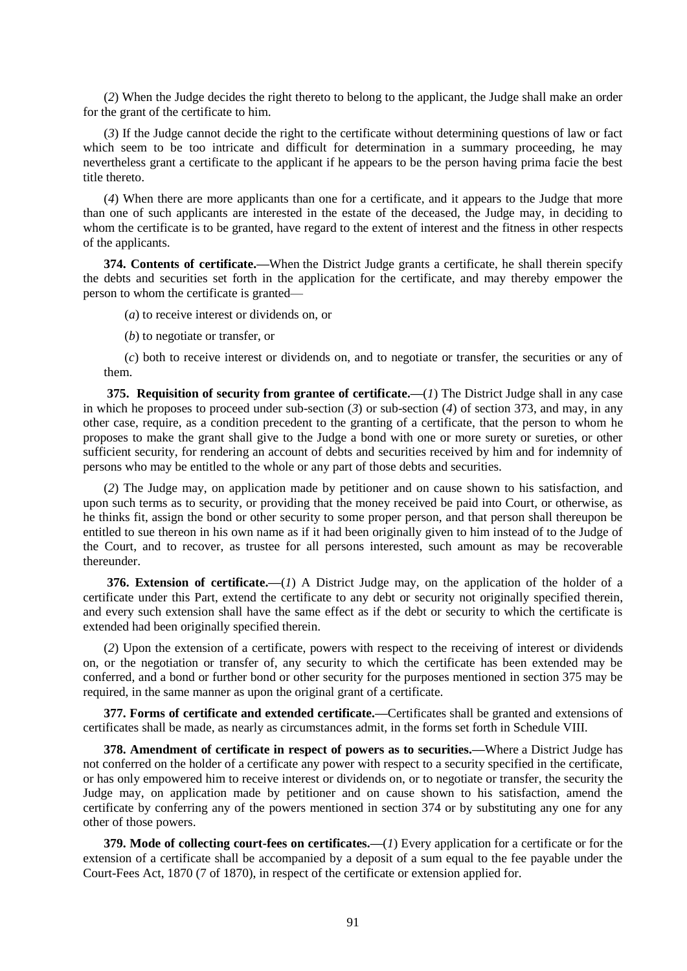(*2*) When the Judge decides the right thereto to belong to the applicant, the Judge shall make an order for the grant of the certificate to him.

(*3*) If the Judge cannot decide the right to the certificate without determining questions of law or fact which seem to be too intricate and difficult for determination in a summary proceeding, he may nevertheless grant a certificate to the applicant if he appears to be the person having prima facie the best title thereto.

(*4*) When there are more applicants than one for a certificate, and it appears to the Judge that more than one of such applicants are interested in the estate of the deceased, the Judge may, in deciding to whom the certificate is to be granted, have regard to the extent of interest and the fitness in other respects of the applicants.

**374. Contents of certificate.—**When the District Judge grants a certificate, he shall therein specify the debts and securities set forth in the application for the certificate, and may thereby empower the person to whom the certificate is granted—

(*a*) to receive interest or dividends on, or

(*b*) to negotiate or transfer, or

(*c*) both to receive interest or dividends on, and to negotiate or transfer, the securities or any of them.

**375. Requisition of security from grantee of certificate.—**(*1*) The District Judge shall in any case in which he proposes to proceed under sub-section (*3*) or sub-section (*4*) of section 373, and may, in any other case, require, as a condition precedent to the granting of a certificate, that the person to whom he proposes to make the grant shall give to the Judge a bond with one or more surety or sureties, or other sufficient security, for rendering an account of debts and securities received by him and for indemnity of persons who may be entitled to the whole or any part of those debts and securities.

(*2*) The Judge may, on application made by petitioner and on cause shown to his satisfaction, and upon such terms as to security, or providing that the money received be paid into Court, or otherwise, as he thinks fit, assign the bond or other security to some proper person, and that person shall thereupon be entitled to sue thereon in his own name as if it had been originally given to him instead of to the Judge of the Court, and to recover, as trustee for all persons interested, such amount as may be recoverable thereunder.

**376. Extension of certificate.—**(*1*) A District Judge may, on the application of the holder of a certificate under this Part, extend the certificate to any debt or security not originally specified therein, and every such extension shall have the same effect as if the debt or security to which the certificate is extended had been originally specified therein.

(*2*) Upon the extension of a certificate, powers with respect to the receiving of interest or dividends on, or the negotiation or transfer of, any security to which the certificate has been extended may be conferred, and a bond or further bond or other security for the purposes mentioned in section 375 may be required, in the same manner as upon the original grant of a certificate.

**377. Forms of certificate and extended certificate.—**Certificates shall be granted and extensions of certificates shall be made, as nearly as circumstances admit, in the forms set forth in Schedule VIII.

**378. Amendment of certificate in respect of powers as to securities.—**Where a District Judge has not conferred on the holder of a certificate any power with respect to a security specified in the certificate, or has only empowered him to receive interest or dividends on, or to negotiate or transfer, the security the Judge may, on application made by petitioner and on cause shown to his satisfaction, amend the certificate by conferring any of the powers mentioned in section 374 or by substituting any one for any other of those powers.

**379. Mode of collecting court-fees on certificates.—**(*1*) Every application for a certificate or for the extension of a certificate shall be accompanied by a deposit of a sum equal to the fee payable under the Court-Fees Act, 1870 (7 of 1870), in respect of the certificate or extension applied for.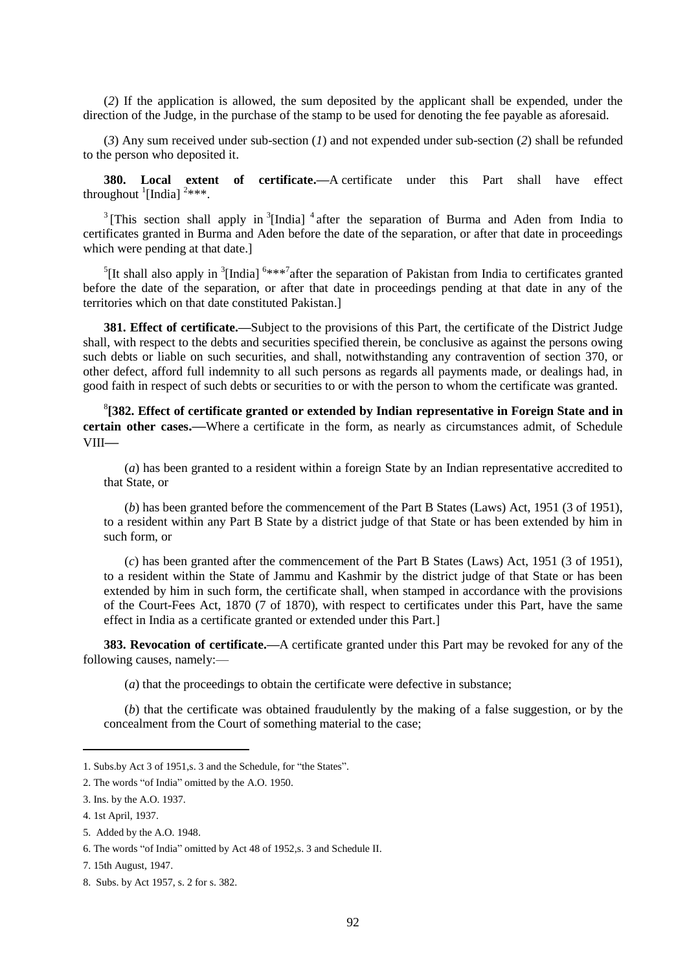(*2*) If the application is allowed, the sum deposited by the applicant shall be expended, under the direction of the Judge, in the purchase of the stamp to be used for denoting the fee payable as aforesaid.

(*3*) Any sum received under sub-section (*1*) and not expended under sub-section (*2*) shall be refunded to the person who deposited it.

**380. Local extent of certificate.—**A certificate under this Part shall have effect throughout  $\frac{1}{2}$ [India]  $\frac{2***}{3}$ .

<sup>3</sup> [This section shall apply in  ${}^{3}$ [India]  ${}^{4}$  after the separation of Burma and Aden from India to certificates granted in Burma and Aden before the date of the separation, or after that date in proceedings which were pending at that date.

<sup>5</sup>[It shall also apply in <sup>3</sup>[India]  $6***$ <sup>7</sup> after the separation of Pakistan from India to certificates granted before the date of the separation, or after that date in proceedings pending at that date in any of the territories which on that date constituted Pakistan.]

**381. Effect of certificate.—**Subject to the provisions of this Part, the certificate of the District Judge shall, with respect to the debts and securities specified therein, be conclusive as against the persons owing such debts or liable on such securities, and shall, notwithstanding any contravention of section 370, or other defect, afford full indemnity to all such persons as regards all payments made, or dealings had, in good faith in respect of such debts or securities to or with the person to whom the certificate was granted.

<sup>8</sup>[382. Effect of certificate granted or extended by Indian representative in Foreign State and in **certain other cases.—**Where a certificate in the form, as nearly as circumstances admit, of Schedule VIII**—**

(*a*) has been granted to a resident within a foreign State by an Indian representative accredited to that State, or

(*b*) has been granted before the commencement of the Part B States (Laws) Act, 1951 (3 of 1951), to a resident within any Part B State by a district judge of that State or has been extended by him in such form, or

(*c*) has been granted after the commencement of the Part B States (Laws) Act, 1951 (3 of 1951), to a resident within the State of Jammu and Kashmir by the district judge of that State or has been extended by him in such form, the certificate shall, when stamped in accordance with the provisions of the Court-Fees Act, 1870 (7 of 1870), with respect to certificates under this Part, have the same effect in India as a certificate granted or extended under this Part.]

**383. Revocation of certificate.—**A certificate granted under this Part may be revoked for any of the following causes, namely:—

(*a*) that the proceedings to obtain the certificate were defective in substance;

(*b*) that the certificate was obtained fraudulently by the making of a false suggestion, or by the concealment from the Court of something material to the case;

1

<sup>1.</sup> Subs.by Act 3 of 1951,s. 3 and the Schedule, for "the States".

<sup>2.</sup> The words "of India" omitted by the A.O. 1950.

<sup>3.</sup> Ins. by the A.O. 1937.

<sup>4.</sup> 1st April, 1937.

<sup>5.</sup> Added by the A.O. 1948.

<sup>6.</sup> The words "of India" omitted by Act 48 of 1952,s. 3 and Schedule II.

<sup>7.</sup> 15th August, 1947.

<sup>8.</sup> Subs. by Act 1957, s. 2 for s. 382.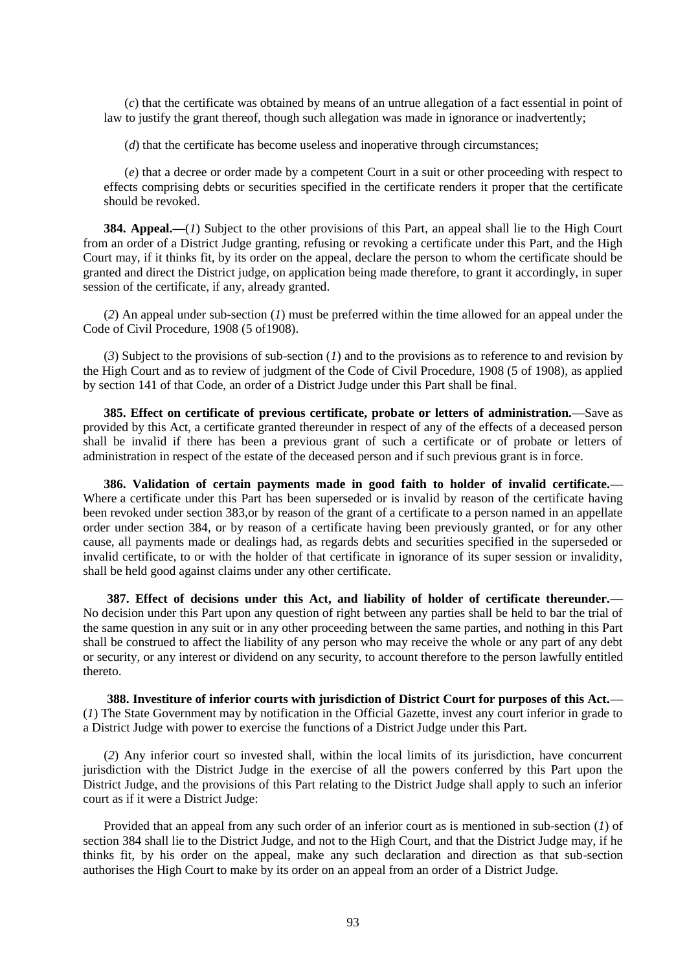(*c*) that the certificate was obtained by means of an untrue allegation of a fact essential in point of law to justify the grant thereof, though such allegation was made in ignorance or inadvertently;

(*d*) that the certificate has become useless and inoperative through circumstances;

(*e*) that a decree or order made by a competent Court in a suit or other proceeding with respect to effects comprising debts or securities specified in the certificate renders it proper that the certificate should be revoked.

**384. Appeal.—**(*1*) Subject to the other provisions of this Part, an appeal shall lie to the High Court from an order of a District Judge granting, refusing or revoking a certificate under this Part, and the High Court may, if it thinks fit, by its order on the appeal, declare the person to whom the certificate should be granted and direct the District judge, on application being made therefore, to grant it accordingly, in super session of the certificate, if any, already granted.

(*2*) An appeal under sub-section (*1*) must be preferred within the time allowed for an appeal under the Code of Civil Procedure, 1908 (5 of1908).

(*3*) Subject to the provisions of sub-section (*1*) and to the provisions as to reference to and revision by the High Court and as to review of judgment of the Code of Civil Procedure, 1908 (5 of 1908), as applied by section 141 of that Code, an order of a District Judge under this Part shall be final.

**385. Effect on certificate of previous certificate, probate or letters of administration.—**Save as provided by this Act, a certificate granted thereunder in respect of any of the effects of a deceased person shall be invalid if there has been a previous grant of such a certificate or of probate or letters of administration in respect of the estate of the deceased person and if such previous grant is in force.

**386. Validation of certain payments made in good faith to holder of invalid certificate.—** Where a certificate under this Part has been superseded or is invalid by reason of the certificate having been revoked under section 383,or by reason of the grant of a certificate to a person named in an appellate order under section 384, or by reason of a certificate having been previously granted, or for any other cause, all payments made or dealings had, as regards debts and securities specified in the superseded or invalid certificate, to or with the holder of that certificate in ignorance of its super session or invalidity, shall be held good against claims under any other certificate.

**387. Effect of decisions under this Act, and liability of holder of certificate thereunder.—** No decision under this Part upon any question of right between any parties shall be held to bar the trial of the same question in any suit or in any other proceeding between the same parties, and nothing in this Part shall be construed to affect the liability of any person who may receive the whole or any part of any debt or security, or any interest or dividend on any security, to account therefore to the person lawfully entitled thereto.

**388. Investiture of inferior courts with jurisdiction of District Court for purposes of this Act.—** (*1*) The State Government may by notification in the Official Gazette, invest any court inferior in grade to a District Judge with power to exercise the functions of a District Judge under this Part.

(*2*) Any inferior court so invested shall, within the local limits of its jurisdiction, have concurrent jurisdiction with the District Judge in the exercise of all the powers conferred by this Part upon the District Judge, and the provisions of this Part relating to the District Judge shall apply to such an inferior court as if it were a District Judge:

Provided that an appeal from any such order of an inferior court as is mentioned in sub-section (*1*) of section 384 shall lie to the District Judge, and not to the High Court, and that the District Judge may, if he thinks fit, by his order on the appeal, make any such declaration and direction as that sub-section authorises the High Court to make by its order on an appeal from an order of a District Judge.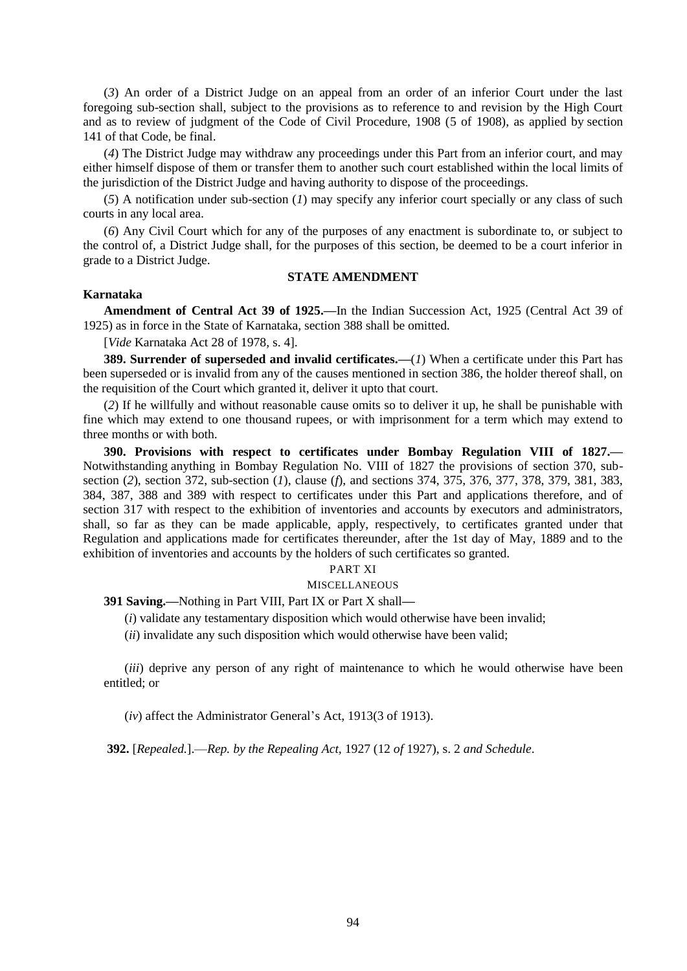(*3*) An order of a District Judge on an appeal from an order of an inferior Court under the last foregoing sub-section shall, subject to the provisions as to reference to and revision by the High Court and as to review of judgment of the Code of Civil Procedure, 1908 (5 of 1908), as applied by section 141 of that Code, be final.

(*4*) The District Judge may withdraw any proceedings under this Part from an inferior court, and may either himself dispose of them or transfer them to another such court established within the local limits of the jurisdiction of the District Judge and having authority to dispose of the proceedings.

(*5*) A notification under sub-section (*1*) may specify any inferior court specially or any class of such courts in any local area.

(*6*) Any Civil Court which for any of the purposes of any enactment is subordinate to, or subject to the control of, a District Judge shall, for the purposes of this section, be deemed to be a court inferior in grade to a District Judge.

### **STATE AMENDMENT**

## **Karnataka**

**Amendment of Central Act 39 of 1925.—**In the Indian Succession Act, 1925 (Central Act 39 of 1925) as in force in the State of Karnataka, section 388 shall be omitted.

[*Vide* Karnataka Act 28 of 1978, s. 4].

**389. Surrender of superseded and invalid certificates.—**(*1*) When a certificate under this Part has been superseded or is invalid from any of the causes mentioned in section 386, the holder thereof shall, on the requisition of the Court which granted it, deliver it upto that court.

(*2*) If he willfully and without reasonable cause omits so to deliver it up, he shall be punishable with fine which may extend to one thousand rupees, or with imprisonment for a term which may extend to three months or with both.

**390. Provisions with respect to certificates under Bombay Regulation VIII of 1827.—** Notwithstanding anything in Bombay Regulation No. VIII of 1827 the provisions of section 370, subsection (*2*), section 372, sub-section (*1*), clause (*f*), and sections 374, 375, 376, 377, 378, 379, 381, 383, 384, 387, 388 and 389 with respect to certificates under this Part and applications therefore, and of section 317 with respect to the exhibition of inventories and accounts by executors and administrators, shall, so far as they can be made applicable, apply, respectively, to certificates granted under that Regulation and applications made for certificates thereunder, after the 1st day of May, 1889 and to the exhibition of inventories and accounts by the holders of such certificates so granted.

# PART XI

#### **MISCELLANEOUS**

**391 Saving.—**Nothing in Part VIII, Part IX or Part X shall**—**

(*i*) validate any testamentary disposition which would otherwise have been invalid;

(*ii*) invalidate any such disposition which would otherwise have been valid;

(*iii*) deprive any person of any right of maintenance to which he would otherwise have been entitled; or

(*iv*) affect the Administrator General's Act, 1913(3 of 1913).

**392.** [*Repealed.*].—*Rep. by the Repealing Act,* 1927 (12 *of* 1927), s. 2 *and Schedule*.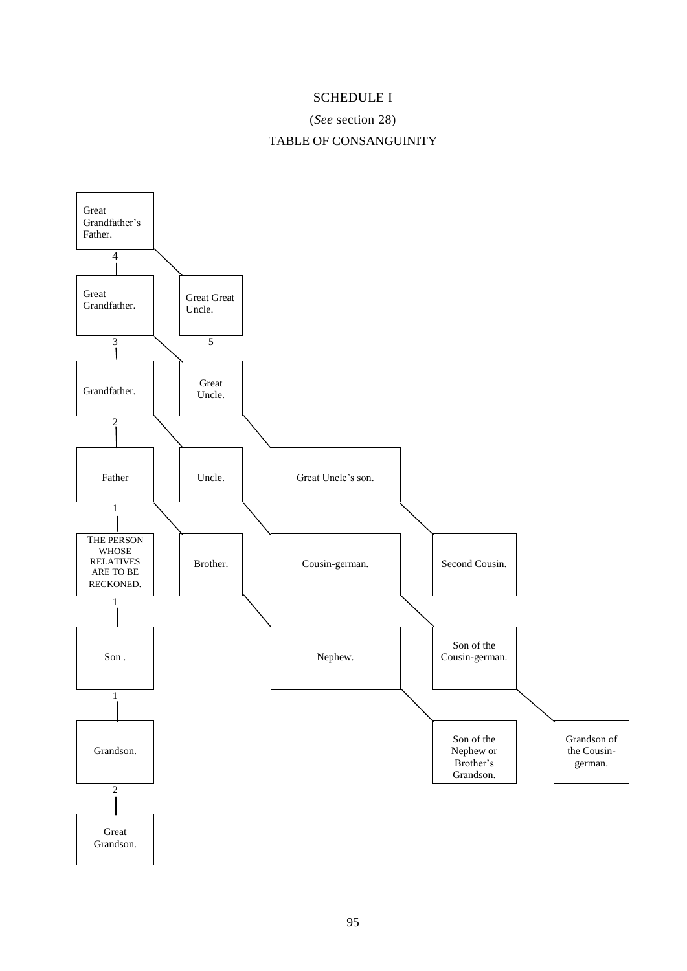# SCHEDULE I

# (*See* section 28) TABLE OF CONSANGUINITY

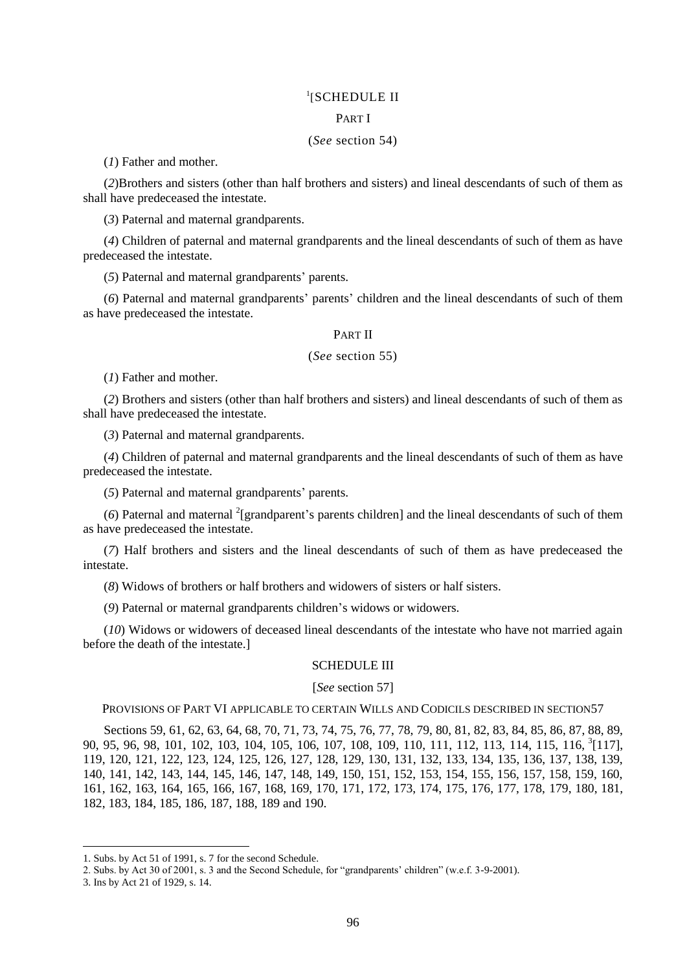# <sup>1</sup>[SCHEDULE II

#### PART I

#### (*See* section 54)

(*1*) Father and mother.

(*2*)Brothers and sisters (other than half brothers and sisters) and lineal descendants of such of them as shall have predeceased the intestate.

(*3*) Paternal and maternal grandparents.

(*4*) Children of paternal and maternal grandparents and the lineal descendants of such of them as have predeceased the intestate.

(*5*) Paternal and maternal grandparents' parents.

(*6*) Paternal and maternal grandparents' parents' children and the lineal descendants of such of them as have predeceased the intestate.

# PART II

#### (*See* section 55)

(*1*) Father and mother.

(*2*) Brothers and sisters (other than half brothers and sisters) and lineal descendants of such of them as shall have predeceased the intestate.

(*3*) Paternal and maternal grandparents.

(*4*) Children of paternal and maternal grandparents and the lineal descendants of such of them as have predeceased the intestate.

(*5*) Paternal and maternal grandparents' parents.

 $(6)$  Paternal and maternal <sup>2</sup>[grandparent's parents children] and the lineal descendants of such of them as have predeceased the intestate.

(*7*) Half brothers and sisters and the lineal descendants of such of them as have predeceased the intestate.

(*8*) Widows of brothers or half brothers and widowers of sisters or half sisters.

(*9*) Paternal or maternal grandparents children's widows or widowers.

(*10*) Widows or widowers of deceased lineal descendants of the intestate who have not married again before the death of the intestate.]

# SCHEDULE III

### [*See* section 57]

PROVISIONS OF PART VI APPLICABLE TO CERTAIN WILLS AND CODICILS DESCRIBED IN SECTION57

Sections 59, 61, 62, 63, 64, 68, 70, 71, 73, 74, 75, 76, 77, 78, 79, 80, 81, 82, 83, 84, 85, 86, 87, 88, 89, 90, 95, 96, 98, 101, 102, 103, 104, 105, 106, 107, 108, 109, 110, 111, 112, 113, 114, 115, 116, <sup>3</sup> [117], 119, 120, 121, 122, 123, 124, 125, 126, 127, 128, 129, 130, 131, 132, 133, 134, 135, 136, 137, 138, 139, 140, 141, 142, 143, 144, 145, 146, 147, 148, 149, 150, 151, 152, 153, 154, 155, 156, 157, 158, 159, 160, 161, 162, 163, 164, 165, 166, 167, 168, 169, 170, 171, 172, 173, 174, 175, 176, 177, 178, 179, 180, 181, 182, 183, 184, 185, 186, 187, 188, 189 and 190.

2. Subs. by Act 30 of 2001, s. 3 and the Second Schedule, for "grandparents' children" (w.e.f. 3-9-2001).

<sup>1.</sup> Subs. by Act 51 of 1991, s. 7 for the second Schedule.

<sup>3.</sup> Ins by Act 21 of 1929, s. 14.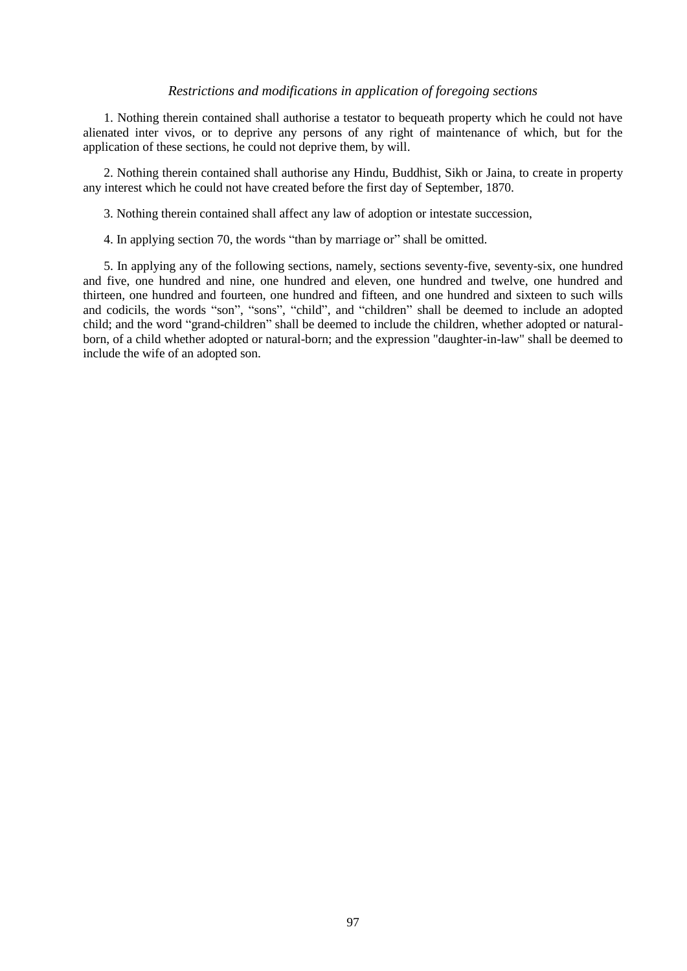# *Restrictions and modifications in application of foregoing sections*

1. Nothing therein contained shall authorise a testator to bequeath property which he could not have alienated inter vivos, or to deprive any persons of any right of maintenance of which, but for the application of these sections, he could not deprive them, by will.

2. Nothing therein contained shall authorise any Hindu, Buddhist, Sikh or Jaina, to create in property any interest which he could not have created before the first day of September, 1870.

3. Nothing therein contained shall affect any law of adoption or intestate succession,

4. In applying section 70, the words "than by marriage or" shall be omitted.

5. In applying any of the following sections, namely, sections seventy-five, seventy-six, one hundred and five, one hundred and nine, one hundred and eleven, one hundred and twelve, one hundred and thirteen, one hundred and fourteen, one hundred and fifteen, and one hundred and sixteen to such wills and codicils, the words "son", "sons", "child", and "children" shall be deemed to include an adopted child; and the word "grand-children" shall be deemed to include the children, whether adopted or naturalborn, of a child whether adopted or natural-born; and the expression "daughter-in-law" shall be deemed to include the wife of an adopted son.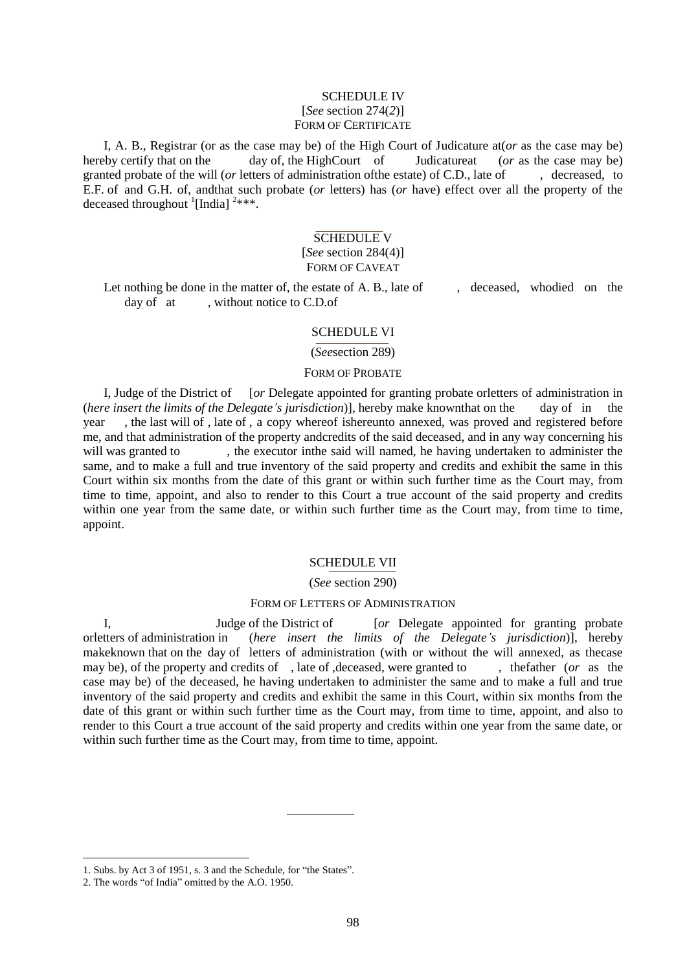# SCHEDULE IV [*See* section 274(*2*)] FORM OF CERTIFICATE

I, A. B., Registrar (or as the case may be) of the High Court of Judicature at(*or* as the case may be) hereby certify that on the day of, the HighCourt of Judicatureat (*or* as the case may be) granted probate of the will (*or* letters of administration of the estate) of C.D., late of , decreased, to E.F. of and G.H. of, andthat such probate (*or* letters) has (*or* have) effect over all the property of the deceased throughout  $\left[$ [India]<sup>2\*\*\*</sup>.

# SCHEDULE V

# [*See* section 284(4)]

# FORM OF CAVEAT

Let nothing be done in the matter of, the estate of A. B., late of , deceased, whodied on the day of at , without notice to C.D.of

#### SCHEDULE VI

(*See*section 289)

#### FORM OF PROBATE

I, Judge of the District of [*or* Delegate appointed for granting probate orletters of administration in (*here insert the limits of the Delegate's jurisdiction*)], hereby make knownthat on the day of in the year , the last will of , late of , a copy whereof ishereunto annexed, was proved and registered before me, and that administration of the property andcredits of the said deceased, and in any way concerning his will was granted to , the executor inthe said will named, he having undertaken to administer the same, and to make a full and true inventory of the said property and credits and exhibit the same in this Court within six months from the date of this grant or within such further time as the Court may, from time to time, appoint, and also to render to this Court a true account of the said property and credits within one year from the same date, or within such further time as the Court may, from time to time, appoint.

## SCHEDULE VII

#### (*See* section 290)

#### FORM OF LETTERS OF ADMINISTRATION

I, Judge of the District of *Ior* Delegate appointed for granting probate orletters of administration in (*here insert the limits of the Delegate's jurisdiction*)], hereby makeknown that on the day of letters of administration (with or without the will annexed, as thecase may be), of the property and credits of, late of, deceased, were granted to, the father (*or* as the case may be) of the deceased, he having undertaken to administer the same and to make a full and true inventory of the said property and credits and exhibit the same in this Court, within six months from the date of this grant or within such further time as the Court may, from time to time, appoint, and also to render to this Court a true account of the said property and credits within one year from the same date, or within such further time as the Court may, from time to time, appoint.

1

<sup>1.</sup> Subs. by Act 3 of 1951, s. 3 and the Schedule, for "the States".

<sup>2.</sup> The words "of India" omitted by the A.O. 1950.